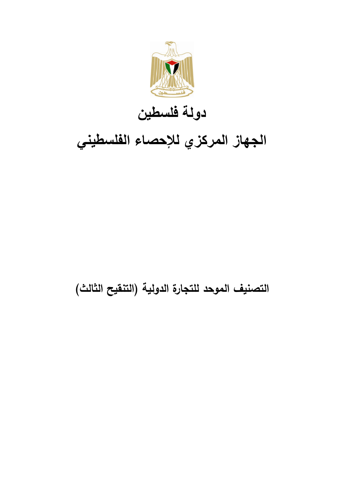

## **دولة فلسطين**

## **الجهاز المركزي لإلحصاء الفلسطيني**

## **التصنيف الموحد للتجارة الدولية )التنقيح الثالث(**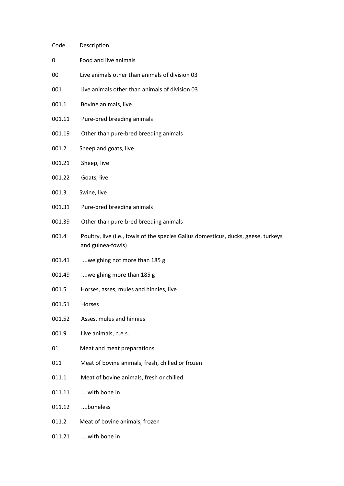| Code   | Description                                                                                             |
|--------|---------------------------------------------------------------------------------------------------------|
| 0      | Food and live animals                                                                                   |
| 00     | Live animals other than animals of division 03                                                          |
| 001    | Live animals other than animals of division 03                                                          |
| 001.1  | Bovine animals, live                                                                                    |
| 001.11 | Pure-bred breeding animals                                                                              |
| 001.19 | Other than pure-bred breeding animals                                                                   |
| 001.2  | Sheep and goats, live                                                                                   |
| 001.21 | Sheep, live                                                                                             |
| 001.22 | Goats, live                                                                                             |
| 001.3  | Swine, live                                                                                             |
| 001.31 | Pure-bred breeding animals                                                                              |
| 001.39 | Other than pure-bred breeding animals                                                                   |
| 001.4  | Poultry, live (i.e., fowls of the species Gallus domesticus, ducks, geese, turkeys<br>and guinea-fowls) |
| 001.41 | weighing not more than 185 g                                                                            |
| 001.49 | weighing more than 185 g                                                                                |
| 001.5  | Horses, asses, mules and hinnies, live                                                                  |
| 001.51 | Horses                                                                                                  |
| 001.52 | Asses, mules and hinnies                                                                                |
| 001.9  | Live animals, n.e.s.                                                                                    |
| 01     | Meat and meat preparations                                                                              |
| 011    | Meat of bovine animals, fresh, chilled or frozen                                                        |
| 011.1  | Meat of bovine animals, fresh or chilled                                                                |
| 011.11 | with bone in                                                                                            |
| 011.12 | boneless                                                                                                |
| 011.2  | Meat of bovine animals, frozen                                                                          |
| 011.21 | with bone in                                                                                            |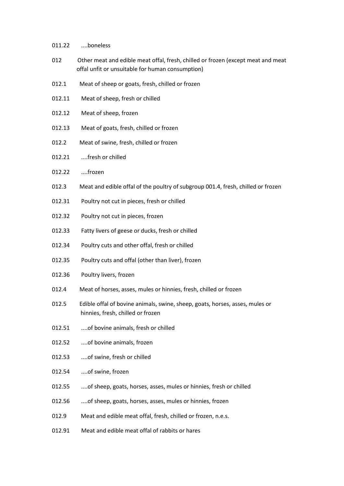## 011.22 ....boneless

- 012 Other meat and edible meat offal, fresh, chilled or frozen (except meat and meat offal unfit or unsuitable for human consumption)
- 012.1 Meat of sheep or goats, fresh, chilled or frozen
- 012.11 Meat of sheep, fresh or chilled
- 012.12 Meat of sheep, frozen
- 012.13 Meat of goats, fresh, chilled or frozen
- 012.2 Meat of swine, fresh, chilled or frozen
- 012.21 ....fresh or chilled
- 012.22 ....frozen
- 012.3 Meat and edible offal of the poultry of subgroup 001.4, fresh, chilled or frozen
- 012.31 Poultry not cut in pieces, fresh or chilled
- 012.32 Poultry not cut in pieces, frozen
- 012.33 Fatty livers of geese or ducks, fresh or chilled
- 012.34 Poultry cuts and other offal, fresh or chilled
- 012.35 Poultry cuts and offal (other than liver), frozen
- 012.36 Poultry livers, frozen
- 012.4 Meat of horses, asses, mules or hinnies, fresh, chilled or frozen
- 012.5 Edible offal of bovine animals, swine, sheep, goats, horses, asses, mules or hinnies, fresh, chilled or frozen
- 012.51 ....of bovine animals, fresh or chilled
- 012.52 ....of bovine animals, frozen
- 012.53 ....of swine, fresh or chilled
- 012.54 ....of swine, frozen
- 012.55 ....of sheep, goats, horses, asses, mules or hinnies, fresh or chilled
- 012.56 ....of sheep, goats, horses, asses, mules or hinnies, frozen
- 012.9 Meat and edible meat offal, fresh, chilled or frozen, n.e.s.
- 012.91 Meat and edible meat offal of rabbits or hares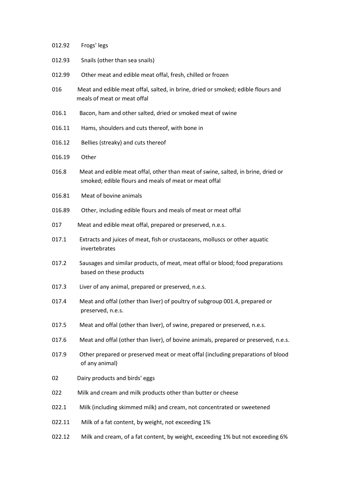| 012.92 | Frogs' legs                                                                                                                               |
|--------|-------------------------------------------------------------------------------------------------------------------------------------------|
| 012.93 | Snails (other than sea snails)                                                                                                            |
| 012.99 | Other meat and edible meat offal, fresh, chilled or frozen                                                                                |
| 016    | Meat and edible meat offal, salted, in brine, dried or smoked; edible flours and<br>meals of meat or meat offal                           |
| 016.1  | Bacon, ham and other salted, dried or smoked meat of swine                                                                                |
| 016.11 | Hams, shoulders and cuts thereof, with bone in                                                                                            |
| 016.12 | Bellies (streaky) and cuts thereof                                                                                                        |
| 016.19 | Other                                                                                                                                     |
| 016.8  | Meat and edible meat offal, other than meat of swine, salted, in brine, dried or<br>smoked; edible flours and meals of meat or meat offal |
| 016.81 | Meat of bovine animals                                                                                                                    |
| 016.89 | Other, including edible flours and meals of meat or meat offal                                                                            |
| 017    | Meat and edible meat offal, prepared or preserved, n.e.s.                                                                                 |
| 017.1  | Extracts and juices of meat, fish or crustaceans, molluscs or other aquatic<br>invertebrates                                              |
| 017.2  | Sausages and similar products, of meat, meat offal or blood; food preparations<br>based on these products                                 |
| 017.3  | Liver of any animal, prepared or preserved, n.e.s.                                                                                        |
| 017.4  | Meat and offal (other than liver) of poultry of subgroup 001.4, prepared or<br>preserved, n.e.s.                                          |
| 017.5  | Meat and offal (other than liver), of swine, prepared or preserved, n.e.s.                                                                |
| 017.6  | Meat and offal (other than liver), of bovine animals, prepared or preserved, n.e.s.                                                       |
| 017.9  | Other prepared or preserved meat or meat offal (including preparations of blood<br>of any animal)                                         |
| 02     | Dairy products and birds' eggs                                                                                                            |
| 022    | Milk and cream and milk products other than butter or cheese                                                                              |
| 022.1  | Milk (including skimmed milk) and cream, not concentrated or sweetened                                                                    |
| 022.11 | Milk of a fat content, by weight, not exceeding 1%                                                                                        |
| 022.12 | Milk and cream, of a fat content, by weight, exceeding 1% but not exceeding 6%                                                            |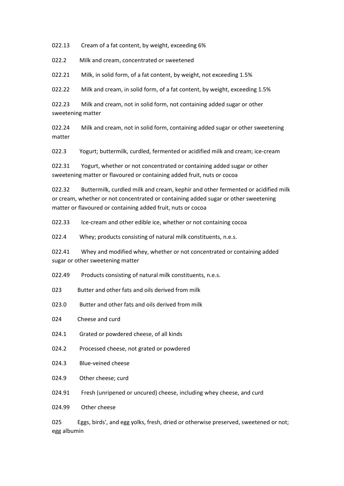022.13 Cream of a fat content, by weight, exceeding 6%

022.2 Milk and cream, concentrated or sweetened

022.21 Milk, in solid form, of a fat content, by weight, not exceeding 1.5%

022.22 Milk and cream, in solid form, of a fat content, by weight, exceeding 1.5%

022.23 Milk and cream, not in solid form, not containing added sugar or other sweetening matter

022.24 Milk and cream, not in solid form, containing added sugar or other sweetening matter

022.3 Yogurt; buttermilk, curdled, fermented or acidified milk and cream; ice-cream

022.31 Yogurt, whether or not concentrated or containing added sugar or other sweetening matter or flavoured or containing added fruit, nuts or cocoa

022.32 Buttermilk, curdled milk and cream, kephir and other fermented or acidified milk or cream, whether or not concentrated or containing added sugar or other sweetening matter or flavoured or containing added fruit, nuts or cocoa

022.33 Ice-cream and other edible ice, whether or not containing cocoa

022.4 Whey; products consisting of natural milk constituents, n.e.s.

022.41 Whey and modified whey, whether or not concentrated or containing added sugar or other sweetening matter

022.49 Products consisting of natural milk constituents, n.e.s.

023 Butter and other fats and oils derived from milk

- 023.0 Butter and other fats and oils derived from milk
- 024 Cheese and curd
- 024.1 Grated or powdered cheese, of all kinds
- 024.2 Processed cheese, not grated or powdered
- 024.3 Blue-veined cheese
- 024.9 Other cheese; curd
- 024.91 Fresh (unripened or uncured) cheese, including whey cheese, and curd

024.99 Other cheese

025 Eggs, birds', and egg yolks, fresh, dried or otherwise preserved, sweetened or not; egg albumin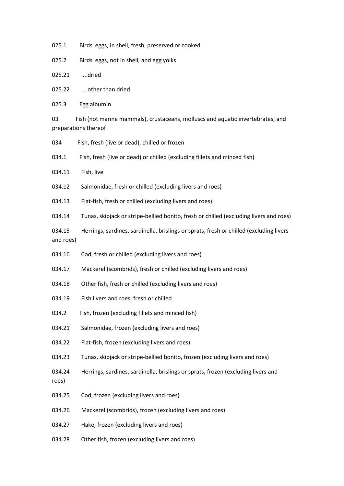- 025.1 Birds' eggs, in shell, fresh, preserved or cooked
- 025.2 Birds' eggs, not in shell, and egg yolks
- 025.21 ....dried
- 025.22 ....other than dried
- 025.3 Egg albumin

03 Fish (not marine mammals), crustaceans, molluscs and aquatic invertebrates, and preparations thereof

- 034 Fish, fresh (live or dead), chilled or frozen
- 034.1 Fish, fresh (live or dead) or chilled (excluding fillets and minced fish)
- 034.11 Fish, live
- 034.12 Salmonidae, fresh or chilled (excluding livers and roes)
- 034.13 Flat-fish, fresh or chilled (excluding livers and roes)
- 034.14 Tunas, skipjack or stripe-bellied bonito, fresh or chilled (excluding livers and roes)
- 034.15 Herrings, sardines, sardinella, brislings or sprats, fresh or chilled (excluding livers and roes)
- 034.16 Cod, fresh or chilled (excluding livers and roes)
- 034.17 Mackerel (scombrids), fresh or chilled (excluding livers and roes)
- 034.18 Other fish, fresh or chilled (excluding livers and roes)
- 034.19 Fish livers and roes, fresh or chilled
- 034.2 Fish, frozen (excluding fillets and minced fish)
- 034.21 Salmonidae, frozen (excluding livers and roes)
- 034.22 Flat-fish, frozen (excluding livers and roes)
- 034.23 Tunas, skipjack or stripe-bellied bonito, frozen (excluding livers and roes)
- 034.24 Herrings, sardines, sardinella, brislings or sprats, frozen (excluding livers and roes)
- 034.25 Cod, frozen (excluding livers and roes)
- 034.26 Mackerel (scombrids), frozen (excluding livers and roes)
- 034.27 Hake, frozen (excluding livers and roes)
- 034.28 Other fish, frozen (excluding livers and roes)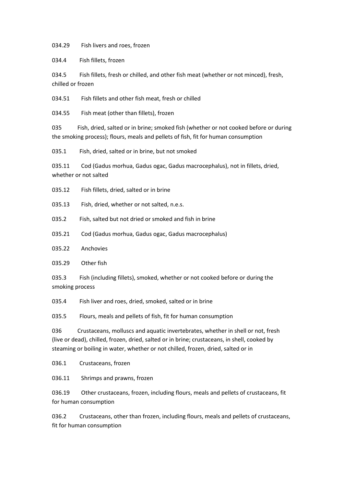034.29 Fish livers and roes, frozen

034.4 Fish fillets, frozen

034.5 Fish fillets, fresh or chilled, and other fish meat (whether or not minced), fresh, chilled or frozen

034.51 Fish fillets and other fish meat, fresh or chilled

034.55 Fish meat (other than fillets), frozen

035 Fish, dried, salted or in brine; smoked fish (whether or not cooked before or during the smoking process); flours, meals and pellets of fish, fit for human consumption

035.1 Fish, dried, salted or in brine, but not smoked

035.11 Cod (Gadus morhua, Gadus ogac, Gadus macrocephalus), not in fillets, dried, whether or not salted

035.12 Fish fillets, dried, salted or in brine

035.13 Fish, dried, whether or not salted, n.e.s.

035.2 Fish, salted but not dried or smoked and fish in brine

035.21 Cod (Gadus morhua, Gadus ogac, Gadus macrocephalus)

035.22 Anchovies

035.29 Other fish

035.3 Fish (including fillets), smoked, whether or not cooked before or during the smoking process

035.4 Fish liver and roes, dried, smoked, salted or in brine

035.5 Flours, meals and pellets of fish, fit for human consumption

036 Crustaceans, molluscs and aquatic invertebrates, whether in shell or not, fresh (live or dead), chilled, frozen, dried, salted or in brine; crustaceans, in shell, cooked by steaming or boiling in water, whether or not chilled, frozen, dried, salted or in

036.1 Crustaceans, frozen

036.11 Shrimps and prawns, frozen

036.19 Other crustaceans, frozen, including flours, meals and pellets of crustaceans, fit for human consumption

036.2 Crustaceans, other than frozen, including flours, meals and pellets of crustaceans, fit for human consumption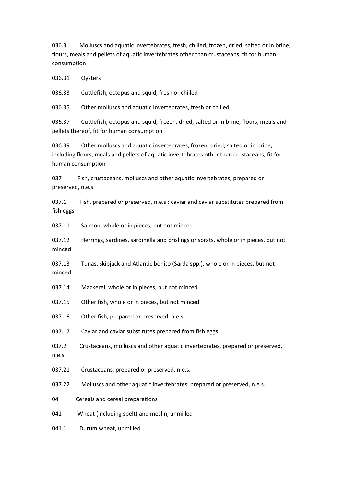036.3 Molluscs and aquatic invertebrates, fresh, chilled, frozen, dried, salted or in brine; flours, meals and pellets of aquatic invertebrates other than crustaceans, fit for human consumption

036.31 Oysters

036.33 Cuttlefish, octopus and squid, fresh or chilled

036.35 Other molluscs and aquatic invertebrates, fresh or chilled

036.37 Cuttlefish, octopus and squid, frozen, dried, salted or in brine; flours, meals and pellets thereof, fit for human consumption

036.39 Other molluscs and aquatic invertebrates, frozen, dried, salted or in brine, including flours, meals and pellets of aquatic invertebrates other than crustaceans, fit for human consumption

037 Fish, crustaceans, molluscs and other aquatic invertebrates, prepared or preserved, n.e.s.

037.1 Fish, prepared or preserved, n.e.s.; caviar and caviar substitutes prepared from fish eggs

037.11 Salmon, whole or in pieces, but not minced

037.12 Herrings, sardines, sardinella and brislings or sprats, whole or in pieces, but not minced

037.13 Tunas, skipjack and Atlantic bonito (Sarda spp.), whole or in pieces, but not minced

- 037.14 Mackerel, whole or in pieces, but not minced
- 037.15 Other fish, whole or in pieces, but not minced
- 037.16 Other fish, prepared or preserved, n.e.s.

037.17 Caviar and caviar substitutes prepared from fish eggs

037.2 Crustaceans, molluscs and other aquatic invertebrates, prepared or preserved, n.e.s.

- 037.21 Crustaceans, prepared or preserved, n.e.s.
- 037.22 Molluscs and other aquatic invertebrates, prepared or preserved, n.e.s.
- 04 Cereals and cereal preparations

041 Wheat (including spelt) and meslin, unmilled

041.1 Durum wheat, unmilled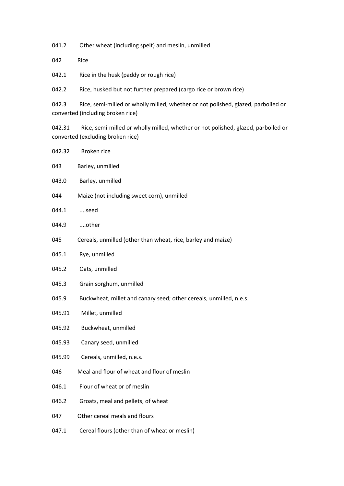041.2 Other wheat (including spelt) and meslin, unmilled

042 Rice

042.1 Rice in the husk (paddy or rough rice)

042.2 Rice, husked but not further prepared (cargo rice or brown rice)

042.3 Rice, semi-milled or wholly milled, whether or not polished, glazed, parboiled or converted (including broken rice)

042.31 Rice, semi-milled or wholly milled, whether or not polished, glazed, parboiled or converted (excluding broken rice)

| 042.32 | Broken rice                                                        |
|--------|--------------------------------------------------------------------|
| 043    | Barley, unmilled                                                   |
| 043.0  | Barley, unmilled                                                   |
| 044    | Maize (not including sweet corn), unmilled                         |
| 044.1  | seed                                                               |
| 044.9  | other                                                              |
| 045    | Cereals, unmilled (other than wheat, rice, barley and maize)       |
| 045.1  | Rye, unmilled                                                      |
| 045.2  | Oats, unmilled                                                     |
| 045.3  | Grain sorghum, unmilled                                            |
| 045.9  | Buckwheat, millet and canary seed; other cereals, unmilled, n.e.s. |
| 045.91 | Millet, unmilled                                                   |
| 045.92 | Buckwheat, unmilled                                                |
| 045.93 | Canary seed, unmilled                                              |
| 045.99 | Cereals, unmilled, n.e.s.                                          |
| 046    | Meal and flour of wheat and flour of meslin                        |
| 046.1  | Flour of wheat or of meslin                                        |
| 046.2  | Groats, meal and pellets, of wheat                                 |
| 047    | Other cereal meals and flours                                      |
| 047.1  | Cereal flours (other than of wheat or meslin)                      |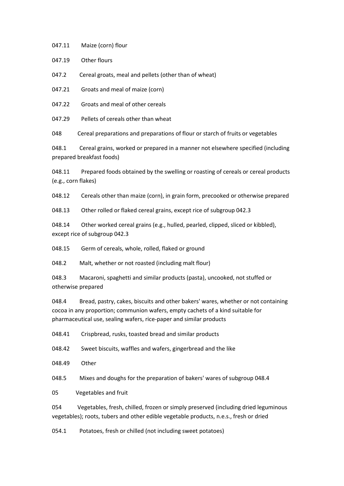047.11 Maize (corn) flour

047.19 Other flours

047.2 Cereal groats, meal and pellets (other than of wheat)

047.21 Groats and meal of maize (corn)

047.22 Groats and meal of other cereals

047.29 Pellets of cereals other than wheat

048 Cereal preparations and preparations of flour or starch of fruits or vegetables

048.1 Cereal grains, worked or prepared in a manner not elsewhere specified (including prepared breakfast foods)

048.11 Prepared foods obtained by the swelling or roasting of cereals or cereal products (e.g., corn flakes)

048.12 Cereals other than maize (corn), in grain form, precooked or otherwise prepared

048.13 Other rolled or flaked cereal grains, except rice of subgroup 042.3

048.14 Other worked cereal grains (e.g., hulled, pearled, clipped, sliced or kibbled), except rice of subgroup 042.3

048.15 Germ of cereals, whole, rolled, flaked or ground

048.2 Malt, whether or not roasted (including malt flour)

048.3 Macaroni, spaghetti and similar products (pasta), uncooked, not stuffed or otherwise prepared

048.4 Bread, pastry, cakes, biscuits and other bakers' wares, whether or not containing cocoa in any proportion; communion wafers, empty cachets of a kind suitable for pharmaceutical use, sealing wafers, rice-paper and similar products

048.41 Crispbread, rusks, toasted bread and similar products

048.42 Sweet biscuits, waffles and wafers, gingerbread and the like

048.49 Other

048.5 Mixes and doughs for the preparation of bakers' wares of subgroup 048.4

05 Vegetables and fruit

054 Vegetables, fresh, chilled, frozen or simply preserved (including dried leguminous vegetables); roots, tubers and other edible vegetable products, n.e.s., fresh or dried

054.1 Potatoes, fresh or chilled (not including sweet potatoes)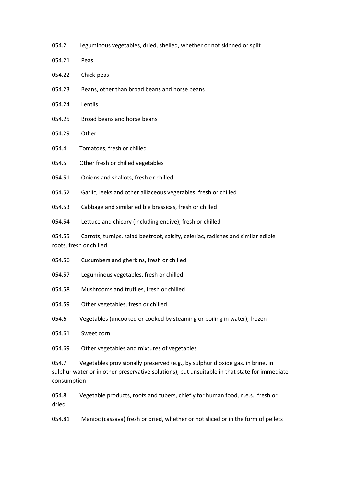- 054.2 Leguminous vegetables, dried, shelled, whether or not skinned or split
- 054.21 Peas
- 054.22 Chick-peas
- 054.23 Beans, other than broad beans and horse beans
- 054.24 Lentils
- 054.25 Broad beans and horse beans
- 054.29 Other
- 054.4 Tomatoes, fresh or chilled
- 054.5 Other fresh or chilled vegetables
- 054.51 Onions and shallots, fresh or chilled
- 054.52 Garlic, leeks and other alliaceous vegetables, fresh or chilled
- 054.53 Cabbage and similar edible brassicas, fresh or chilled
- 054.54 Lettuce and chicory (including endive), fresh or chilled

054.55 Carrots, turnips, salad beetroot, salsify, celeriac, radishes and similar edible roots, fresh or chilled

- 054.56 Cucumbers and gherkins, fresh or chilled
- 054.57 Leguminous vegetables, fresh or chilled
- 054.58 Mushrooms and truffles, fresh or chilled
- 054.59 Other vegetables, fresh or chilled
- 054.6 Vegetables (uncooked or cooked by steaming or boiling in water), frozen
- 054.61 Sweet corn
- 054.69 Other vegetables and mixtures of vegetables

054.7 Vegetables provisionally preserved (e.g., by sulphur dioxide gas, in brine, in sulphur water or in other preservative solutions), but unsuitable in that state for immediate consumption

054.8 Vegetable products, roots and tubers, chiefly for human food, n.e.s., fresh or dried

054.81 Manioc (cassava) fresh or dried, whether or not sliced or in the form of pellets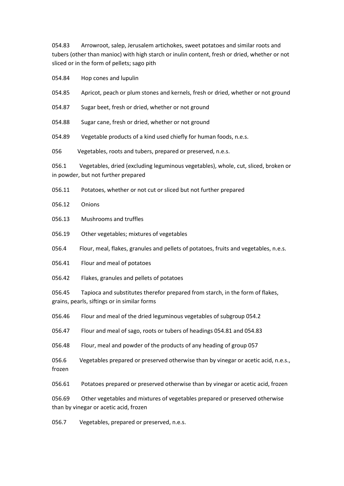054.83 Arrowroot, salep, Jerusalem artichokes, sweet potatoes and similar roots and tubers (other than manioc) with high starch or inulin content, fresh or dried, whether or not sliced or in the form of pellets; sago pith

054.84 Hop cones and lupulin

054.85 Apricot, peach or plum stones and kernels, fresh or dried, whether or not ground

054.87 Sugar beet, fresh or dried, whether or not ground

054.88 Sugar cane, fresh or dried, whether or not ground

054.89 Vegetable products of a kind used chiefly for human foods, n.e.s.

056 Vegetables, roots and tubers, prepared or preserved, n.e.s.

056.1 Vegetables, dried (excluding leguminous vegetables), whole, cut, sliced, broken or in powder, but not further prepared

056.11 Potatoes, whether or not cut or sliced but not further prepared

056.12 Onions

056.13 Mushrooms and truffles

056.19 Other vegetables; mixtures of vegetables

056.4 Flour, meal, flakes, granules and pellets of potatoes, fruits and vegetables, n.e.s.

056.41 Flour and meal of potatoes

056.42 Flakes, granules and pellets of potatoes

056.45 Tapioca and substitutes therefor prepared from starch, in the form of flakes, grains, pearls, siftings or in similar forms

056.46 Flour and meal of the dried leguminous vegetables of subgroup 054.2

056.47 Flour and meal of sago, roots or tubers of headings 054.81 and 054.83

056.48 Flour, meal and powder of the products of any heading of group 057

056.6 Vegetables prepared or preserved otherwise than by vinegar or acetic acid, n.e.s., frozen

056.61 Potatoes prepared or preserved otherwise than by vinegar or acetic acid, frozen

056.69 Other vegetables and mixtures of vegetables prepared or preserved otherwise than by vinegar or acetic acid, frozen

056.7 Vegetables, prepared or preserved, n.e.s.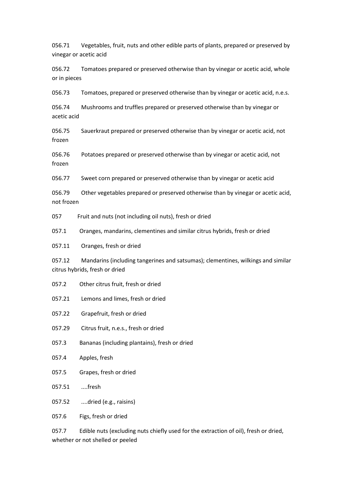056.71 Vegetables, fruit, nuts and other edible parts of plants, prepared or preserved by vinegar or acetic acid

056.72 Tomatoes prepared or preserved otherwise than by vinegar or acetic acid, whole or in pieces

056.73 Tomatoes, prepared or preserved otherwise than by vinegar or acetic acid, n.e.s.

056.74 Mushrooms and truffles prepared or preserved otherwise than by vinegar or acetic acid

056.75 Sauerkraut prepared or preserved otherwise than by vinegar or acetic acid, not frozen

056.76 Potatoes prepared or preserved otherwise than by vinegar or acetic acid, not frozen

056.77 Sweet corn prepared or preserved otherwise than by vinegar or acetic acid

056.79 Other vegetables prepared or preserved otherwise than by vinegar or acetic acid, not frozen

057 Fruit and nuts (not including oil nuts), fresh or dried

057.1 Oranges, mandarins, clementines and similar citrus hybrids, fresh or dried

057.11 Oranges, fresh or dried

057.12 Mandarins (including tangerines and satsumas); clementines, wilkings and similar citrus hybrids, fresh or dried

- 057.2 Other citrus fruit, fresh or dried
- 057.21 Lemons and limes, fresh or dried
- 057.22 Grapefruit, fresh or dried
- 057.29 Citrus fruit, n.e.s., fresh or dried
- 057.3 Bananas (including plantains), fresh or dried
- 057.4 Apples, fresh
- 057.5 Grapes, fresh or dried
- 057.51 ....fresh
- 057.52 ....dried (e.g., raisins)
- 057.6 Figs, fresh or dried

057.7 Edible nuts (excluding nuts chiefly used for the extraction of oil), fresh or dried, whether or not shelled or peeled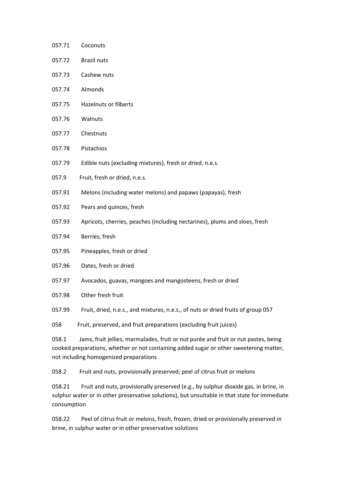- 057.71 Coconuts
- 057.72 Brazil nuts
- 057.73 Cashew nuts
- 057.74 Almonds
- 057.75 Hazelnuts or filberts
- 057.76 Walnuts
- 057.77 Chestnuts
- 057.78 Pistachios
- 057.79 Edible nuts (excluding mixtures), fresh or dried, n.e.s.
- 057.9 Fruit, fresh or dried, n.e.s.
- 057.91 Melons (including water melons) and papaws (papayas), fresh
- 057.92 Pears and quinces, fresh
- 057.93 Apricots, cherries, peaches (including nectarines), plums and sloes, fresh
- 057.94 Berries, fresh
- 057.95 Pineapples, fresh or dried
- 057.96 Dates, fresh or dried
- 057.97 Avocados, guavas, mangoes and mangosteens, fresh or dried
- 057.98 Other fresh fruit
- 057.99 Fruit, dried, n.e.s., and mixtures, n.e.s., of nuts or dried fruits of group 057

058 Fruit, preserved, and fruit preparations (excluding fruit juices)

058.1 Jams, fruit jellies, marmalades, fruit or nut purée and fruit or nut pastes, being cooked preparations, whether or not containing added sugar or other sweetening matter, not including homogenized preparations

058.2 Fruit and nuts, provisionally preserved; peel of citrus fruit or melons

058.21 Fruit and nuts, provisionally preserved (e.g., by sulphur dioxide gas, in brine, in sulphur water or in other preservative solutions), but unsuitable in that state for immediate consumption

058.22 Peel of citrus fruit or melons, fresh, frozen, dried or provisionally preserved in brine, in sulphur water or in other preservative solutions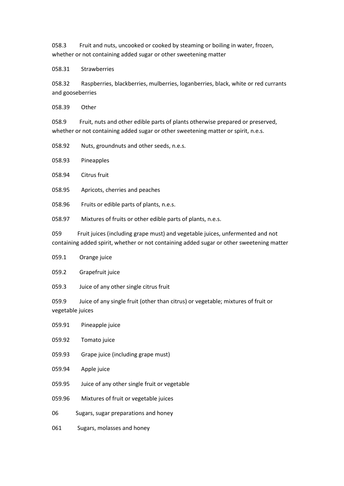058.3 Fruit and nuts, uncooked or cooked by steaming or boiling in water, frozen, whether or not containing added sugar or other sweetening matter

058.31 Strawberries

058.32 Raspberries, blackberries, mulberries, loganberries, black, white or red currants and gooseberries

058.39 Other

058.9 Fruit, nuts and other edible parts of plants otherwise prepared or preserved, whether or not containing added sugar or other sweetening matter or spirit, n.e.s.

058.92 Nuts, groundnuts and other seeds, n.e.s.

058.93 Pineapples

058.94 Citrus fruit

058.95 Apricots, cherries and peaches

058.96 Fruits or edible parts of plants, n.e.s.

058.97 Mixtures of fruits or other edible parts of plants, n.e.s.

059 Fruit juices (including grape must) and vegetable juices, unfermented and not containing added spirit, whether or not containing added sugar or other sweetening matter

|  | 059.1 | Orange juice |  |
|--|-------|--------------|--|
|--|-------|--------------|--|

059.2 Grapefruit juice

059.3 Juice of any other single citrus fruit

059.9 Juice of any single fruit (other than citrus) or vegetable; mixtures of fruit or vegetable juices

| 059.91 | Pineapple juice                              |
|--------|----------------------------------------------|
| 059.92 | Tomato juice                                 |
| 059.93 | Grape juice (including grape must)           |
| 059.94 | Apple juice                                  |
| 059.95 | Juice of any other single fruit or vegetable |
| 059.96 | Mixtures of fruit or vegetable juices        |
| 06     | Sugars, sugar preparations and honey         |
| 061    | Sugars, molasses and honey                   |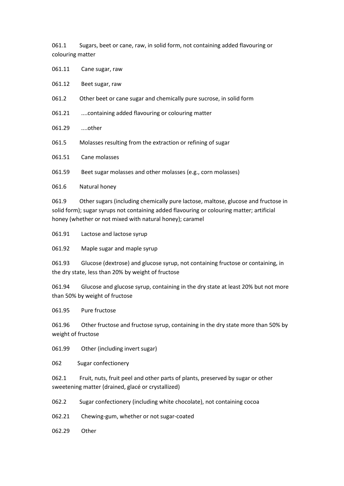061.1 Sugars, beet or cane, raw, in solid form, not containing added flavouring or colouring matter

061.11 Cane sugar, raw

061.12 Beet sugar, raw

061.2 Other beet or cane sugar and chemically pure sucrose, in solid form

061.21 ....containing added flavouring or colouring matter

061.29 ....other

061.5 Molasses resulting from the extraction or refining of sugar

061.51 Cane molasses

061.59 Beet sugar molasses and other molasses (e.g., corn molasses)

061.6 Natural honey

061.9 Other sugars (including chemically pure lactose, maltose, glucose and fructose in solid form); sugar syrups not containing added flavouring or colouring matter; artificial honey (whether or not mixed with natural honey); caramel

061.91 Lactose and lactose syrup

061.92 Maple sugar and maple syrup

061.93 Glucose (dextrose) and glucose syrup, not containing fructose or containing, in the dry state, less than 20% by weight of fructose

061.94 Glucose and glucose syrup, containing in the dry state at least 20% but not more than 50% by weight of fructose

061.95 Pure fructose

061.96 Other fructose and fructose syrup, containing in the dry state more than 50% by weight of fructose

061.99 Other (including invert sugar)

062 Sugar confectionery

062.1 Fruit, nuts, fruit peel and other parts of plants, preserved by sugar or other sweetening matter (drained, glacé or crystallized)

062.2 Sugar confectionery (including white chocolate), not containing cocoa

062.21 Chewing-gum, whether or not sugar-coated

062.29 Other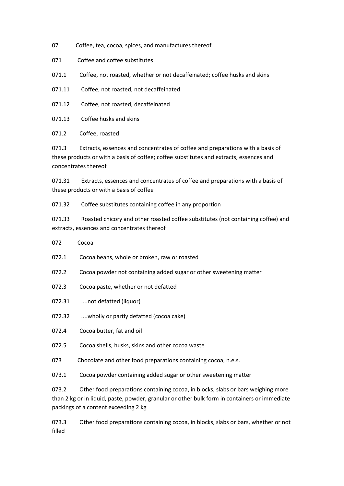- 07 Coffee, tea, cocoa, spices, and manufactures thereof
- 071 Coffee and coffee substitutes
- 071.1 Coffee, not roasted, whether or not decaffeinated; coffee husks and skins
- 071.11 Coffee, not roasted, not decaffeinated
- 071.12 Coffee, not roasted, decaffeinated
- 071.13 Coffee husks and skins

071.2 Coffee, roasted

071.3 Extracts, essences and concentrates of coffee and preparations with a basis of these products or with a basis of coffee; coffee substitutes and extracts, essences and concentrates thereof

071.31 Extracts, essences and concentrates of coffee and preparations with a basis of these products or with a basis of coffee

071.32 Coffee substitutes containing coffee in any proportion

071.33 Roasted chicory and other roasted coffee substitutes (not containing coffee) and extracts, essences and concentrates thereof

- 072 Cocoa
- 072.1 Cocoa beans, whole or broken, raw or roasted
- 072.2 Cocoa powder not containing added sugar or other sweetening matter
- 072.3 Cocoa paste, whether or not defatted
- 072.31 ....not defatted (liquor)
- 072.32 ....wholly or partly defatted (cocoa cake)
- 072.4 Cocoa butter, fat and oil
- 072.5 Cocoa shells, husks, skins and other cocoa waste
- 073 Chocolate and other food preparations containing cocoa, n.e.s.

073.1 Cocoa powder containing added sugar or other sweetening matter

073.2 Other food preparations containing cocoa, in blocks, slabs or bars weighing more than 2 kg or in liquid, paste, powder, granular or other bulk form in containers or immediate packings of a content exceeding 2 kg

073.3 Other food preparations containing cocoa, in blocks, slabs or bars, whether or not filled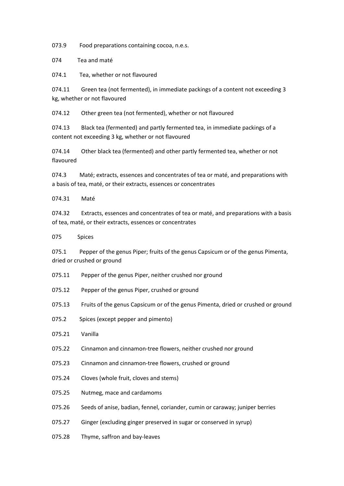073.9 Food preparations containing cocoa, n.e.s.

074 Tea and maté

074.1 Tea, whether or not flavoured

074.11 Green tea (not fermented), in immediate packings of a content not exceeding 3 kg, whether or not flavoured

074.12 Other green tea (not fermented), whether or not flavoured

074.13 Black tea (fermented) and partly fermented tea, in immediate packings of a content not exceeding 3 kg, whether or not flavoured

074.14 Other black tea (fermented) and other partly fermented tea, whether or not flavoured

074.3 Maté; extracts, essences and concentrates of tea or maté, and preparations with a basis of tea, maté, or their extracts, essences or concentrates

074.31 Maté

074.32 Extracts, essences and concentrates of tea or maté, and preparations with a basis of tea, maté, or their extracts, essences or concentrates

075 Spices

075.1 Pepper of the genus Piper; fruits of the genus Capsicum or of the genus Pimenta, dried or crushed or ground

- 075.11 Pepper of the genus Piper, neither crushed nor ground
- 075.12 Pepper of the genus Piper, crushed or ground
- 075.13 Fruits of the genus Capsicum or of the genus Pimenta, dried or crushed or ground
- 075.2 Spices (except pepper and pimento)
- 075.21 Vanilla
- 075.22 Cinnamon and cinnamon-tree flowers, neither crushed nor ground
- 075.23 Cinnamon and cinnamon-tree flowers, crushed or ground
- 075.24 Cloves (whole fruit, cloves and stems)
- 075.25 Nutmeg, mace and cardamoms
- 075.26 Seeds of anise, badian, fennel, coriander, cumin or caraway; juniper berries
- 075.27 Ginger (excluding ginger preserved in sugar or conserved in syrup)
- 075.28 Thyme, saffron and bay-leaves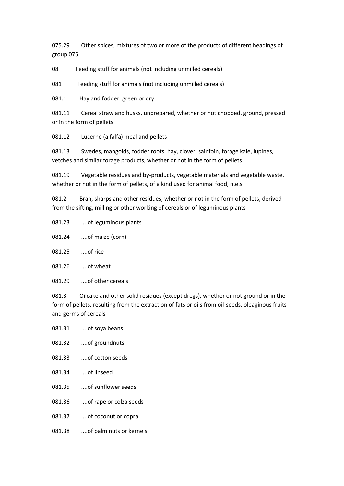075.29 Other spices; mixtures of two or more of the products of different headings of group 075

08 Feeding stuff for animals (not including unmilled cereals)

081 Feeding stuff for animals (not including unmilled cereals)

081.1 Hay and fodder, green or dry

081.11 Cereal straw and husks, unprepared, whether or not chopped, ground, pressed or in the form of pellets

081.12 Lucerne (alfalfa) meal and pellets

081.13 Swedes, mangolds, fodder roots, hay, clover, sainfoin, forage kale, lupines, vetches and similar forage products, whether or not in the form of pellets

081.19 Vegetable residues and by-products, vegetable materials and vegetable waste, whether or not in the form of pellets, of a kind used for animal food, n.e.s.

081.2 Bran, sharps and other residues, whether or not in the form of pellets, derived from the sifting, milling or other working of cereals or of leguminous plants

| 081.23 | of leguminous plants |
|--------|----------------------|
|--------|----------------------|

081.24 ....of maize (corn)

081.25 ....of rice

081.26 ....of wheat

081.29 ....of other cereals

081.3 Oilcake and other solid residues (except dregs), whether or not ground or in the form of pellets, resulting from the extraction of fats or oils from oil-seeds, oleaginous fruits and germs of cereals

| 081.31 | of soya beans           |
|--------|-------------------------|
| 081.32 | of groundnuts           |
| 081.33 | of cotton seeds         |
| 081.34 | of linseed              |
| 081.35 | of sunflower seeds      |
| 081.36 | of rape or colza seeds  |
| 081.37 | of coconut or copra     |
| 081.38 | of palm nuts or kernels |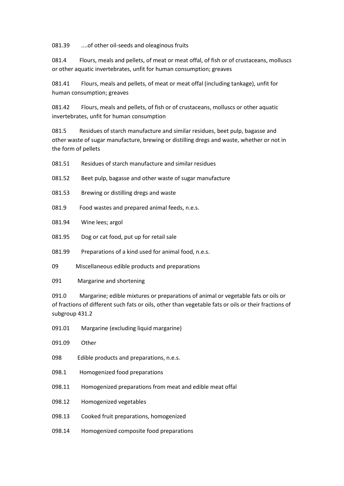081.39 ....of other oil-seeds and oleaginous fruits

081.4 Flours, meals and pellets, of meat or meat offal, of fish or of crustaceans, molluscs or other aquatic invertebrates, unfit for human consumption; greaves

081.41 Flours, meals and pellets, of meat or meat offal (including tankage), unfit for human consumption; greaves

081.42 Flours, meals and pellets, of fish or of crustaceans, molluscs or other aquatic invertebrates, unfit for human consumption

081.5 Residues of starch manufacture and similar residues, beet pulp, bagasse and other waste of sugar manufacture, brewing or distilling dregs and waste, whether or not in the form of pellets

081.51 Residues of starch manufacture and similar residues

- 081.52 Beet pulp, bagasse and other waste of sugar manufacture
- 081.53 Brewing or distilling dregs and waste
- 081.9 Food wastes and prepared animal feeds, n.e.s.
- 081.94 Wine lees; argol
- 081.95 Dog or cat food, put up for retail sale

081.99 Preparations of a kind used for animal food, n.e.s.

- 09 Miscellaneous edible products and preparations
- 091 Margarine and shortening

091.0 Margarine; edible mixtures or preparations of animal or vegetable fats or oils or of fractions of different such fats or oils, other than vegetable fats or oils or their fractions of subgroup 431.2

- 091.01 Margarine (excluding liquid margarine)
- 091.09 Other
- 098 Edible products and preparations, n.e.s.
- 098.1 Homogenized food preparations
- 098.11 Homogenized preparations from meat and edible meat offal
- 098.12 Homogenized vegetables
- 098.13 Cooked fruit preparations, homogenized
- 098.14 Homogenized composite food preparations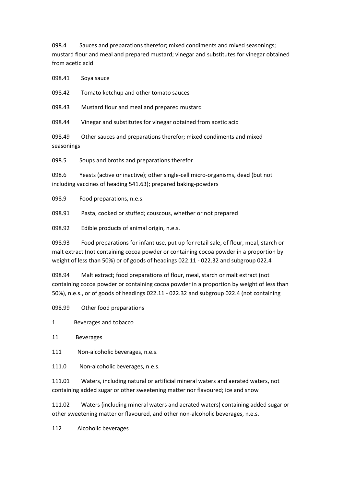098.4 Sauces and preparations therefor; mixed condiments and mixed seasonings; mustard flour and meal and prepared mustard; vinegar and substitutes for vinegar obtained from acetic acid

098.41 Soya sauce

098.42 Tomato ketchup and other tomato sauces

098.43 Mustard flour and meal and prepared mustard

098.44 Vinegar and substitutes for vinegar obtained from acetic acid

098.49 Other sauces and preparations therefor; mixed condiments and mixed seasonings

098.5 Soups and broths and preparations therefor

098.6 Yeasts (active or inactive); other single-cell micro-organisms, dead (but not including vaccines of heading 541.63); prepared baking-powders

098.9 Food preparations, n.e.s.

098.91 Pasta, cooked or stuffed; couscous, whether or not prepared

098.92 Edible products of animal origin, n.e.s.

098.93 Food preparations for infant use, put up for retail sale, of flour, meal, starch or malt extract (not containing cocoa powder or containing cocoa powder in a proportion by weight of less than 50%) or of goods of headings 022.11 - 022.32 and subgroup 022.4

098.94 Malt extract; food preparations of flour, meal, starch or malt extract (not containing cocoa powder or containing cocoa powder in a proportion by weight of less than 50%), n.e.s., or of goods of headings 022.11 - 022.32 and subgroup 022.4 (not containing

098.99 Other food preparations

1 Beverages and tobacco

11 Beverages

111 Non-alcoholic beverages, n.e.s.

111.0 Non-alcoholic beverages, n.e.s.

111.01 Waters, including natural or artificial mineral waters and aerated waters, not containing added sugar or other sweetening matter nor flavoured; ice and snow

111.02 Waters (including mineral waters and aerated waters) containing added sugar or other sweetening matter or flavoured, and other non-alcoholic beverages, n.e.s.

112 Alcoholic beverages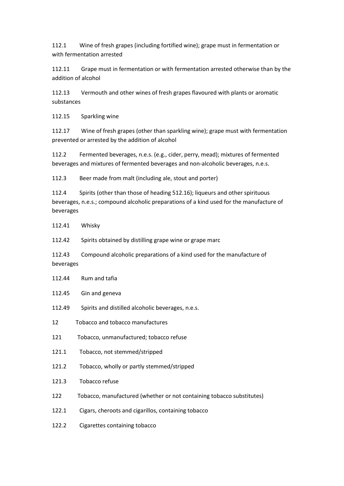112.1 Wine of fresh grapes (including fortified wine); grape must in fermentation or with fermentation arrested

112.11 Grape must in fermentation or with fermentation arrested otherwise than by the addition of alcohol

112.13 Vermouth and other wines of fresh grapes flavoured with plants or aromatic substances

112.15 Sparkling wine

112.17 Wine of fresh grapes (other than sparkling wine); grape must with fermentation prevented or arrested by the addition of alcohol

112.2 Fermented beverages, n.e.s. (e.g., cider, perry, mead); mixtures of fermented beverages and mixtures of fermented beverages and non-alcoholic beverages, n.e.s.

112.3 Beer made from malt (including ale, stout and porter)

112.4 Spirits (other than those of heading 512.16); liqueurs and other spirituous beverages, n.e.s.; compound alcoholic preparations of a kind used for the manufacture of beverages

112.41 Whisky

112.42 Spirits obtained by distilling grape wine or grape marc

112.43 Compound alcoholic preparations of a kind used for the manufacture of beverages

- 112.44 Rum and tafia
- 112.45 Gin and geneva
- 112.49 Spirits and distilled alcoholic beverages, n.e.s.
- 12 Tobacco and tobacco manufactures
- 121 Tobacco, unmanufactured; tobacco refuse
- 121.1 Tobacco, not stemmed/stripped
- 121.2 Tobacco, wholly or partly stemmed/stripped
- 121.3 Tobacco refuse
- 122 Tobacco, manufactured (whether or not containing tobacco substitutes)
- 122.1 Cigars, cheroots and cigarillos, containing tobacco
- 122.2 Cigarettes containing tobacco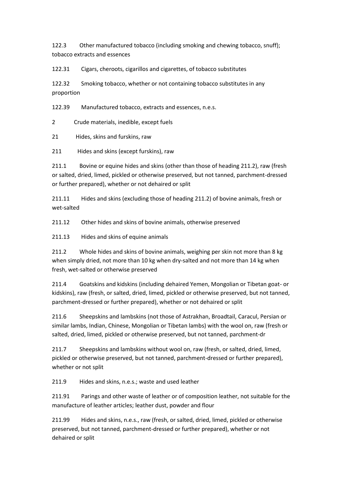122.3 Other manufactured tobacco (including smoking and chewing tobacco, snuff); tobacco extracts and essences

122.31 Cigars, cheroots, cigarillos and cigarettes, of tobacco substitutes

122.32 Smoking tobacco, whether or not containing tobacco substitutes in any proportion

122.39 Manufactured tobacco, extracts and essences, n.e.s.

2 Crude materials, inedible, except fuels

21 Hides, skins and furskins, raw

211 Hides and skins (except furskins), raw

211.1 Bovine or equine hides and skins (other than those of heading 211.2), raw (fresh or salted, dried, limed, pickled or otherwise preserved, but not tanned, parchment-dressed or further prepared), whether or not dehaired or split

211.11 Hides and skins (excluding those of heading 211.2) of bovine animals, fresh or wet-salted

211.12 Other hides and skins of bovine animals, otherwise preserved

211.13 Hides and skins of equine animals

211.2 Whole hides and skins of bovine animals, weighing per skin not more than 8 kg when simply dried, not more than 10 kg when dry-salted and not more than 14 kg when fresh, wet-salted or otherwise preserved

211.4 Goatskins and kidskins (including dehaired Yemen, Mongolian or Tibetan goat- or kidskins), raw (fresh, or salted, dried, limed, pickled or otherwise preserved, but not tanned, parchment-dressed or further prepared), whether or not dehaired or split

211.6 Sheepskins and lambskins (not those of Astrakhan, Broadtail, Caracul, Persian or similar lambs, Indian, Chinese, Mongolian or Tibetan lambs) with the wool on, raw (fresh or salted, dried, limed, pickled or otherwise preserved, but not tanned, parchment-dr

211.7 Sheepskins and lambskins without wool on, raw (fresh, or salted, dried, limed, pickled or otherwise preserved, but not tanned, parchment-dressed or further prepared), whether or not split

211.9 Hides and skins, n.e.s.; waste and used leather

211.91 Parings and other waste of leather or of composition leather, not suitable for the manufacture of leather articles; leather dust, powder and flour

211.99 Hides and skins, n.e.s., raw (fresh, or salted, dried, limed, pickled or otherwise preserved, but not tanned, parchment-dressed or further prepared), whether or not dehaired or split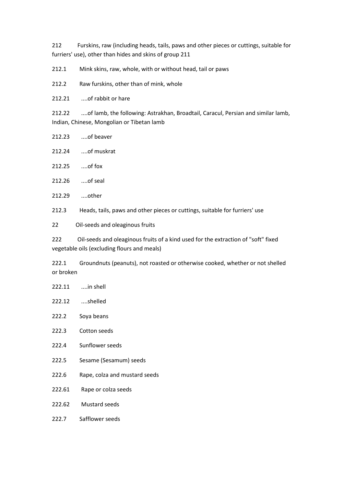212 Furskins, raw (including heads, tails, paws and other pieces or cuttings, suitable for furriers' use), other than hides and skins of group 211

212.1 Mink skins, raw, whole, with or without head, tail or paws

212.2 Raw furskins, other than of mink, whole

212.21 ....of rabbit or hare

212.22 ....of lamb, the following: Astrakhan, Broadtail, Caracul, Persian and similar lamb, Indian, Chinese, Mongolian or Tibetan lamb

- 212.23 ....of beaver
- 212.24 ....of muskrat
- 212.25 ....of fox
- 212.26 ....of seal
- 212.29 ....other

212.3 Heads, tails, paws and other pieces or cuttings, suitable for furriers' use

22 Oil-seeds and oleaginous fruits

222 Oil-seeds and oleaginous fruits of a kind used for the extraction of "soft" fixed vegetable oils (excluding flours and meals)

222.1 Groundnuts (peanuts), not roasted or otherwise cooked, whether or not shelled or broken

- 222.11 ....in shell 222.12 ....shelled 222.2 Soya beans 222.3 Cotton seeds 222.4 Sunflower seeds 222.5 Sesame (Sesamum) seeds 222.6 Rape, colza and mustard seeds 222.61 Rape or colza seeds 222.62 Mustard seeds
- 222.7 Safflower seeds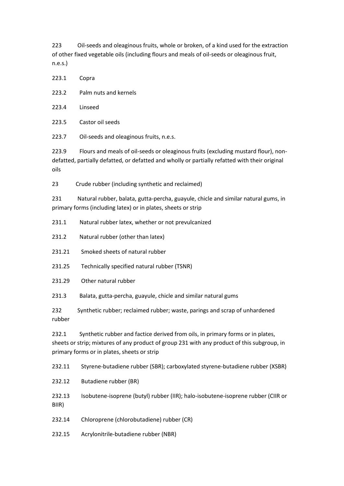223 Oil-seeds and oleaginous fruits, whole or broken, of a kind used for the extraction of other fixed vegetable oils (including flours and meals of oil-seeds or oleaginous fruit, n.e.s.)

| 223.1 | Copra                                                                |
|-------|----------------------------------------------------------------------|
| 223.2 | Palm nuts and kernels                                                |
| 223.4 | Linseed                                                              |
| 223.5 | Castor oil seeds                                                     |
| 223.7 | Oil-seeds and oleaginous fruits, n.e.s.                              |
| 223.9 | Flours and meals of oil-seeds or oleaginous fruits (excluding mustar |

rd flour), nondefatted, partially defatted, or defatted and wholly or partially refatted with their original oils

23 Crude rubber (including synthetic and reclaimed)

231 Natural rubber, balata, gutta-percha, guayule, chicle and similar natural gums, in primary forms (including latex) or in plates, sheets or strip

- 231.1 Natural rubber latex, whether or not prevulcanized
- 231.2 Natural rubber (other than latex)
- 231.21 Smoked sheets of natural rubber
- 231.25 Technically specified natural rubber (TSNR)
- 231.29 Other natural rubber

231.3 Balata, gutta-percha, guayule, chicle and similar natural gums

232 Synthetic rubber; reclaimed rubber; waste, parings and scrap of unhardened rubber

232.1 Synthetic rubber and factice derived from oils, in primary forms or in plates, sheets or strip; mixtures of any product of group 231 with any product of this subgroup, in primary forms or in plates, sheets or strip

232.11 Styrene-butadiene rubber (SBR); carboxylated styrene-butadiene rubber (XSBR)

232.12 Butadiene rubber (BR)

232.13 Isobutene-isoprene (butyl) rubber (IIR); halo-isobutene-isoprene rubber (CIIR or BIIR)

232.14 Chloroprene (chlorobutadiene) rubber (CR)

232.15 Acrylonitrile-butadiene rubber (NBR)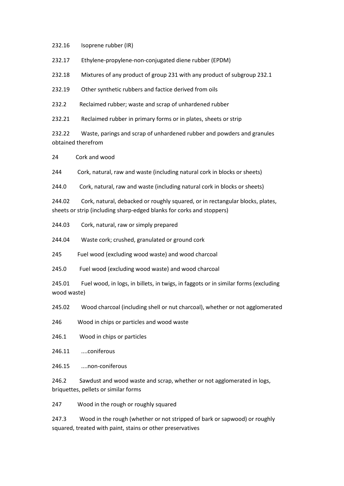232.16 Isoprene rubber (IR)

232.17 Ethylene-propylene-non-conjugated diene rubber (EPDM)

232.18 Mixtures of any product of group 231 with any product of subgroup 232.1

232.19 Other synthetic rubbers and factice derived from oils

232.2 Reclaimed rubber; waste and scrap of unhardened rubber

232.21 Reclaimed rubber in primary forms or in plates, sheets or strip

232.22 Waste, parings and scrap of unhardened rubber and powders and granules obtained therefrom

24 Cork and wood

244 Cork, natural, raw and waste (including natural cork in blocks or sheets)

244.0 Cork, natural, raw and waste (including natural cork in blocks or sheets)

244.02 Cork, natural, debacked or roughly squared, or in rectangular blocks, plates, sheets or strip (including sharp-edged blanks for corks and stoppers)

244.03 Cork, natural, raw or simply prepared

244.04 Waste cork; crushed, granulated or ground cork

245 Fuel wood (excluding wood waste) and wood charcoal

245.0 Fuel wood (excluding wood waste) and wood charcoal

245.01 Fuel wood, in logs, in billets, in twigs, in faggots or in similar forms (excluding wood waste)

245.02 Wood charcoal (including shell or nut charcoal), whether or not agglomerated

246 Wood in chips or particles and wood waste

246.1 Wood in chips or particles

246.11 ....coniferous

246.15 ....non-coniferous

246.2 Sawdust and wood waste and scrap, whether or not agglomerated in logs, briquettes, pellets or similar forms

247 Wood in the rough or roughly squared

247.3 Wood in the rough (whether or not stripped of bark or sapwood) or roughly squared, treated with paint, stains or other preservatives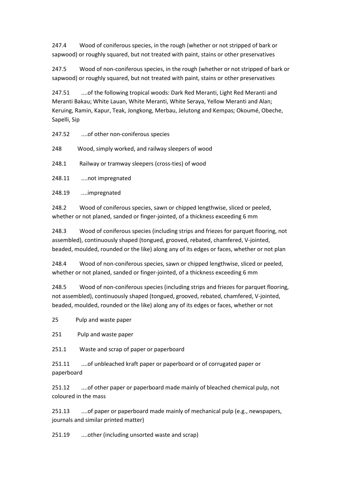247.4 Wood of coniferous species, in the rough (whether or not stripped of bark or sapwood) or roughly squared, but not treated with paint, stains or other preservatives

247.5 Wood of non-coniferous species, in the rough (whether or not stripped of bark or sapwood) or roughly squared, but not treated with paint, stains or other preservatives

247.51 ....of the following tropical woods: Dark Red Meranti, Light Red Meranti and Meranti Bakau; White Lauan, White Meranti, White Seraya, Yellow Meranti and Alan; Keruing, Ramin, Kapur, Teak, Jongkong, Merbau, Jelutong and Kempas; Okoumé, Obeche, Sapelli, Sip

247.52 ....of other non-coniferous species

248 Wood, simply worked, and railway sleepers of wood

248.1 Railway or tramway sleepers (cross-ties) of wood

248.11 ....not impregnated

248.19 ....impregnated

248.2 Wood of coniferous species, sawn or chipped lengthwise, sliced or peeled, whether or not planed, sanded or finger-jointed, of a thickness exceeding 6 mm

248.3 Wood of coniferous species (including strips and friezes for parquet flooring, not assembled), continuously shaped (tongued, grooved, rebated, chamfered, V-jointed, beaded, moulded, rounded or the like) along any of its edges or faces, whether or not plan

248.4 Wood of non-coniferous species, sawn or chipped lengthwise, sliced or peeled, whether or not planed, sanded or finger-jointed, of a thickness exceeding 6 mm

248.5 Wood of non-coniferous species (including strips and friezes for parquet flooring, not assembled), continuously shaped (tongued, grooved, rebated, chamfered, V-jointed, beaded, moulded, rounded or the like) along any of its edges or faces, whether or not

25 Pulp and waste paper

251 Pulp and waste paper

251.1 Waste and scrap of paper or paperboard

251.11 ....of unbleached kraft paper or paperboard or of corrugated paper or paperboard

251.12 ....of other paper or paperboard made mainly of bleached chemical pulp, not coloured in the mass

251.13 ....of paper or paperboard made mainly of mechanical pulp (e.g., newspapers, journals and similar printed matter)

251.19 ....other (including unsorted waste and scrap)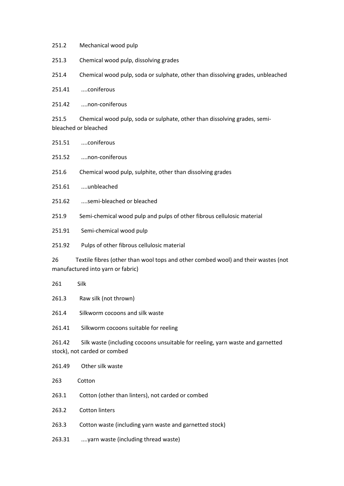- 251.2 Mechanical wood pulp
- 251.3 Chemical wood pulp, dissolving grades
- 251.4 Chemical wood pulp, soda or sulphate, other than dissolving grades, unbleached
- 251.41 ....coniferous
- 251.42 ....non-coniferous
- 251.5 Chemical wood pulp, soda or sulphate, other than dissolving grades, semibleached or bleached

251.51 ....coniferous

251.52 ....non-coniferous

- 251.6 Chemical wood pulp, sulphite, other than dissolving grades
- 251.61 ....unbleached
- 251.62 ....semi-bleached or bleached
- 251.9 Semi-chemical wood pulp and pulps of other fibrous cellulosic material
- 251.91 Semi-chemical wood pulp
- 251.92 Pulps of other fibrous cellulosic material

26 Textile fibres (other than wool tops and other combed wool) and their wastes (not manufactured into yarn or fabric)

- 261 Silk
- 261.3 Raw silk (not thrown)
- 261.4 Silkworm cocoons and silk waste
- 261.41 Silkworm cocoons suitable for reeling

261.42 Silk waste (including cocoons unsuitable for reeling, yarn waste and garnetted stock), not carded or combed

- 261.49 Other silk waste
- 263 Cotton
- 263.1 Cotton (other than linters), not carded or combed
- 263.2 Cotton linters
- 263.3 Cotton waste (including yarn waste and garnetted stock)
- 263.31 ....yarn waste (including thread waste)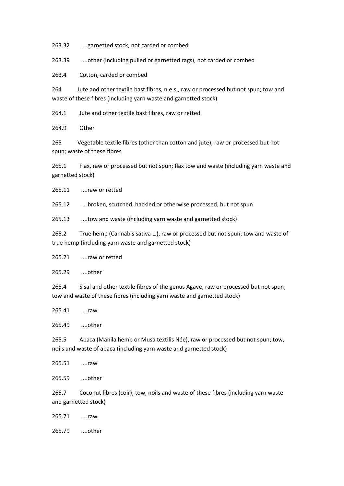263.32 ....garnetted stock, not carded or combed

263.39 ....other (including pulled or garnetted rags), not carded or combed

263.4 Cotton, carded or combed

264 Jute and other textile bast fibres, n.e.s., raw or processed but not spun; tow and waste of these fibres (including yarn waste and garnetted stock)

264.1 Jute and other textile bast fibres, raw or retted

264.9 Other

265 Vegetable textile fibres (other than cotton and jute), raw or processed but not spun; waste of these fibres

265.1 Flax, raw or processed but not spun; flax tow and waste (including yarn waste and garnetted stock)

265.11 ....raw or retted

265.12 ....broken, scutched, hackled or otherwise processed, but not spun

265.13 ....tow and waste (including yarn waste and garnetted stock)

265.2 True hemp (Cannabis sativa L.), raw or processed but not spun; tow and waste of true hemp (including yarn waste and garnetted stock)

265.21 ....raw or retted

265.29 ....other

265.4 Sisal and other textile fibres of the genus Agave, raw or processed but not spun; tow and waste of these fibres (including yarn waste and garnetted stock)

265.41 ....raw

265.49 ....other

265.5 Abaca (Manila hemp or Musa textilis Née), raw or processed but not spun; tow, noils and waste of abaca (including yarn waste and garnetted stock)

265.51 ....raw

265.59 ....other

265.7 Coconut fibres (coir); tow, noils and waste of these fibres (including yarn waste and garnetted stock)

265.71 ....raw

265.79 ....other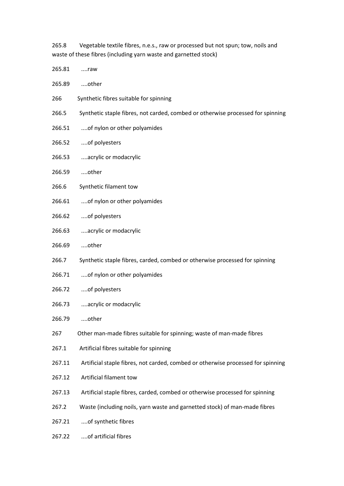265.8 Vegetable textile fibres, n.e.s., raw or processed but not spun; tow, noils and waste of these fibres (including yarn waste and garnetted stock)

| 265.81 | raw                                                                              |
|--------|----------------------------------------------------------------------------------|
| 265.89 | other                                                                            |
| 266    | Synthetic fibres suitable for spinning                                           |
| 266.5  | Synthetic staple fibres, not carded, combed or otherwise processed for spinning  |
| 266.51 | of nylon or other polyamides                                                     |
| 266.52 | of polyesters                                                                    |
| 266.53 | acrylic or modacrylic                                                            |
| 266.59 | other                                                                            |
| 266.6  | Synthetic filament tow                                                           |
| 266.61 | of nylon or other polyamides                                                     |
| 266.62 | of polyesters                                                                    |
| 266.63 | acrylic or modacrylic                                                            |
| 266.69 | other                                                                            |
| 266.7  | Synthetic staple fibres, carded, combed or otherwise processed for spinning      |
| 266.71 | of nylon or other polyamides                                                     |
| 266.72 | of polyesters                                                                    |
| 266.73 | acrylic or modacrylic                                                            |
| 266.79 | other                                                                            |
| 267    | Other man-made fibres suitable for spinning; waste of man-made fibres            |
| 267.1  | Artificial fibres suitable for spinning                                          |
| 267.11 | Artificial staple fibres, not carded, combed or otherwise processed for spinning |
| 267.12 | Artificial filament tow                                                          |
| 267.13 | Artificial staple fibres, carded, combed or otherwise processed for spinning     |
| 267.2  | Waste (including noils, yarn waste and garnetted stock) of man-made fibres       |
| 267.21 | of synthetic fibres                                                              |
| 267.22 | of artificial fibres                                                             |
|        |                                                                                  |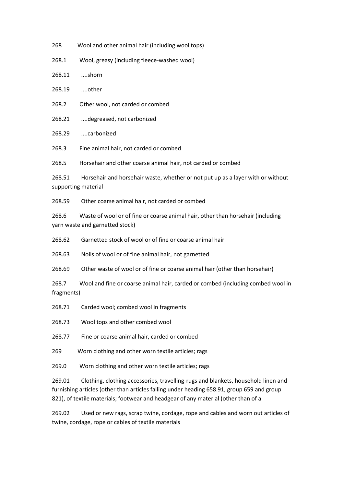268 Wool and other animal hair (including wool tops)

268.1 Wool, greasy (including fleece-washed wool)

268.11 ....shorn

268.19 ....other

- 268.2 Other wool, not carded or combed
- 268.21 ....degreased, not carbonized

268.29 ....carbonized

268.3 Fine animal hair, not carded or combed

268.5 Horsehair and other coarse animal hair, not carded or combed

268.51 Horsehair and horsehair waste, whether or not put up as a layer with or without supporting material

268.59 Other coarse animal hair, not carded or combed

268.6 Waste of wool or of fine or coarse animal hair, other than horsehair (including yarn waste and garnetted stock)

268.62 Garnetted stock of wool or of fine or coarse animal hair

268.63 Noils of wool or of fine animal hair, not garnetted

268.69 Other waste of wool or of fine or coarse animal hair (other than horsehair)

268.7 Wool and fine or coarse animal hair, carded or combed (including combed wool in fragments)

268.71 Carded wool; combed wool in fragments

268.73 Wool tops and other combed wool

268.77 Fine or coarse animal hair, carded or combed

269 Worn clothing and other worn textile articles; rags

269.0 Worn clothing and other worn textile articles; rags

269.01 Clothing, clothing accessories, travelling-rugs and blankets, household linen and furnishing articles (other than articles falling under heading 658.91, group 659 and group 821), of textile materials; footwear and headgear of any material (other than of a

269.02 Used or new rags, scrap twine, cordage, rope and cables and worn out articles of twine, cordage, rope or cables of textile materials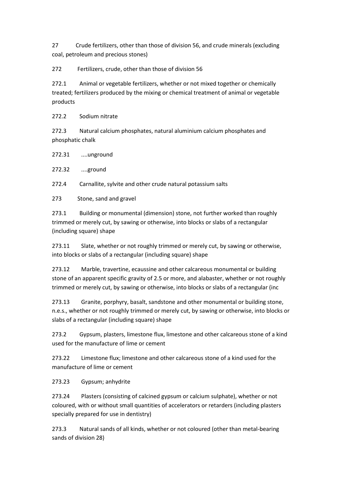27 Crude fertilizers, other than those of division 56, and crude minerals (excluding coal, petroleum and precious stones)

272 Fertilizers, crude, other than those of division 56

272.1 Animal or vegetable fertilizers, whether or not mixed together or chemically treated; fertilizers produced by the mixing or chemical treatment of animal or vegetable products

272.2 Sodium nitrate

272.3 Natural calcium phosphates, natural aluminium calcium phosphates and phosphatic chalk

272.31 ....unground

272.32 ....ground

272.4 Carnallite, sylvite and other crude natural potassium salts

273 Stone, sand and gravel

273.1 Building or monumental (dimension) stone, not further worked than roughly trimmed or merely cut, by sawing or otherwise, into blocks or slabs of a rectangular (including square) shape

273.11 Slate, whether or not roughly trimmed or merely cut, by sawing or otherwise, into blocks or slabs of a rectangular (including square) shape

273.12 Marble, travertine, ecaussine and other calcareous monumental or building stone of an apparent specific gravity of 2.5 or more, and alabaster, whether or not roughly trimmed or merely cut, by sawing or otherwise, into blocks or slabs of a rectangular (inc

273.13 Granite, porphyry, basalt, sandstone and other monumental or building stone, n.e.s., whether or not roughly trimmed or merely cut, by sawing or otherwise, into blocks or slabs of a rectangular (including square) shape

273.2 Gypsum, plasters, limestone flux, limestone and other calcareous stone of a kind used for the manufacture of lime or cement

273.22 Limestone flux; limestone and other calcareous stone of a kind used for the manufacture of lime or cement

273.23 Gypsum; anhydrite

273.24 Plasters (consisting of calcined gypsum or calcium sulphate), whether or not coloured, with or without small quantities of accelerators or retarders (including plasters specially prepared for use in dentistry)

273.3 Natural sands of all kinds, whether or not coloured (other than metal-bearing sands of division 28)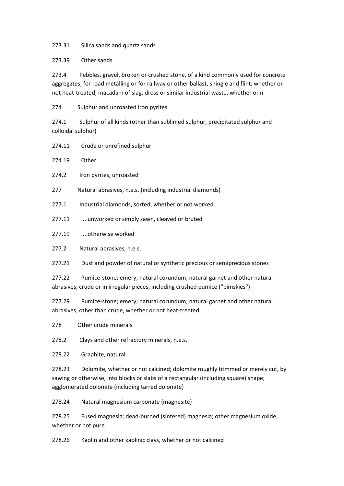273.31 Silica sands and quartz sands

273.39 Other sands

273.4 Pebbles, gravel, broken or crushed stone, of a kind commonly used for concrete aggregates, for road metalling or for railway or other ballast, shingle and flint, whether or not heat-treated; macadam of slag, dross or similar industrial waste, whether or n

274 Sulphur and unroasted iron pyrites

274.1 Sulphur of all kinds (other than sublimed sulphur, precipitated sulphur and colloidal sulphur)

274.11 Crude or unrefined sulphur

274.19 Other

274.2 Iron pyrites, unroasted

277 Natural abrasives, n.e.s. (including industrial diamonds)

277.1 Industrial diamonds, sorted, whether or not worked

277.11 ....unworked or simply sawn, cleaved or bruted

277.19 ....otherwise worked

277.2 Natural abrasives, n.e.s.

277.21 Dust and powder of natural or synthetic precious or semiprecious stones

277.22 Pumice-stone; emery; natural corundum, natural garnet and other natural abrasives, crude or in irregular pieces, including crushed pumice ("bimskies")

277.29 Pumice-stone; emery; natural corundum, natural garnet and other natural abrasives, other than crude, whether or not heat-treated

278 Other crude minerals

278.2 Clays and other refractory minerals, n.e.s.

278.22 Graphite, natural

278.23 Dolomite, whether or not calcined; dolomite roughly trimmed or merely cut, by sawing or otherwise, into blocks or slabs of a rectangular (including square) shape; agglomerated dolomite (including tarred dolomite)

278.24 Natural magnesium carbonate (magnesite)

278.25 Fused magnesia; dead-burned (sintered) magnesia; other magnesium oxide, whether or not pure

278.26 Kaolin and other kaolinic clays, whether or not calcined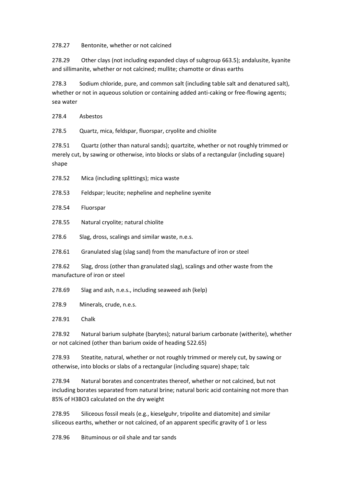278.27 Bentonite, whether or not calcined

278.29 Other clays (not including expanded clays of subgroup 663.5); andalusite, kyanite and sillimanite, whether or not calcined; mullite; chamotte or dinas earths

278.3 Sodium chloride, pure, and common salt (including table salt and denatured salt), whether or not in aqueous solution or containing added anti-caking or free-flowing agents; sea water

278.4 Asbestos

278.5 Quartz, mica, feldspar, fluorspar, cryolite and chiolite

278.51 Quartz (other than natural sands); quartzite, whether or not roughly trimmed or merely cut, by sawing or otherwise, into blocks or slabs of a rectangular (including square) shape

- 278.52 Mica (including splittings); mica waste
- 278.53 Feldspar; leucite; nepheline and nepheline syenite
- 278.54 Fluorspar
- 278.55 Natural cryolite; natural chiolite
- 278.6 Slag, dross, scalings and similar waste, n.e.s.

278.61 Granulated slag (slag sand) from the manufacture of iron or steel

278.62 Slag, dross (other than granulated slag), scalings and other waste from the manufacture of iron or steel

278.69 Slag and ash, n.e.s., including seaweed ash (kelp)

278.9 Minerals, crude, n.e.s.

278.91 Chalk

278.92 Natural barium sulphate (barytes); natural barium carbonate (witherite), whether or not calcined (other than barium oxide of heading 522.65)

278.93 Steatite, natural, whether or not roughly trimmed or merely cut, by sawing or otherwise, into blocks or slabs of a rectangular (including square) shape; talc

278.94 Natural borates and concentrates thereof, whether or not calcined, but not including borates separated from natural brine; natural boric acid containing not more than 85% of H3BO3 calculated on the dry weight

278.95 Siliceous fossil meals (e.g., kieselguhr, tripolite and diatomite) and similar siliceous earths, whether or not calcined, of an apparent specific gravity of 1 or less

278.96 Bituminous or oil shale and tar sands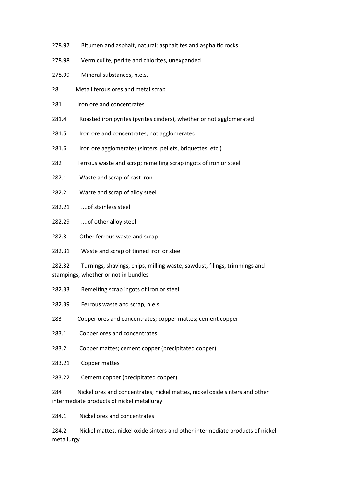- 278.97 Bitumen and asphalt, natural; asphaltites and asphaltic rocks
- 278.98 Vermiculite, perlite and chlorites, unexpanded
- 278.99 Mineral substances, n.e.s.
- 28 Metalliferous ores and metal scrap
- 281 Iron ore and concentrates
- 281.4 Roasted iron pyrites (pyrites cinders), whether or not agglomerated
- 281.5 Iron ore and concentrates, not agglomerated
- 281.6 Iron ore agglomerates (sinters, pellets, briquettes, etc.)
- 282 Ferrous waste and scrap; remelting scrap ingots of iron or steel
- 282.1 Waste and scrap of cast iron
- 282.2 Waste and scrap of alloy steel
- 282.21 ....of stainless steel
- 282.29 ....of other alloy steel
- 282.3 Other ferrous waste and scrap
- 282.31 Waste and scrap of tinned iron or steel

282.32 Turnings, shavings, chips, milling waste, sawdust, filings, trimmings and stampings, whether or not in bundles

- 282.33 Remelting scrap ingots of iron or steel
- 282.39 Ferrous waste and scrap, n.e.s.
- 283 Copper ores and concentrates; copper mattes; cement copper
- 283.1 Copper ores and concentrates
- 283.2 Copper mattes; cement copper (precipitated copper)
- 283.21 Copper mattes
- 283.22 Cement copper (precipitated copper)

284 Nickel ores and concentrates; nickel mattes, nickel oxide sinters and other intermediate products of nickel metallurgy

284.1 Nickel ores and concentrates

284.2 Nickel mattes, nickel oxide sinters and other intermediate products of nickel metallurgy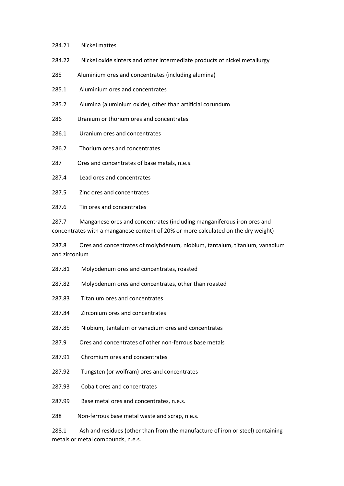- 284.21 Nickel mattes
- 284.22 Nickel oxide sinters and other intermediate products of nickel metallurgy
- 285 Aluminium ores and concentrates (including alumina)
- 285.1 Aluminium ores and concentrates
- 285.2 Alumina (aluminium oxide), other than artificial corundum
- 286 Uranium or thorium ores and concentrates
- 286.1 Uranium ores and concentrates
- 286.2 Thorium ores and concentrates
- 287 Ores and concentrates of base metals, n.e.s.
- 287.4 Lead ores and concentrates
- 287.5 Zinc ores and concentrates
- 287.6 Tin ores and concentrates

287.7 Manganese ores and concentrates (including manganiferous iron ores and concentrates with a manganese content of 20% or more calculated on the dry weight)

287.8 Ores and concentrates of molybdenum, niobium, tantalum, titanium, vanadium and zirconium

- 287.81 Molybdenum ores and concentrates, roasted
- 287.82 Molybdenum ores and concentrates, other than roasted
- 287.83 Titanium ores and concentrates
- 287.84 Zirconium ores and concentrates
- 287.85 Niobium, tantalum or vanadium ores and concentrates
- 287.9 Ores and concentrates of other non-ferrous base metals
- 287.91 Chromium ores and concentrates
- 287.92 Tungsten (or wolfram) ores and concentrates
- 287.93 Cobalt ores and concentrates
- 287.99 Base metal ores and concentrates, n.e.s.

288 Non-ferrous base metal waste and scrap, n.e.s.

288.1 Ash and residues (other than from the manufacture of iron or steel) containing metals or metal compounds, n.e.s.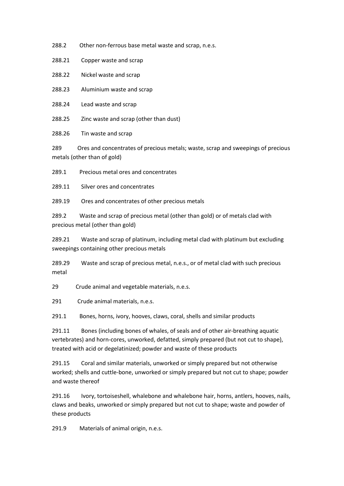288.2 Other non-ferrous base metal waste and scrap, n.e.s.

288.21 Copper waste and scrap

288.22 Nickel waste and scrap

288.23 Aluminium waste and scrap

288.24 Lead waste and scrap

288.25 Zinc waste and scrap (other than dust)

288.26 Tin waste and scrap

289 Ores and concentrates of precious metals; waste, scrap and sweepings of precious metals (other than of gold)

289.1 Precious metal ores and concentrates

289.11 Silver ores and concentrates

289.19 Ores and concentrates of other precious metals

289.2 Waste and scrap of precious metal (other than gold) or of metals clad with precious metal (other than gold)

289.21 Waste and scrap of platinum, including metal clad with platinum but excluding sweepings containing other precious metals

289.29 Waste and scrap of precious metal, n.e.s., or of metal clad with such precious metal

29 Crude animal and vegetable materials, n.e.s.

291 Crude animal materials, n.e.s.

291.1 Bones, horns, ivory, hooves, claws, coral, shells and similar products

291.11 Bones (including bones of whales, of seals and of other air-breathing aquatic vertebrates) and horn-cores, unworked, defatted, simply prepared (but not cut to shape), treated with acid or degelatinized; powder and waste of these products

291.15 Coral and similar materials, unworked or simply prepared but not otherwise worked; shells and cuttle-bone, unworked or simply prepared but not cut to shape; powder and waste thereof

291.16 Ivory, tortoiseshell, whalebone and whalebone hair, horns, antlers, hooves, nails, claws and beaks, unworked or simply prepared but not cut to shape; waste and powder of these products

291.9 Materials of animal origin, n.e.s.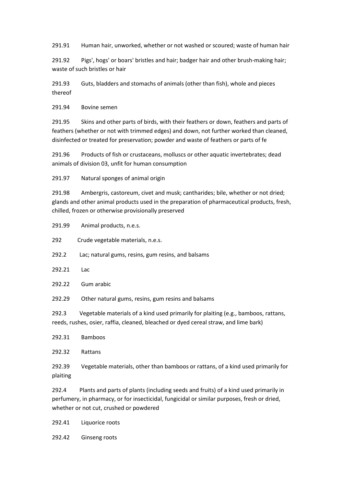291.91 Human hair, unworked, whether or not washed or scoured; waste of human hair

291.92 Pigs', hogs' or boars' bristles and hair; badger hair and other brush-making hair; waste of such bristles or hair

291.93 Guts, bladders and stomachs of animals (other than fish), whole and pieces thereof

291.94 Bovine semen

291.95 Skins and other parts of birds, with their feathers or down, feathers and parts of feathers (whether or not with trimmed edges) and down, not further worked than cleaned, disinfected or treated for preservation; powder and waste of feathers or parts of fe

291.96 Products of fish or crustaceans, molluscs or other aquatic invertebrates; dead animals of division 03, unfit for human consumption

291.97 Natural sponges of animal origin

291.98 Ambergris, castoreum, civet and musk; cantharides; bile, whether or not dried; glands and other animal products used in the preparation of pharmaceutical products, fresh, chilled, frozen or otherwise provisionally preserved

291.99 Animal products, n.e.s.

292 Crude vegetable materials, n.e.s.

292.2 Lac; natural gums, resins, gum resins, and balsams

- 292.21 Lac
- 292.22 Gum arabic
- 292.29 Other natural gums, resins, gum resins and balsams

292.3 Vegetable materials of a kind used primarily for plaiting (e.g., bamboos, rattans, reeds, rushes, osier, raffia, cleaned, bleached or dyed cereal straw, and lime bark)

| 292.31 | <b>Bamboos</b>       |
|--------|----------------------|
| 292.32 | Rattans              |
| 292.39 | Vegetable materials, |

other than bamboos or rattans, of a kind used primarily for plaiting

292.4 Plants and parts of plants (including seeds and fruits) of a kind used primarily in perfumery, in pharmacy, or for insecticidal, fungicidal or similar purposes, fresh or dried, whether or not cut, crushed or powdered

292.41 Liquorice roots

292.42 Ginseng roots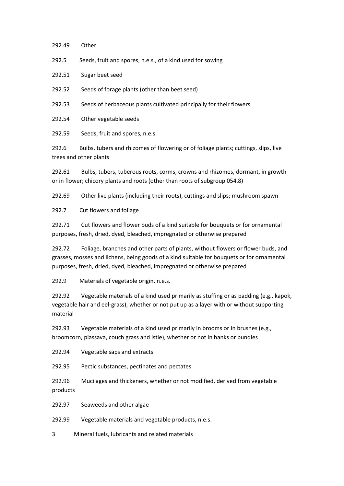292.49 Other

292.5 Seeds, fruit and spores, n.e.s., of a kind used for sowing

292.51 Sugar beet seed

292.52 Seeds of forage plants (other than beet seed)

292.53 Seeds of herbaceous plants cultivated principally for their flowers

292.54 Other vegetable seeds

292.59 Seeds, fruit and spores, n.e.s.

292.6 Bulbs, tubers and rhizomes of flowering or of foliage plants; cuttings, slips, live trees and other plants

292.61 Bulbs, tubers, tuberous roots, corms, crowns and rhizomes, dormant, in growth or in flower; chicory plants and roots (other than roots of subgroup 054.8)

292.69 Other live plants (including their roots), cuttings and slips; mushroom spawn

292.7 Cut flowers and foliage

292.71 Cut flowers and flower buds of a kind suitable for bouquets or for ornamental purposes, fresh, dried, dyed, bleached, impregnated or otherwise prepared

292.72 Foliage, branches and other parts of plants, without flowers or flower buds, and grasses, mosses and lichens, being goods of a kind suitable for bouquets or for ornamental purposes, fresh, dried, dyed, bleached, impregnated or otherwise prepared

292.9 Materials of vegetable origin, n.e.s.

292.92 Vegetable materials of a kind used primarily as stuffing or as padding (e.g., kapok, vegetable hair and eel-grass), whether or not put up as a layer with or without supporting material

292.93 Vegetable materials of a kind used primarily in brooms or in brushes (e.g., broomcorn, piassava, couch grass and istle), whether or not in hanks or bundles

292.94 Vegetable saps and extracts

292.95 Pectic substances, pectinates and pectates

292.96 Mucilages and thickeners, whether or not modified, derived from vegetable products

292.97 Seaweeds and other algae

292.99 Vegetable materials and vegetable products, n.e.s.

3 Mineral fuels, lubricants and related materials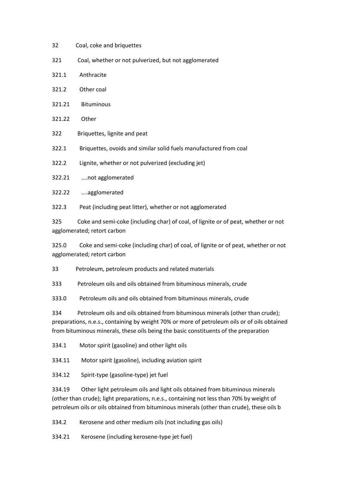- 32 Coal, coke and briquettes
- 321 Coal, whether or not pulverized, but not agglomerated
- 321.1 Anthracite
- 321.2 Other coal
- 321.21 Bituminous
- 321.22 Other
- 322 Briquettes, lignite and peat

322.1 Briquettes, ovoids and similar solid fuels manufactured from coal

322.2 Lignite, whether or not pulverized (excluding jet)

322.21 ....not agglomerated

322.22 ....agglomerated

322.3 Peat (including peat litter), whether or not agglomerated

325 Coke and semi-coke (including char) of coal, of lignite or of peat, whether or not agglomerated; retort carbon

325.0 Coke and semi-coke (including char) of coal, of lignite or of peat, whether or not agglomerated; retort carbon

33 Petroleum, petroleum products and related materials

333 Petroleum oils and oils obtained from bituminous minerals, crude

333.0 Petroleum oils and oils obtained from bituminous minerals, crude

334 Petroleum oils and oils obtained from bituminous minerals (other than crude); preparations, n.e.s., containing by weight 70% or more of petroleum oils or of oils obtained from bituminous minerals, these oils being the basic constituents of the preparation

334.1 Motor spirit (gasoline) and other light oils

334.11 Motor spirit (gasoline), including aviation spirit

334.12 Spirit-type (gasoline-type) jet fuel

334.19 Other light petroleum oils and light oils obtained from bituminous minerals (other than crude); light preparations, n.e.s., containing not less than 70% by weight of petroleum oils or oils obtained from bituminous minerals (other than crude), these oils b

334.2 Kerosene and other medium oils (not including gas oils)

334.21 Kerosene (including kerosene-type jet fuel)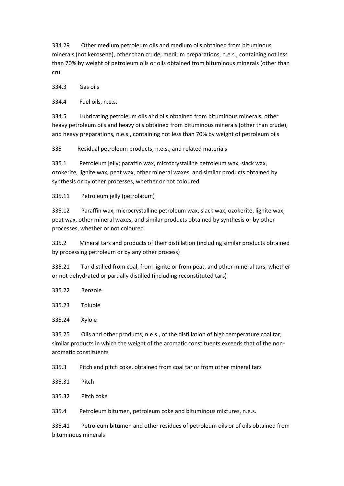334.29 Other medium petroleum oils and medium oils obtained from bituminous minerals (not kerosene), other than crude; medium preparations, n.e.s., containing not less than 70% by weight of petroleum oils or oils obtained from bituminous minerals (other than cru

334.3 Gas oils

334.4 Fuel oils, n.e.s.

334.5 Lubricating petroleum oils and oils obtained from bituminous minerals, other heavy petroleum oils and heavy oils obtained from bituminous minerals (other than crude), and heavy preparations, n.e.s., containing not less than 70% by weight of petroleum oils

335 Residual petroleum products, n.e.s., and related materials

335.1 Petroleum jelly; paraffin wax, microcrystalline petroleum wax, slack wax, ozokerite, lignite wax, peat wax, other mineral waxes, and similar products obtained by synthesis or by other processes, whether or not coloured

335.11 Petroleum jelly (petrolatum)

335.12 Paraffin wax, microcrystalline petroleum wax, slack wax, ozokerite, lignite wax, peat wax, other mineral waxes, and similar products obtained by synthesis or by other processes, whether or not coloured

335.2 Mineral tars and products of their distillation (including similar products obtained by processing petroleum or by any other process)

335.21 Tar distilled from coal, from lignite or from peat, and other mineral tars, whether or not dehydrated or partially distilled (including reconstituted tars)

335.22 Benzole

335.23 Toluole

335.24 Xylole

335.25 Oils and other products, n.e.s., of the distillation of high temperature coal tar; similar products in which the weight of the aromatic constituents exceeds that of the nonaromatic constituents

335.3 Pitch and pitch coke, obtained from coal tar or from other mineral tars

335.31 Pitch

335.32 Pitch coke

335.4 Petroleum bitumen, petroleum coke and bituminous mixtures, n.e.s.

335.41 Petroleum bitumen and other residues of petroleum oils or of oils obtained from bituminous minerals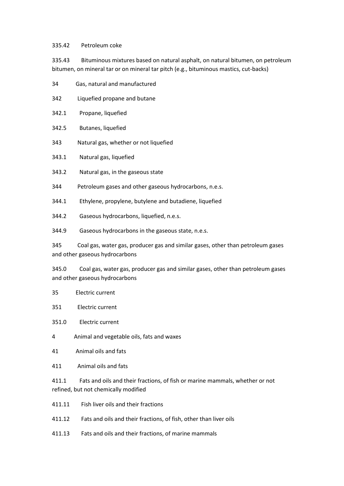## 335.42 Petroleum coke

335.43 Bituminous mixtures based on natural asphalt, on natural bitumen, on petroleum bitumen, on mineral tar or on mineral tar pitch (e.g., bituminous mastics, cut-backs)

- 34 Gas, natural and manufactured
- 342 Liquefied propane and butane
- 342.1 Propane, liquefied
- 342.5 Butanes, liquefied
- 343 Natural gas, whether or not liquefied
- 343.1 Natural gas, liquefied
- 343.2 Natural gas, in the gaseous state
- 344 Petroleum gases and other gaseous hydrocarbons, n.e.s.
- 344.1 Ethylene, propylene, butylene and butadiene, liquefied
- 344.2 Gaseous hydrocarbons, liquefied, n.e.s.
- 344.9 Gaseous hydrocarbons in the gaseous state, n.e.s.

345 Coal gas, water gas, producer gas and similar gases, other than petroleum gases and other gaseous hydrocarbons

345.0 Coal gas, water gas, producer gas and similar gases, other than petroleum gases and other gaseous hydrocarbons

- 35 Electric current
- 351 Electric current
- 351.0 Electric current
- 4 Animal and vegetable oils, fats and waxes
- 41 Animal oils and fats
- 411 Animal oils and fats

411.1 Fats and oils and their fractions, of fish or marine mammals, whether or not refined, but not chemically modified

- 411.11 Fish liver oils and their fractions
- 411.12 Fats and oils and their fractions, of fish, other than liver oils
- 411.13 Fats and oils and their fractions, of marine mammals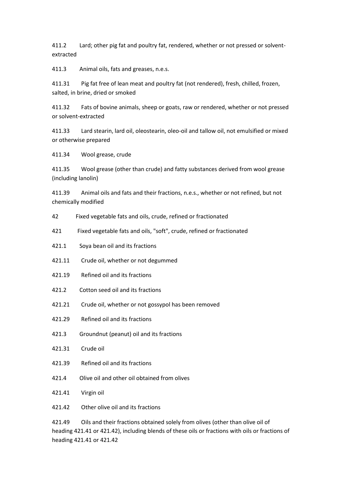411.2 Lard; other pig fat and poultry fat, rendered, whether or not pressed or solventextracted

411.3 Animal oils, fats and greases, n.e.s.

411.31 Pig fat free of lean meat and poultry fat (not rendered), fresh, chilled, frozen, salted, in brine, dried or smoked

411.32 Fats of bovine animals, sheep or goats, raw or rendered, whether or not pressed or solvent-extracted

411.33 Lard stearin, lard oil, oleostearin, oleo-oil and tallow oil, not emulsified or mixed or otherwise prepared

411.34 Wool grease, crude

411.35 Wool grease (other than crude) and fatty substances derived from wool grease (including lanolin)

411.39 Animal oils and fats and their fractions, n.e.s., whether or not refined, but not chemically modified

- 42 Fixed vegetable fats and oils, crude, refined or fractionated
- 421 Fixed vegetable fats and oils, "soft", crude, refined or fractionated
- 421.1 Soya bean oil and its fractions
- 421.11 Crude oil, whether or not degummed
- 421.19 Refined oil and its fractions
- 421.2 Cotton seed oil and its fractions
- 421.21 Crude oil, whether or not gossypol has been removed
- 421.29 Refined oil and its fractions
- 421.3 Groundnut (peanut) oil and its fractions
- 421.31 Crude oil
- 421.39 Refined oil and its fractions
- 421.4 Olive oil and other oil obtained from olives
- 421.41 Virgin oil
- 421.42 Other olive oil and its fractions

421.49 Oils and their fractions obtained solely from olives (other than olive oil of heading 421.41 or 421.42), including blends of these oils or fractions with oils or fractions of heading 421.41 or 421.42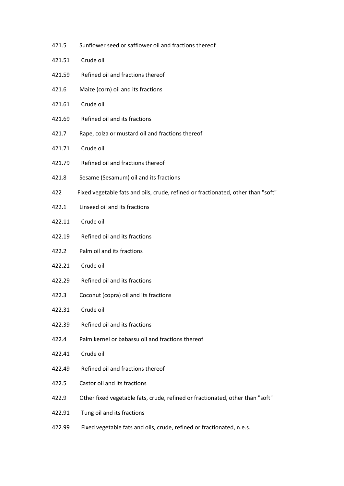421.5 Sunflower seed or safflower oil and fractions thereof 421.51 Crude oil 421.59 Refined oil and fractions thereof 421.6 Maize (corn) oil and its fractions 421.61 Crude oil 421.69 Refined oil and its fractions 421.7 Rape, colza or mustard oil and fractions thereof 421.71 Crude oil 421.79 Refined oil and fractions thereof 421.8 Sesame (Sesamum) oil and its fractions 422 Fixed vegetable fats and oils, crude, refined or fractionated, other than "soft" 422.1 Linseed oil and its fractions 422.11 Crude oil 422.19 Refined oil and its fractions 422.2 Palm oil and its fractions 422.21 Crude oil 422.29 Refined oil and its fractions 422.3 Coconut (copra) oil and its fractions 422.31 Crude oil 422.39 Refined oil and its fractions 422.4 Palm kernel or babassu oil and fractions thereof 422.41 Crude oil 422.49 Refined oil and fractions thereof 422.5 Castor oil and its fractions 422.9 Other fixed vegetable fats, crude, refined or fractionated, other than "soft" 422.91 Tung oil and its fractions 422.99 Fixed vegetable fats and oils, crude, refined or fractionated, n.e.s.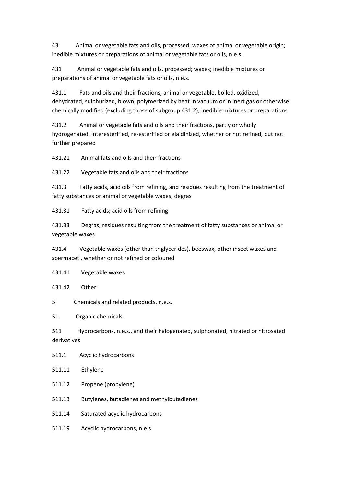43 Animal or vegetable fats and oils, processed; waxes of animal or vegetable origin; inedible mixtures or preparations of animal or vegetable fats or oils, n.e.s.

431 Animal or vegetable fats and oils, processed; waxes; inedible mixtures or preparations of animal or vegetable fats or oils, n.e.s.

431.1 Fats and oils and their fractions, animal or vegetable, boiled, oxidized, dehydrated, sulphurized, blown, polymerized by heat in vacuum or in inert gas or otherwise chemically modified (excluding those of subgroup 431.2); inedible mixtures or preparations

431.2 Animal or vegetable fats and oils and their fractions, partly or wholly hydrogenated, interesterified, re-esterified or elaidinized, whether or not refined, but not further prepared

431.21 Animal fats and oils and their fractions

431.22 Vegetable fats and oils and their fractions

431.3 Fatty acids, acid oils from refining, and residues resulting from the treatment of fatty substances or animal or vegetable waxes; degras

431.31 Fatty acids; acid oils from refining

431.33 Degras; residues resulting from the treatment of fatty substances or animal or vegetable waxes

431.4 Vegetable waxes (other than triglycerides), beeswax, other insect waxes and spermaceti, whether or not refined or coloured

431.41 Vegetable waxes

431.42 Other

5 Chemicals and related products, n.e.s.

51 Organic chemicals

511 Hydrocarbons, n.e.s., and their halogenated, sulphonated, nitrated or nitrosated derivatives

511.1 Acyclic hydrocarbons

511.11 Ethylene

- 511.12 Propene (propylene)
- 511.13 Butylenes, butadienes and methylbutadienes

511.14 Saturated acyclic hydrocarbons

511.19 Acyclic hydrocarbons, n.e.s.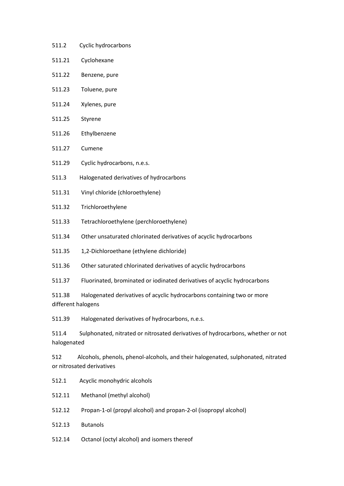- 511.2 Cyclic hydrocarbons
- 511.21 Cyclohexane
- 511.22 Benzene, pure
- 511.23 Toluene, pure
- 511.24 Xylenes, pure
- 511.25 Styrene
- 511.26 Ethylbenzene
- 511.27 Cumene
- 511.29 Cyclic hydrocarbons, n.e.s.
- 511.3 Halogenated derivatives of hydrocarbons
- 511.31 Vinyl chloride (chloroethylene)
- 511.32 Trichloroethylene
- 511.33 Tetrachloroethylene (perchloroethylene)
- 511.34 Other unsaturated chlorinated derivatives of acyclic hydrocarbons
- 511.35 1,2-Dichloroethane (ethylene dichloride)
- 511.36 Other saturated chlorinated derivatives of acyclic hydrocarbons
- 511.37 Fluorinated, brominated or iodinated derivatives of acyclic hydrocarbons

511.38 Halogenated derivatives of acyclic hydrocarbons containing two or more different halogens

511.39 Halogenated derivatives of hydrocarbons, n.e.s.

511.4 Sulphonated, nitrated or nitrosated derivatives of hydrocarbons, whether or not halogenated

512 Alcohols, phenols, phenol-alcohols, and their halogenated, sulphonated, nitrated or nitrosated derivatives

- 512.1 Acyclic monohydric alcohols
- 512.11 Methanol (methyl alcohol)
- 512.12 Propan-1-ol (propyl alcohol) and propan-2-ol (isopropyl alcohol)
- 512.13 Butanols
- 512.14 Octanol (octyl alcohol) and isomers thereof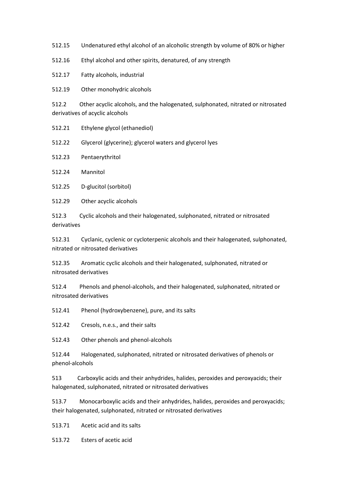512.15 Undenatured ethyl alcohol of an alcoholic strength by volume of 80% or higher

512.16 Ethyl alcohol and other spirits, denatured, of any strength

512.17 Fatty alcohols, industrial

512.19 Other monohydric alcohols

512.2 Other acyclic alcohols, and the halogenated, sulphonated, nitrated or nitrosated derivatives of acyclic alcohols

512.21 Ethylene glycol (ethanediol)

512.22 Glycerol (glycerine); glycerol waters and glycerol lyes

512.23 Pentaerythritol

512.24 Mannitol

512.25 D-glucitol (sorbitol)

512.29 Other acyclic alcohols

512.3 Cyclic alcohols and their halogenated, sulphonated, nitrated or nitrosated derivatives

512.31 Cyclanic, cyclenic or cycloterpenic alcohols and their halogenated, sulphonated, nitrated or nitrosated derivatives

512.35 Aromatic cyclic alcohols and their halogenated, sulphonated, nitrated or nitrosated derivatives

512.4 Phenols and phenol-alcohols, and their halogenated, sulphonated, nitrated or nitrosated derivatives

512.41 Phenol (hydroxybenzene), pure, and its salts

512.42 Cresols, n.e.s., and their salts

512.43 Other phenols and phenol-alcohols

512.44 Halogenated, sulphonated, nitrated or nitrosated derivatives of phenols or phenol-alcohols

513 Carboxylic acids and their anhydrides, halides, peroxides and peroxyacids; their halogenated, sulphonated, nitrated or nitrosated derivatives

513.7 Monocarboxylic acids and their anhydrides, halides, peroxides and peroxyacids; their halogenated, sulphonated, nitrated or nitrosated derivatives

513.71 Acetic acid and its salts

513.72 Esters of acetic acid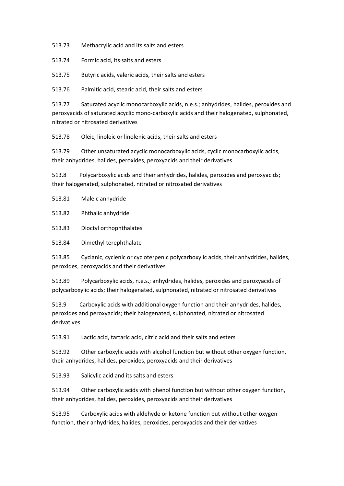513.73 Methacrylic acid and its salts and esters

513.74 Formic acid, its salts and esters

513.75 Butyric acids, valeric acids, their salts and esters

513.76 Palmitic acid, stearic acid, their salts and esters

513.77 Saturated acyclic monocarboxylic acids, n.e.s.; anhydrides, halides, peroxides and peroxyacids of saturated acyclic mono-carboxylic acids and their halogenated, sulphonated, nitrated or nitrosated derivatives

513.78 Oleic, linoleic or linolenic acids, their salts and esters

513.79 Other unsaturated acyclic monocarboxylic acids, cyclic monocarboxylic acids, their anhydrides, halides, peroxides, peroxyacids and their derivatives

513.8 Polycarboxylic acids and their anhydrides, halides, peroxides and peroxyacids; their halogenated, sulphonated, nitrated or nitrosated derivatives

513.81 Maleic anhydride

513.82 Phthalic anhydride

513.83 Dioctyl orthophthalates

513.84 Dimethyl terephthalate

513.85 Cyclanic, cyclenic or cycloterpenic polycarboxylic acids, their anhydrides, halides, peroxides, peroxyacids and their derivatives

513.89 Polycarboxylic acids, n.e.s.; anhydrides, halides, peroxides and peroxyacids of polycarboxylic acids; their halogenated, sulphonated, nitrated or nitrosated derivatives

513.9 Carboxylic acids with additional oxygen function and their anhydrides, halides, peroxides and peroxyacids; their halogenated, sulphonated, nitrated or nitrosated derivatives

513.91 Lactic acid, tartaric acid, citric acid and their salts and esters

513.92 Other carboxylic acids with alcohol function but without other oxygen function, their anhydrides, halides, peroxides, peroxyacids and their derivatives

513.93 Salicylic acid and its salts and esters

513.94 Other carboxylic acids with phenol function but without other oxygen function, their anhydrides, halides, peroxides, peroxyacids and their derivatives

513.95 Carboxylic acids with aldehyde or ketone function but without other oxygen function, their anhydrides, halides, peroxides, peroxyacids and their derivatives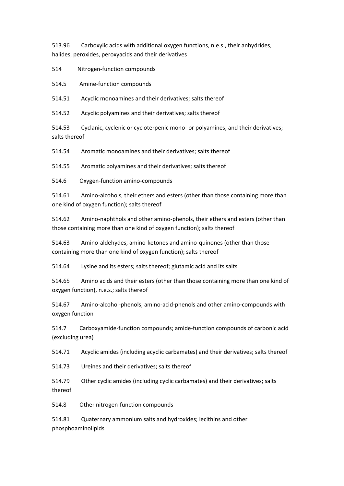513.96 Carboxylic acids with additional oxygen functions, n.e.s., their anhydrides, halides, peroxides, peroxyacids and their derivatives

514 Nitrogen-function compounds

514.5 Amine-function compounds

514.51 Acyclic monoamines and their derivatives; salts thereof

514.52 Acyclic polyamines and their derivatives; salts thereof

514.53 Cyclanic, cyclenic or cycloterpenic mono- or polyamines, and their derivatives; salts thereof

514.54 Aromatic monoamines and their derivatives; salts thereof

514.55 Aromatic polyamines and their derivatives; salts thereof

514.6 Oxygen-function amino-compounds

514.61 Amino-alcohols, their ethers and esters (other than those containing more than one kind of oxygen function); salts thereof

514.62 Amino-naphthols and other amino-phenols, their ethers and esters (other than those containing more than one kind of oxygen function); salts thereof

514.63 Amino-aldehydes, amino-ketones and amino-quinones (other than those containing more than one kind of oxygen function); salts thereof

514.64 Lysine and its esters; salts thereof; glutamic acid and its salts

514.65 Amino acids and their esters (other than those containing more than one kind of oxygen function), n.e.s.; salts thereof

514.67 Amino-alcohol-phenols, amino-acid-phenols and other amino-compounds with oxygen function

514.7 Carboxyamide-function compounds; amide-function compounds of carbonic acid (excluding urea)

514.71 Acyclic amides (including acyclic carbamates) and their derivatives; salts thereof

514.73 Ureines and their derivatives; salts thereof

514.79 Other cyclic amides (including cyclic carbamates) and their derivatives; salts thereof

514.8 Other nitrogen-function compounds

514.81 Quaternary ammonium salts and hydroxides; lecithins and other phosphoaminolipids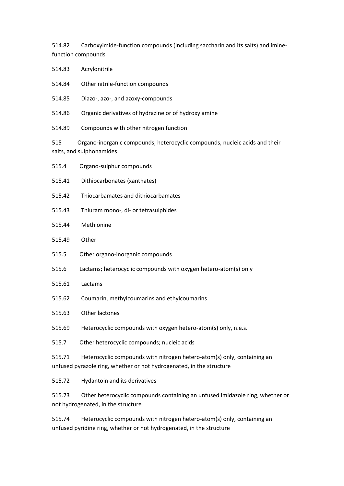514.82 Carboxyimide-function compounds (including saccharin and its salts) and iminefunction compounds

514.83 Acrylonitrile

- 514.84 Other nitrile-function compounds
- 514.85 Diazo-, azo-, and azoxy-compounds
- 514.86 Organic derivatives of hydrazine or of hydroxylamine
- 514.89 Compounds with other nitrogen function

515 Organo-inorganic compounds, heterocyclic compounds, nucleic acids and their salts, and sulphonamides

515.4 Organo-sulphur compounds 515.41 Dithiocarbonates (xanthates) 515.42 Thiocarbamates and dithiocarbamates 515.43 Thiuram mono-, di- or tetrasulphides 515.44 Methionine 515.49 Other 515.5 Other organo-inorganic compounds 515.6 Lactams; heterocyclic compounds with oxygen hetero-atom(s) only 515.61 Lactams 515.62 Coumarin, methylcoumarins and ethylcoumarins 515.63 Other lactones 515.69 Heterocyclic compounds with oxygen hetero-atom(s) only, n.e.s. 515.7 Other heterocyclic compounds; nucleic acids 515.71 Heterocyclic compounds with nitrogen hetero-atom(s) only, containing an unfused pyrazole ring, whether or not hydrogenated, in the structure 515.72 Hydantoin and its derivatives

515.73 Other heterocyclic compounds containing an unfused imidazole ring, whether or not hydrogenated, in the structure

515.74 Heterocyclic compounds with nitrogen hetero-atom(s) only, containing an unfused pyridine ring, whether or not hydrogenated, in the structure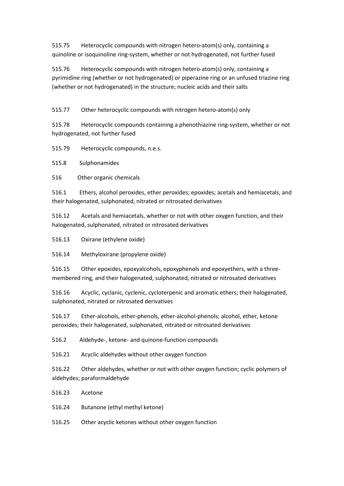515.75 Heterocyclic compounds with nitrogen hetero-atom(s) only, containing a quinoline or isoquinoline ring-system, whether or not hydrogenated, not further fused

515.76 Heterocyclic compounds with nitrogen hetero-atom(s) only, containing a pyrimidine ring (whether or not hydrogenated) or piperazine ring or an unfused triazine ring (whether or not hydrogenated) in the structure; nucleic acids and their salts

515.77 Other heterocyclic compounds with nitrogen hetero-atom(s) only

515.78 Heterocyclic compounds containing a phenothiazine ring-system, whether or not hydrogenated, not further fused

515.79 Heterocyclic compounds, n.e.s.

515.8 Sulphonamides

516 Other organic chemicals

516.1 Ethers, alcohol peroxides, ether peroxides; epoxides; acetals and hemiacetals, and their halogenated, sulphonated, nitrated or nitrosated derivatives

516.12 Acetals and hemiacetals, whether or not with other oxygen function, and their halogenated, sulphonated, nitrated or nitrosated derivatives

516.13 Oxirane (ethylene oxide)

516.14 Methyloxirane (propylene oxide)

516.15 Other epoxides, epoxyalcohols, epoxyphenols and epoxyethers, with a threemembered ring, and their halogenated, sulphonated, nitrated or nitrosated derivatives

516.16 Acyclic, cyclanic, cyclenic, cycloterpenic and aromatic ethers; their halogenated, sulphonated, nitrated or nitrosated derivatives

516.17 Ether-alcohols, ether-phenols, ether-alcohol-phenols; alcohol, ether, ketone peroxides; their halogenated, sulphonated, nitrated or nitrosated derivatives

516.2 Aldehyde-, ketone- and quinone-function compounds

516.21 Acyclic aldehydes without other oxygen function

516.22 Other aldehydes, whether or not with other oxygen function; cyclic polymers of aldehydes; paraformaldehyde

- 516.23 Acetone
- 516.24 Butanone (ethyl methyl ketone)
- 516.25 Other acyclic ketones without other oxygen function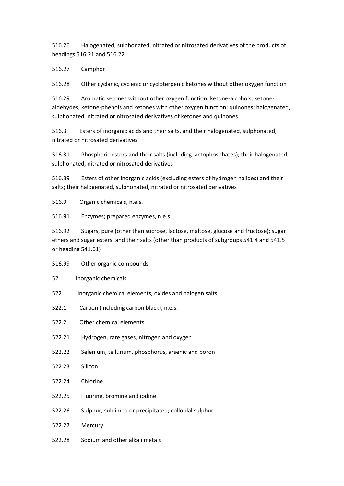516.26 Halogenated, sulphonated, nitrated or nitrosated derivatives of the products of headings 516.21 and 516.22

516.27 Camphor

516.28 Other cyclanic, cyclenic or cycloterpenic ketones without other oxygen function

516.29 Aromatic ketones without other oxygen function; ketone-alcohols, ketonealdehydes, ketone-phenols and ketones with other oxygen function; quinones; halogenated, sulphonated, nitrated or nitrosated derivatives of ketones and quinones

516.3 Esters of inorganic acids and their salts, and their halogenated, sulphonated, nitrated or nitrosated derivatives

516.31 Phosphoric esters and their salts (including lactophosphates); their halogenated, sulphonated, nitrated or nitrosated derivatives

516.39 Esters of other inorganic acids (excluding esters of hydrogen halides) and their salts; their halogenated, sulphonated, nitrated or nitrosated derivatives

516.9 Organic chemicals, n.e.s.

516.91 Enzymes; prepared enzymes, n.e.s.

516.92 Sugars, pure (other than sucrose, lactose, maltose, glucose and fructose); sugar ethers and sugar esters, and their salts (other than products of subgroups 541.4 and 541.5 or heading 541.61)

- 516.99 Other organic compounds
- 52 Inorganic chemicals
- 522 Inorganic chemical elements, oxides and halogen salts
- 522.1 Carbon (including carbon black), n.e.s.
- 522.2 Other chemical elements
- 522.21 Hydrogen, rare gases, nitrogen and oxygen
- 522.22 Selenium, tellurium, phosphorus, arsenic and boron
- 522.23 Silicon
- 522.24 Chlorine
- 522.25 Fluorine, bromine and iodine
- 522.26 Sulphur, sublimed or precipitated; colloidal sulphur
- 522.27 Mercury
- 522.28 Sodium and other alkali metals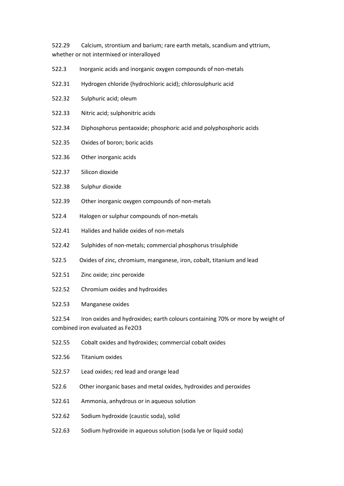522.29 Calcium, strontium and barium; rare earth metals, scandium and yttrium, whether or not intermixed or interalloyed

- 522.3 Inorganic acids and inorganic oxygen compounds of non-metals
- 522.31 Hydrogen chloride (hydrochloric acid); chlorosulphuric acid
- 522.32 Sulphuric acid; oleum
- 522.33 Nitric acid; sulphonitric acids
- 522.34 Diphosphorus pentaoxide; phosphoric acid and polyphosphoric acids
- 522.35 Oxides of boron; boric acids
- 522.36 Other inorganic acids
- 522.37 Silicon dioxide
- 522.38 Sulphur dioxide
- 522.39 Other inorganic oxygen compounds of non-metals
- 522.4 Halogen or sulphur compounds of non-metals
- 522.41 Halides and halide oxides of non-metals
- 522.42 Sulphides of non-metals; commercial phosphorus trisulphide
- 522.5 Oxides of zinc, chromium, manganese, iron, cobalt, titanium and lead
- 522.51 Zinc oxide; zinc peroxide
- 522.52 Chromium oxides and hydroxides
- 522.53 Manganese oxides

522.54 Iron oxides and hydroxides; earth colours containing 70% or more by weight of combined iron evaluated as Fe2O3

- 522.55 Cobalt oxides and hydroxides; commercial cobalt oxides
- 522.56 Titanium oxides
- 522.57 Lead oxides; red lead and orange lead
- 522.6 Other inorganic bases and metal oxides, hydroxides and peroxides
- 522.61 Ammonia, anhydrous or in aqueous solution
- 522.62 Sodium hydroxide (caustic soda), solid
- 522.63 Sodium hydroxide in aqueous solution (soda lye or liquid soda)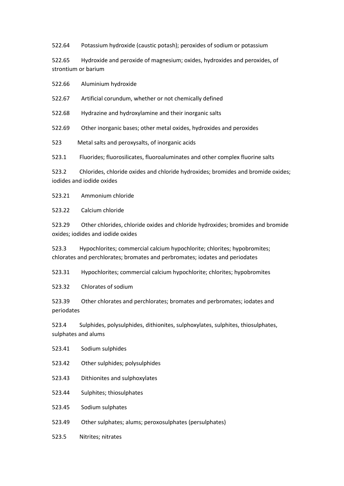522.64 Potassium hydroxide (caustic potash); peroxides of sodium or potassium

522.65 Hydroxide and peroxide of magnesium; oxides, hydroxides and peroxides, of strontium or barium

522.66 Aluminium hydroxide

522.67 Artificial corundum, whether or not chemically defined

522.68 Hydrazine and hydroxylamine and their inorganic salts

522.69 Other inorganic bases; other metal oxides, hydroxides and peroxides

523 Metal salts and peroxysalts, of inorganic acids

523.1 Fluorides; fluorosilicates, fluoroaluminates and other complex fluorine salts

523.2 Chlorides, chloride oxides and chloride hydroxides; bromides and bromide oxides; iodides and iodide oxides

523.21 Ammonium chloride

523.22 Calcium chloride

523.29 Other chlorides, chloride oxides and chloride hydroxides; bromides and bromide oxides; iodides and iodide oxides

523.3 Hypochlorites; commercial calcium hypochlorite; chlorites; hypobromites; chlorates and perchlorates; bromates and perbromates; iodates and periodates

523.31 Hypochlorites; commercial calcium hypochlorite; chlorites; hypobromites

523.32 Chlorates of sodium

523.39 Other chlorates and perchlorates; bromates and perbromates; iodates and periodates

523.4 Sulphides, polysulphides, dithionites, sulphoxylates, sulphites, thiosulphates, sulphates and alums

- 523.41 Sodium sulphides
- 523.42 Other sulphides; polysulphides
- 523.43 Dithionites and sulphoxylates

523.44 Sulphites; thiosulphates

- 523.45 Sodium sulphates
- 523.49 Other sulphates; alums; peroxosulphates (persulphates)
- 523.5 Nitrites; nitrates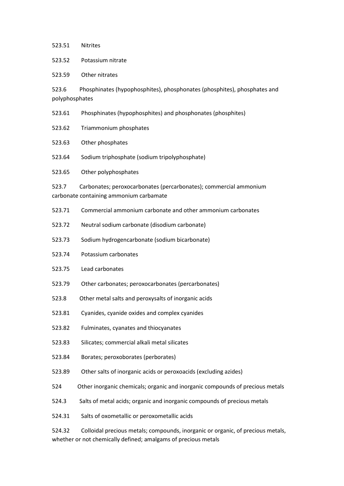## 523.51 Nitrites

523.52 Potassium nitrate

523.59 Other nitrates

523.6 Phosphinates (hypophosphites), phosphonates (phosphites), phosphates and polyphosphates

523.61 Phosphinates (hypophosphites) and phosphonates (phosphites)

523.62 Triammonium phosphates

523.63 Other phosphates

523.64 Sodium triphosphate (sodium tripolyphosphate)

523.65 Other polyphosphates

523.7 Carbonates; peroxocarbonates (percarbonates); commercial ammonium carbonate containing ammonium carbamate

- 523.71 Commercial ammonium carbonate and other ammonium carbonates
- 523.72 Neutral sodium carbonate (disodium carbonate)

523.73 Sodium hydrogencarbonate (sodium bicarbonate)

- 523.74 Potassium carbonates
- 523.75 Lead carbonates
- 523.79 Other carbonates; peroxocarbonates (percarbonates)
- 523.8 Other metal salts and peroxysalts of inorganic acids
- 523.81 Cyanides, cyanide oxides and complex cyanides
- 523.82 Fulminates, cyanates and thiocyanates
- 523.83 Silicates; commercial alkali metal silicates
- 523.84 Borates; peroxoborates (perborates)
- 523.89 Other salts of inorganic acids or peroxoacids (excluding azides)
- 524 Other inorganic chemicals; organic and inorganic compounds of precious metals
- 524.3 Salts of metal acids; organic and inorganic compounds of precious metals
- 524.31 Salts of oxometallic or peroxometallic acids

524.32 Colloidal precious metals; compounds, inorganic or organic, of precious metals, whether or not chemically defined; amalgams of precious metals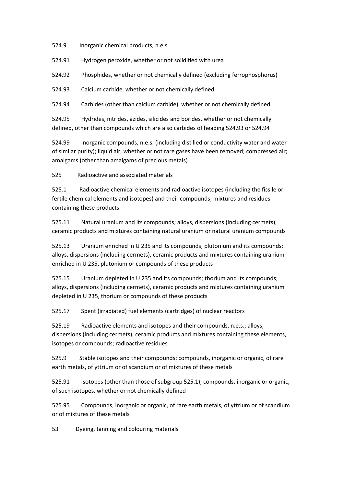524.9 Inorganic chemical products, n.e.s.

524.91 Hydrogen peroxide, whether or not solidified with urea

524.92 Phosphides, whether or not chemically defined (excluding ferrophosphorus)

524.93 Calcium carbide, whether or not chemically defined

524.94 Carbides (other than calcium carbide), whether or not chemically defined

524.95 Hydrides, nitrides, azides, silicides and borides, whether or not chemically defined, other than compounds which are also carbides of heading 524.93 or 524.94

524.99 Inorganic compounds, n.e.s. (including distilled or conductivity water and water of similar purity); liquid air, whether or not rare gases have been removed; compressed air; amalgams (other than amalgams of precious metals)

525 Radioactive and associated materials

525.1 Radioactive chemical elements and radioactive isotopes (including the fissile or fertile chemical elements and isotopes) and their compounds; mixtures and residues containing these products

525.11 Natural uranium and its compounds; alloys, dispersions (including cermets), ceramic products and mixtures containing natural uranium or natural uranium compounds

525.13 Uranium enriched in U 235 and its compounds; plutonium and its compounds; alloys, dispersions (including cermets), ceramic products and mixtures containing uranium enriched in U 235, plutonium or compounds of these products

525.15 Uranium depleted in U 235 and its compounds; thorium and its compounds; alloys, dispersions (including cermets), ceramic products and mixtures containing uranium depleted in U 235, thorium or compounds of these products

525.17 Spent (irradiated) fuel elements (cartridges) of nuclear reactors

525.19 Radioactive elements and isotopes and their compounds, n.e.s.; alloys, dispersions (including cermets), ceramic products and mixtures containing these elements, isotopes or compounds; radioactive residues

525.9 Stable isotopes and their compounds; compounds, inorganic or organic, of rare earth metals, of yttrium or of scandium or of mixtures of these metals

525.91 Isotopes (other than those of subgroup 525.1); compounds, inorganic or organic, of such isotopes, whether or not chemically defined

525.95 Compounds, inorganic or organic, of rare earth metals, of yttrium or of scandium or of mixtures of these metals

53 Dyeing, tanning and colouring materials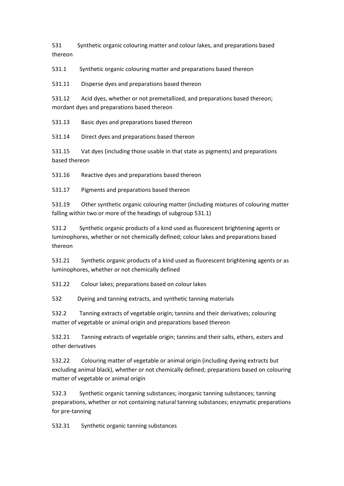531 Synthetic organic colouring matter and colour lakes, and preparations based thereon

531.1 Synthetic organic colouring matter and preparations based thereon

531.11 Disperse dyes and preparations based thereon

531.12 Acid dyes, whether or not premetallized, and preparations based thereon; mordant dyes and preparations based thereon

531.13 Basic dyes and preparations based thereon

531.14 Direct dyes and preparations based thereon

531.15 Vat dyes (including those usable in that state as pigments) and preparations based thereon

531.16 Reactive dyes and preparations based thereon

531.17 Pigments and preparations based thereon

531.19 Other synthetic organic colouring matter (including mixtures of colouring matter falling within two or more of the headings of subgroup 531.1)

531.2 Synthetic organic products of a kind used as fluorescent brightening agents or luminophores, whether or not chemically defined; colour lakes and preparations based thereon

531.21 Synthetic organic products of a kind used as fluorescent brightening agents or as luminophores, whether or not chemically defined

531.22 Colour lakes; preparations based on colour lakes

532 Dyeing and tanning extracts, and synthetic tanning materials

532.2 Tanning extracts of vegetable origin; tannins and their derivatives; colouring matter of vegetable or animal origin and preparations based thereon

532.21 Tanning extracts of vegetable origin; tannins and their salts, ethers, esters and other derivatives

532.22 Colouring matter of vegetable or animal origin (including dyeing extracts but excluding animal black), whether or not chemically defined; preparations based on colouring matter of vegetable or animal origin

532.3 Synthetic organic tanning substances; inorganic tanning substances; tanning preparations, whether or not containing natural tanning substances; enzymatic preparations for pre-tanning

532.31 Synthetic organic tanning substances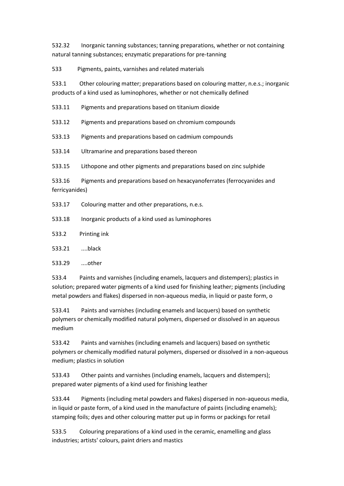532.32 Inorganic tanning substances; tanning preparations, whether or not containing natural tanning substances; enzymatic preparations for pre-tanning

533 Pigments, paints, varnishes and related materials

533.1 Other colouring matter; preparations based on colouring matter, n.e.s.; inorganic products of a kind used as luminophores, whether or not chemically defined

533.11 Pigments and preparations based on titanium dioxide

533.12 Pigments and preparations based on chromium compounds

533.13 Pigments and preparations based on cadmium compounds

533.14 Ultramarine and preparations based thereon

533.15 Lithopone and other pigments and preparations based on zinc sulphide

533.16 Pigments and preparations based on hexacyanoferrates (ferrocyanides and ferricyanides)

533.17 Colouring matter and other preparations, n.e.s.

- 533.18 Inorganic products of a kind used as luminophores
- 533.2 Printing ink
- 533.21 ....black

533.29 ....other

533.4 Paints and varnishes (including enamels, lacquers and distempers); plastics in solution; prepared water pigments of a kind used for finishing leather; pigments (including metal powders and flakes) dispersed in non-aqueous media, in liquid or paste form, o

533.41 Paints and varnishes (including enamels and lacquers) based on synthetic polymers or chemically modified natural polymers, dispersed or dissolved in an aqueous medium

533.42 Paints and varnishes (including enamels and lacquers) based on synthetic polymers or chemically modified natural polymers, dispersed or dissolved in a non-aqueous medium; plastics in solution

533.43 Other paints and varnishes (including enamels, lacquers and distempers); prepared water pigments of a kind used for finishing leather

533.44 Pigments (including metal powders and flakes) dispersed in non-aqueous media, in liquid or paste form, of a kind used in the manufacture of paints (including enamels); stamping foils; dyes and other colouring matter put up in forms or packings for retail

533.5 Colouring preparations of a kind used in the ceramic, enamelling and glass industries; artists' colours, paint driers and mastics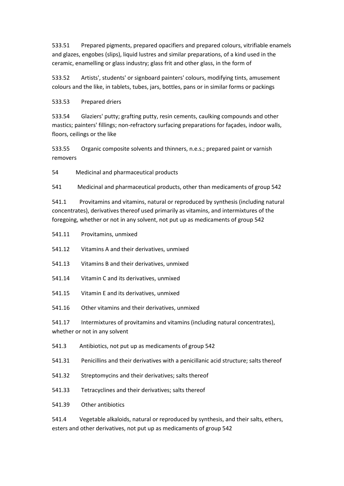533.51 Prepared pigments, prepared opacifiers and prepared colours, vitrifiable enamels and glazes, engobes (slips), liquid lustres and similar preparations, of a kind used in the ceramic, enamelling or glass industry; glass frit and other glass, in the form of

533.52 Artists', students' or signboard painters' colours, modifying tints, amusement colours and the like, in tablets, tubes, jars, bottles, pans or in similar forms or packings

533.53 Prepared driers

533.54 Glaziers' putty; grafting putty, resin cements, caulking compounds and other mastics; painters' fillings; non-refractory surfacing preparations for façades, indoor walls, floors, ceilings or the like

533.55 Organic composite solvents and thinners, n.e.s.; prepared paint or varnish removers

54 Medicinal and pharmaceutical products

541 Medicinal and pharmaceutical products, other than medicaments of group 542

541.1 Provitamins and vitamins, natural or reproduced by synthesis (including natural concentrates), derivatives thereof used primarily as vitamins, and intermixtures of the foregoing, whether or not in any solvent, not put up as medicaments of group 542

541.11 Provitamins, unmixed

541.12 Vitamins A and their derivatives, unmixed

- 541.13 Vitamins B and their derivatives, unmixed
- 541.14 Vitamin C and its derivatives, unmixed
- 541.15 Vitamin E and its derivatives, unmixed
- 541.16 Other vitamins and their derivatives, unmixed

541.17 Intermixtures of provitamins and vitamins (including natural concentrates), whether or not in any solvent

- 541.3 Antibiotics, not put up as medicaments of group 542
- 541.31 Penicillins and their derivatives with a penicillanic acid structure; salts thereof
- 541.32 Streptomycins and their derivatives; salts thereof
- 541.33 Tetracyclines and their derivatives; salts thereof
- 541.39 Other antibiotics

541.4 Vegetable alkaloids, natural or reproduced by synthesis, and their salts, ethers, esters and other derivatives, not put up as medicaments of group 542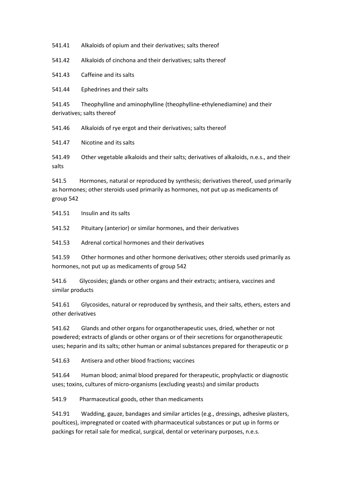541.41 Alkaloids of opium and their derivatives; salts thereof

541.42 Alkaloids of cinchona and their derivatives; salts thereof

541.43 Caffeine and its salts

541.44 Ephedrines and their salts

541.45 Theophylline and aminophylline (theophylline-ethylenediamine) and their derivatives; salts thereof

541.46 Alkaloids of rye ergot and their derivatives; salts thereof

541.47 Nicotine and its salts

541.49 Other vegetable alkaloids and their salts; derivatives of alkaloids, n.e.s., and their salts

541.5 Hormones, natural or reproduced by synthesis; derivatives thereof, used primarily as hormones; other steroids used primarily as hormones, not put up as medicaments of group 542

541.51 Insulin and its salts

541.52 Pituitary (anterior) or similar hormones, and their derivatives

541.53 Adrenal cortical hormones and their derivatives

541.59 Other hormones and other hormone derivatives; other steroids used primarily as hormones, not put up as medicaments of group 542

541.6 Glycosides; glands or other organs and their extracts; antisera, vaccines and similar products

541.61 Glycosides, natural or reproduced by synthesis, and their salts, ethers, esters and other derivatives

541.62 Glands and other organs for organotherapeutic uses, dried, whether or not powdered; extracts of glands or other organs or of their secretions for organotherapeutic uses; heparin and its salts; other human or animal substances prepared for therapeutic or p

541.63 Antisera and other blood fractions; vaccines

541.64 Human blood; animal blood prepared for therapeutic, prophylactic or diagnostic uses; toxins, cultures of micro-organisms (excluding yeasts) and similar products

541.9 Pharmaceutical goods, other than medicaments

541.91 Wadding, gauze, bandages and similar articles (e.g., dressings, adhesive plasters, poultices), impregnated or coated with pharmaceutical substances or put up in forms or packings for retail sale for medical, surgical, dental or veterinary purposes, n.e.s.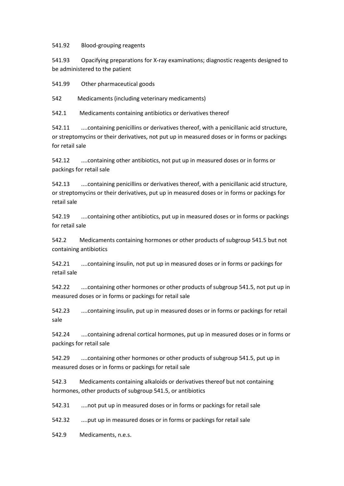541.92 Blood-grouping reagents

541.93 Opacifying preparations for X-ray examinations; diagnostic reagents designed to be administered to the patient

541.99 Other pharmaceutical goods

542 Medicaments (including veterinary medicaments)

542.1 Medicaments containing antibiotics or derivatives thereof

542.11 ....containing penicillins or derivatives thereof, with a penicillanic acid structure, or streptomycins or their derivatives, not put up in measured doses or in forms or packings for retail sale

542.12 ....containing other antibiotics, not put up in measured doses or in forms or packings for retail sale

542.13 ....containing penicillins or derivatives thereof, with a penicillanic acid structure, or streptomycins or their derivatives, put up in measured doses or in forms or packings for retail sale

542.19 ....containing other antibiotics, put up in measured doses or in forms or packings for retail sale

542.2 Medicaments containing hormones or other products of subgroup 541.5 but not containing antibiotics

542.21 ....containing insulin, not put up in measured doses or in forms or packings for retail sale

542.22 ....containing other hormones or other products of subgroup 541.5, not put up in measured doses or in forms or packings for retail sale

542.23 ....containing insulin, put up in measured doses or in forms or packings for retail sale

542.24 ....containing adrenal cortical hormones, put up in measured doses or in forms or packings for retail sale

542.29 ....containing other hormones or other products of subgroup 541.5, put up in measured doses or in forms or packings for retail sale

542.3 Medicaments containing alkaloids or derivatives thereof but not containing hormones, other products of subgroup 541.5, or antibiotics

542.31 ....not put up in measured doses or in forms or packings for retail sale

542.32 ....put up in measured doses or in forms or packings for retail sale

542.9 Medicaments, n.e.s.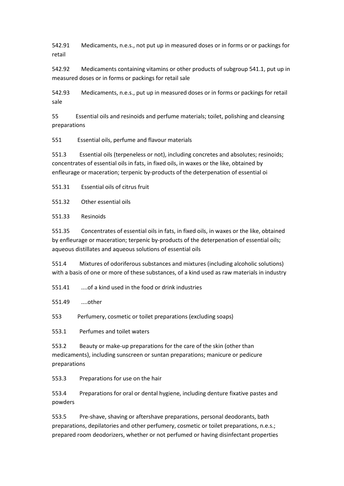542.91 Medicaments, n.e.s., not put up in measured doses or in forms or or packings for retail

542.92 Medicaments containing vitamins or other products of subgroup 541.1, put up in measured doses or in forms or packings for retail sale

542.93 Medicaments, n.e.s., put up in measured doses or in forms or packings for retail sale

55 Essential oils and resinoids and perfume materials; toilet, polishing and cleansing preparations

551 Essential oils, perfume and flavour materials

551.3 Essential oils (terpeneless or not), including concretes and absolutes; resinoids; concentrates of essential oils in fats, in fixed oils, in waxes or the like, obtained by enfleurage or maceration; terpenic by-products of the deterpenation of essential oi

551.31 Essential oils of citrus fruit

551.32 Other essential oils

551.33 Resinoids

551.35 Concentrates of essential oils in fats, in fixed oils, in waxes or the like, obtained by enfleurage or maceration; terpenic by-products of the deterpenation of essential oils; aqueous distillates and aqueous solutions of essential oils

551.4 Mixtures of odoriferous substances and mixtures (including alcoholic solutions) with a basis of one or more of these substances, of a kind used as raw materials in industry

551.41 ....of a kind used in the food or drink industries

551.49 ....other

553 Perfumery, cosmetic or toilet preparations (excluding soaps)

553.1 Perfumes and toilet waters

553.2 Beauty or make-up preparations for the care of the skin (other than medicaments), including sunscreen or suntan preparations; manicure or pedicure preparations

553.3 Preparations for use on the hair

553.4 Preparations for oral or dental hygiene, including denture fixative pastes and powders

553.5 Pre-shave, shaving or aftershave preparations, personal deodorants, bath preparations, depilatories and other perfumery, cosmetic or toilet preparations, n.e.s.; prepared room deodorizers, whether or not perfumed or having disinfectant properties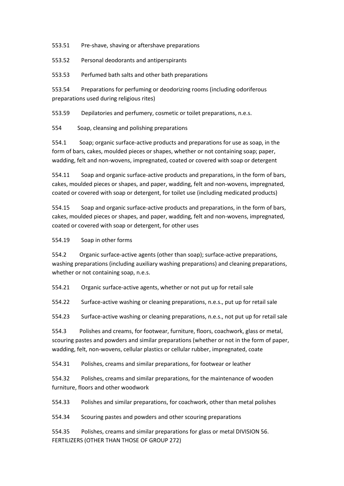553.51 Pre-shave, shaving or aftershave preparations

553.52 Personal deodorants and antiperspirants

553.53 Perfumed bath salts and other bath preparations

553.54 Preparations for perfuming or deodorizing rooms (including odoriferous preparations used during religious rites)

553.59 Depilatories and perfumery, cosmetic or toilet preparations, n.e.s.

554 Soap, cleansing and polishing preparations

554.1 Soap; organic surface-active products and preparations for use as soap, in the form of bars, cakes, moulded pieces or shapes, whether or not containing soap; paper, wadding, felt and non-wovens, impregnated, coated or covered with soap or detergent

554.11 Soap and organic surface-active products and preparations, in the form of bars, cakes, moulded pieces or shapes, and paper, wadding, felt and non-wovens, impregnated, coated or covered with soap or detergent, for toilet use (including medicated products)

554.15 Soap and organic surface-active products and preparations, in the form of bars, cakes, moulded pieces or shapes, and paper, wadding, felt and non-wovens, impregnated, coated or covered with soap or detergent, for other uses

554.19 Soap in other forms

554.2 Organic surface-active agents (other than soap); surface-active preparations, washing preparations (including auxiliary washing preparations) and cleaning preparations, whether or not containing soap, n.e.s.

554.21 Organic surface-active agents, whether or not put up for retail sale

554.22 Surface-active washing or cleaning preparations, n.e.s., put up for retail sale

554.23 Surface-active washing or cleaning preparations, n.e.s., not put up for retail sale

554.3 Polishes and creams, for footwear, furniture, floors, coachwork, glass or metal, scouring pastes and powders and similar preparations (whether or not in the form of paper, wadding, felt, non-wovens, cellular plastics or cellular rubber, impregnated, coate

554.31 Polishes, creams and similar preparations, for footwear or leather

554.32 Polishes, creams and similar preparations, for the maintenance of wooden furniture, floors and other woodwork

554.33 Polishes and similar preparations, for coachwork, other than metal polishes

554.34 Scouring pastes and powders and other scouring preparations

554.35 Polishes, creams and similar preparations for glass or metal DIVISION 56. FERTILIZERS (OTHER THAN THOSE OF GROUP 272)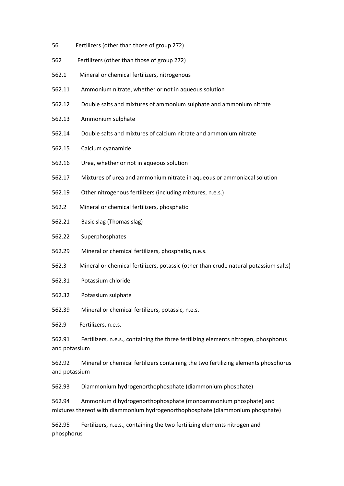- 56 Fertilizers (other than those of group 272)
- 562 Fertilizers (other than those of group 272)
- 562.1 Mineral or chemical fertilizers, nitrogenous
- 562.11 Ammonium nitrate, whether or not in aqueous solution
- 562.12 Double salts and mixtures of ammonium sulphate and ammonium nitrate
- 562.13 Ammonium sulphate
- 562.14 Double salts and mixtures of calcium nitrate and ammonium nitrate
- 562.15 Calcium cyanamide
- 562.16 Urea, whether or not in aqueous solution
- 562.17 Mixtures of urea and ammonium nitrate in aqueous or ammoniacal solution
- 562.19 Other nitrogenous fertilizers (including mixtures, n.e.s.)
- 562.2 Mineral or chemical fertilizers, phosphatic
- 562.21 Basic slag (Thomas slag)
- 562.22 Superphosphates
- 562.29 Mineral or chemical fertilizers, phosphatic, n.e.s.
- 562.3 Mineral or chemical fertilizers, potassic (other than crude natural potassium salts)
- 562.31 Potassium chloride
- 562.32 Potassium sulphate
- 562.39 Mineral or chemical fertilizers, potassic, n.e.s.

562.9 Fertilizers, n.e.s.

562.91 Fertilizers, n.e.s., containing the three fertilizing elements nitrogen, phosphorus and potassium

562.92 Mineral or chemical fertilizers containing the two fertilizing elements phosphorus and potassium

562.93 Diammonium hydrogenorthophosphate (diammonium phosphate)

562.94 Ammonium dihydrogenorthophosphate (monoammonium phosphate) and mixtures thereof with diammonium hydrogenorthophosphate (diammonium phosphate)

562.95 Fertilizers, n.e.s., containing the two fertilizing elements nitrogen and phosphorus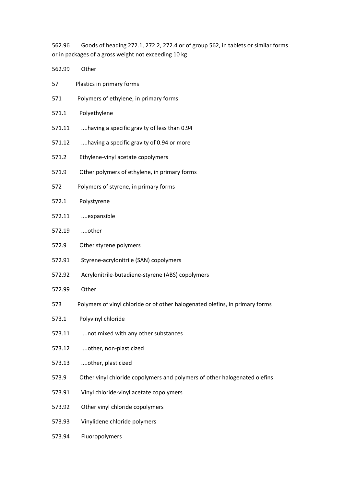562.96 Goods of heading 272.1, 272.2, 272.4 or of group 562, in tablets or similar forms or in packages of a gross weight not exceeding 10 kg

| 562.99 | Other                                                                        |  |
|--------|------------------------------------------------------------------------------|--|
| 57     | Plastics in primary forms                                                    |  |
| 571    | Polymers of ethylene, in primary forms                                       |  |
| 571.1  | Polyethylene                                                                 |  |
| 571.11 | having a specific gravity of less than 0.94                                  |  |
| 571.12 | having a specific gravity of 0.94 or more                                    |  |
| 571.2  | Ethylene-vinyl acetate copolymers                                            |  |
| 571.9  | Other polymers of ethylene, in primary forms                                 |  |
| 572    | Polymers of styrene, in primary forms                                        |  |
| 572.1  | Polystyrene                                                                  |  |
| 572.11 | expansible                                                                   |  |
| 572.19 | other                                                                        |  |
| 572.9  | Other styrene polymers                                                       |  |
| 572.91 | Styrene-acrylonitrile (SAN) copolymers                                       |  |
| 572.92 | Acrylonitrile-butadiene-styrene (ABS) copolymers                             |  |
| 572.99 | Other                                                                        |  |
| 573    | Polymers of vinyl chloride or of other halogenated olefins, in primary forms |  |
| 573.1  | Polyvinyl chloride                                                           |  |
| 573.11 | not mixed with any other substances                                          |  |
| 573.12 | other, non-plasticized                                                       |  |
| 573.13 | other, plasticized                                                           |  |
| 573.9  | Other vinyl chloride copolymers and polymers of other halogenated olefins    |  |
| 573.91 | Vinyl chloride-vinyl acetate copolymers                                      |  |
| 573.92 | Other vinyl chloride copolymers                                              |  |
| 573.93 | Vinylidene chloride polymers                                                 |  |
| 573.94 | Fluoropolymers                                                               |  |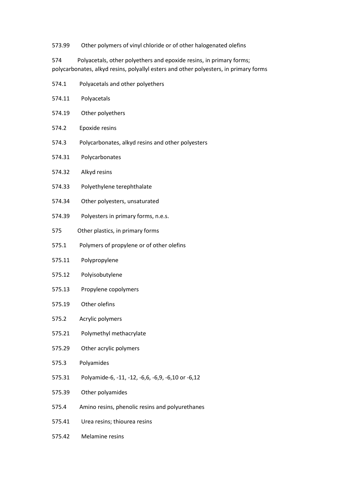573.99 Other polymers of vinyl chloride or of other halogenated olefins

574 Polyacetals, other polyethers and epoxide resins, in primary forms; polycarbonates, alkyd resins, polyallyl esters and other polyesters, in primary forms

- 574.1 Polyacetals and other polyethers
- 574.11 Polyacetals
- 574.19 Other polyethers
- 574.2 Epoxide resins
- 574.3 Polycarbonates, alkyd resins and other polyesters
- 574.31 Polycarbonates
- 574.32 Alkyd resins
- 574.33 Polyethylene terephthalate
- 574.34 Other polyesters, unsaturated
- 574.39 Polyesters in primary forms, n.e.s.
- 575 Other plastics, in primary forms
- 575.1 Polymers of propylene or of other olefins
- 575.11 Polypropylene
- 575.12 Polyisobutylene
- 575.13 Propylene copolymers
- 575.19 Other olefins
- 575.2 Acrylic polymers
- 575.21 Polymethyl methacrylate
- 575.29 Other acrylic polymers
- 575.3 Polyamides
- 575.31 Polyamide-6, -11, -12, -6,6, -6,9, -6,10 or -6,12
- 575.39 Other polyamides
- 575.4 Amino resins, phenolic resins and polyurethanes
- 575.41 Urea resins; thiourea resins
- 575.42 Melamine resins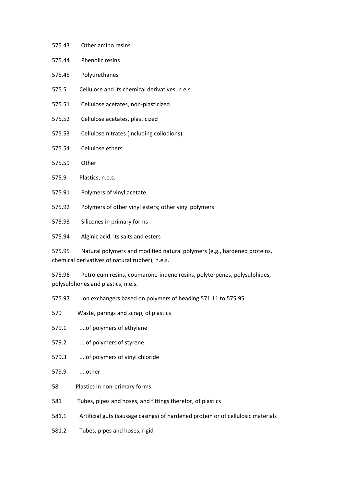- 575.44 Phenolic resins
- 575.45 Polyurethanes
- 575.5 Cellulose and its chemical derivatives, n.e.s.
- 575.51 Cellulose acetates, non-plasticized
- 575.52 Cellulose acetates, plasticized
- 575.53 Cellulose nitrates (including collodions)
- 575.54 Cellulose ethers
- 575.59 Other
- 575.9 Plastics, n.e.s.
- 575.91 Polymers of vinyl acetate
- 575.92 Polymers of other vinyl esters; other vinyl polymers
- 575.93 Silicones in primary forms
- 575.94 Alginic acid, its salts and esters

575.95 Natural polymers and modified natural polymers (e.g., hardened proteins, chemical derivatives of natural rubber), n.e.s.

575.96 Petroleum resins, coumarone-indene resins, polyterpenes, polysulphides, polysulphones and plastics, n.e.s.

- 575.97 Ion exchangers based on polymers of heading 571.11 to 575.95
- 579 Waste, parings and scrap, of plastics
- 579.1 ....of polymers of ethylene
- 579.2 ....of polymers of styrene
- 579.3 ....of polymers of vinyl chloride
- 579.9 ....other
- 58 Plastics in non-primary forms
- 581 Tubes, pipes and hoses, and fittings therefor, of plastics
- 581.1 Artificial guts (sausage casings) of hardened protein or of cellulosic materials
- 581.2 Tubes, pipes and hoses, rigid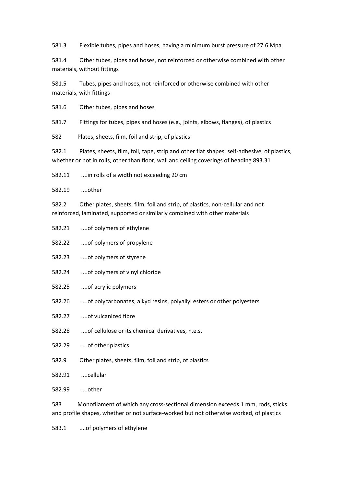581.3 Flexible tubes, pipes and hoses, having a minimum burst pressure of 27.6 Mpa

581.4 Other tubes, pipes and hoses, not reinforced or otherwise combined with other materials, without fittings

581.5 Tubes, pipes and hoses, not reinforced or otherwise combined with other materials, with fittings

581.6 Other tubes, pipes and hoses

581.7 Fittings for tubes, pipes and hoses (e.g., joints, elbows, flanges), of plastics

582 Plates, sheets, film, foil and strip, of plastics

582.1 Plates, sheets, film, foil, tape, strip and other flat shapes, self-adhesive, of plastics, whether or not in rolls, other than floor, wall and ceiling coverings of heading 893.31

582.11 ....in rolls of a width not exceeding 20 cm

582.19 ....other

582.2 Other plates, sheets, film, foil and strip, of plastics, non-cellular and not reinforced, laminated, supported or similarly combined with other materials

- 582.21 ....of polymers of ethylene
- 582.22 ....of polymers of propylene
- 582.23 ....of polymers of styrene
- 582.24 ....of polymers of vinyl chloride
- 582.25 ....of acrylic polymers
- 582.26 ....of polycarbonates, alkyd resins, polyallyl esters or other polyesters
- 582.27 ....of vulcanized fibre

582.28 ....of cellulose or its chemical derivatives, n.e.s.

- 582.29 ....of other plastics
- 582.9 Other plates, sheets, film, foil and strip, of plastics
- 582.91 ....cellular

582.99 ....other

583 Monofilament of which any cross-sectional dimension exceeds 1 mm, rods, sticks and profile shapes, whether or not surface-worked but not otherwise worked, of plastics

583.1 ....of polymers of ethylene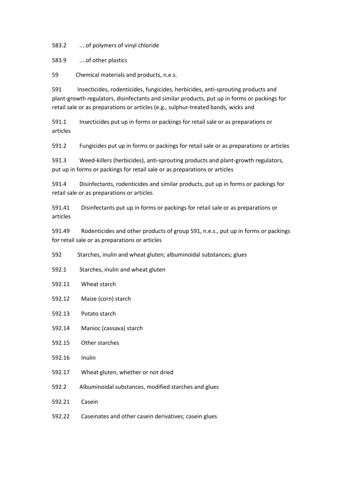583.2 ....of polymers of vinyl chloride

583.9 ....of other plastics

59 Chemical materials and products, n.e.s.

591 Insecticides, rodenticides, fungicides, herbicides, anti-sprouting products and plant-growth regulators, disinfectants and similar products, put up in forms or packings for retail sale or as preparations or articles (e.g., sulphur-treated bands, wicks and

591.1 Insecticides put up in forms or packings for retail sale or as preparations or articles

591.2 Fungicides put up in forms or packings for retail sale or as preparations or articles

591.3 Weed-killers (herbicides), anti-sprouting products and plant-growth regulators, put up in forms or packings for retail sale or as preparations or articles

591.4 Disinfectants, rodenticides and similar products, put up in forms or packings for retail sale or as preparations or articles

591.41 Disinfectants put up in forms or packings for retail sale or as preparations or articles

591.49 Rodenticides and other products of group 591, n.e.s., put up in forms or packings for retail sale or as preparations or articles

592 Starches, inulin and wheat gluten; albuminoidal substances; glues

592.1 Starches, inulin and wheat gluten

592.11 Wheat starch

592.12 Maize (corn) starch

592.13 Potato starch

592.14 Manioc (cassava) starch

592.15 Other starches

592.16 Inulin

592.17 Wheat gluten, whether or not dried

592.2 Albuminoidal substances, modified starches and glues

592.21 Casein

592.22 Caseinates and other casein derivatives; casein glues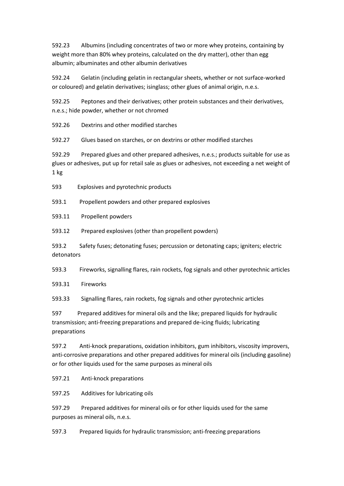592.23 Albumins (including concentrates of two or more whey proteins, containing by weight more than 80% whey proteins, calculated on the dry matter), other than egg albumin; albuminates and other albumin derivatives

592.24 Gelatin (including gelatin in rectangular sheets, whether or not surface-worked or coloured) and gelatin derivatives; isinglass; other glues of animal origin, n.e.s.

592.25 Peptones and their derivatives; other protein substances and their derivatives, n.e.s.; hide powder, whether or not chromed

592.26 Dextrins and other modified starches

592.27 Glues based on starches, or on dextrins or other modified starches

592.29 Prepared glues and other prepared adhesives, n.e.s.; products suitable for use as glues or adhesives, put up for retail sale as glues or adhesives, not exceeding a net weight of  $1$  kg

593 Explosives and pyrotechnic products

593.1 Propellent powders and other prepared explosives

593.11 Propellent powders

593.12 Prepared explosives (other than propellent powders)

593.2 Safety fuses; detonating fuses; percussion or detonating caps; igniters; electric detonators

593.3 Fireworks, signalling flares, rain rockets, fog signals and other pyrotechnic articles

593.31 Fireworks

593.33 Signalling flares, rain rockets, fog signals and other pyrotechnic articles

597 Prepared additives for mineral oils and the like; prepared liquids for hydraulic transmission; anti-freezing preparations and prepared de-icing fluids; lubricating preparations

597.2 Anti-knock preparations, oxidation inhibitors, gum inhibitors, viscosity improvers, anti-corrosive preparations and other prepared additives for mineral oils (including gasoline) or for other liquids used for the same purposes as mineral oils

597.21 Anti-knock preparations

597.25 Additives for lubricating oils

597.29 Prepared additives for mineral oils or for other liquids used for the same purposes as mineral oils, n.e.s.

597.3 Prepared liquids for hydraulic transmission; anti-freezing preparations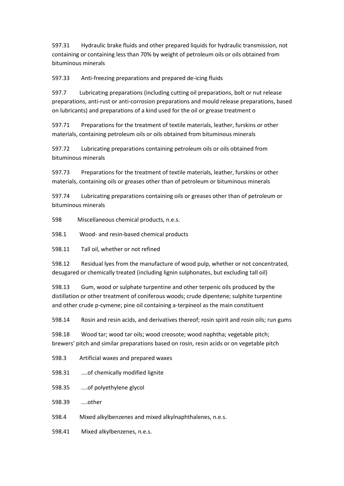597.31 Hydraulic brake fluids and other prepared liquids for hydraulic transmission, not containing or containing less than 70% by weight of petroleum oils or oils obtained from bituminous minerals

597.33 Anti-freezing preparations and prepared de-icing fluids

597.7 Lubricating preparations (including cutting oil preparations, bolt or nut release preparations, anti-rust or anti-corrosion preparations and mould release preparations, based on lubricants) and preparations of a kind used for the oil or grease treatment o

597.71 Preparations for the treatment of textile materials, leather, furskins or other materials, containing petroleum oils or oils obtained from bituminous minerals

597.72 Lubricating preparations containing petroleum oils or oils obtained from bituminous minerals

597.73 Preparations for the treatment of textile materials, leather, furskins or other materials, containing oils or greases other than of petroleum or bituminous minerals

597.74 Lubricating preparations containing oils or greases other than of petroleum or bituminous minerals

598 Miscellaneous chemical products, n.e.s.

598.1 Wood- and resin-based chemical products

598.11 Tall oil, whether or not refined

598.12 Residual lyes from the manufacture of wood pulp, whether or not concentrated, desugared or chemically treated (including lignin sulphonates, but excluding tall oil)

598.13 Gum, wood or sulphate turpentine and other terpenic oils produced by the distillation or other treatment of coniferous woods; crude dipentene; sulphite turpentine and other crude p-cymene; pine oil containing a-terpineol as the main constituent

598.14 Rosin and resin acids, and derivatives thereof; rosin spirit and rosin oils; run gums

598.18 Wood tar; wood tar oils; wood creosote; wood naphtha; vegetable pitch; brewers' pitch and similar preparations based on rosin, resin acids or on vegetable pitch

598.3 Artificial waxes and prepared waxes

598.31 ....of chemically modified lignite

598.35 ....of polyethylene glycol

598.39 ....other

598.4 Mixed alkylbenzenes and mixed alkylnaphthalenes, n.e.s.

598.41 Mixed alkylbenzenes, n.e.s.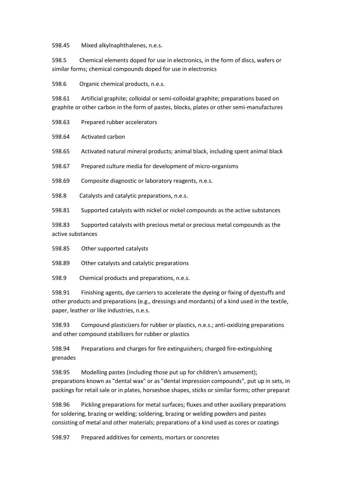598.45 Mixed alkylnaphthalenes, n.e.s.

598.5 Chemical elements doped for use in electronics, in the form of discs, wafers or similar forms; chemical compounds doped for use in electronics

598.6 Organic chemical products, n.e.s.

598.61 Artificial graphite; colloidal or semi-colloidal graphite; preparations based on graphite or other carbon in the form of pastes, blocks, plates or other semi-manufactures

598.63 Prepared rubber accelerators

598.64 Activated carbon

598.65 Activated natural mineral products; animal black, including spent animal black

598.67 Prepared culture media for development of micro-organisms

598.69 Composite diagnostic or laboratory reagents, n.e.s.

598.8 Catalysts and catalytic preparations, n.e.s.

598.81 Supported catalysts with nickel or nickel compounds as the active substances

598.83 Supported catalysts with precious metal or precious metal compounds as the active substances

598.85 Other supported catalysts

598.89 Other catalysts and catalytic preparations

598.9 Chemical products and preparations, n.e.s.

598.91 Finishing agents, dye carriers to accelerate the dyeing or fixing of dyestuffs and other products and preparations (e.g., dressings and mordants) of a kind used in the textile, paper, leather or like industries, n.e.s.

598.93 Compound plasticizers for rubber or plastics, n.e.s.; anti-oxidizing preparations and other compound stabilizers for rubber or plastics

598.94 Preparations and charges for fire extinguishers; charged fire-extinguishing grenades

598.95 Modelling pastes (including those put up for children's amusement); preparations known as "dental wax" or as "dental impression compounds", put up in sets, in packings for retail sale or in plates, horseshoe shapes, sticks or similar forms; other preparat

598.96 Pickling preparations for metal surfaces; fluxes and other auxiliary preparations for soldering, brazing or welding; soldering, brazing or welding powders and pastes consisting of metal and other materials; preparations of a kind used as cores or coatings

598.97 Prepared additives for cements, mortars or concretes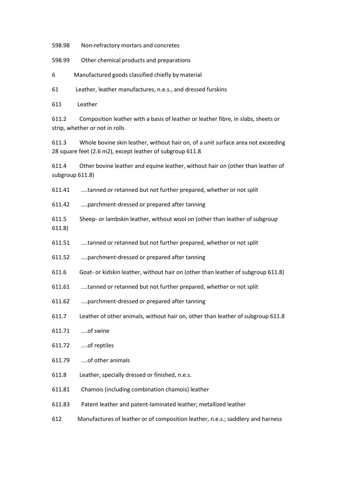598.98 Non-refractory mortars and concretes

598.99 Other chemical products and preparations

6 Manufactured goods classified chiefly by material

61 Leather, leather manufactures, n.e.s., and dressed furskins

611 Leather

611.2 Composition leather with a basis of leather or leather fibre, in slabs, sheets or strip, whether or not in rolls

611.3 Whole bovine skin leather, without hair on, of a unit surface area not exceeding 28 square feet (2.6 m2), except leather of subgroup 611.8

611.4 Other bovine leather and equine leather, without hair on (other than leather of subgroup 611.8)

611.41 ....tanned or retanned but not further prepared, whether or not split

611.42 ....parchment-dressed or prepared after tanning

- 611.5 Sheep- or lambskin leather, without wool on (other than leather of subgroup
- 611.8)
- 611.51 ....tanned or retanned but not further prepared, whether or not split
- 611.52 ....parchment-dressed or prepared after tanning
- 611.6 Goat- or kidskin leather, without hair on (other than leather of subgroup 611.8)
- 611.61 ....tanned or retanned but not further prepared, whether or not split
- 611.62 ....parchment-dressed or prepared after tanning
- 611.7 Leather of other animals, without hair on, other than leather of subgroup 611.8
- 611.71 ....of swine
- 611.72 ....of reptiles
- 611.79 ....of other animals
- 611.8 Leather, specially dressed or finished, n.e.s.
- 611.81 Chamois (including combination chamois) leather
- 611.83 Patent leather and patent-laminated leather; metallized leather
- 612 Manufactures of leather or of composition leather, n.e.s.; saddlery and harness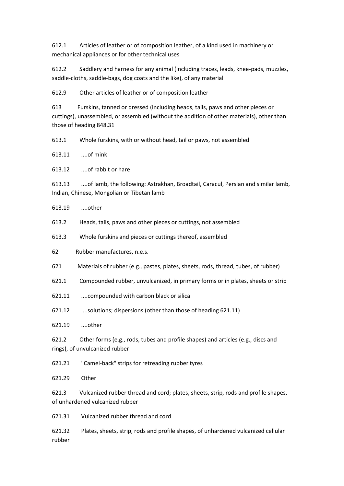612.1 Articles of leather or of composition leather, of a kind used in machinery or mechanical appliances or for other technical uses

612.2 Saddlery and harness for any animal (including traces, leads, knee-pads, muzzles, saddle-cloths, saddle-bags, dog coats and the like), of any material

612.9 Other articles of leather or of composition leather

613 Furskins, tanned or dressed (including heads, tails, paws and other pieces or cuttings), unassembled, or assembled (without the addition of other materials), other than those of heading 848.31

613.1 Whole furskins, with or without head, tail or paws, not assembled

613.11 ....of mink

613.12 ....of rabbit or hare

613.13 ....of lamb, the following: Astrakhan, Broadtail, Caracul, Persian and similar lamb, Indian, Chinese, Mongolian or Tibetan lamb

613.19 ....other

613.2 Heads, tails, paws and other pieces or cuttings, not assembled

613.3 Whole furskins and pieces or cuttings thereof, assembled

62 Rubber manufactures, n.e.s.

621 Materials of rubber (e.g., pastes, plates, sheets, rods, thread, tubes, of rubber)

621.1 Compounded rubber, unvulcanized, in primary forms or in plates, sheets or strip

621.11 ....compounded with carbon black or silica

621.12 ....solutions; dispersions (other than those of heading 621.11)

621.19 ....other

621.2 Other forms (e.g., rods, tubes and profile shapes) and articles (e.g., discs and rings), of unvulcanized rubber

621.21 "Camel-back" strips for retreading rubber tyres

621.29 Other

621.3 Vulcanized rubber thread and cord; plates, sheets, strip, rods and profile shapes, of unhardened vulcanized rubber

621.31 Vulcanized rubber thread and cord

621.32 Plates, sheets, strip, rods and profile shapes, of unhardened vulcanized cellular rubber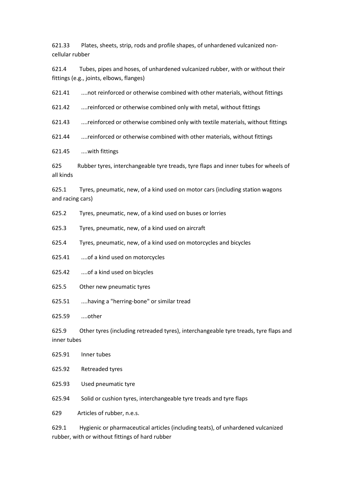621.33 Plates, sheets, strip, rods and profile shapes, of unhardened vulcanized noncellular rubber

621.4 Tubes, pipes and hoses, of unhardened vulcanized rubber, with or without their fittings (e.g., joints, elbows, flanges)

621.41 ....not reinforced or otherwise combined with other materials, without fittings

621.42 ....reinforced or otherwise combined only with metal, without fittings

621.43 ....reinforced or otherwise combined only with textile materials, without fittings

621.44 ....reinforced or otherwise combined with other materials, without fittings

621.45 ....with fittings

625 Rubber tyres, interchangeable tyre treads, tyre flaps and inner tubes for wheels of all kinds

625.1 Tyres, pneumatic, new, of a kind used on motor cars (including station wagons and racing cars)

- 625.2 Tyres, pneumatic, new, of a kind used on buses or lorries
- 625.3 Tyres, pneumatic, new, of a kind used on aircraft
- 625.4 Tyres, pneumatic, new, of a kind used on motorcycles and bicycles
- 625.41 ....of a kind used on motorcycles
- 625.42 ....of a kind used on bicycles
- 625.5 Other new pneumatic tyres
- 625.51 ....having a "herring-bone" or similar tread

625.59 ....other

625.9 Other tyres (including retreaded tyres), interchangeable tyre treads, tyre flaps and inner tubes

625.91 Inner tubes

625.92 Retreaded tyres

625.93 Used pneumatic tyre

625.94 Solid or cushion tyres, interchangeable tyre treads and tyre flaps

629 Articles of rubber, n.e.s.

629.1 Hygienic or pharmaceutical articles (including teats), of unhardened vulcanized rubber, with or without fittings of hard rubber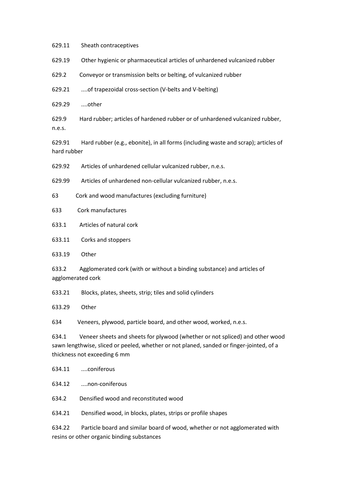629.11 Sheath contraceptives

629.19 Other hygienic or pharmaceutical articles of unhardened vulcanized rubber

629.2 Conveyor or transmission belts or belting, of vulcanized rubber

629.21 ....of trapezoidal cross-section (V-belts and V-belting)

629.29 ....other

629.9 Hard rubber; articles of hardened rubber or of unhardened vulcanized rubber, n.e.s.

629.91 Hard rubber (e.g., ebonite), in all forms (including waste and scrap); articles of hard rubber

629.92 Articles of unhardened cellular vulcanized rubber, n.e.s.

629.99 Articles of unhardened non-cellular vulcanized rubber, n.e.s.

63 Cork and wood manufactures (excluding furniture)

633 Cork manufactures

633.1 Articles of natural cork

633.11 Corks and stoppers

633.19 Other

633.2 Agglomerated cork (with or without a binding substance) and articles of agglomerated cork

633.21 Blocks, plates, sheets, strip; tiles and solid cylinders

633.29 Other

634 Veneers, plywood, particle board, and other wood, worked, n.e.s.

634.1 Veneer sheets and sheets for plywood (whether or not spliced) and other wood sawn lengthwise, sliced or peeled, whether or not planed, sanded or finger-jointed, of a thickness not exceeding 6 mm

634.11 ....coniferous

634.12 ....non-coniferous

634.2 Densified wood and reconstituted wood

634.21 Densified wood, in blocks, plates, strips or profile shapes

634.22 Particle board and similar board of wood, whether or not agglomerated with resins or other organic binding substances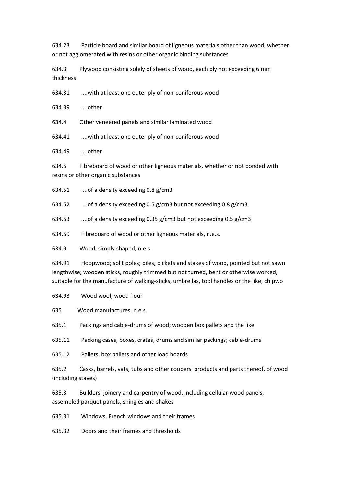634.23 Particle board and similar board of ligneous materials other than wood, whether or not agglomerated with resins or other organic binding substances

634.3 Plywood consisting solely of sheets of wood, each ply not exceeding 6 mm thickness

634.31 ....with at least one outer ply of non-coniferous wood

634.39 ....other

634.4 Other veneered panels and similar laminated wood

634.41 ....with at least one outer ply of non-coniferous wood

634.49 ....other

634.5 Fibreboard of wood or other ligneous materials, whether or not bonded with resins or other organic substances

634.51 ....of a density exceeding 0.8 g/cm3

634.52 ....of a density exceeding 0.5 g/cm3 but not exceeding 0.8 g/cm3

634.53 ....of a density exceeding 0.35 g/cm3 but not exceeding 0.5 g/cm3

634.59 Fibreboard of wood or other ligneous materials, n.e.s.

634.9 Wood, simply shaped, n.e.s.

634.91 Hoopwood; split poles; piles, pickets and stakes of wood, pointed but not sawn lengthwise; wooden sticks, roughly trimmed but not turned, bent or otherwise worked, suitable for the manufacture of walking-sticks, umbrellas, tool handles or the like; chipwo

634.93 Wood wool; wood flour

635 Wood manufactures, n.e.s.

635.1 Packings and cable-drums of wood; wooden box pallets and the like

635.11 Packing cases, boxes, crates, drums and similar packings; cable-drums

635.12 Pallets, box pallets and other load boards

635.2 Casks, barrels, vats, tubs and other coopers' products and parts thereof, of wood (including staves)

635.3 Builders' joinery and carpentry of wood, including cellular wood panels, assembled parquet panels, shingles and shakes

635.31 Windows, French windows and their frames

635.32 Doors and their frames and thresholds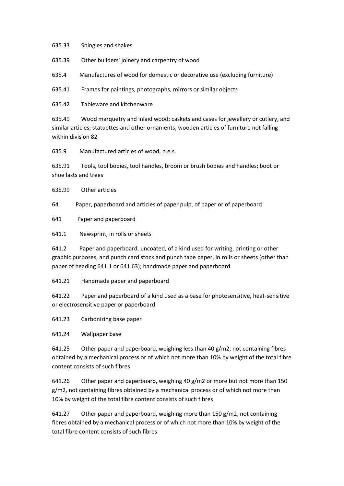635.33 Shingles and shakes

635.39 Other builders' joinery and carpentry of wood

635.4 Manufactures of wood for domestic or decorative use (excluding furniture)

635.41 Frames for paintings, photographs, mirrors or similar objects

635.42 Tableware and kitchenware

635.49 Wood marquetry and inlaid wood; caskets and cases for jewellery or cutlery, and similar articles; statuettes and other ornaments; wooden articles of furniture not falling within division 82

635.9 Manufactured articles of wood, n.e.s.

635.91 Tools, tool bodies, tool handles, broom or brush bodies and handles; boot or shoe lasts and trees

635.99 Other articles

64 Paper, paperboard and articles of paper pulp, of paper or of paperboard

641 Paper and paperboard

641.1 Newsprint, in rolls or sheets

641.2 Paper and paperboard, uncoated, of a kind used for writing, printing or other graphic purposes, and punch card stock and punch tape paper, in rolls or sheets (other than paper of heading 641.1 or 641.63); handmade paper and paperboard

641.21 Handmade paper and paperboard

641.22 Paper and paperboard of a kind used as a base for photosensitive, heat-sensitive or electrosensitive paper or paperboard

641.23 Carbonizing base paper

641.24 Wallpaper base

641.25 Other paper and paperboard, weighing less than 40 g/m2, not containing fibres obtained by a mechanical process or of which not more than 10% by weight of the total fibre content consists of such fibres

641.26 Other paper and paperboard, weighing 40 g/m2 or more but not more than 150 g/m2, not containing fibres obtained by a mechanical process or of which not more than 10% by weight of the total fibre content consists of such fibres

641.27 Other paper and paperboard, weighing more than 150 g/m2, not containing fibres obtained by a mechanical process or of which not more than 10% by weight of the total fibre content consists of such fibres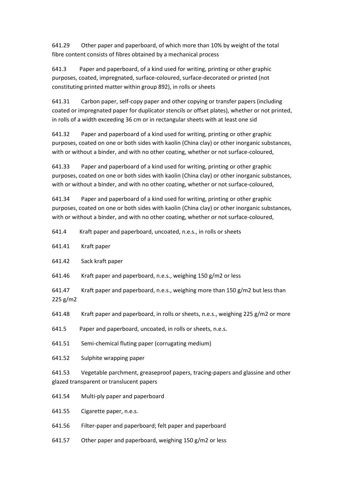641.29 Other paper and paperboard, of which more than 10% by weight of the total fibre content consists of fibres obtained by a mechanical process

641.3 Paper and paperboard, of a kind used for writing, printing or other graphic purposes, coated, impregnated, surface-coloured, surface-decorated or printed (not constituting printed matter within group 892), in rolls or sheets

641.31 Carbon paper, self-copy paper and other copying or transfer papers (including coated or impregnated paper for duplicator stencils or offset plates), whether or not printed, in rolls of a width exceeding 36 cm or in rectangular sheets with at least one sid

641.32 Paper and paperboard of a kind used for writing, printing or other graphic purposes, coated on one or both sides with kaolin (China clay) or other inorganic substances, with or without a binder, and with no other coating, whether or not surface-coloured,

641.33 Paper and paperboard of a kind used for writing, printing or other graphic purposes, coated on one or both sides with kaolin (China clay) or other inorganic substances, with or without a binder, and with no other coating, whether or not surface-coloured,

641.34 Paper and paperboard of a kind used for writing, printing or other graphic purposes, coated on one or both sides with kaolin (China clay) or other inorganic substances, with or without a binder, and with no other coating, whether or not surface-coloured,

- 641.4 Kraft paper and paperboard, uncoated, n.e.s., in rolls or sheets
- 641.41 Kraft paper
- 641.42 Sack kraft paper
- 641.46 Kraft paper and paperboard, n.e.s., weighing 150 g/m2 or less
- 641.47 Kraft paper and paperboard, n.e.s., weighing more than 150 g/m2 but less than 225 g/m2
- 641.48 Kraft paper and paperboard, in rolls or sheets, n.e.s., weighing 225 g/m2 or more
- 641.5 Paper and paperboard, uncoated, in rolls or sheets, n.e.s.
- 641.51 Semi-chemical fluting paper (corrugating medium)
- 641.52 Sulphite wrapping paper

641.53 Vegetable parchment, greaseproof papers, tracing-papers and glassine and other glazed transparent or translucent papers

- 641.54 Multi-ply paper and paperboard
- 641.55 Cigarette paper, n.e.s.
- 641.56 Filter-paper and paperboard; felt paper and paperboard
- 641.57 Other paper and paperboard, weighing 150 g/m2 or less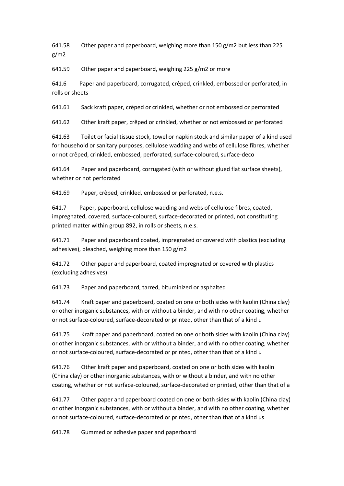641.58 Other paper and paperboard, weighing more than  $150$  g/m2 but less than 225 g/m2

641.59 Other paper and paperboard, weighing 225 g/m2 or more

641.6 Paper and paperboard, corrugated, crêped, crinkled, embossed or perforated, in rolls or sheets

641.61 Sack kraft paper, crêped or crinkled, whether or not embossed or perforated

641.62 Other kraft paper, crêped or crinkled, whether or not embossed or perforated

641.63 Toilet or facial tissue stock, towel or napkin stock and similar paper of a kind used for household or sanitary purposes, cellulose wadding and webs of cellulose fibres, whether or not crêped, crinkled, embossed, perforated, surface-coloured, surface-deco

641.64 Paper and paperboard, corrugated (with or without glued flat surface sheets), whether or not perforated

641.69 Paper, crêped, crinkled, embossed or perforated, n.e.s.

641.7 Paper, paperboard, cellulose wadding and webs of cellulose fibres, coated, impregnated, covered, surface-coloured, surface-decorated or printed, not constituting printed matter within group 892, in rolls or sheets, n.e.s.

641.71 Paper and paperboard coated, impregnated or covered with plastics (excluding adhesives), bleached, weighing more than 150 g/m2

641.72 Other paper and paperboard, coated impregnated or covered with plastics (excluding adhesives)

641.73 Paper and paperboard, tarred, bituminized or asphalted

641.74 Kraft paper and paperboard, coated on one or both sides with kaolin (China clay) or other inorganic substances, with or without a binder, and with no other coating, whether or not surface-coloured, surface-decorated or printed, other than that of a kind u

641.75 Kraft paper and paperboard, coated on one or both sides with kaolin (China clay) or other inorganic substances, with or without a binder, and with no other coating, whether or not surface-coloured, surface-decorated or printed, other than that of a kind u

641.76 Other kraft paper and paperboard, coated on one or both sides with kaolin (China clay) or other inorganic substances, with or without a binder, and with no other coating, whether or not surface-coloured, surface-decorated or printed, other than that of a

641.77 Other paper and paperboard coated on one or both sides with kaolin (China clay) or other inorganic substances, with or without a binder, and with no other coating, whether or not surface-coloured, surface-decorated or printed, other than that of a kind us

641.78 Gummed or adhesive paper and paperboard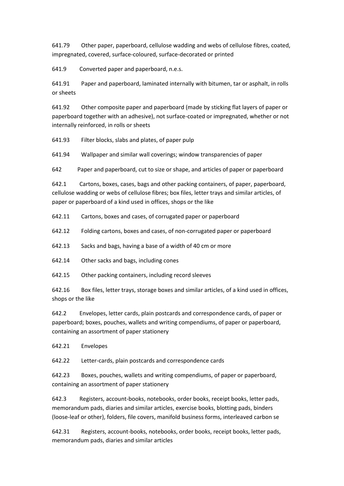641.79 Other paper, paperboard, cellulose wadding and webs of cellulose fibres, coated, impregnated, covered, surface-coloured, surface-decorated or printed

641.9 Converted paper and paperboard, n.e.s.

641.91 Paper and paperboard, laminated internally with bitumen, tar or asphalt, in rolls or sheets

641.92 Other composite paper and paperboard (made by sticking flat layers of paper or paperboard together with an adhesive), not surface-coated or impregnated, whether or not internally reinforced, in rolls or sheets

641.93 Filter blocks, slabs and plates, of paper pulp

641.94 Wallpaper and similar wall coverings; window transparencies of paper

642 Paper and paperboard, cut to size or shape, and articles of paper or paperboard

642.1 Cartons, boxes, cases, bags and other packing containers, of paper, paperboard, cellulose wadding or webs of cellulose fibres; box files, letter trays and similar articles, of paper or paperboard of a kind used in offices, shops or the like

642.11 Cartons, boxes and cases, of corrugated paper or paperboard

642.12 Folding cartons, boxes and cases, of non-corrugated paper or paperboard

642.13 Sacks and bags, having a base of a width of 40 cm or more

642.14 Other sacks and bags, including cones

642.15 Other packing containers, including record sleeves

642.16 Box files, letter trays, storage boxes and similar articles, of a kind used in offices, shops or the like

642.2 Envelopes, letter cards, plain postcards and correspondence cards, of paper or paperboard; boxes, pouches, wallets and writing compendiums, of paper or paperboard, containing an assortment of paper stationery

642.21 Envelopes

642.22 Letter-cards, plain postcards and correspondence cards

642.23 Boxes, pouches, wallets and writing compendiums, of paper or paperboard, containing an assortment of paper stationery

642.3 Registers, account-books, notebooks, order books, receipt books, letter pads, memorandum pads, diaries and similar articles, exercise books, blotting pads, binders (loose-leaf or other), folders, file covers, manifold business forms, interleaved carbon se

642.31 Registers, account-books, notebooks, order books, receipt books, letter pads, memorandum pads, diaries and similar articles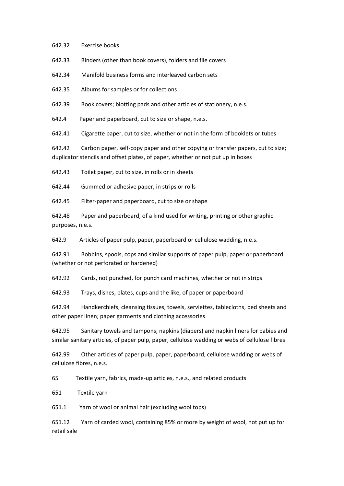642.32 Exercise books

642.33 Binders (other than book covers), folders and file covers

642.34 Manifold business forms and interleaved carbon sets

642.35 Albums for samples or for collections

642.39 Book covers; blotting pads and other articles of stationery, n.e.s.

642.4 Paper and paperboard, cut to size or shape, n.e.s.

642.41 Cigarette paper, cut to size, whether or not in the form of booklets or tubes

642.42 Carbon paper, self-copy paper and other copying or transfer papers, cut to size; duplicator stencils and offset plates, of paper, whether or not put up in boxes

642.43 Toilet paper, cut to size, in rolls or in sheets

642.44 Gummed or adhesive paper, in strips or rolls

642.45 Filter-paper and paperboard, cut to size or shape

642.48 Paper and paperboard, of a kind used for writing, printing or other graphic purposes, n.e.s.

642.9 Articles of paper pulp, paper, paperboard or cellulose wadding, n.e.s.

642.91 Bobbins, spools, cops and similar supports of paper pulp, paper or paperboard (whether or not perforated or hardened)

642.92 Cards, not punched, for punch card machines, whether or not in strips

642.93 Trays, dishes, plates, cups and the like, of paper or paperboard

642.94 Handkerchiefs, cleansing tissues, towels, serviettes, tablecloths, bed sheets and other paper linen; paper garments and clothing accessories

642.95 Sanitary towels and tampons, napkins (diapers) and napkin liners for babies and similar sanitary articles, of paper pulp, paper, cellulose wadding or webs of cellulose fibres

642.99 Other articles of paper pulp, paper, paperboard, cellulose wadding or webs of cellulose fibres, n.e.s.

65 Textile yarn, fabrics, made-up articles, n.e.s., and related products

651 Textile yarn

651.1 Yarn of wool or animal hair (excluding wool tops)

651.12 Yarn of carded wool, containing 85% or more by weight of wool, not put up for retail sale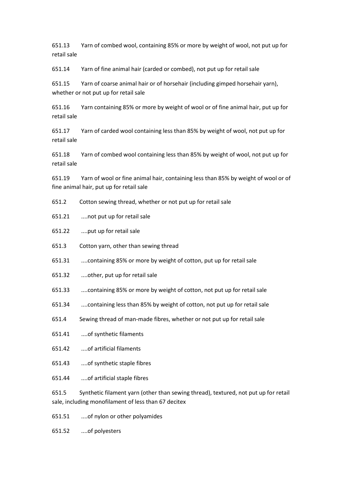651.13 Yarn of combed wool, containing 85% or more by weight of wool, not put up for retail sale

651.14 Yarn of fine animal hair (carded or combed), not put up for retail sale

651.15 Yarn of coarse animal hair or of horsehair (including gimped horsehair yarn), whether or not put up for retail sale

651.16 Yarn containing 85% or more by weight of wool or of fine animal hair, put up for retail sale

651.17 Yarn of carded wool containing less than 85% by weight of wool, not put up for retail sale

651.18 Yarn of combed wool containing less than 85% by weight of wool, not put up for retail sale

651.19 Yarn of wool or fine animal hair, containing less than 85% by weight of wool or of fine animal hair, put up for retail sale

- 651.2 Cotton sewing thread, whether or not put up for retail sale
- 651.21 ....not put up for retail sale
- 651.22 ....put up for retail sale
- 651.3 Cotton yarn, other than sewing thread
- 651.31 ....containing 85% or more by weight of cotton, put up for retail sale
- 651.32 ....other, put up for retail sale
- 651.33 ....containing 85% or more by weight of cotton, not put up for retail sale
- 651.34 ....containing less than 85% by weight of cotton, not put up for retail sale
- 651.4 Sewing thread of man-made fibres, whether or not put up for retail sale
- 651.41 ....of synthetic filaments
- 651.42 ....of artificial filaments
- 651.43 ....of synthetic staple fibres
- 651.44 ....of artificial staple fibres

651.5 Synthetic filament yarn (other than sewing thread), textured, not put up for retail sale, including monofilament of less than 67 decitex

- 651.51 ....of nylon or other polyamides
- 651.52 ....of polyesters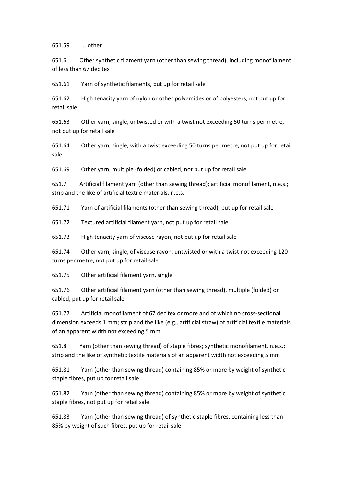651.59 ....other

651.6 Other synthetic filament yarn (other than sewing thread), including monofilament of less than 67 decitex

651.61 Yarn of synthetic filaments, put up for retail sale

651.62 High tenacity yarn of nylon or other polyamides or of polyesters, not put up for retail sale

651.63 Other yarn, single, untwisted or with a twist not exceeding 50 turns per metre, not put up for retail sale

651.64 Other yarn, single, with a twist exceeding 50 turns per metre, not put up for retail sale

651.69 Other yarn, multiple (folded) or cabled, not put up for retail sale

651.7 Artificial filament yarn (other than sewing thread); artificial monofilament, n.e.s.; strip and the like of artificial textile materials, n.e.s.

651.71 Yarn of artificial filaments (other than sewing thread), put up for retail sale

651.72 Textured artificial filament yarn, not put up for retail sale

651.73 High tenacity yarn of viscose rayon, not put up for retail sale

651.74 Other yarn, single, of viscose rayon, untwisted or with a twist not exceeding 120 turns per metre, not put up for retail sale

651.75 Other artificial filament yarn, single

651.76 Other artificial filament yarn (other than sewing thread), multiple (folded) or cabled, put up for retail sale

651.77 Artificial monofilament of 67 decitex or more and of which no cross-sectional dimension exceeds 1 mm; strip and the like (e.g., artificial straw) of artificial textile materials of an apparent width not exceeding 5 mm

651.8 Yarn (other than sewing thread) of staple fibres; synthetic monofilament, n.e.s.; strip and the like of synthetic textile materials of an apparent width not exceeding 5 mm

651.81 Yarn (other than sewing thread) containing 85% or more by weight of synthetic staple fibres, put up for retail sale

651.82 Yarn (other than sewing thread) containing 85% or more by weight of synthetic staple fibres, not put up for retail sale

651.83 Yarn (other than sewing thread) of synthetic staple fibres, containing less than 85% by weight of such fibres, put up for retail sale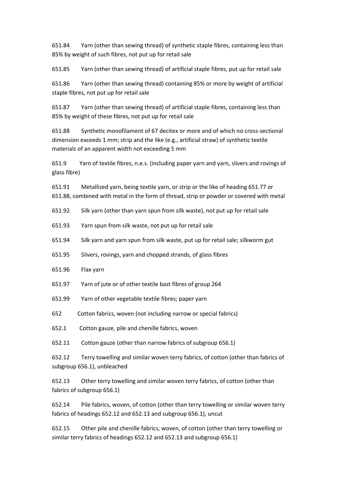651.84 Yarn (other than sewing thread) of synthetic staple fibres, containing less than 85% by weight of such fibres, not put up for retail sale

651.85 Yarn (other than sewing thread) of artificial staple fibres, put up for retail sale

651.86 Yarn (other than sewing thread) containing 85% or more by weight of artificial staple fibres, not put up for retail sale

651.87 Yarn (other than sewing thread) of artificial staple fibres, containing less than 85% by weight of these fibres, not put up for retail sale

651.88 Synthetic monofilament of 67 decitex or more and of which no cross-sectional dimension exceeds 1 mm; strip and the like (e.g., artificial straw) of synthetic textile materials of an apparent width not exceeding 5 mm

651.9 Yarn of textile fibres, n.e.s. (including paper yarn and yarn, slivers and rovings of glass fibre)

651.91 Metallized yarn, being textile yarn, or strip or the like of heading 651.77 or 651.88, combined with metal in the form of thread, strip or powder or covered with metal

- 651.92 Silk yarn (other than yarn spun from silk waste), not put up for retail sale
- 651.93 Yarn spun from silk waste, not put up for retail sale
- 651.94 Silk yarn and yarn spun from silk waste, put up for retail sale; silkworm gut
- 651.95 Slivers, rovings, yarn and chopped strands, of glass fibres
- 651.96 Flax yarn
- 651.97 Yarn of jute or of other textile bast fibres of group 264
- 651.99 Yarn of other vegetable textile fibres; paper yarn
- 652 Cotton fabrics, woven (not including narrow or special fabrics)
- 652.1 Cotton gauze, pile and chenille fabrics, woven

652.11 Cotton gauze (other than narrow fabrics of subgroup 656.1)

652.12 Terry towelling and similar woven terry fabrics, of cotton (other than fabrics of subgroup 656.1), unbleached

652.13 Other terry towelling and similar woven terry fabrics, of cotton (other than fabrics of subgroup 656.1)

652.14 Pile fabrics, woven, of cotton (other than terry towelling or similar woven terry fabrics of headings 652.12 and 652.13 and subgroup 656.1), uncut

652.15 Other pile and chenille fabrics, woven, of cotton (other than terry towelling or similar terry fabrics of headings 652.12 and 652.13 and subgroup 656.1)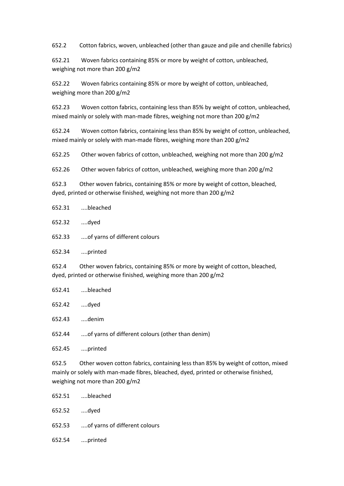652.2 Cotton fabrics, woven, unbleached (other than gauze and pile and chenille fabrics)

652.21 Woven fabrics containing 85% or more by weight of cotton, unbleached, weighing not more than 200 g/m2

652.22 Woven fabrics containing 85% or more by weight of cotton, unbleached, weighing more than 200 g/m2

652.23 Woven cotton fabrics, containing less than 85% by weight of cotton, unbleached, mixed mainly or solely with man-made fibres, weighing not more than 200 g/m2

652.24 Woven cotton fabrics, containing less than 85% by weight of cotton, unbleached, mixed mainly or solely with man-made fibres, weighing more than 200 g/m2

652.25 Other woven fabrics of cotton, unbleached, weighing not more than 200 g/m2

652.26 Other woven fabrics of cotton, unbleached, weighing more than 200 g/m2

652.3 Other woven fabrics, containing 85% or more by weight of cotton, bleached, dyed, printed or otherwise finished, weighing not more than 200 g/m2

| 652.31 | bleached |
|--------|----------|
|        |          |

652.32 ....dyed

652.33 ....of yarns of different colours

652.34 ....printed

652.4 Other woven fabrics, containing 85% or more by weight of cotton, bleached, dyed, printed or otherwise finished, weighing more than 200 g/m2

- 652.41 ....bleached
- 652.42 ....dyed
- 652.43 ....denim

652.44 ....of yarns of different colours (other than denim)

652.45 ....printed

652.5 Other woven cotton fabrics, containing less than 85% by weight of cotton, mixed mainly or solely with man-made fibres, bleached, dyed, printed or otherwise finished, weighing not more than 200 g/m2

| 652.51 bleached                      |
|--------------------------------------|
| 652.52 dyed                          |
| 652.53 of yarns of different colours |
| 652.54 printed                       |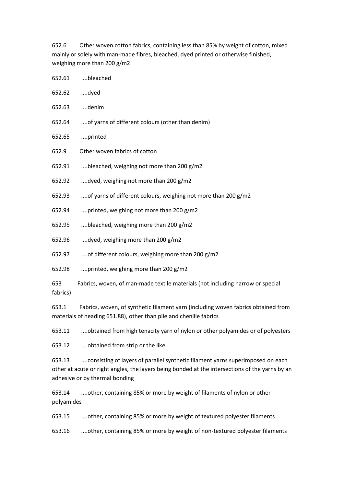652.6 Other woven cotton fabrics, containing less than 85% by weight of cotton, mixed mainly or solely with man-made fibres, bleached, dyed printed or otherwise finished, weighing more than 200 g/m2

652.61 ....bleached 652.62 ....dyed 652.63 ....denim 652.64 ....of yarns of different colours (other than denim) 652.65 ....printed 652.9 Other woven fabrics of cotton 652.91 ....bleached, weighing not more than 200 g/m2 652.92  $\ldots$  dyed, weighing not more than 200 g/m2 652.93 ....of yarns of different colours, weighing not more than 200 g/m2 652.94 ....printed, weighing not more than 200 g/m2 652.95 ....bleached, weighing more than 200  $g/m2$ 652.96 ....dyed, weighing more than 200 g/m2 652.97 ....of different colours, weighing more than 200 g/m2 652.98 ....printed, weighing more than 200 g/m2 653 Fabrics, woven, of man-made textile materials (not including narrow or special fabrics)

653.1 Fabrics, woven, of synthetic filament yarn (including woven fabrics obtained from materials of heading 651.88), other than pile and chenille fabrics

653.11 ....obtained from high tenacity yarn of nylon or other polyamides or of polyesters

653.12 ....obtained from strip or the like

653.13 ....consisting of layers of parallel synthetic filament yarns superimposed on each other at acute or right angles, the layers being bonded at the intersections of the yarns by an adhesive or by thermal bonding

653.14 ....other, containing 85% or more by weight of filaments of nylon or other polyamides

653.15 ....other, containing 85% or more by weight of textured polyester filaments

653.16 ....other, containing 85% or more by weight of non-textured polyester filaments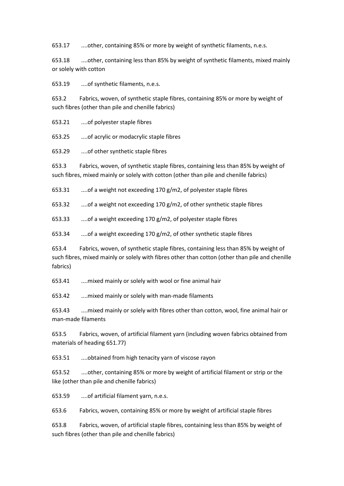653.17 ....other, containing 85% or more by weight of synthetic filaments, n.e.s.

653.18 ....other, containing less than 85% by weight of synthetic filaments, mixed mainly or solely with cotton

653.19 ....of synthetic filaments, n.e.s.

653.2 Fabrics, woven, of synthetic staple fibres, containing 85% or more by weight of such fibres (other than pile and chenille fabrics)

653.21 ....of polyester staple fibres

653.25 ....of acrylic or modacrylic staple fibres

653.29 ....of other synthetic staple fibres

653.3 Fabrics, woven, of synthetic staple fibres, containing less than 85% by weight of such fibres, mixed mainly or solely with cotton (other than pile and chenille fabrics)

653.31 ....of a weight not exceeding 170 g/m2, of polyester staple fibres

653.32 ....of a weight not exceeding 170 g/m2, of other synthetic staple fibres

653.33 ....of a weight exceeding 170 g/m2, of polyester staple fibres

653.34 ....of a weight exceeding 170 g/m2, of other synthetic staple fibres

653.4 Fabrics, woven, of synthetic staple fibres, containing less than 85% by weight of such fibres, mixed mainly or solely with fibres other than cotton (other than pile and chenille fabrics)

653.41 ....mixed mainly or solely with wool or fine animal hair

653.42 ....mixed mainly or solely with man-made filaments

653.43 ....mixed mainly or solely with fibres other than cotton, wool, fine animal hair or man-made filaments

653.5 Fabrics, woven, of artificial filament yarn (including woven fabrics obtained from materials of heading 651.77)

653.51 ....obtained from high tenacity yarn of viscose rayon

653.52 ....other, containing 85% or more by weight of artificial filament or strip or the like (other than pile and chenille fabrics)

653.59 ....of artificial filament yarn, n.e.s.

653.6 Fabrics, woven, containing 85% or more by weight of artificial staple fibres

653.8 Fabrics, woven, of artificial staple fibres, containing less than 85% by weight of such fibres (other than pile and chenille fabrics)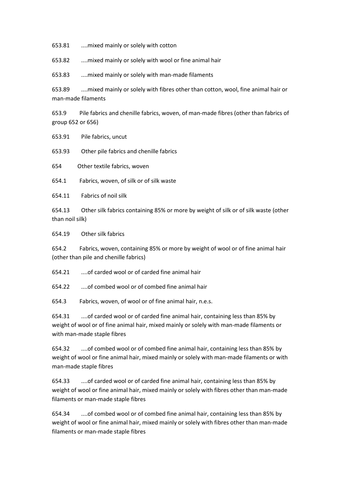653.81 ....mixed mainly or solely with cotton

653.82 ....mixed mainly or solely with wool or fine animal hair

653.83 ....mixed mainly or solely with man-made filaments

653.89 ....mixed mainly or solely with fibres other than cotton, wool, fine animal hair or man-made filaments

653.9 Pile fabrics and chenille fabrics, woven, of man-made fibres (other than fabrics of group 652 or 656)

653.91 Pile fabrics, uncut

653.93 Other pile fabrics and chenille fabrics

654 Other textile fabrics, woven

654.1 Fabrics, woven, of silk or of silk waste

654.11 Fabrics of noil silk

654.13 Other silk fabrics containing 85% or more by weight of silk or of silk waste (other than noil silk)

654.19 Other silk fabrics

654.2 Fabrics, woven, containing 85% or more by weight of wool or of fine animal hair (other than pile and chenille fabrics)

654.21 ....of carded wool or of carded fine animal hair

654.22 ....of combed wool or of combed fine animal hair

654.3 Fabrics, woven, of wool or of fine animal hair, n.e.s.

654.31 ....of carded wool or of carded fine animal hair, containing less than 85% by weight of wool or of fine animal hair, mixed mainly or solely with man-made filaments or with man-made staple fibres

654.32 ....of combed wool or of combed fine animal hair, containing less than 85% by weight of wool or fine animal hair, mixed mainly or solely with man-made filaments or with man-made staple fibres

654.33 ....of carded wool or of carded fine animal hair, containing less than 85% by weight of wool or fine animal hair, mixed mainly or solely with fibres other than man-made filaments or man-made staple fibres

654.34 ....of combed wool or of combed fine animal hair, containing less than 85% by weight of wool or fine animal hair, mixed mainly or solely with fibres other than man-made filaments or man-made staple fibres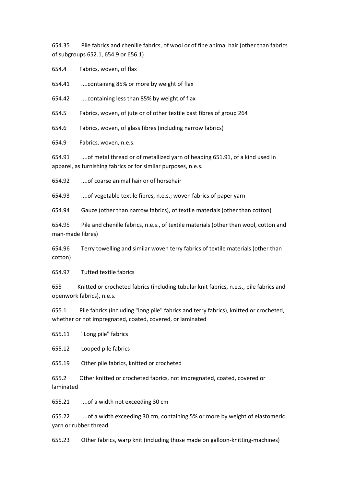654.35 Pile fabrics and chenille fabrics, of wool or of fine animal hair (other than fabrics of subgroups 652.1, 654.9 or 656.1)

654.4 Fabrics, woven, of flax

654.41 ....containing 85% or more by weight of flax

654.42 ....containing less than 85% by weight of flax

654.5 Fabrics, woven, of jute or of other textile bast fibres of group 264

654.6 Fabrics, woven, of glass fibres (including narrow fabrics)

654.9 Fabrics, woven, n.e.s.

654.91 ....of metal thread or of metallized yarn of heading 651.91, of a kind used in apparel, as furnishing fabrics or for similar purposes, n.e.s.

654.92 ....of coarse animal hair or of horsehair

654.93 ....of vegetable textile fibres, n.e.s.; woven fabrics of paper yarn

654.94 Gauze (other than narrow fabrics), of textile materials (other than cotton)

654.95 Pile and chenille fabrics, n.e.s., of textile materials (other than wool, cotton and man-made fibres)

654.96 Terry towelling and similar woven terry fabrics of textile materials (other than cotton)

654.97 Tufted textile fabrics

655 Knitted or crocheted fabrics (including tubular knit fabrics, n.e.s., pile fabrics and openwork fabrics), n.e.s.

655.1 Pile fabrics (including "long pile" fabrics and terry fabrics), knitted or crocheted, whether or not impregnated, coated, covered, or laminated

655.11 "Long pile" fabrics

655.12 Looped pile fabrics

655.19 Other pile fabrics, knitted or crocheted

655.2 Other knitted or crocheted fabrics, not impregnated, coated, covered or laminated

655.21 ....of a width not exceeding 30 cm

655.22 ....of a width exceeding 30 cm, containing 5% or more by weight of elastomeric yarn or rubber thread

655.23 Other fabrics, warp knit (including those made on galloon-knitting-machines)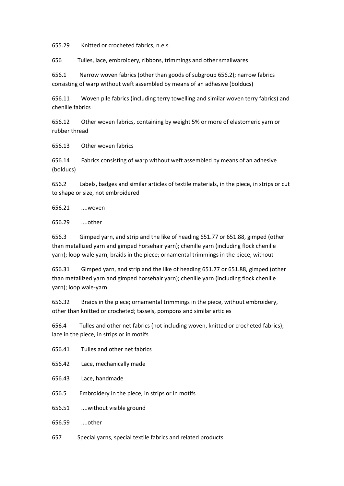655.29 Knitted or crocheted fabrics, n.e.s.

656 Tulles, lace, embroidery, ribbons, trimmings and other smallwares

656.1 Narrow woven fabrics (other than goods of subgroup 656.2); narrow fabrics consisting of warp without weft assembled by means of an adhesive (bolducs)

656.11 Woven pile fabrics (including terry towelling and similar woven terry fabrics) and chenille fabrics

656.12 Other woven fabrics, containing by weight 5% or more of elastomeric yarn or rubber thread

656.13 Other woven fabrics

656.14 Fabrics consisting of warp without weft assembled by means of an adhesive (bolducs)

656.2 Labels, badges and similar articles of textile materials, in the piece, in strips or cut to shape or size, not embroidered

656.21 ....woven

656.29 ....other

656.3 Gimped yarn, and strip and the like of heading 651.77 or 651.88, gimped (other than metallized yarn and gimped horsehair yarn); chenille yarn (including flock chenille yarn); loop-wale yarn; braids in the piece; ornamental trimmings in the piece, without

656.31 Gimped yarn, and strip and the like of heading 651.77 or 651.88, gimped (other than metallized yarn and gimped horsehair yarn); chenille yarn (including flock chenille yarn); loop wale-yarn

656.32 Braids in the piece; ornamental trimmings in the piece, without embroidery, other than knitted or crocheted; tassels, pompons and similar articles

656.4 Tulles and other net fabrics (not including woven, knitted or crocheted fabrics); lace in the piece, in strips or in motifs

- 656.41 Tulles and other net fabrics
- 656.42 Lace, mechanically made
- 656.43 Lace, handmade
- 656.5 Embroidery in the piece, in strips or in motifs
- 656.51 ....without visible ground
- 656.59 ....other
- 657 Special yarns, special textile fabrics and related products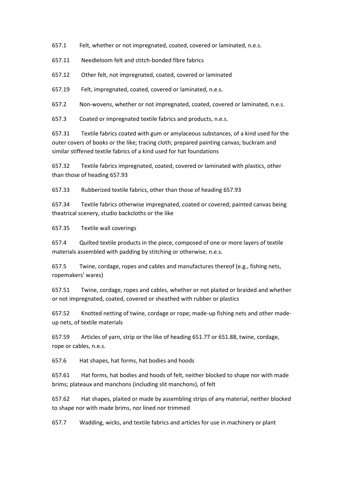657.1 Felt, whether or not impregnated, coated, covered or laminated, n.e.s.

657.11 Needleloom felt and stitch-bonded fibre fabrics

657.12 Other felt, not impregnated, coated, covered or laminated

657.19 Felt, impregnated, coated, covered or laminated, n.e.s.

657.2 Non-wovens, whether or not impregnated, coated, covered or laminated, n.e.s.

657.3 Coated or impregnated textile fabrics and products, n.e.s.

657.31 Textile fabrics coated with gum or amylaceous substances, of a kind used for the outer covers of books or the like; tracing cloth; prepared painting canvas; buckram and similar stiffened textile fabrics of a kind used for hat foundations

657.32 Textile fabrics impregnated, coated, covered or laminated with plastics, other than those of heading 657.93

657.33 Rubberized textile fabrics, other than those of heading 657.93

657.34 Textile fabrics otherwise impregnated, coated or covered; painted canvas being theatrical scenery, studio backcloths or the like

657.35 Textile wall coverings

657.4 Quilted textile products in the piece, composed of one or more layers of textile materials assembled with padding by stitching or otherwise, n.e.s.

657.5 Twine, cordage, ropes and cables and manufactures thereof (e.g., fishing nets, ropemakers' wares)

657.51 Twine, cordage, ropes and cables, whether or not plaited or braided and whether or not impregnated, coated, covered or sheathed with rubber or plastics

657.52 Knotted netting of twine, cordage or rope; made-up fishing nets and other madeup nets, of textile materials

657.59 Articles of yarn, strip or the like of heading 651.77 or 651.88, twine, cordage, rope or cables, n.e.s.

657.6 Hat shapes, hat forms, hat bodies and hoods

657.61 Hat forms, hat bodies and hoods of felt, neither blocked to shape nor with made brims; plateaux and manchons (including slit manchons), of felt

657.62 Hat shapes, plaited or made by assembling strips of any material, neither blocked to shape nor with made brims, nor lined nor trimmed

657.7 Wadding, wicks, and textile fabrics and articles for use in machinery or plant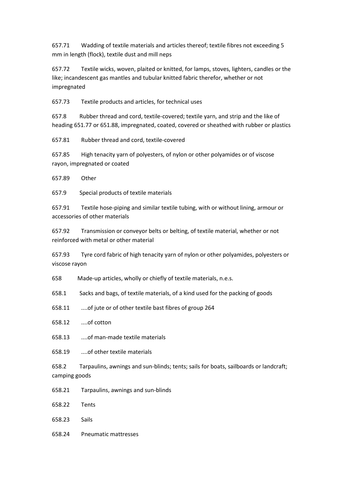657.71 Wadding of textile materials and articles thereof; textile fibres not exceeding 5 mm in length (flock), textile dust and mill neps

657.72 Textile wicks, woven, plaited or knitted, for lamps, stoves, lighters, candles or the like; incandescent gas mantles and tubular knitted fabric therefor, whether or not impregnated

657.73 Textile products and articles, for technical uses

657.8 Rubber thread and cord, textile-covered; textile yarn, and strip and the like of heading 651.77 or 651.88, impregnated, coated, covered or sheathed with rubber or plastics

657.81 Rubber thread and cord, textile-covered

657.85 High tenacity yarn of polyesters, of nylon or other polyamides or of viscose rayon, impregnated or coated

657.89 Other

657.9 Special products of textile materials

657.91 Textile hose-piping and similar textile tubing, with or without lining, armour or accessories of other materials

657.92 Transmission or conveyor belts or belting, of textile material, whether or not reinforced with metal or other material

657.93 Tyre cord fabric of high tenacity yarn of nylon or other polyamides, polyesters or viscose rayon

658 Made-up articles, wholly or chiefly of textile materials, n.e.s.

658.1 Sacks and bags, of textile materials, of a kind used for the packing of goods

- 658.11 ....of jute or of other textile bast fibres of group 264
- 658.12 ....of cotton
- 658.13 ....of man-made textile materials
- 658.19 ....of other textile materials

658.2 Tarpaulins, awnings and sun-blinds; tents; sails for boats, sailboards or landcraft; camping goods

- 658.21 Tarpaulins, awnings and sun-blinds
- 658.22 Tents
- 658.23 Sails
- 658.24 Pneumatic mattresses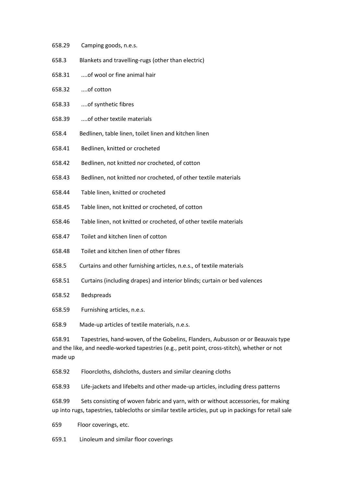- 658.29 Camping goods, n.e.s.
- 658.3 Blankets and travelling-rugs (other than electric)
- 658.31 ....of wool or fine animal hair
- 658.32 ....of cotton
- 658.33 ....of synthetic fibres
- 658.39 ....of other textile materials
- 658.4 Bedlinen, table linen, toilet linen and kitchen linen
- 658.41 Bedlinen, knitted or crocheted
- 658.42 Bedlinen, not knitted nor crocheted, of cotton
- 658.43 Bedlinen, not knitted nor crocheted, of other textile materials
- 658.44 Table linen, knitted or crocheted
- 658.45 Table linen, not knitted or crocheted, of cotton
- 658.46 Table linen, not knitted or crocheted, of other textile materials
- 658.47 Toilet and kitchen linen of cotton
- 658.48 Toilet and kitchen linen of other fibres
- 658.5 Curtains and other furnishing articles, n.e.s., of textile materials
- 658.51 Curtains (including drapes) and interior blinds; curtain or bed valences
- 658.52 Bedspreads
- 658.59 Furnishing articles, n.e.s.

658.9 Made-up articles of textile materials, n.e.s.

658.91 Tapestries, hand-woven, of the Gobelins, Flanders, Aubusson or or Beauvais type and the like, and needle-worked tapestries (e.g., petit point, cross-stitch), whether or not made up

658.92 Floorcloths, dishcloths, dusters and similar cleaning cloths

658.93 Life-jackets and lifebelts and other made-up articles, including dress patterns

658.99 Sets consisting of woven fabric and yarn, with or without accessories, for making up into rugs, tapestries, tablecloths or similar textile articles, put up in packings for retail sale

659 Floor coverings, etc.

659.1 Linoleum and similar floor coverings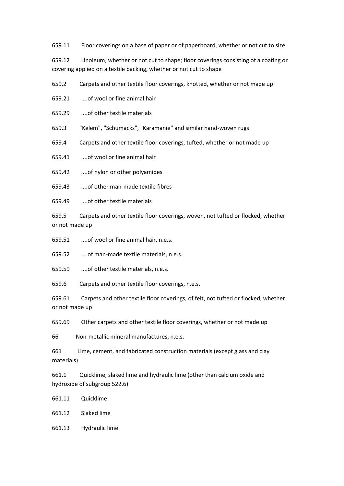659.11 Floor coverings on a base of paper or of paperboard, whether or not cut to size

659.12 Linoleum, whether or not cut to shape; floor coverings consisting of a coating or covering applied on a textile backing, whether or not cut to shape

659.2 Carpets and other textile floor coverings, knotted, whether or not made up

659.21 ....of wool or fine animal hair

659.29 ....of other textile materials

659.3 "Kelem", "Schumacks", "Karamanie" and similar hand-woven rugs

659.4 Carpets and other textile floor coverings, tufted, whether or not made up

659.41 ....of wool or fine animal hair

659.42 ....of nylon or other polyamides

659.43 ....of other man-made textile fibres

659.49 ....of other textile materials

659.5 Carpets and other textile floor coverings, woven, not tufted or flocked, whether or not made up

659.51 ....of wool or fine animal hair, n.e.s.

659.52 ....of man-made textile materials, n.e.s.

659.59 ....of other textile materials, n.e.s.

659.6 Carpets and other textile floor coverings, n.e.s.

659.61 Carpets and other textile floor coverings, of felt, not tufted or flocked, whether or not made up

659.69 Other carpets and other textile floor coverings, whether or not made up

66 Non-metallic mineral manufactures, n.e.s.

661 Lime, cement, and fabricated construction materials (except glass and clay materials)

661.1 Quicklime, slaked lime and hydraulic lime (other than calcium oxide and hydroxide of subgroup 522.6)

661.11 Quicklime

661.12 Slaked lime

661.13 Hydraulic lime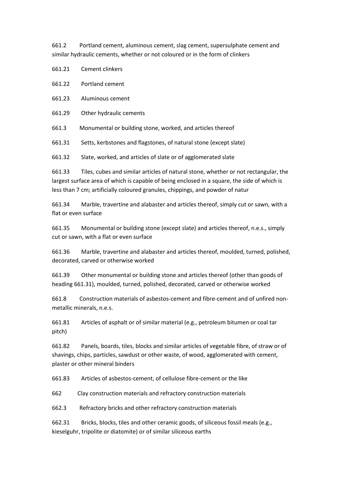661.2 Portland cement, aluminous cement, slag cement, supersulphate cement and similar hydraulic cements, whether or not coloured or in the form of clinkers

661.21 Cement clinkers

661.22 Portland cement

661.23 Aluminous cement

661.29 Other hydraulic cements

661.3 Monumental or building stone, worked, and articles thereof

661.31 Setts, kerbstones and flagstones, of natural stone (except slate)

661.32 Slate, worked, and articles of slate or of agglomerated slate

661.33 Tiles, cubes and similar articles of natural stone, whether or not rectangular, the largest surface area of which is capable of being enclosed in a square, the side of which is less than 7 cm; artificially coloured granules, chippings, and powder of natur

661.34 Marble, travertine and alabaster and articles thereof, simply cut or sawn, with a flat or even surface

661.35 Monumental or building stone (except slate) and articles thereof, n.e.s., simply cut or sawn, with a flat or even surface

661.36 Marble, travertine and alabaster and articles thereof, moulded, turned, polished, decorated, carved or otherwise worked

661.39 Other monumental or building stone and articles thereof (other than goods of heading 661.31), moulded, turned, polished, decorated, carved or otherwise worked

661.8 Construction materials of asbestos-cement and fibre-cement and of unfired nonmetallic minerals, n.e.s.

661.81 Articles of asphalt or of similar material (e.g., petroleum bitumen or coal tar pitch)

661.82 Panels, boards, tiles, blocks and similar articles of vegetable fibre, of straw or of shavings, chips, particles, sawdust or other waste, of wood, agglomerated with cement, plaster or other mineral binders

661.83 Articles of asbestos-cement, of cellulose fibre-cement or the like

662 Clay construction materials and refractory construction materials

662.3 Refractory bricks and other refractory construction materials

662.31 Bricks, blocks, tiles and other ceramic goods, of siliceous fossil meals (e.g., kieselguhr, tripolite or diatomite) or of similar siliceous earths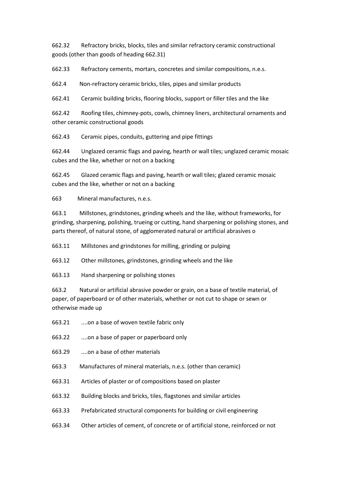662.32 Refractory bricks, blocks, tiles and similar refractory ceramic constructional goods (other than goods of heading 662.31)

662.33 Refractory cements, mortars, concretes and similar compositions, n.e.s.

662.4 Non-refractory ceramic bricks, tiles, pipes and similar products

662.41 Ceramic building bricks, flooring blocks, support or filler tiles and the like

662.42 Roofing tiles, chimney-pots, cowls, chimney liners, architectural ornaments and other ceramic constructional goods

662.43 Ceramic pipes, conduits, guttering and pipe fittings

662.44 Unglazed ceramic flags and paving, hearth or wall tiles; unglazed ceramic mosaic cubes and the like, whether or not on a backing

662.45 Glazed ceramic flags and paving, hearth or wall tiles; glazed ceramic mosaic cubes and the like, whether or not on a backing

663 Mineral manufactures, n.e.s.

663.1 Millstones, grindstones, grinding wheels and the like, without frameworks, for grinding, sharpening, polishing, trueing or cutting, hand sharpening or polishing stones, and parts thereof, of natural stone, of agglomerated natural or artificial abrasives o

663.11 Millstones and grindstones for milling, grinding or pulping

663.12 Other millstones, grindstones, grinding wheels and the like

663.13 Hand sharpening or polishing stones

663.2 Natural or artificial abrasive powder or grain, on a base of textile material, of paper, of paperboard or of other materials, whether or not cut to shape or sewn or otherwise made up

- 663.21 ....on a base of woven textile fabric only
- 663.22 ....on a base of paper or paperboard only
- 663.29 ....on a base of other materials
- 663.3 Manufactures of mineral materials, n.e.s. (other than ceramic)
- 663.31 Articles of plaster or of compositions based on plaster
- 663.32 Building blocks and bricks, tiles, flagstones and similar articles
- 663.33 Prefabricated structural components for building or civil engineering
- 663.34 Other articles of cement, of concrete or of artificial stone, reinforced or not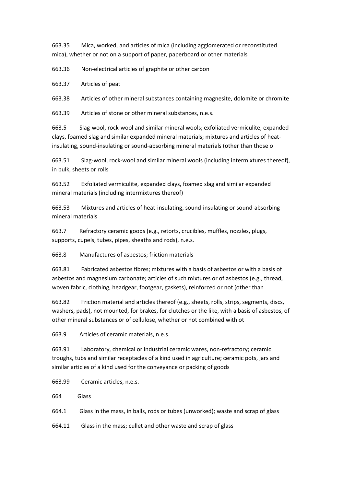663.35 Mica, worked, and articles of mica (including agglomerated or reconstituted mica), whether or not on a support of paper, paperboard or other materials

663.36 Non-electrical articles of graphite or other carbon

663.37 Articles of peat

663.38 Articles of other mineral substances containing magnesite, dolomite or chromite

663.39 Articles of stone or other mineral substances, n.e.s.

663.5 Slag-wool, rock-wool and similar mineral wools; exfoliated vermiculite, expanded clays, foamed slag and similar expanded mineral materials; mixtures and articles of heatinsulating, sound-insulating or sound-absorbing mineral materials (other than those o

663.51 Slag-wool, rock-wool and similar mineral wools (including intermixtures thereof), in bulk, sheets or rolls

663.52 Exfoliated vermiculite, expanded clays, foamed slag and similar expanded mineral materials (including intermixtures thereof)

663.53 Mixtures and articles of heat-insulating, sound-insulating or sound-absorbing mineral materials

663.7 Refractory ceramic goods (e.g., retorts, crucibles, muffles, nozzles, plugs, supports, cupels, tubes, pipes, sheaths and rods), n.e.s.

663.8 Manufactures of asbestos; friction materials

663.81 Fabricated asbestos fibres; mixtures with a basis of asbestos or with a basis of asbestos and magnesium carbonate; articles of such mixtures or of asbestos (e.g., thread, woven fabric, clothing, headgear, footgear, gaskets), reinforced or not (other than

663.82 Friction material and articles thereof (e.g., sheets, rolls, strips, segments, discs, washers, pads), not mounted, for brakes, for clutches or the like, with a basis of asbestos, of other mineral substances or of cellulose, whether or not combined with ot

663.9 Articles of ceramic materials, n.e.s.

663.91 Laboratory, chemical or industrial ceramic wares, non-refractory; ceramic troughs, tubs and similar receptacles of a kind used in agriculture; ceramic pots, jars and similar articles of a kind used for the conveyance or packing of goods

663.99 Ceramic articles, n.e.s.

664 Glass

664.1 Glass in the mass, in balls, rods or tubes (unworked); waste and scrap of glass

664.11 Glass in the mass; cullet and other waste and scrap of glass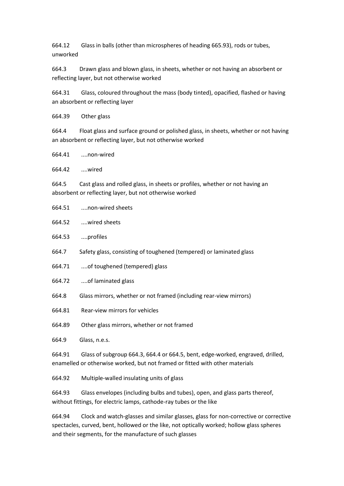664.12 Glass in balls (other than microspheres of heading 665.93), rods or tubes, unworked

664.3 Drawn glass and blown glass, in sheets, whether or not having an absorbent or reflecting layer, but not otherwise worked

664.31 Glass, coloured throughout the mass (body tinted), opacified, flashed or having an absorbent or reflecting layer

664.39 Other glass

664.4 Float glass and surface ground or polished glass, in sheets, whether or not having an absorbent or reflecting layer, but not otherwise worked

664.41 ....non-wired

664.42 ....wired

664.5 Cast glass and rolled glass, in sheets or profiles, whether or not having an absorbent or reflecting layer, but not otherwise worked

| 664.52 | wired sheets |  |
|--------|--------------|--|
|--------|--------------|--|

664.53 ....profiles

664.7 Safety glass, consisting of toughened (tempered) or laminated glass

- 664.71 ....of toughened (tempered) glass
- 664.72 ....of laminated glass
- 664.8 Glass mirrors, whether or not framed (including rear-view mirrors)
- 664.81 Rear-view mirrors for vehicles

664.89 Other glass mirrors, whether or not framed

664.9 Glass, n.e.s.

664.91 Glass of subgroup 664.3, 664.4 or 664.5, bent, edge-worked, engraved, drilled, enamelled or otherwise worked, but not framed or fitted with other materials

664.92 Multiple-walled insulating units of glass

664.93 Glass envelopes (including bulbs and tubes), open, and glass parts thereof, without fittings, for electric lamps, cathode-ray tubes or the like

664.94 Clock and watch-glasses and similar glasses, glass for non-corrective or corrective spectacles, curved, bent, hollowed or the like, not optically worked; hollow glass spheres and their segments, for the manufacture of such glasses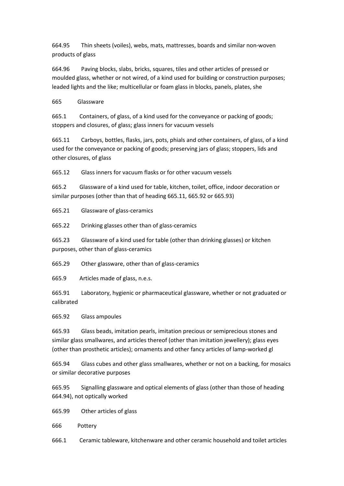664.95 Thin sheets (voiles), webs, mats, mattresses, boards and similar non-woven products of glass

664.96 Paving blocks, slabs, bricks, squares, tiles and other articles of pressed or moulded glass, whether or not wired, of a kind used for building or construction purposes; leaded lights and the like; multicellular or foam glass in blocks, panels, plates, she

665 Glassware

665.1 Containers, of glass, of a kind used for the conveyance or packing of goods; stoppers and closures, of glass; glass inners for vacuum vessels

665.11 Carboys, bottles, flasks, jars, pots, phials and other containers, of glass, of a kind used for the conveyance or packing of goods; preserving jars of glass; stoppers, lids and other closures, of glass

665.12 Glass inners for vacuum flasks or for other vacuum vessels

665.2 Glassware of a kind used for table, kitchen, toilet, office, indoor decoration or similar purposes (other than that of heading 665.11, 665.92 or 665.93)

665.21 Glassware of glass-ceramics

665.22 Drinking glasses other than of glass-ceramics

665.23 Glassware of a kind used for table (other than drinking glasses) or kitchen purposes, other than of glass-ceramics

665.29 Other glassware, other than of glass-ceramics

665.9 Articles made of glass, n.e.s.

665.91 Laboratory, hygienic or pharmaceutical glassware, whether or not graduated or calibrated

665.92 Glass ampoules

665.93 Glass beads, imitation pearls, imitation precious or semiprecious stones and similar glass smallwares, and articles thereof (other than imitation jewellery); glass eyes (other than prosthetic articles); ornaments and other fancy articles of lamp-worked gl

665.94 Glass cubes and other glass smallwares, whether or not on a backing, for mosaics or similar decorative purposes

665.95 Signalling glassware and optical elements of glass (other than those of heading 664.94), not optically worked

665.99 Other articles of glass

666 Pottery

666.1 Ceramic tableware, kitchenware and other ceramic household and toilet articles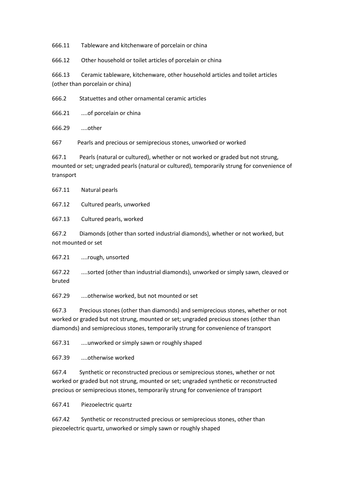666.11 Tableware and kitchenware of porcelain or china

666.12 Other household or toilet articles of porcelain or china

666.13 Ceramic tableware, kitchenware, other household articles and toilet articles (other than porcelain or china)

666.2 Statuettes and other ornamental ceramic articles

666.21 ....of porcelain or china

666.29 ....other

667 Pearls and precious or semiprecious stones, unworked or worked

667.1 Pearls (natural or cultured), whether or not worked or graded but not strung, mounted or set; ungraded pearls (natural or cultured), temporarily strung for convenience of transport

667.11 Natural pearls

667.12 Cultured pearls, unworked

667.13 Cultured pearls, worked

667.2 Diamonds (other than sorted industrial diamonds), whether or not worked, but not mounted or set

667.21 ....rough, unsorted

667.22 ....sorted (other than industrial diamonds), unworked or simply sawn, cleaved or bruted

667.29 ....otherwise worked, but not mounted or set

667.3 Precious stones (other than diamonds) and semiprecious stones, whether or not worked or graded but not strung, mounted or set; ungraded precious stones (other than diamonds) and semiprecious stones, temporarily strung for convenience of transport

667.31 ....unworked or simply sawn or roughly shaped

667.39 ....otherwise worked

667.4 Synthetic or reconstructed precious or semiprecious stones, whether or not worked or graded but not strung, mounted or set; ungraded synthetic or reconstructed precious or semiprecious stones, temporarily strung for convenience of transport

667.41 Piezoelectric quartz

667.42 Synthetic or reconstructed precious or semiprecious stones, other than piezoelectric quartz, unworked or simply sawn or roughly shaped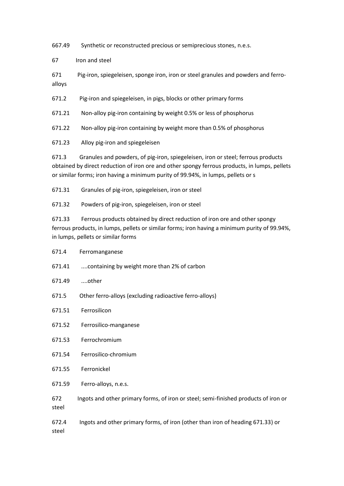667.49 Synthetic or reconstructed precious or semiprecious stones, n.e.s.

67 Iron and steel

671 Pig-iron, spiegeleisen, sponge iron, iron or steel granules and powders and ferroalloys

671.2 Pig-iron and spiegeleisen, in pigs, blocks or other primary forms

671.21 Non-alloy pig-iron containing by weight 0.5% or less of phosphorus

671.22 Non-alloy pig-iron containing by weight more than 0.5% of phosphorus

671.23 Alloy pig-iron and spiegeleisen

671.4 Ferromanganese

671.3 Granules and powders, of pig-iron, spiegeleisen, iron or steel; ferrous products obtained by direct reduction of iron ore and other spongy ferrous products, in lumps, pellets or similar forms; iron having a minimum purity of 99.94%, in lumps, pellets or s

671.31 Granules of pig-iron, spiegeleisen, iron or steel

671.32 Powders of pig-iron, spiegeleisen, iron or steel

671.33 Ferrous products obtained by direct reduction of iron ore and other spongy ferrous products, in lumps, pellets or similar forms; iron having a minimum purity of 99.94%, in lumps, pellets or similar forms

| 671.41         | containing by weight more than 2% of carbon                                         |
|----------------|-------------------------------------------------------------------------------------|
| 671.49         | other                                                                               |
| 671.5          | Other ferro-alloys (excluding radioactive ferro-alloys)                             |
| 671.51         | Ferrosilicon                                                                        |
| 671.52         | Ferrosilico-manganese                                                               |
| 671.53         | Ferrochromium                                                                       |
| 671.54         | Ferrosilico-chromium                                                                |
| 671.55         | Ferronickel                                                                         |
| 671.59         | Ferro-alloys, n.e.s.                                                                |
| 672<br>steel   | Ingots and other primary forms, of iron or steel; semi-finished products of iron or |
| 672.4<br>steel | Ingots and other primary forms, of iron (other than iron of heading 671.33) or      |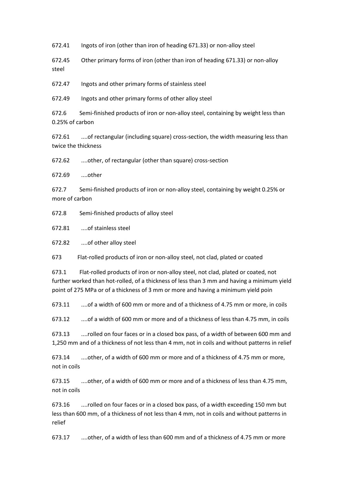672.41 Ingots of iron (other than iron of heading 671.33) or non-alloy steel

672.45 Other primary forms of iron (other than iron of heading 671.33) or non-alloy steel

672.47 Ingots and other primary forms of stainless steel

672.49 Ingots and other primary forms of other alloy steel

672.6 Semi-finished products of iron or non-alloy steel, containing by weight less than 0.25% of carbon

672.61 ....of rectangular (including square) cross-section, the width measuring less than twice the thickness

672.62 ....other, of rectangular (other than square) cross-section

672.69 ....other

672.7 Semi-finished products of iron or non-alloy steel, containing by weight 0.25% or more of carbon

672.8 Semi-finished products of alloy steel

672.81 ....of stainless steel

672.82 ....of other alloy steel

673 Flat-rolled products of iron or non-alloy steel, not clad, plated or coated

673.1 Flat-rolled products of iron or non-alloy steel, not clad, plated or coated, not further worked than hot-rolled, of a thickness of less than 3 mm and having a minimum yield point of 275 MPa or of a thickness of 3 mm or more and having a minimum yield poin

673.11 ....of a width of 600 mm or more and of a thickness of 4.75 mm or more, in coils

673.12 ....of a width of 600 mm or more and of a thickness of less than 4.75 mm, in coils

673.13 ....rolled on four faces or in a closed box pass, of a width of between 600 mm and 1,250 mm and of a thickness of not less than 4 mm, not in coils and without patterns in relief

673.14 ....other, of a width of 600 mm or more and of a thickness of 4.75 mm or more, not in coils

673.15 ....other, of a width of 600 mm or more and of a thickness of less than 4.75 mm, not in coils

673.16 ....rolled on four faces or in a closed box pass, of a width exceeding 150 mm but less than 600 mm, of a thickness of not less than 4 mm, not in coils and without patterns in relief

673.17 ....other, of a width of less than 600 mm and of a thickness of 4.75 mm or more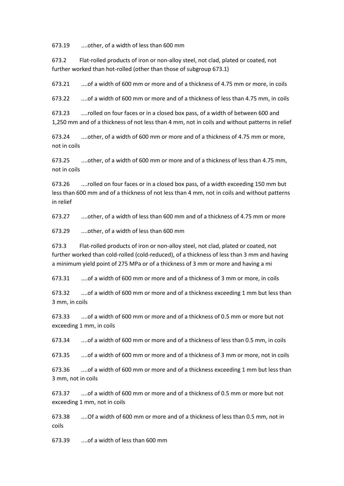673.19 ....other, of a width of less than 600 mm

673.2 Flat-rolled products of iron or non-alloy steel, not clad, plated or coated, not further worked than hot-rolled (other than those of subgroup 673.1)

673.21 ....of a width of 600 mm or more and of a thickness of 4.75 mm or more, in coils

673.22 ....of a width of 600 mm or more and of a thickness of less than 4.75 mm, in coils

673.23 ....rolled on four faces or in a closed box pass, of a width of between 600 and 1,250 mm and of a thickness of not less than 4 mm, not in coils and without patterns in relief

673.24 ....other, of a width of 600 mm or more and of a thickness of 4.75 mm or more, not in coils

673.25 ....other, of a width of 600 mm or more and of a thickness of less than 4.75 mm, not in coils

673.26 ....rolled on four faces or in a closed box pass, of a width exceeding 150 mm but less than 600 mm and of a thickness of not less than 4 mm, not in coils and without patterns in relief

673.27 ....other, of a width of less than 600 mm and of a thickness of 4.75 mm or more

673.29 ....other, of a width of less than 600 mm

673.3 Flat-rolled products of iron or non-alloy steel, not clad, plated or coated, not further worked than cold-rolled (cold-reduced), of a thickness of less than 3 mm and having a minimum yield point of 275 MPa or of a thickness of 3 mm or more and having a mi

673.31 ....of a width of 600 mm or more and of a thickness of 3 mm or more, in coils

673.32 ....of a width of 600 mm or more and of a thickness exceeding 1 mm but less than 3 mm, in coils

673.33 ....of a width of 600 mm or more and of a thickness of 0.5 mm or more but not exceeding 1 mm, in coils

673.34 ....of a width of 600 mm or more and of a thickness of less than 0.5 mm, in coils

673.35 ....of a width of 600 mm or more and of a thickness of 3 mm or more, not in coils

673.36 ....of a width of 600 mm or more and of a thickness exceeding 1 mm but less than 3 mm, not in coils

673.37 ....of a width of 600 mm or more and of a thickness of 0.5 mm or more but not exceeding 1 mm, not in coils

673.38 ....Of a width of 600 mm or more and of a thickness of less than 0.5 mm, not in coils

673.39 ....of a width of less than 600 mm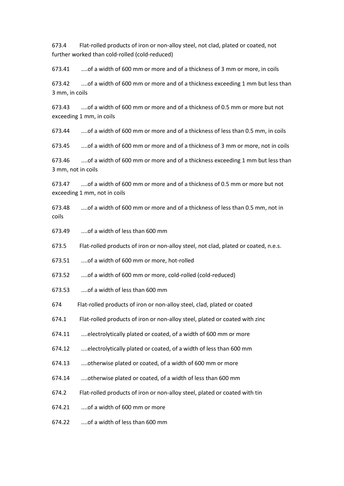673.4 Flat-rolled products of iron or non-alloy steel, not clad, plated or coated, not further worked than cold-rolled (cold-reduced)

673.41 ....of a width of 600 mm or more and of a thickness of 3 mm or more, in coils

673.42 ....of a width of 600 mm or more and of a thickness exceeding 1 mm but less than 3 mm, in coils

673.43 ....of a width of 600 mm or more and of a thickness of 0.5 mm or more but not exceeding 1 mm, in coils

673.44 ....of a width of 600 mm or more and of a thickness of less than 0.5 mm, in coils

673.45 ....of a width of 600 mm or more and of a thickness of 3 mm or more, not in coils

673.46 ....of a width of 600 mm or more and of a thickness exceeding 1 mm but less than 3 mm, not in coils

673.47 ....of a width of 600 mm or more and of a thickness of 0.5 mm or more but not exceeding 1 mm, not in coils

673.48 ....of a width of 600 mm or more and of a thickness of less than 0.5 mm, not in coils

673.49 ....of a width of less than 600 mm

673.5 Flat-rolled products of iron or non-alloy steel, not clad, plated or coated, n.e.s.

673.51 ....of a width of 600 mm or more, hot-rolled

673.52 ....of a width of 600 mm or more, cold-rolled (cold-reduced)

673.53 ....of a width of less than 600 mm

674 Flat-rolled products of iron or non-alloy steel, clad, plated or coated

674.1 Flat-rolled products of iron or non-alloy steel, plated or coated with zinc

674.11 ....electrolytically plated or coated, of a width of 600 mm or more

674.12 ....electrolytically plated or coated, of a width of less than 600 mm

674.13 ....otherwise plated or coated, of a width of 600 mm or more

674.14 ....otherwise plated or coated, of a width of less than 600 mm

674.2 Flat-rolled products of iron or non-alloy steel, plated or coated with tin

674.21 ....of a width of 600 mm or more

674.22 ....of a width of less than 600 mm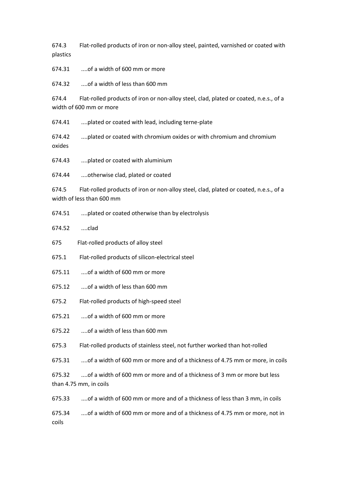674.3 Flat-rolled products of iron or non-alloy steel, painted, varnished or coated with plastics

674.31 ....of a width of 600 mm or more

674.32 ....of a width of less than 600 mm

674.4 Flat-rolled products of iron or non-alloy steel, clad, plated or coated, n.e.s., of a width of 600 mm or more

674.41 ....plated or coated with lead, including terne-plate

674.42 ....plated or coated with chromium oxides or with chromium and chromium oxides

674.43 ....plated or coated with aluminium

674.44 ....otherwise clad, plated or coated

674.5 Flat-rolled products of iron or non-alloy steel, clad, plated or coated, n.e.s., of a width of less than 600 mm

674.51 ....plated or coated otherwise than by electrolysis

674.52 ....clad

675 Flat-rolled products of alloy steel

675.1 Flat-rolled products of silicon-electrical steel

- 675.11 ....of a width of 600 mm or more
- 675.12 ....of a width of less than 600 mm
- 675.2 Flat-rolled products of high-speed steel
- 675.21 ....of a width of 600 mm or more
- 675.22 ....of a width of less than 600 mm
- 675.3 Flat-rolled products of stainless steel, not further worked than hot-rolled

675.31 ....of a width of 600 mm or more and of a thickness of 4.75 mm or more, in coils

675.32 ....of a width of 600 mm or more and of a thickness of 3 mm or more but less than 4.75 mm, in coils

675.33 ....of a width of 600 mm or more and of a thickness of less than 3 mm, in coils

675.34 ....of a width of 600 mm or more and of a thickness of 4.75 mm or more, not in coils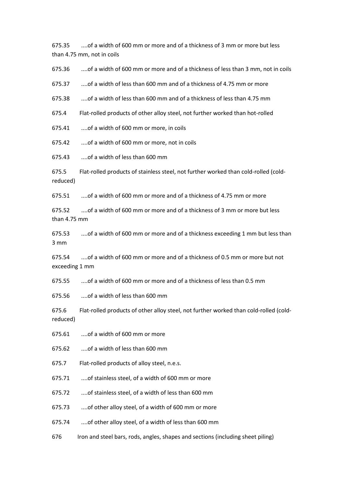675.35 ....of a width of 600 mm or more and of a thickness of 3 mm or more but less than 4.75 mm, not in coils

675.36 ....of a width of 600 mm or more and of a thickness of less than 3 mm, not in coils

675.37 ....of a width of less than 600 mm and of a thickness of 4.75 mm or more

675.38 ....of a width of less than 600 mm and of a thickness of less than 4.75 mm

675.4 Flat-rolled products of other alloy steel, not further worked than hot-rolled

675.41 ....of a width of 600 mm or more, in coils

675.42 ....of a width of 600 mm or more, not in coils

675.43 ....of a width of less than 600 mm

675.5 Flat-rolled products of stainless steel, not further worked than cold-rolled (coldreduced)

675.51 ....of a width of 600 mm or more and of a thickness of 4.75 mm or more

675.52 ....of a width of 600 mm or more and of a thickness of 3 mm or more but less than 4.75 mm

675.53 ....of a width of 600 mm or more and of a thickness exceeding 1 mm but less than 3 mm

675.54 ....of a width of 600 mm or more and of a thickness of 0.5 mm or more but not exceeding 1 mm

675.55 ....of a width of 600 mm or more and of a thickness of less than 0.5 mm

675.56 ....of a width of less than 600 mm

675.6 Flat-rolled products of other alloy steel, not further worked than cold-rolled (coldreduced)

675.61 ....of a width of 600 mm or more

675.62 ....of a width of less than 600 mm

675.7 Flat-rolled products of alloy steel, n.e.s.

675.71 ....of stainless steel, of a width of 600 mm or more

675.72 ....of stainless steel, of a width of less than 600 mm

675.73 ....of other alloy steel, of a width of 600 mm or more

675.74 ....of other alloy steel, of a width of less than 600 mm

676 Iron and steel bars, rods, angles, shapes and sections (including sheet piling)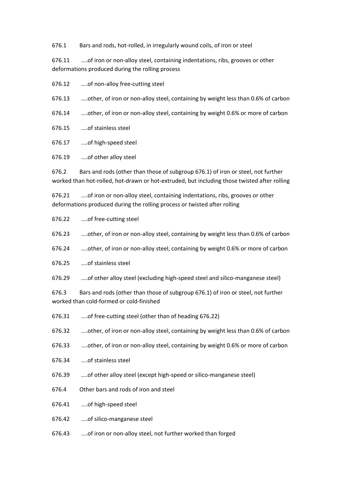676.1 Bars and rods, hot-rolled, in irregularly wound coils, of iron or steel

676.11 ....of iron or non-alloy steel, containing indentations, ribs, grooves or other deformations produced during the rolling process

676.12 ....of non-alloy free-cutting steel

676.13 ....other, of iron or non-alloy steel, containing by weight less than 0.6% of carbon

676.14 ....other, of iron or non-alloy steel, containing by weight 0.6% or more of carbon

676.15 ....of stainless steel

676.17 ....of high-speed steel

676.19 ....of other alloy steel

676.2 Bars and rods (other than those of subgroup 676.1) of iron or steel, not further worked than hot-rolled, hot-drawn or hot-extruded, but including those twisted after rolling

676.21 ....of iron or non-alloy steel, containing indentations, ribs, grooves or other deformations produced during the rolling process or twisted after rolling

676.22 ....of free-cutting steel

676.23 ....other, of iron or non-alloy steel, containing by weight less than 0.6% of carbon

676.24 ....other, of iron or non-alloy steel, containing by weight 0.6% or more of carbon

676.25 ....of stainless steel

676.29 ....of other alloy steel (excluding high-speed steel and silico-manganese steel)

676.3 Bars and rods (other than those of subgroup 676.1) of iron or steel, not further worked than cold-formed or cold-finished

- 676.31 ....of free-cutting steel (other than of heading 676.22)
- 676.32 ....other, of iron or non-alloy steel, containing by weight less than 0.6% of carbon
- 676.33 ....other, of iron or non-alloy steel, containing by weight 0.6% or more of carbon
- 676.34 ....of stainless steel
- 676.39 ....of other alloy steel (except high-speed or silico-manganese steel)
- 676.4 Other bars and rods of iron and steel

676.41 ....of high-speed steel

676.42 ....of silico-manganese steel

676.43 ....of iron or non-alloy steel, not further worked than forged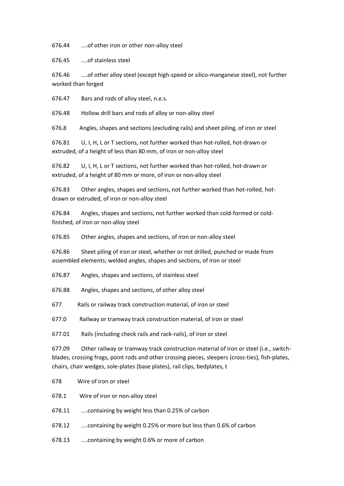676.44 ....of other iron or other non-alloy steel

676.45 ....of stainless steel

676.46 ....of other alloy steel (except high-speed or silico-manganese steel), not further worked than forged

676.47 Bars and rods of alloy steel, n.e.s.

676.48 Hollow drill bars and rods of alloy or non-alloy steel

676.8 Angles, shapes and sections (excluding rails) and sheet piling, of iron or steel

676.81 U, I, H, L or T sections, not further worked than hot-rolled, hot-drawn or extruded, of a height of less than 80 mm, of iron or non-alloy steel

676.82 U, I, H, L or T sections, not further worked than hot-rolled, hot-drawn or extruded, of a height of 80 mm or more, of iron or non-alloy steel

676.83 Other angles, shapes and sections, not further worked than hot-rolled, hotdrawn or extruded, of iron or non-alloy steel

676.84 Angles, shapes and sections, not further worked than cold-formed or coldfinished, of iron or non-alloy steel

676.85 Other angles, shapes and sections, of iron or non-alloy steel

676.86 Sheet piling of iron or steel, whether or not drilled, punched or made from assembled elements; welded angles, shapes and sections, of iron or steel

676.87 Angles, shapes and sections, of stainless steel

676.88 Angles, shapes and sections, of other alloy steel

677 Rails or railway track construction material, of iron or steel

677.0 Railway or tramway track construction material, of iron or steel

677.01 Rails (including check rails and rack-rails), of iron or steel

677.09 Other railway or tramway track construction material of iron or steel (i.e., switchblades, crossing frogs, point rods and other crossing pieces, sleepers (cross-ties), fish-plates, chairs, chair wedges, sole-plates (base plates), rail clips, bedplates, t

- 678 Wire of iron or steel
- 678.1 Wire of iron or non-alloy steel

678.11 ....containing by weight less than 0.25% of carbon

678.12 ....containing by weight 0.25% or more but less than 0.6% of carbon

678.13 ....containing by weight 0.6% or more of carbon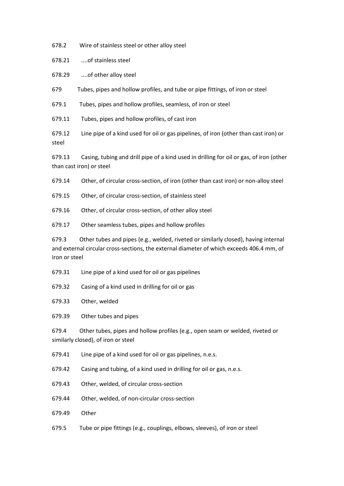678.2 Wire of stainless steel or other alloy steel

678.21 ....of stainless steel

678.29 ....of other alloy steel

679 Tubes, pipes and hollow profiles, and tube or pipe fittings, of iron or steel

679.1 Tubes, pipes and hollow profiles, seamless, of iron or steel

679.11 Tubes, pipes and hollow profiles, of cast iron

679.12 Line pipe of a kind used for oil or gas pipelines, of iron (other than cast iron) or steel

679.13 Casing, tubing and drill pipe of a kind used in drilling for oil or gas, of iron (other than cast iron) or steel

679.14 Other, of circular cross-section, of iron (other than cast iron) or non-alloy steel

679.15 Other, of circular cross-section, of stainless steel

679.16 Other, of circular cross-section, of other alloy steel

679.17 Other seamless tubes, pipes and hollow profiles

679.3 Other tubes and pipes (e.g., welded, riveted or similarly closed), having internal and external circular cross-sections, the external diameter of which exceeds 406.4 mm, of iron or steel

679.31 Line pipe of a kind used for oil or gas pipelines

679.32 Casing of a kind used in drilling for oil or gas

679.33 Other, welded

679.39 Other tubes and pipes

679.4 Other tubes, pipes and hollow profiles (e.g., open seam or welded, riveted or similarly closed), of iron or steel

679.41 Line pipe of a kind used for oil or gas pipelines, n.e.s.

679.42 Casing and tubing, of a kind used in drilling for oil or gas, n.e.s.

679.43 Other, welded, of circular cross-section

679.44 Other, welded, of non-circular cross-section

679.49 Other

679.5 Tube or pipe fittings (e.g., couplings, elbows, sleeves), of iron or steel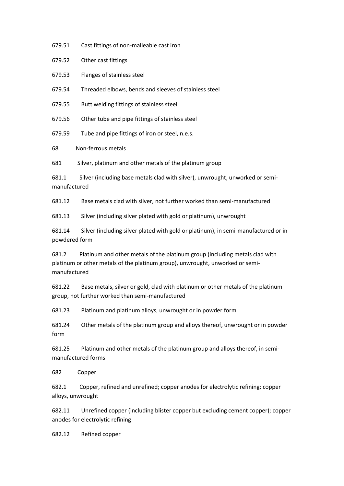679.51 Cast fittings of non-malleable cast iron

679.52 Other cast fittings

679.53 Flanges of stainless steel

679.54 Threaded elbows, bends and sleeves of stainless steel

679.55 Butt welding fittings of stainless steel

679.56 Other tube and pipe fittings of stainless steel

679.59 Tube and pipe fittings of iron or steel, n.e.s.

68 Non-ferrous metals

681 Silver, platinum and other metals of the platinum group

681.1 Silver (including base metals clad with silver), unwrought, unworked or semimanufactured

681.12 Base metals clad with silver, not further worked than semi-manufactured

681.13 Silver (including silver plated with gold or platinum), unwrought

681.14 Silver (including silver plated with gold or platinum), in semi-manufactured or in powdered form

681.2 Platinum and other metals of the platinum group (including metals clad with platinum or other metals of the platinum group), unwrought, unworked or semimanufactured

681.22 Base metals, silver or gold, clad with platinum or other metals of the platinum group, not further worked than semi-manufactured

681.23 Platinum and platinum alloys, unwrought or in powder form

681.24 Other metals of the platinum group and alloys thereof, unwrought or in powder form

681.25 Platinum and other metals of the platinum group and alloys thereof, in semimanufactured forms

682 Copper

682.1 Copper, refined and unrefined; copper anodes for electrolytic refining; copper alloys, unwrought

682.11 Unrefined copper (including blister copper but excluding cement copper); copper anodes for electrolytic refining

682.12 Refined copper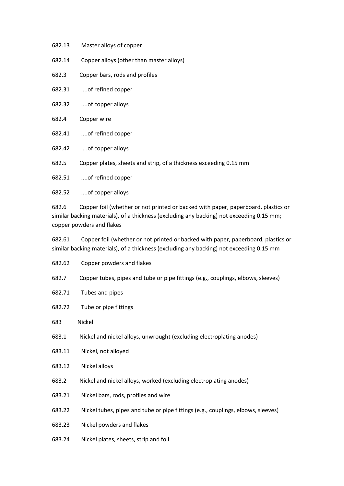| 682.13 | Master alloys of copper |
|--------|-------------------------|
|--------|-------------------------|

- 682.14 Copper alloys (other than master alloys)
- 682.3 Copper bars, rods and profiles
- 682.31 ....of refined copper
- 682.32 ....of copper alloys
- 682.4 Copper wire
- 682.41 ....of refined copper
- 682.42 ....of copper alloys
- 682.5 Copper plates, sheets and strip, of a thickness exceeding 0.15 mm

682.51 ....of refined copper

682.52 ....of copper alloys

682.6 Copper foil (whether or not printed or backed with paper, paperboard, plastics or similar backing materials), of a thickness (excluding any backing) not exceeding 0.15 mm; copper powders and flakes

682.61 Copper foil (whether or not printed or backed with paper, paperboard, plastics or similar backing materials), of a thickness (excluding any backing) not exceeding 0.15 mm

- 682.62 Copper powders and flakes
- 682.7 Copper tubes, pipes and tube or pipe fittings (e.g., couplings, elbows, sleeves)
- 682.71 Tubes and pipes
- 682.72 Tube or pipe fittings
- 683 Nickel
- 683.1 Nickel and nickel alloys, unwrought (excluding electroplating anodes)
- 683.11 Nickel, not alloyed
- 683.12 Nickel alloys
- 683.2 Nickel and nickel alloys, worked (excluding electroplating anodes)
- 683.21 Nickel bars, rods, profiles and wire
- 683.22 Nickel tubes, pipes and tube or pipe fittings (e.g., couplings, elbows, sleeves)
- 683.23 Nickel powders and flakes
- 683.24 Nickel plates, sheets, strip and foil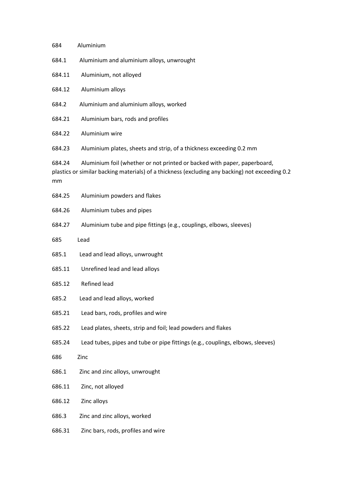| 684          | Aluminium                                                                                                                                                                   |
|--------------|-----------------------------------------------------------------------------------------------------------------------------------------------------------------------------|
| 684.1        | Aluminium and aluminium alloys, unwrought                                                                                                                                   |
| 684.11       | Aluminium, not alloyed                                                                                                                                                      |
| 684.12       | Aluminium alloys                                                                                                                                                            |
| 684.2        | Aluminium and aluminium alloys, worked                                                                                                                                      |
| 684.21       | Aluminium bars, rods and profiles                                                                                                                                           |
| 684.22       | Aluminium wire                                                                                                                                                              |
| 684.23       | Aluminium plates, sheets and strip, of a thickness exceeding 0.2 mm                                                                                                         |
| 684.24<br>mm | Aluminium foil (whether or not printed or backed with paper, paperboard,<br>plastics or similar backing materials) of a thickness (excluding any backing) not exceeding 0.2 |
| 684.25       | Aluminium powders and flakes                                                                                                                                                |
| 684.26       | Aluminium tubes and pipes                                                                                                                                                   |
| 684.27       | Aluminium tube and pipe fittings (e.g., couplings, elbows, sleeves)                                                                                                         |
| 685          | Lead                                                                                                                                                                        |
| 685.1        | Lead and lead alloys, unwrought                                                                                                                                             |
| 685.11       | Unrefined lead and lead alloys                                                                                                                                              |
| 685.12       | Refined lead                                                                                                                                                                |
| 685.2        | Lead and lead alloys, worked                                                                                                                                                |
| 685.21       | Lead bars, rods, profiles and wire                                                                                                                                          |
| 685.22       | Lead plates, sheets, strip and foil; lead powders and flakes                                                                                                                |
| 685.24       | Lead tubes, pipes and tube or pipe fittings (e.g., couplings, elbows, sleeves)                                                                                              |
| 686          | Zinc                                                                                                                                                                        |
| 686.1        | Zinc and zinc alloys, unwrought                                                                                                                                             |
| 686.11       | Zinc, not alloyed                                                                                                                                                           |
| 686.12       | Zinc alloys                                                                                                                                                                 |
| 686.3        | Zinc and zinc alloys, worked                                                                                                                                                |
| 686.31       | Zinc bars, rods, profiles and wire                                                                                                                                          |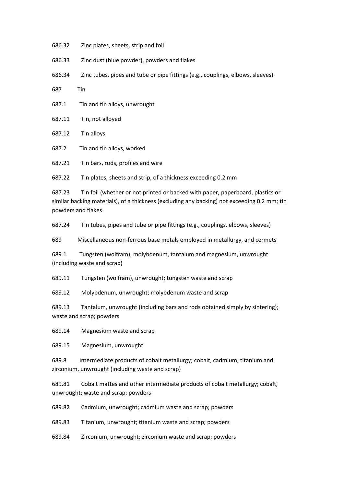- 686.32 Zinc plates, sheets, strip and foil
- 686.33 Zinc dust (blue powder), powders and flakes
- 686.34 Zinc tubes, pipes and tube or pipe fittings (e.g., couplings, elbows, sleeves)
- 687 Tin
- 687.1 Tin and tin alloys, unwrought
- 687.11 Tin, not alloyed
- 687.12 Tin alloys
- 687.2 Tin and tin alloys, worked
- 687.21 Tin bars, rods, profiles and wire

687.22 Tin plates, sheets and strip, of a thickness exceeding 0.2 mm

687.23 Tin foil (whether or not printed or backed with paper, paperboard, plastics or similar backing materials), of a thickness (excluding any backing) not exceeding 0.2 mm; tin powders and flakes

687.24 Tin tubes, pipes and tube or pipe fittings (e.g., couplings, elbows, sleeves)

689 Miscellaneous non-ferrous base metals employed in metallurgy, and cermets

689.1 Tungsten (wolfram), molybdenum, tantalum and magnesium, unwrought (including waste and scrap)

689.11 Tungsten (wolfram), unwrought; tungsten waste and scrap

689.12 Molybdenum, unwrought; molybdenum waste and scrap

689.13 Tantalum, unwrought (including bars and rods obtained simply by sintering); waste and scrap; powders

689.14 Magnesium waste and scrap

689.15 Magnesium, unwrought

689.8 Intermediate products of cobalt metallurgy; cobalt, cadmium, titanium and zirconium, unwrought (including waste and scrap)

689.81 Cobalt mattes and other intermediate products of cobalt metallurgy; cobalt, unwrought; waste and scrap; powders

689.82 Cadmium, unwrought; cadmium waste and scrap; powders

689.83 Titanium, unwrought; titanium waste and scrap; powders

689.84 Zirconium, unwrought; zirconium waste and scrap; powders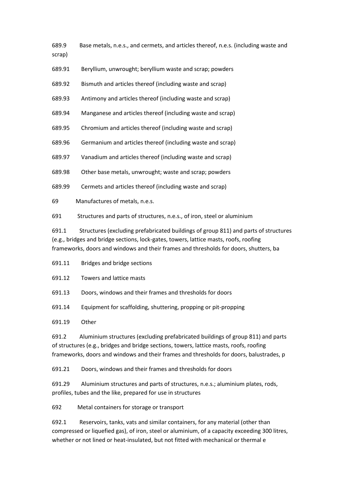- 689.9 Base metals, n.e.s., and cermets, and articles thereof, n.e.s. (including waste and
- scrap)
- 689.91 Beryllium, unwrought; beryllium waste and scrap; powders
- 689.92 Bismuth and articles thereof (including waste and scrap)
- 689.93 Antimony and articles thereof (including waste and scrap)
- 689.94 Manganese and articles thereof (including waste and scrap)
- 689.95 Chromium and articles thereof (including waste and scrap)
- 689.96 Germanium and articles thereof (including waste and scrap)
- 689.97 Vanadium and articles thereof (including waste and scrap)
- 689.98 Other base metals, unwrought; waste and scrap; powders
- 689.99 Cermets and articles thereof (including waste and scrap)
- 69 Manufactures of metals, n.e.s.
- 691 Structures and parts of structures, n.e.s., of iron, steel or aluminium

691.1 Structures (excluding prefabricated buildings of group 811) and parts of structures (e.g., bridges and bridge sections, lock-gates, towers, lattice masts, roofs, roofing frameworks, doors and windows and their frames and thresholds for doors, shutters, ba

- 691.11 Bridges and bridge sections
- 691.12 Towers and lattice masts
- 691.13 Doors, windows and their frames and thresholds for doors
- 691.14 Equipment for scaffolding, shuttering, propping or pit-propping

691.19 Other

691.2 Aluminium structures (excluding prefabricated buildings of group 811) and parts of structures (e.g., bridges and bridge sections, towers, lattice masts, roofs, roofing frameworks, doors and windows and their frames and thresholds for doors, balustrades, p

691.21 Doors, windows and their frames and thresholds for doors

691.29 Aluminium structures and parts of structures, n.e.s.; aluminium plates, rods, profiles, tubes and the like, prepared for use in structures

692 Metal containers for storage or transport

692.1 Reservoirs, tanks, vats and similar containers, for any material (other than compressed or liquefied gas), of iron, steel or aluminium, of a capacity exceeding 300 litres, whether or not lined or heat-insulated, but not fitted with mechanical or thermal e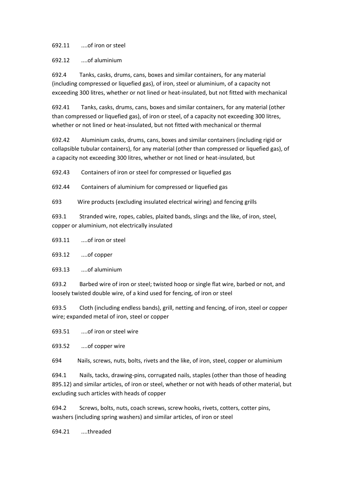692.11 ....of iron or steel

692.12 ....of aluminium

692.4 Tanks, casks, drums, cans, boxes and similar containers, for any material (including compressed or liquefied gas), of iron, steel or aluminium, of a capacity not exceeding 300 litres, whether or not lined or heat-insulated, but not fitted with mechanical

692.41 Tanks, casks, drums, cans, boxes and similar containers, for any material (other than compressed or liquefied gas), of iron or steel, of a capacity not exceeding 300 litres, whether or not lined or heat-insulated, but not fitted with mechanical or thermal

692.42 Aluminium casks, drums, cans, boxes and similar containers (including rigid or collapsible tubular containers), for any material (other than compressed or liquefied gas), of a capacity not exceeding 300 litres, whether or not lined or heat-insulated, but

692.43 Containers of iron or steel for compressed or liquefied gas

692.44 Containers of aluminium for compressed or liquefied gas

693 Wire products (excluding insulated electrical wiring) and fencing grills

693.1 Stranded wire, ropes, cables, plaited bands, slings and the like, of iron, steel, copper or aluminium, not electrically insulated

693.11 ....of iron or steel

693.12 ....of copper

693.13 ....of aluminium

693.2 Barbed wire of iron or steel; twisted hoop or single flat wire, barbed or not, and loosely twisted double wire, of a kind used for fencing, of iron or steel

693.5 Cloth (including endless bands), grill, netting and fencing, of iron, steel or copper wire; expanded metal of iron, steel or copper

693.51 ....of iron or steel wire

693.52 ....of copper wire

694 Nails, screws, nuts, bolts, rivets and the like, of iron, steel, copper or aluminium

694.1 Nails, tacks, drawing-pins, corrugated nails, staples (other than those of heading 895.12) and similar articles, of iron or steel, whether or not with heads of other material, but excluding such articles with heads of copper

694.2 Screws, bolts, nuts, coach screws, screw hooks, rivets, cotters, cotter pins, washers (including spring washers) and similar articles, of iron or steel

694.21 ....threaded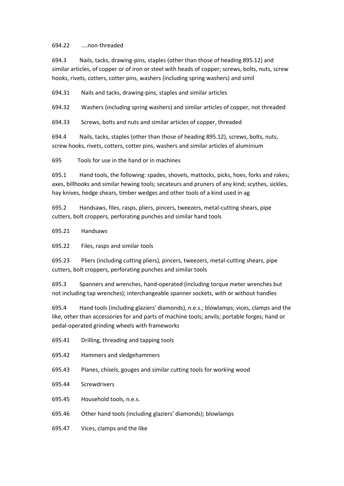## 694.22 ....non-threaded

694.3 Nails, tacks, drawing-pins, staples (other than those of heading 895.12) and similar articles, of copper or of iron or steel with heads of copper; screws, bolts, nuts, screw hooks, rivets, cotters, cotter pins, washers (including spring washers) and simil

694.31 Nails and tacks, drawing-pins, staples and similar articles

694.32 Washers (including spring washers) and similar articles of copper, not threaded

694.33 Screws, bolts and nuts and similar articles of copper, threaded

694.4 Nails, tacks, staples (other than those of heading 895.12), screws, bolts, nuts, screw hooks, rivets, cotters, cotter pins, washers and similar articles of aluminium

695 Tools for use in the hand or in machines

695.1 Hand tools, the following: spades, shovels, mattocks, picks, hoes, forks and rakes; axes, billhooks and similar hewing tools; secateurs and pruners of any kind; scythes, sickles, hay knives, hedge shears, timber wedges and other tools of a kind used in ag

695.2 Handsaws, files, rasps, pliers, pincers, tweezers, metal-cutting shears, pipe cutters, bolt croppers, perforating punches and similar hand tools

695.21 Handsaws

695.22 Files, rasps and similar tools

695.23 Pliers (including cutting pliers), pincers, tweezers, metal-cutting shears, pipe cutters, bolt croppers, perforating punches and similar tools

695.3 Spanners and wrenches, hand-operated (including torque meter wrenches but not including tap wrenches); interchangeable spanner sockets, with or without handles

695.4 Hand tools (including glaziers' diamonds), n.e.s.; blowlamps; vices, clamps and the like, other than accessories for and parts of machine tools; anvils; portable forges; hand or pedal-operated grinding wheels with frameworks

- 695.41 Drilling, threading and tapping tools
- 695.42 Hammers and sledgehammers
- 695.43 Planes, chisels, gouges and similar cutting tools for working wood
- 695.44 Screwdrivers
- 695.45 Household tools, n.e.s.
- 695.46 Other hand tools (including glaziers' diamonds); blowlamps
- 695.47 Vices, clamps and the like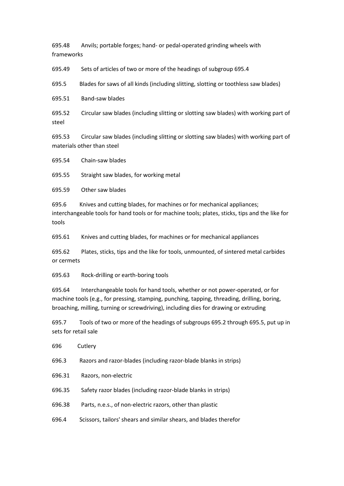695.48 Anvils; portable forges; hand- or pedal-operated grinding wheels with frameworks

695.49 Sets of articles of two or more of the headings of subgroup 695.4

695.5 Blades for saws of all kinds (including slitting, slotting or toothless saw blades)

695.51 Band-saw blades

695.52 Circular saw blades (including slitting or slotting saw blades) with working part of steel

695.53 Circular saw blades (including slitting or slotting saw blades) with working part of materials other than steel

695.54 Chain-saw blades

695.55 Straight saw blades, for working metal

695.59 Other saw blades

695.6 Knives and cutting blades, for machines or for mechanical appliances; interchangeable tools for hand tools or for machine tools; plates, sticks, tips and the like for tools

695.61 Knives and cutting blades, for machines or for mechanical appliances

695.62 Plates, sticks, tips and the like for tools, unmounted, of sintered metal carbides or cermets

695.63 Rock-drilling or earth-boring tools

695.64 Interchangeable tools for hand tools, whether or not power-operated, or for machine tools (e.g., for pressing, stamping, punching, tapping, threading, drilling, boring, broaching, milling, turning or screwdriving), including dies for drawing or extruding

695.7 Tools of two or more of the headings of subgroups 695.2 through 695.5, put up in sets for retail sale

| 696    | Cutlery                                                          |
|--------|------------------------------------------------------------------|
| 696.3  | Razors and razor-blades (including razor-blade blanks in strips) |
| 696.31 | Razors, non-electric                                             |
| 696.35 | Safety razor blades (including razor-blade blanks in strips)     |
|        |                                                                  |

696.38 Parts, n.e.s., of non-electric razors, other than plastic

696.4 Scissors, tailors' shears and similar shears, and blades therefor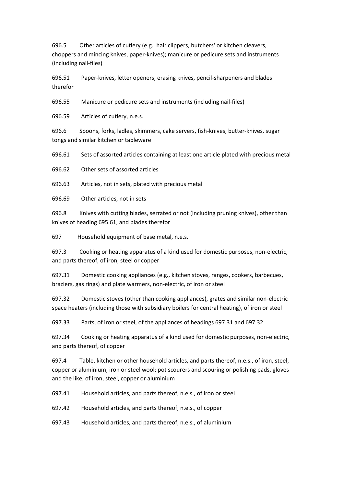696.5 Other articles of cutlery (e.g., hair clippers, butchers' or kitchen cleavers, choppers and mincing knives, paper-knives); manicure or pedicure sets and instruments (including nail-files)

696.51 Paper-knives, letter openers, erasing knives, pencil-sharpeners and blades therefor

696.55 Manicure or pedicure sets and instruments (including nail-files)

696.59 Articles of cutlery, n.e.s.

696.6 Spoons, forks, ladles, skimmers, cake servers, fish-knives, butter-knives, sugar tongs and similar kitchen or tableware

696.61 Sets of assorted articles containing at least one article plated with precious metal

696.62 Other sets of assorted articles

696.63 Articles, not in sets, plated with precious metal

696.69 Other articles, not in sets

696.8 Knives with cutting blades, serrated or not (including pruning knives), other than knives of heading 695.61, and blades therefor

697 Household equipment of base metal, n.e.s.

697.3 Cooking or heating apparatus of a kind used for domestic purposes, non-electric, and parts thereof, of iron, steel or copper

697.31 Domestic cooking appliances (e.g., kitchen stoves, ranges, cookers, barbecues, braziers, gas rings) and plate warmers, non-electric, of iron or steel

697.32 Domestic stoves (other than cooking appliances), grates and similar non-electric space heaters (including those with subsidiary boilers for central heating), of iron or steel

697.33 Parts, of iron or steel, of the appliances of headings 697.31 and 697.32

697.34 Cooking or heating apparatus of a kind used for domestic purposes, non-electric, and parts thereof, of copper

697.4 Table, kitchen or other household articles, and parts thereof, n.e.s., of iron, steel, copper or aluminium; iron or steel wool; pot scourers and scouring or polishing pads, gloves and the like, of iron, steel, copper or aluminium

697.41 Household articles, and parts thereof, n.e.s., of iron or steel

697.42 Household articles, and parts thereof, n.e.s., of copper

697.43 Household articles, and parts thereof, n.e.s., of aluminium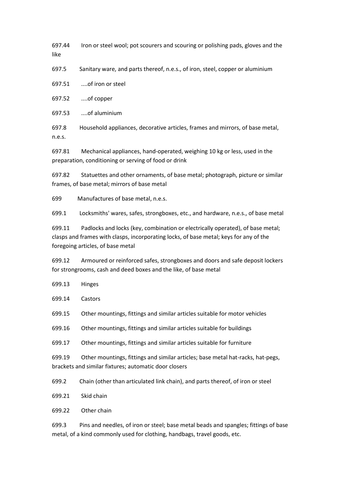697.44 Iron or steel wool; pot scourers and scouring or polishing pads, gloves and the like

697.5 Sanitary ware, and parts thereof, n.e.s., of iron, steel, copper or aluminium

697.51 ....of iron or steel

697.52 ....of copper

697.53 ....of aluminium

697.8 Household appliances, decorative articles, frames and mirrors, of base metal, n.e.s.

697.81 Mechanical appliances, hand-operated, weighing 10 kg or less, used in the preparation, conditioning or serving of food or drink

697.82 Statuettes and other ornaments, of base metal; photograph, picture or similar frames, of base metal; mirrors of base metal

699 Manufactures of base metal, n.e.s.

699.1 Locksmiths' wares, safes, strongboxes, etc., and hardware, n.e.s., of base metal

699.11 Padlocks and locks (key, combination or electrically operated), of base metal; clasps and frames with clasps, incorporating locks, of base metal; keys for any of the foregoing articles, of base metal

699.12 Armoured or reinforced safes, strongboxes and doors and safe deposit lockers for strongrooms, cash and deed boxes and the like, of base metal

- 699.13 Hinges
- 699.14 Castors
- 699.15 Other mountings, fittings and similar articles suitable for motor vehicles

699.16 Other mountings, fittings and similar articles suitable for buildings

699.17 Other mountings, fittings and similar articles suitable for furniture

699.19 Other mountings, fittings and similar articles; base metal hat-racks, hat-pegs, brackets and similar fixtures; automatic door closers

699.2 Chain (other than articulated link chain), and parts thereof, of iron or steel

699.21 Skid chain

699.22 Other chain

699.3 Pins and needles, of iron or steel; base metal beads and spangles; fittings of base metal, of a kind commonly used for clothing, handbags, travel goods, etc.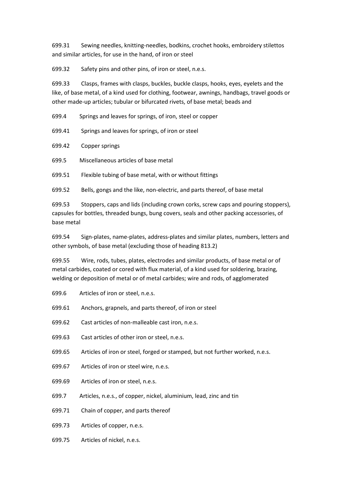699.31 Sewing needles, knitting-needles, bodkins, crochet hooks, embroidery stilettos and similar articles, for use in the hand, of iron or steel

699.32 Safety pins and other pins, of iron or steel, n.e.s.

699.33 Clasps, frames with clasps, buckles, buckle clasps, hooks, eyes, eyelets and the like, of base metal, of a kind used for clothing, footwear, awnings, handbags, travel goods or other made-up articles; tubular or bifurcated rivets, of base metal; beads and

699.4 Springs and leaves for springs, of iron, steel or copper

699.41 Springs and leaves for springs, of iron or steel

699.42 Copper springs

699.5 Miscellaneous articles of base metal

699.51 Flexible tubing of base metal, with or without fittings

699.52 Bells, gongs and the like, non-electric, and parts thereof, of base metal

699.53 Stoppers, caps and lids (including crown corks, screw caps and pouring stoppers), capsules for bottles, threaded bungs, bung covers, seals and other packing accessories, of base metal

699.54 Sign-plates, name-plates, address-plates and similar plates, numbers, letters and other symbols, of base metal (excluding those of heading 813.2)

699.55 Wire, rods, tubes, plates, electrodes and similar products, of base metal or of metal carbides, coated or cored with flux material, of a kind used for soldering, brazing, welding or deposition of metal or of metal carbides; wire and rods, of agglomerated

- 699.6 Articles of iron or steel, n.e.s.
- 699.61 Anchors, grapnels, and parts thereof, of iron or steel
- 699.62 Cast articles of non-malleable cast iron, n.e.s.
- 699.63 Cast articles of other iron or steel, n.e.s.
- 699.65 Articles of iron or steel, forged or stamped, but not further worked, n.e.s.
- 699.67 Articles of iron or steel wire, n.e.s.
- 699.69 Articles of iron or steel, n.e.s.
- 699.7 Articles, n.e.s., of copper, nickel, aluminium, lead, zinc and tin
- 699.71 Chain of copper, and parts thereof
- 699.73 Articles of copper, n.e.s.
- 699.75 Articles of nickel, n.e.s.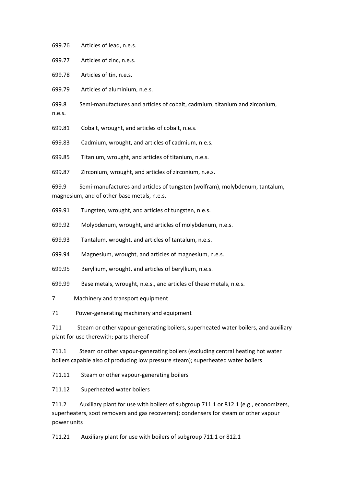699.76 Articles of lead, n.e.s.

699.77 Articles of zinc, n.e.s.

699.78 Articles of tin, n.e.s.

699.79 Articles of aluminium, n.e.s.

699.8 Semi-manufactures and articles of cobalt, cadmium, titanium and zirconium,

n.e.s.

699.81 Cobalt, wrought, and articles of cobalt, n.e.s.

699.83 Cadmium, wrought, and articles of cadmium, n.e.s.

699.85 Titanium, wrought, and articles of titanium, n.e.s.

699.87 Zirconium, wrought, and articles of zirconium, n.e.s.

699.9 Semi-manufactures and articles of tungsten (wolfram), molybdenum, tantalum, magnesium, and of other base metals, n.e.s.

699.91 Tungsten, wrought, and articles of tungsten, n.e.s.

699.92 Molybdenum, wrought, and articles of molybdenum, n.e.s.

699.93 Tantalum, wrought, and articles of tantalum, n.e.s.

699.94 Magnesium, wrought, and articles of magnesium, n.e.s.

699.95 Beryllium, wrought, and articles of beryllium, n.e.s.

699.99 Base metals, wrought, n.e.s., and articles of these metals, n.e.s.

7 Machinery and transport equipment

71 Power-generating machinery and equipment

711 Steam or other vapour-generating boilers, superheated water boilers, and auxiliary plant for use therewith; parts thereof

711.1 Steam or other vapour-generating boilers (excluding central heating hot water boilers capable also of producing low pressure steam); superheated water boilers

711.11 Steam or other vapour-generating boilers

711.12 Superheated water boilers

711.2 Auxiliary plant for use with boilers of subgroup 711.1 or 812.1 (e.g., economizers, superheaters, soot removers and gas recoverers); condensers for steam or other vapour power units

711.21 Auxiliary plant for use with boilers of subgroup 711.1 or 812.1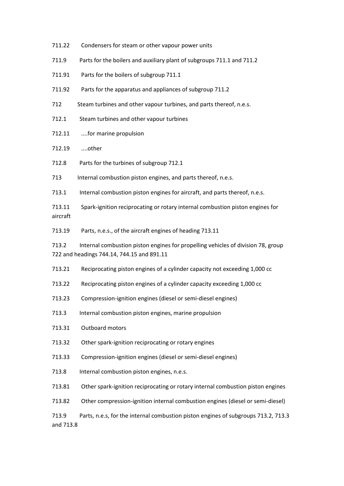| 711.22                                                                                                                                  | Condensers for steam or other vapour power units                                   |
|-----------------------------------------------------------------------------------------------------------------------------------------|------------------------------------------------------------------------------------|
| 711.9                                                                                                                                   | Parts for the boilers and auxiliary plant of subgroups 711.1 and 711.2             |
| 711.91                                                                                                                                  | Parts for the boilers of subgroup 711.1                                            |
| 711.92                                                                                                                                  | Parts for the apparatus and appliances of subgroup 711.2                           |
| 712                                                                                                                                     | Steam turbines and other vapour turbines, and parts thereof, n.e.s.                |
| 712.1                                                                                                                                   | Steam turbines and other vapour turbines                                           |
| 712.11                                                                                                                                  | for marine propulsion                                                              |
| 712.19                                                                                                                                  | other                                                                              |
| 712.8                                                                                                                                   | Parts for the turbines of subgroup 712.1                                           |
| 713                                                                                                                                     | Internal combustion piston engines, and parts thereof, n.e.s.                      |
| 713.1                                                                                                                                   | Internal combustion piston engines for aircraft, and parts thereof, n.e.s.         |
| 713.11<br>aircraft                                                                                                                      | Spark-ignition reciprocating or rotary internal combustion piston engines for      |
| 713.19                                                                                                                                  | Parts, n.e.s., of the aircraft engines of heading 713.11                           |
| Internal combustion piston engines for propelling vehicles of division 78, group<br>713.2<br>722 and headings 744.14, 744.15 and 891.11 |                                                                                    |
| 713.21                                                                                                                                  | Reciprocating piston engines of a cylinder capacity not exceeding 1,000 cc         |
| 713.22                                                                                                                                  | Reciprocating piston engines of a cylinder capacity exceeding 1,000 cc             |
| 713.23                                                                                                                                  | Compression-ignition engines (diesel or semi-diesel engines)                       |
| 713.3                                                                                                                                   | Internal combustion piston engines, marine propulsion                              |
| 713.31                                                                                                                                  | Outboard motors                                                                    |
| 713.32                                                                                                                                  | Other spark-ignition reciprocating or rotary engines                               |
| 713.33                                                                                                                                  | Compression-ignition engines (diesel or semi-diesel engines)                       |
| 713.8                                                                                                                                   | Internal combustion piston engines, n.e.s.                                         |
| 713.81                                                                                                                                  | Other spark-ignition reciprocating or rotary internal combustion piston engines    |
| 713.82                                                                                                                                  | Other compression-ignition internal combustion engines (diesel or semi-diesel)     |
| 713.9<br>and 713.8                                                                                                                      | Parts, n.e.s, for the internal combustion piston engines of subgroups 713.2, 713.3 |
|                                                                                                                                         |                                                                                    |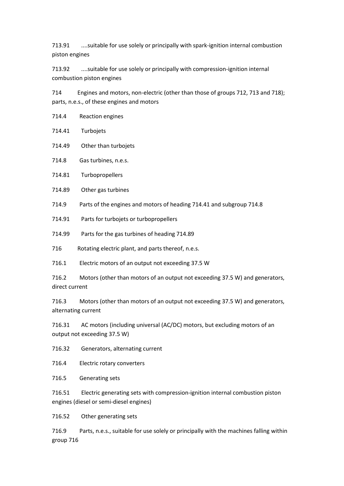713.91 ....suitable for use solely or principally with spark-ignition internal combustion piston engines

713.92 ....suitable for use solely or principally with compression-ignition internal combustion piston engines

714 Engines and motors, non-electric (other than those of groups 712, 713 and 718); parts, n.e.s., of these engines and motors

| 714.4  | Reaction engines     |
|--------|----------------------|
| 714.41 | Turbojets            |
| 714.49 | Other than turbojets |

714.8 Gas turbines, n.e.s.

714.81 Turbopropellers

714.89 Other gas turbines

714.9 Parts of the engines and motors of heading 714.41 and subgroup 714.8

714.91 Parts for turbojets or turbopropellers

714.99 Parts for the gas turbines of heading 714.89

716 Rotating electric plant, and parts thereof, n.e.s.

716.1 Electric motors of an output not exceeding 37.5 W

716.2 Motors (other than motors of an output not exceeding 37.5 W) and generators, direct current

716.3 Motors (other than motors of an output not exceeding 37.5 W) and generators, alternating current

716.31 AC motors (including universal (AC/DC) motors, but excluding motors of an output not exceeding 37.5 W)

716.32 Generators, alternating current

716.4 Electric rotary converters

716.5 Generating sets

716.51 Electric generating sets with compression-ignition internal combustion piston engines (diesel or semi-diesel engines)

716.52 Other generating sets

716.9 Parts, n.e.s., suitable for use solely or principally with the machines falling within group 716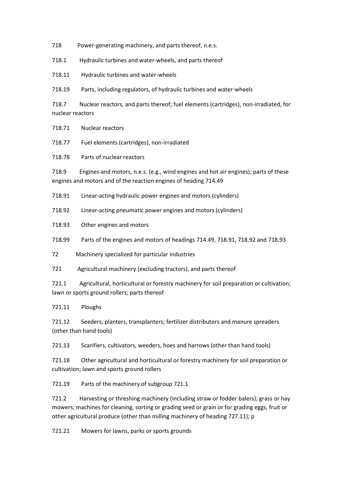718 Power-generating machinery, and parts thereof, n.e.s.

718.1 Hydraulic turbines and water-wheels, and parts thereof

718.11 Hydraulic turbines and water-wheels

718.19 Parts, including regulators, of hydraulic turbines and water-wheels

718.7 Nuclear reactors, and parts thereof; fuel elements (cartridges), non-irradiated, for nuclear reactors

718.71 Nuclear reactors

718.77 Fuel elements (cartridges), non-irradiated

718.78 Parts of nuclear reactors

718.9 Engines and motors, n.e.s. (e.g., wind engines and hot air engines); parts of these engines and motors and of the reaction engines of heading 714.49

718.91 Linear-acting hydraulic power engines and motors (cylinders)

718.92 Linear-acting pneumatic power engines and motors (cylinders)

718.93 Other engines and motors

718.99 Parts of the engines and motors of headings 714.49, 718.91, 718.92 and 718.93

72 Machinery specialized for particular industries

721 Agricultural machinery (excluding tractors), and parts thereof

721.1 Agricultural, horticultural or forestry machinery for soil preparation or cultivation; lawn or sports ground rollers; parts thereof

721.11 Ploughs

721.12 Seeders, planters, transplanters; fertilizer distributors and manure spreaders (other than hand tools)

721.13 Scarifiers, cultivators, weeders, hoes and harrows (other than hand tools)

721.18 Other agricultural and horticultural or forestry machinery for soil preparation or cultivation; lawn and sports ground rollers

721.19 Parts of the machinery of subgroup 721.1

721.2 Harvesting or threshing machinery (including straw or fodder balers); grass or hay mowers; machines for cleaning, sorting or grading seed or grain or for grading eggs, fruit or other agricultural produce (other than milling machinery of heading 727.11); p

721.21 Mowers for lawns, parks or sports grounds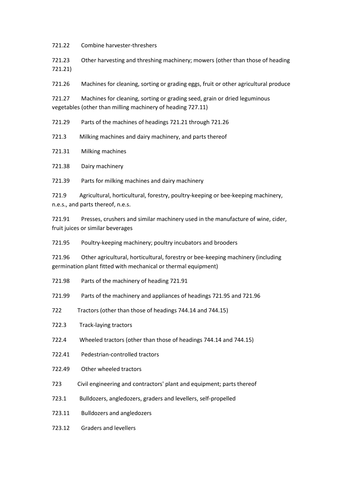721.22 Combine harvester-threshers

721.23 Other harvesting and threshing machinery; mowers (other than those of heading 721.21)

721.26 Machines for cleaning, sorting or grading eggs, fruit or other agricultural produce

721.27 Machines for cleaning, sorting or grading seed, grain or dried leguminous vegetables (other than milling machinery of heading 727.11)

721.29 Parts of the machines of headings 721.21 through 721.26

721.3 Milking machines and dairy machinery, and parts thereof

721.31 Milking machines

721.38 Dairy machinery

721.39 Parts for milking machines and dairy machinery

721.9 Agricultural, horticultural, forestry, poultry-keeping or bee-keeping machinery, n.e.s., and parts thereof, n.e.s.

721.91 Presses, crushers and similar machinery used in the manufacture of wine, cider, fruit juices or similar beverages

721.95 Poultry-keeping machinery; poultry incubators and brooders

721.96 Other agricultural, horticultural, forestry or bee-keeping machinery (including germination plant fitted with mechanical or thermal equipment)

- 721.98 Parts of the machinery of heading 721.91
- 721.99 Parts of the machinery and appliances of headings 721.95 and 721.96
- 722 Tractors (other than those of headings 744.14 and 744.15)
- 722.3 Track-laying tractors
- 722.4 Wheeled tractors (other than those of headings 744.14 and 744.15)
- 722.41 Pedestrian-controlled tractors
- 722.49 Other wheeled tractors
- 723 Civil engineering and contractors' plant and equipment; parts thereof
- 723.1 Bulldozers, angledozers, graders and levellers, self-propelled
- 723.11 Bulldozers and angledozers
- 723.12 Graders and levellers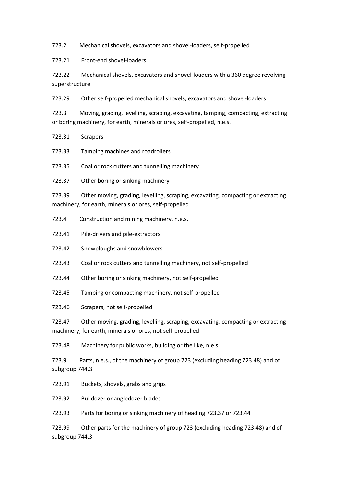723.2 Mechanical shovels, excavators and shovel-loaders, self-propelled

723.21 Front-end shovel-loaders

723.22 Mechanical shovels, excavators and shovel-loaders with a 360 degree revolving superstructure

723.29 Other self-propelled mechanical shovels, excavators and shovel-loaders

723.3 Moving, grading, levelling, scraping, excavating, tamping, compacting, extracting or boring machinery, for earth, minerals or ores, self-propelled, n.e.s.

- 723.31 Scrapers
- 723.33 Tamping machines and roadrollers

723.35 Coal or rock cutters and tunnelling machinery

723.37 Other boring or sinking machinery

723.39 Other moving, grading, levelling, scraping, excavating, compacting or extracting machinery, for earth, minerals or ores, self-propelled

- 723.4 Construction and mining machinery, n.e.s.
- 723.41 Pile-drivers and pile-extractors
- 723.42 Snowploughs and snowblowers
- 723.43 Coal or rock cutters and tunnelling machinery, not self-propelled
- 723.44 Other boring or sinking machinery, not self-propelled
- 723.45 Tamping or compacting machinery, not self-propelled
- 723.46 Scrapers, not self-propelled

723.47 Other moving, grading, levelling, scraping, excavating, compacting or extracting machinery, for earth, minerals or ores, not self-propelled

723.48 Machinery for public works, building or the like, n.e.s.

723.9 Parts, n.e.s., of the machinery of group 723 (excluding heading 723.48) and of subgroup 744.3

- 723.91 Buckets, shovels, grabs and grips
- 723.92 Bulldozer or angledozer blades

723.93 Parts for boring or sinking machinery of heading 723.37 or 723.44

723.99 Other parts for the machinery of group 723 (excluding heading 723.48) and of subgroup 744.3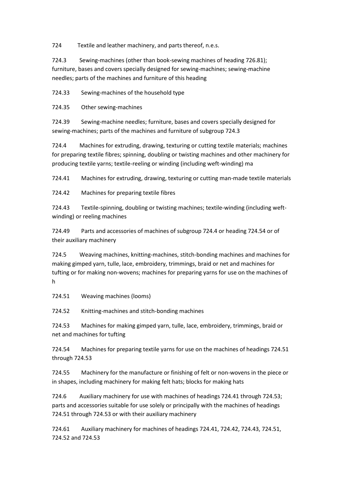724 Textile and leather machinery, and parts thereof, n.e.s.

724.3 Sewing-machines (other than book-sewing machines of heading 726.81); furniture, bases and covers specially designed for sewing-machines; sewing-machine needles; parts of the machines and furniture of this heading

724.33 Sewing-machines of the household type

724.35 Other sewing-machines

724.39 Sewing-machine needles; furniture, bases and covers specially designed for sewing-machines; parts of the machines and furniture of subgroup 724.3

724.4 Machines for extruding, drawing, texturing or cutting textile materials; machines for preparing textile fibres; spinning, doubling or twisting machines and other machinery for producing textile yarns; textile-reeling or winding (including weft-winding) ma

724.41 Machines for extruding, drawing, texturing or cutting man-made textile materials

724.42 Machines for preparing textile fibres

724.43 Textile-spinning, doubling or twisting machines; textile-winding (including weftwinding) or reeling machines

724.49 Parts and accessories of machines of subgroup 724.4 or heading 724.54 or of their auxiliary machinery

724.5 Weaving machines, knitting-machines, stitch-bonding machines and machines for making gimped yarn, tulle, lace, embroidery, trimmings, braid or net and machines for tufting or for making non-wovens; machines for preparing yarns for use on the machines of h

724.51 Weaving machines (looms)

724.52 Knitting-machines and stitch-bonding machines

724.53 Machines for making gimped yarn, tulle, lace, embroidery, trimmings, braid or net and machines for tufting

724.54 Machines for preparing textile yarns for use on the machines of headings 724.51 through 724.53

724.55 Machinery for the manufacture or finishing of felt or non-wovens in the piece or in shapes, including machinery for making felt hats; blocks for making hats

724.6 Auxiliary machinery for use with machines of headings 724.41 through 724.53; parts and accessories suitable for use solely or principally with the machines of headings 724.51 through 724.53 or with their auxiliary machinery

724.61 Auxiliary machinery for machines of headings 724.41, 724.42, 724.43, 724.51, 724.52 and 724.53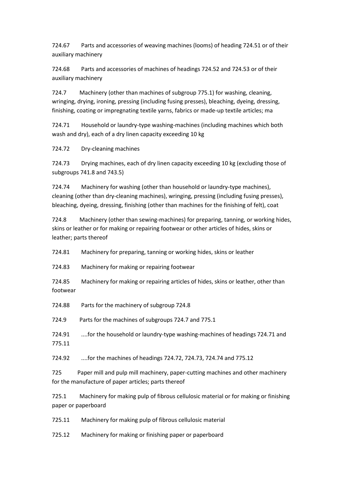724.67 Parts and accessories of weaving machines (looms) of heading 724.51 or of their auxiliary machinery

724.68 Parts and accessories of machines of headings 724.52 and 724.53 or of their auxiliary machinery

724.7 Machinery (other than machines of subgroup 775.1) for washing, cleaning, wringing, drying, ironing, pressing (including fusing presses), bleaching, dyeing, dressing, finishing, coating or impregnating textile yarns, fabrics or made-up textile articles; ma

724.71 Household or laundry-type washing-machines (including machines which both wash and dry), each of a dry linen capacity exceeding 10 kg

724.72 Dry-cleaning machines

724.73 Drying machines, each of dry linen capacity exceeding 10 kg (excluding those of subgroups 741.8 and 743.5)

724.74 Machinery for washing (other than household or laundry-type machines), cleaning (other than dry-cleaning machines), wringing, pressing (including fusing presses), bleaching, dyeing, dressing, finishing (other than machines for the finishing of felt), coat

724.8 Machinery (other than sewing-machines) for preparing, tanning, or working hides, skins or leather or for making or repairing footwear or other articles of hides, skins or leather; parts thereof

724.81 Machinery for preparing, tanning or working hides, skins or leather

724.83 Machinery for making or repairing footwear

724.85 Machinery for making or repairing articles of hides, skins or leather, other than footwear

724.88 Parts for the machinery of subgroup 724.8

724.9 Parts for the machines of subgroups 724.7 and 775.1

724.91 ....for the household or laundry-type washing-machines of headings 724.71 and 775.11

724.92 ....for the machines of headings 724.72, 724.73, 724.74 and 775.12

725 Paper mill and pulp mill machinery, paper-cutting machines and other machinery for the manufacture of paper articles; parts thereof

725.1 Machinery for making pulp of fibrous cellulosic material or for making or finishing paper or paperboard

725.11 Machinery for making pulp of fibrous cellulosic material

725.12 Machinery for making or finishing paper or paperboard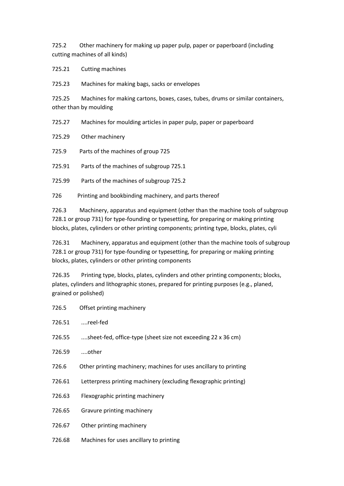725.2 Other machinery for making up paper pulp, paper or paperboard (including cutting machines of all kinds)

725.21 Cutting machines

725.23 Machines for making bags, sacks or envelopes

725.25 Machines for making cartons, boxes, cases, tubes, drums or similar containers, other than by moulding

725.27 Machines for moulding articles in paper pulp, paper or paperboard

725.29 Other machinery

725.9 Parts of the machines of group 725

725.91 Parts of the machines of subgroup 725.1

725.99 Parts of the machines of subgroup 725.2

726 Printing and bookbinding machinery, and parts thereof

726.3 Machinery, apparatus and equipment (other than the machine tools of subgroup 728.1 or group 731) for type-founding or typesetting, for preparing or making printing blocks, plates, cylinders or other printing components; printing type, blocks, plates, cyli

726.31 Machinery, apparatus and equipment (other than the machine tools of subgroup 728.1 or group 731) for type-founding or typesetting, for preparing or making printing blocks, plates, cylinders or other printing components

726.35 Printing type, blocks, plates, cylinders and other printing components; blocks, plates, cylinders and lithographic stones, prepared for printing purposes (e.g., planed, grained or polished)

| 726.5  | Offset printing machinery                                         |
|--------|-------------------------------------------------------------------|
| 726.51 | reel-fed                                                          |
| 726.55 | sheet-fed, office-type (sheet size not exceeding 22 x 36 cm)      |
| 726.59 | other                                                             |
| 726.6  | Other printing machinery; machines for uses ancillary to printing |
| 726.61 | Letterpress printing machinery (excluding flexographic printing)  |
| 726.63 | Flexographic printing machinery                                   |
| 726.65 | Gravure printing machinery                                        |
| 726.67 | Other printing machinery                                          |
| 726.68 | Machines for uses ancillary to printing                           |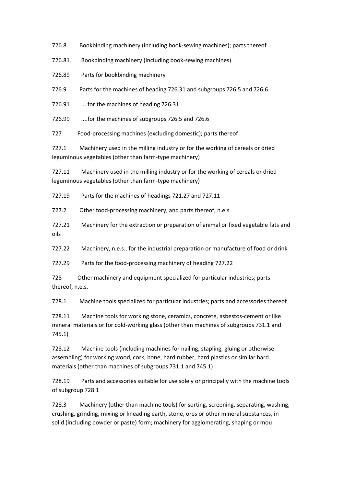726.8 Bookbinding machinery (including book-sewing machines); parts thereof

726.81 Bookbinding machinery (including book-sewing machines)

726.89 Parts for bookbinding machinery

726.9 Parts for the machines of heading 726.31 and subgroups 726.5 and 726.6

726.91 ....for the machines of heading 726.31

726.99 ....for the machines of subgroups 726.5 and 726.6

727 Food-processing machines (excluding domestic); parts thereof

727.1 Machinery used in the milling industry or for the working of cereals or dried leguminous vegetables (other than farm-type machinery)

727.11 Machinery used in the milling industry or for the working of cereals or dried leguminous vegetables (other than farm-type machinery)

727.19 Parts for the machines of headings 721.27 and 727.11

727.2 Other food-processing machinery, and parts thereof, n.e.s.

727.21 Machinery for the extraction or preparation of animal or fixed vegetable fats and oils

727.22 Machinery, n.e.s., for the industrial preparation or manufacture of food or drink

727.29 Parts for the food-processing machinery of heading 727.22

728 Other machinery and equipment specialized for particular industries; parts thereof, n.e.s.

728.1 Machine tools specialized for particular industries; parts and accessories thereof

728.11 Machine tools for working stone, ceramics, concrete, asbestos-cement or like mineral materials or for cold-working glass (other than machines of subgroups 731.1 and 745.1)

728.12 Machine tools (including machines for nailing, stapling, gluing or otherwise assembling) for working wood, cork, bone, hard rubber, hard plastics or similar hard materials (other than machines of subgroups 731.1 and 745.1)

728.19 Parts and accessories suitable for use solely or principally with the machine tools of subgroup 728.1

728.3 Machinery (other than machine tools) for sorting, screening, separating, washing, crushing, grinding, mixing or kneading earth, stone, ores or other mineral substances, in solid (including powder or paste) form; machinery for agglomerating, shaping or mou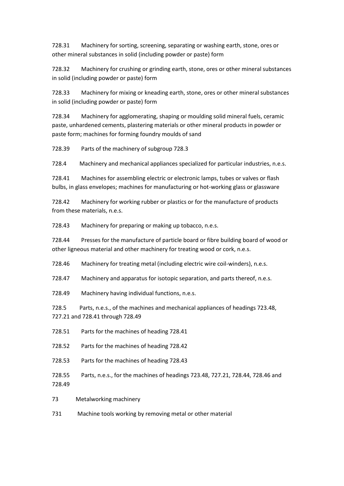728.31 Machinery for sorting, screening, separating or washing earth, stone, ores or other mineral substances in solid (including powder or paste) form

728.32 Machinery for crushing or grinding earth, stone, ores or other mineral substances in solid (including powder or paste) form

728.33 Machinery for mixing or kneading earth, stone, ores or other mineral substances in solid (including powder or paste) form

728.34 Machinery for agglomerating, shaping or moulding solid mineral fuels, ceramic paste, unhardened cements, plastering materials or other mineral products in powder or paste form; machines for forming foundry moulds of sand

728.39 Parts of the machinery of subgroup 728.3

728.4 Machinery and mechanical appliances specialized for particular industries, n.e.s.

728.41 Machines for assembling electric or electronic lamps, tubes or valves or flash bulbs, in glass envelopes; machines for manufacturing or hot-working glass or glassware

728.42 Machinery for working rubber or plastics or for the manufacture of products from these materials, n.e.s.

728.43 Machinery for preparing or making up tobacco, n.e.s.

728.44 Presses for the manufacture of particle board or fibre building board of wood or other ligneous material and other machinery for treating wood or cork, n.e.s.

728.46 Machinery for treating metal (including electric wire coil-winders), n.e.s.

728.47 Machinery and apparatus for isotopic separation, and parts thereof, n.e.s.

728.49 Machinery having individual functions, n.e.s.

728.5 Parts, n.e.s., of the machines and mechanical appliances of headings 723.48, 727.21 and 728.41 through 728.49

728.51 Parts for the machines of heading 728.41

728.52 Parts for the machines of heading 728.42

728.53 Parts for the machines of heading 728.43

728.55 Parts, n.e.s., for the machines of headings 723.48, 727.21, 728.44, 728.46 and 728.49

73 Metalworking machinery

731 Machine tools working by removing metal or other material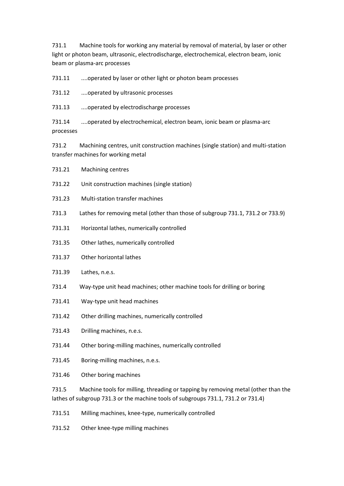731.1 Machine tools for working any material by removal of material, by laser or other light or photon beam, ultrasonic, electrodischarge, electrochemical, electron beam, ionic beam or plasma-arc processes

731.11 ....operated by laser or other light or photon beam processes

731.12 ....operated by ultrasonic processes

731.13 ....operated by electrodischarge processes

731.14 ....operated by electrochemical, electron beam, ionic beam or plasma-arc processes

731.2 Machining centres, unit construction machines (single station) and multi-station transfer machines for working metal

- 731.21 Machining centres
- 731.22 Unit construction machines (single station)
- 731.23 Multi-station transfer machines
- 731.3 Lathes for removing metal (other than those of subgroup 731.1, 731.2 or 733.9)
- 731.31 Horizontal lathes, numerically controlled
- 731.35 Other lathes, numerically controlled
- 731.37 Other horizontal lathes
- 731.39 Lathes, n.e.s.
- 731.4 Way-type unit head machines; other machine tools for drilling or boring
- 731.41 Way-type unit head machines
- 731.42 Other drilling machines, numerically controlled
- 731.43 Drilling machines, n.e.s.
- 731.44 Other boring-milling machines, numerically controlled
- 731.45 Boring-milling machines, n.e.s.
- 731.46 Other boring machines

731.5 Machine tools for milling, threading or tapping by removing metal (other than the lathes of subgroup 731.3 or the machine tools of subgroups 731.1, 731.2 or 731.4)

- 731.51 Milling machines, knee-type, numerically controlled
- 731.52 Other knee-type milling machines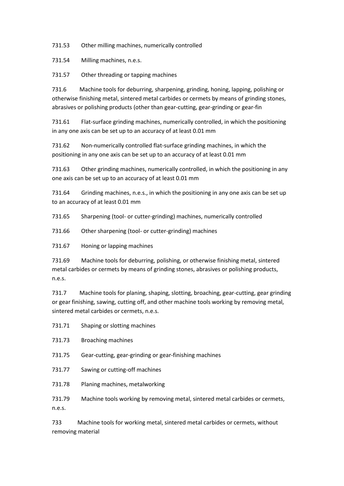731.53 Other milling machines, numerically controlled

731.54 Milling machines, n.e.s.

731.57 Other threading or tapping machines

731.6 Machine tools for deburring, sharpening, grinding, honing, lapping, polishing or otherwise finishing metal, sintered metal carbides or cermets by means of grinding stones, abrasives or polishing products (other than gear-cutting, gear-grinding or gear-fin

731.61 Flat-surface grinding machines, numerically controlled, in which the positioning in any one axis can be set up to an accuracy of at least 0.01 mm

731.62 Non-numerically controlled flat-surface grinding machines, in which the positioning in any one axis can be set up to an accuracy of at least 0.01 mm

731.63 Other grinding machines, numerically controlled, in which the positioning in any one axis can be set up to an accuracy of at least 0.01 mm

731.64 Grinding machines, n.e.s., in which the positioning in any one axis can be set up to an accuracy of at least 0.01 mm

731.65 Sharpening (tool- or cutter-grinding) machines, numerically controlled

731.66 Other sharpening (tool- or cutter-grinding) machines

731.67 Honing or lapping machines

731.69 Machine tools for deburring, polishing, or otherwise finishing metal, sintered metal carbides or cermets by means of grinding stones, abrasives or polishing products, n.e.s.

731.7 Machine tools for planing, shaping, slotting, broaching, gear-cutting, gear grinding or gear finishing, sawing, cutting off, and other machine tools working by removing metal, sintered metal carbides or cermets, n.e.s.

731.71 Shaping or slotting machines

731.73 Broaching machines

731.75 Gear-cutting, gear-grinding or gear-finishing machines

731.77 Sawing or cutting-off machines

731.78 Planing machines, metalworking

731.79 Machine tools working by removing metal, sintered metal carbides or cermets, n.e.s.

733 Machine tools for working metal, sintered metal carbides or cermets, without removing material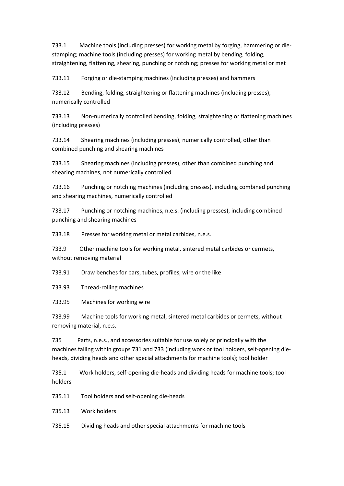733.1 Machine tools (including presses) for working metal by forging, hammering or diestamping; machine tools (including presses) for working metal by bending, folding, straightening, flattening, shearing, punching or notching; presses for working metal or met

733.11 Forging or die-stamping machines (including presses) and hammers

733.12 Bending, folding, straightening or flattening machines (including presses), numerically controlled

733.13 Non-numerically controlled bending, folding, straightening or flattening machines (including presses)

733.14 Shearing machines (including presses), numerically controlled, other than combined punching and shearing machines

733.15 Shearing machines (including presses), other than combined punching and shearing machines, not numerically controlled

733.16 Punching or notching machines (including presses), including combined punching and shearing machines, numerically controlled

733.17 Punching or notching machines, n.e.s. (including presses), including combined punching and shearing machines

733.18 Presses for working metal or metal carbides, n.e.s.

733.9 Other machine tools for working metal, sintered metal carbides or cermets, without removing material

733.91 Draw benches for bars, tubes, profiles, wire or the like

733.93 Thread-rolling machines

733.95 Machines for working wire

733.99 Machine tools for working metal, sintered metal carbides or cermets, without removing material, n.e.s.

735 Parts, n.e.s., and accessories suitable for use solely or principally with the machines falling within groups 731 and 733 (including work or tool holders, self-opening dieheads, dividing heads and other special attachments for machine tools); tool holder

735.1 Work holders, self-opening die-heads and dividing heads for machine tools; tool holders

735.11 Tool holders and self-opening die-heads

735.13 Work holders

735.15 Dividing heads and other special attachments for machine tools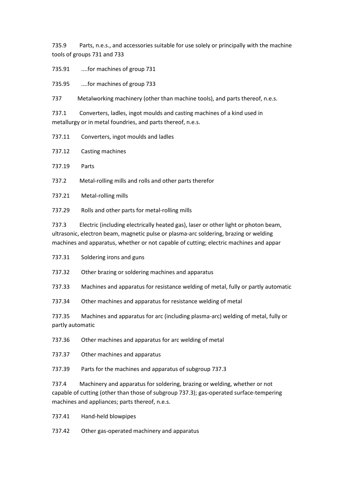735.9 Parts, n.e.s., and accessories suitable for use solely or principally with the machine tools of groups 731 and 733

735.91 ....for machines of group 731

735.95 ....for machines of group 733

737 Metalworking machinery (other than machine tools), and parts thereof, n.e.s.

737.1 Converters, ladles, ingot moulds and casting machines of a kind used in metallurgy or in metal foundries, and parts thereof, n.e.s.

737.11 Converters, ingot moulds and ladles

737.12 Casting machines

737.19 Parts

737.2 Metal-rolling mills and rolls and other parts therefor

737.21 Metal-rolling mills

737.29 Rolls and other parts for metal-rolling mills

737.3 Electric (including electrically heated gas), laser or other light or photon beam, ultrasonic, electron beam, magnetic pulse or plasma-arc soldering, brazing or welding machines and apparatus, whether or not capable of cutting; electric machines and appar

737.31 Soldering irons and guns

737.32 Other brazing or soldering machines and apparatus

737.33 Machines and apparatus for resistance welding of metal, fully or partly automatic

737.34 Other machines and apparatus for resistance welding of metal

737.35 Machines and apparatus for arc (including plasma-arc) welding of metal, fully or partly automatic

737.36 Other machines and apparatus for arc welding of metal

737.37 Other machines and apparatus

737.39 Parts for the machines and apparatus of subgroup 737.3

737.4 Machinery and apparatus for soldering, brazing or welding, whether or not capable of cutting (other than those of subgroup 737.3); gas-operated surface-tempering machines and appliances; parts thereof, n.e.s.

737.41 Hand-held blowpipes

737.42 Other gas-operated machinery and apparatus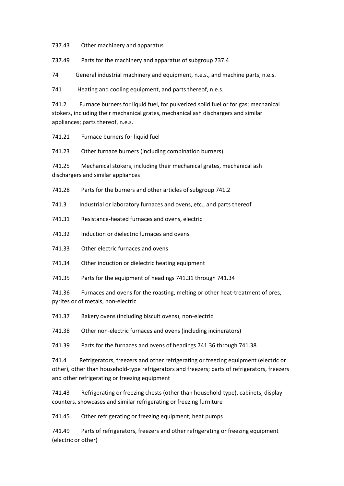737.43 Other machinery and apparatus

737.49 Parts for the machinery and apparatus of subgroup 737.4

74 General industrial machinery and equipment, n.e.s., and machine parts, n.e.s.

741 Heating and cooling equipment, and parts thereof, n.e.s.

741.2 Furnace burners for liquid fuel, for pulverized solid fuel or for gas; mechanical stokers, including their mechanical grates, mechanical ash dischargers and similar appliances; parts thereof, n.e.s.

741.21 Furnace burners for liquid fuel

741.23 Other furnace burners (including combination burners)

741.25 Mechanical stokers, including their mechanical grates, mechanical ash dischargers and similar appliances

741.28 Parts for the burners and other articles of subgroup 741.2

741.3 Industrial or laboratory furnaces and ovens, etc., and parts thereof

741.31 Resistance-heated furnaces and ovens, electric

741.32 Induction or dielectric furnaces and ovens

741.33 Other electric furnaces and ovens

741.34 Other induction or dielectric heating equipment

741.35 Parts for the equipment of headings 741.31 through 741.34

741.36 Furnaces and ovens for the roasting, melting or other heat-treatment of ores, pyrites or of metals, non-electric

741.37 Bakery ovens (including biscuit ovens), non-electric

741.38 Other non-electric furnaces and ovens (including incinerators)

741.39 Parts for the furnaces and ovens of headings 741.36 through 741.38

741.4 Refrigerators, freezers and other refrigerating or freezing equipment (electric or other), other than household-type refrigerators and freezers; parts of refrigerators, freezers and other refrigerating or freezing equipment

741.43 Refrigerating or freezing chests (other than household-type), cabinets, display counters, showcases and similar refrigerating or freezing furniture

741.45 Other refrigerating or freezing equipment; heat pumps

741.49 Parts of refrigerators, freezers and other refrigerating or freezing equipment (electric or other)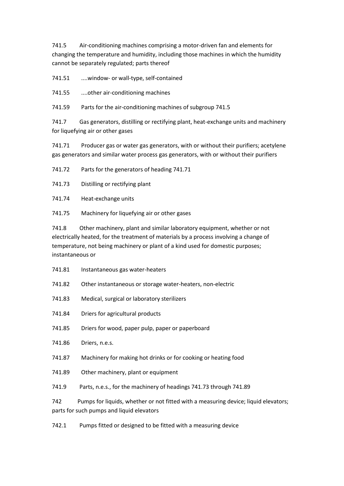741.5 Air-conditioning machines comprising a motor-driven fan and elements for changing the temperature and humidity, including those machines in which the humidity cannot be separately regulated; parts thereof

741.51 ....window- or wall-type, self-contained

741.55 ....other air-conditioning machines

741.59 Parts for the air-conditioning machines of subgroup 741.5

741.7 Gas generators, distilling or rectifying plant, heat-exchange units and machinery for liquefying air or other gases

741.71 Producer gas or water gas generators, with or without their purifiers; acetylene gas generators and similar water process gas generators, with or without their purifiers

741.72 Parts for the generators of heading 741.71

741.73 Distilling or rectifying plant

741.74 Heat-exchange units

741.75 Machinery for liquefying air or other gases

741.8 Other machinery, plant and similar laboratory equipment, whether or not electrically heated, for the treatment of materials by a process involving a change of temperature, not being machinery or plant of a kind used for domestic purposes; instantaneous or

- 741.81 Instantaneous gas water-heaters
- 741.82 Other instantaneous or storage water-heaters, non-electric
- 741.83 Medical, surgical or laboratory sterilizers
- 741.84 Driers for agricultural products
- 741.85 Driers for wood, paper pulp, paper or paperboard
- 741.86 Driers, n.e.s.
- 741.87 Machinery for making hot drinks or for cooking or heating food
- 741.89 Other machinery, plant or equipment
- 741.9 Parts, n.e.s., for the machinery of headings 741.73 through 741.89

742 Pumps for liquids, whether or not fitted with a measuring device; liquid elevators; parts for such pumps and liquid elevators

742.1 Pumps fitted or designed to be fitted with a measuring device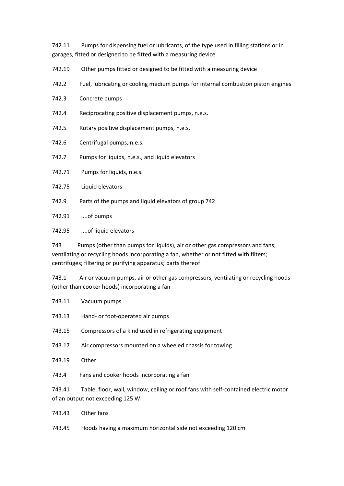742.11 Pumps for dispensing fuel or lubricants, of the type used in filling stations or in garages, fitted or designed to be fitted with a measuring device

- 742.19 Other pumps fitted or designed to be fitted with a measuring device
- 742.2 Fuel, lubricating or cooling medium pumps for internal combustion piston engines
- 742.3 Concrete pumps
- 742.4 Reciprocating positive displacement pumps, n.e.s.
- 742.5 Rotary positive displacement pumps, n.e.s.
- 742.6 Centrifugal pumps, n.e.s.
- 742.7 Pumps for liquids, n.e.s., and liquid elevators
- 742.71 Pumps for liquids, n.e.s.
- 742.75 Liquid elevators
- 742.9 Parts of the pumps and liquid elevators of group 742
- 742.91 ....of pumps
- 742.95 ....of liquid elevators

743 Pumps (other than pumps for liquids), air or other gas compressors and fans; ventilating or recycling hoods incorporating a fan, whether or not fitted with filters; centrifuges; filtering or purifying apparatus; parts thereof

743.1 Air or vacuum pumps, air or other gas compressors, ventilating or recycling hoods (other than cooker hoods) incorporating a fan

- 743.11 Vacuum pumps
- 743.13 Hand- or foot-operated air pumps
- 743.15 Compressors of a kind used in refrigerating equipment
- 743.17 Air compressors mounted on a wheeled chassis for towing
- 743.19 Other
- 743.4 Fans and cooker hoods incorporating a fan

743.41 Table, floor, wall, window, ceiling or roof fans with self-contained electric motor of an output not exceeding 125 W

- 743.43 Other fans
- 743.45 Hoods having a maximum horizontal side not exceeding 120 cm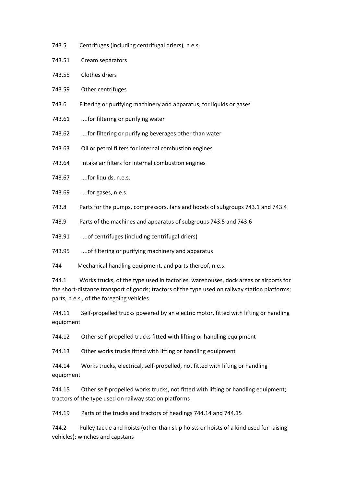- 743.5 Centrifuges (including centrifugal driers), n.e.s.
- 743.51 Cream separators
- 743.55 Clothes driers
- 743.59 Other centrifuges
- 743.6 Filtering or purifying machinery and apparatus, for liquids or gases
- 743.61 ....for filtering or purifying water
- 743.62 ....for filtering or purifying beverages other than water
- 743.63 Oil or petrol filters for internal combustion engines
- 743.64 Intake air filters for internal combustion engines
- 743.67 ....for liquids, n.e.s.
- 743.69 ....for gases, n.e.s.
- 743.8 Parts for the pumps, compressors, fans and hoods of subgroups 743.1 and 743.4
- 743.9 Parts of the machines and apparatus of subgroups 743.5 and 743.6
- 743.91 ....of centrifuges (including centrifugal driers)
- 743.95 ....of filtering or purifying machinery and apparatus
- 744 Mechanical handling equipment, and parts thereof, n.e.s.

744.1 Works trucks, of the type used in factories, warehouses, dock areas or airports for the short-distance transport of goods; tractors of the type used on railway station platforms; parts, n.e.s., of the foregoing vehicles

- 744.11 Self-propelled trucks powered by an electric motor, fitted with lifting or handling equipment
- 744.12 Other self-propelled trucks fitted with lifting or handling equipment
- 744.13 Other works trucks fitted with lifting or handling equipment
- 744.14 Works trucks, electrical, self-propelled, not fitted with lifting or handling equipment
- 744.15 Other self-propelled works trucks, not fitted with lifting or handling equipment; tractors of the type used on railway station platforms
- 744.19 Parts of the trucks and tractors of headings 744.14 and 744.15
- 744.2 Pulley tackle and hoists (other than skip hoists or hoists of a kind used for raising vehicles); winches and capstans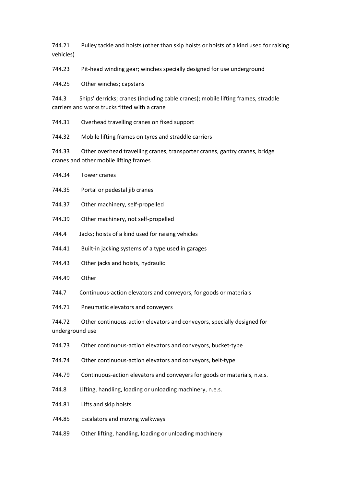744.21 Pulley tackle and hoists (other than skip hoists or hoists of a kind used for raising vehicles)

744.23 Pit-head winding gear; winches specially designed for use underground

744.25 Other winches; capstans

744.34 Tower cranes

744.3 Ships' derricks; cranes (including cable cranes); mobile lifting frames, straddle carriers and works trucks fitted with a crane

744.31 Overhead travelling cranes on fixed support

744.32 Mobile lifting frames on tyres and straddle carriers

744.33 Other overhead travelling cranes, transporter cranes, gantry cranes, bridge cranes and other mobile lifting frames

| 744.35                    | Portal or pedestal jib cranes                                            |
|---------------------------|--------------------------------------------------------------------------|
| 744.37                    | Other machinery, self-propelled                                          |
| 744.39                    | Other machinery, not self-propelled                                      |
| 744.4                     | Jacks; hoists of a kind used for raising vehicles                        |
| 744.41                    | Built-in jacking systems of a type used in garages                       |
| 744.43                    | Other jacks and hoists, hydraulic                                        |
| 744.49                    | Other                                                                    |
| 744.7                     | Continuous-action elevators and conveyors, for goods or materials        |
| 744.71                    | Pneumatic elevators and conveyers                                        |
| 744.72<br>underground use | Other continuous-action elevators and conveyors, specially designed for  |
| 744.73                    | Other continuous-action elevators and conveyors, bucket-type             |
| 744.74                    | Other continuous-action elevators and conveyors, belt-type               |
| 744.79                    | Continuous-action elevators and conveyers for goods or materials, n.e.s. |
| 744.8                     | Lifting, handling, loading or unloading machinery, n.e.s.                |
| 744.81                    | Lifts and skip hoists                                                    |
| 744.85                    | Escalators and moving walkways                                           |
| 744.89                    | Other lifting, handling, loading or unloading machinery                  |
|                           |                                                                          |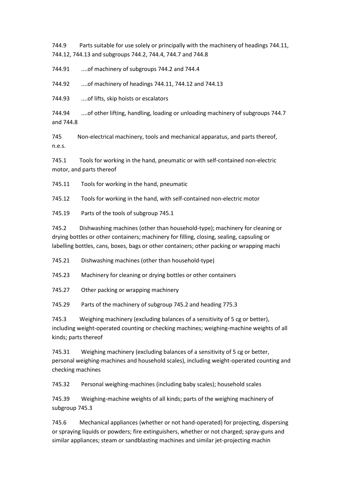744.9 Parts suitable for use solely or principally with the machinery of headings 744.11, 744.12, 744.13 and subgroups 744.2, 744.4, 744.7 and 744.8

744.91 ....of machinery of subgroups 744.2 and 744.4

744.92 ....of machinery of headings 744.11, 744.12 and 744.13

744.93 ....of lifts, skip hoists or escalators

744.94 ....of other lifting, handling, loading or unloading machinery of subgroups 744.7 and 744.8

745 Non-electrical machinery, tools and mechanical apparatus, and parts thereof, n.e.s.

745.1 Tools for working in the hand, pneumatic or with self-contained non-electric motor, and parts thereof

745.11 Tools for working in the hand, pneumatic

745.12 Tools for working in the hand, with self-contained non-electric motor

745.19 Parts of the tools of subgroup 745.1

745.2 Dishwashing machines (other than household-type); machinery for cleaning or drying bottles or other containers; machinery for filling, closing, sealing, capsuling or labelling bottles, cans, boxes, bags or other containers; other packing or wrapping machi

745.21 Dishwashing machines (other than household-type)

745.23 Machinery for cleaning or drying bottles or other containers

745.27 Other packing or wrapping machinery

745.29 Parts of the machinery of subgroup 745.2 and heading 775.3

745.3 Weighing machinery (excluding balances of a sensitivity of 5 cg or better), including weight-operated counting or checking machines; weighing-machine weights of all kinds; parts thereof

745.31 Weighing machinery (excluding balances of a sensitivity of 5 cg or better, personal weighing-machines and household scales), including weight-operated counting and checking machines

745.32 Personal weighing-machines (including baby scales); household scales

745.39 Weighing-machine weights of all kinds; parts of the weighing machinery of subgroup 745.3

745.6 Mechanical appliances (whether or not hand-operated) for projecting, dispersing or spraying liquids or powders; fire extinguishers, whether or not charged; spray-guns and similar appliances; steam or sandblasting machines and similar jet-projecting machin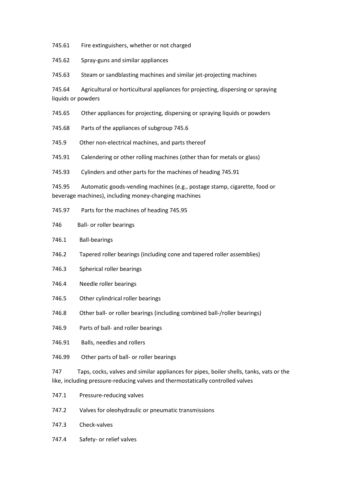745.61 Fire extinguishers, whether or not charged

745.62 Spray-guns and similar appliances

745.63 Steam or sandblasting machines and similar jet-projecting machines

745.64 Agricultural or horticultural appliances for projecting, dispersing or spraying liquids or powders

745.65 Other appliances for projecting, dispersing or spraying liquids or powders

745.68 Parts of the appliances of subgroup 745.6

745.9 Other non-electrical machines, and parts thereof

745.91 Calendering or other rolling machines (other than for metals or glass)

745.93 Cylinders and other parts for the machines of heading 745.91

745.95 Automatic goods-vending machines (e.g., postage stamp, cigarette, food or beverage machines), including money-changing machines

- 745.97 Parts for the machines of heading 745.95
- 746 Ball- or roller bearings
- 746.1 Ball-bearings
- 746.2 Tapered roller bearings (including cone and tapered roller assemblies)
- 746.3 Spherical roller bearings
- 746.4 Needle roller bearings
- 746.5 Other cylindrical roller bearings
- 746.8 Other ball- or roller bearings (including combined ball-/roller bearings)
- 746.9 Parts of ball- and roller bearings
- 746.91 Balls, needles and rollers
- 746.99 Other parts of ball- or roller bearings

747 Taps, cocks, valves and similar appliances for pipes, boiler shells, tanks, vats or the like, including pressure-reducing valves and thermostatically controlled valves

- 747.1 Pressure-reducing valves
- 747.2 Valves for oleohydraulic or pneumatic transmissions
- 747.3 Check-valves
- 747.4 Safety- or relief valves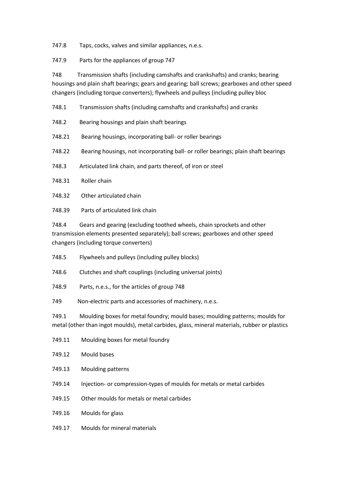747.8 Taps, cocks, valves and similar appliances, n.e.s.

747.9 Parts for the appliances of group 747

748 Transmission shafts (including camshafts and crankshafts) and cranks; bearing housings and plain shaft bearings; gears and gearing; ball screws; gearboxes and other speed changers (including torque converters); flywheels and pulleys (including pulley bloc

748.1 Transmission shafts (including camshafts and crankshafts) and cranks

748.2 Bearing housings and plain shaft bearings

748.21 Bearing housings, incorporating ball- or roller bearings

748.22 Bearing housings, not incorporating ball- or roller bearings; plain shaft bearings

748.3 Articulated link chain, and parts thereof, of iron or steel

- 748.31 Roller chain
- 748.32 Other articulated chain
- 748.39 Parts of articulated link chain

748.4 Gears and gearing (excluding toothed wheels, chain sprockets and other transmission elements presented separately); ball screws; gearboxes and other speed changers (including torque converters)

748.5 Flywheels and pulleys (including pulley blocks)

748.6 Clutches and shaft couplings (including universal joints)

748.9 Parts, n.e.s., for the articles of group 748

749 Non-electric parts and accessories of machinery, n.e.s.

749.1 Moulding boxes for metal foundry; mould bases; moulding patterns; moulds for metal (other than ingot moulds), metal carbides, glass, mineral materials, rubber or plastics

- 749.11 Moulding boxes for metal foundry
- 749.12 Mould bases
- 749.13 Moulding patterns
- 749.14 Injection- or compression-types of moulds for metals or metal carbides
- 749.15 Other moulds for metals or metal carbides
- 749.16 Moulds for glass
- 749.17 Moulds for mineral materials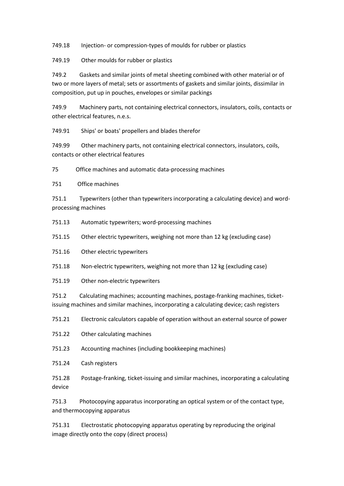749.18 Injection- or compression-types of moulds for rubber or plastics

749.19 Other moulds for rubber or plastics

749.2 Gaskets and similar joints of metal sheeting combined with other material or of two or more layers of metal; sets or assortments of gaskets and similar joints, dissimilar in composition, put up in pouches, envelopes or similar packings

749.9 Machinery parts, not containing electrical connectors, insulators, coils, contacts or other electrical features, n.e.s.

749.91 Ships' or boats' propellers and blades therefor

749.99 Other machinery parts, not containing electrical connectors, insulators, coils, contacts or other electrical features

75 Office machines and automatic data-processing machines

751 Office machines

751.1 Typewriters (other than typewriters incorporating a calculating device) and wordprocessing machines

751.13 Automatic typewriters; word-processing machines

751.15 Other electric typewriters, weighing not more than 12 kg (excluding case)

751.16 Other electric typewriters

751.18 Non-electric typewriters, weighing not more than 12 kg (excluding case)

751.19 Other non-electric typewriters

751.2 Calculating machines; accounting machines, postage-franking machines, ticketissuing machines and similar machines, incorporating a calculating device; cash registers

751.21 Electronic calculators capable of operation without an external source of power

751.22 Other calculating machines

751.23 Accounting machines (including bookkeeping machines)

751.24 Cash registers

751.28 Postage-franking, ticket-issuing and similar machines, incorporating a calculating device

751.3 Photocopying apparatus incorporating an optical system or of the contact type, and thermocopying apparatus

751.31 Electrostatic photocopying apparatus operating by reproducing the original image directly onto the copy (direct process)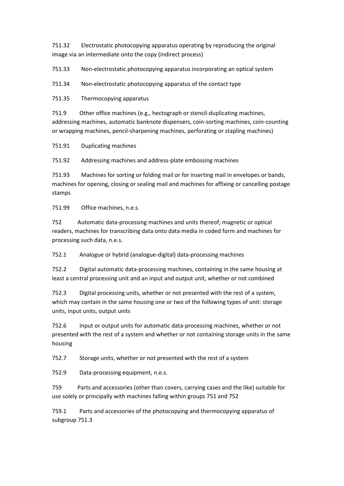751.32 Electrostatic photocopying apparatus operating by reproducing the original image via an intermediate onto the copy (indirect process)

751.33 Non-electrostatic photocopying apparatus incorporating an optical system

751.34 Non-electrostatic photocopying apparatus of the contact type

751.35 Thermocopying apparatus

751.9 Other office machines (e.g., hectograph or stencil-duplicating machines, addressing machines, automatic banknote dispensers, coin-sorting machines, coin-counting or wrapping machines, pencil-sharpening machines, perforating or stapling machines)

751.91 Duplicating machines

751.92 Addressing machines and address-plate embossing machines

751.93 Machines for sorting or folding mail or for inserting mail in envelopes or bands, machines for opening, closing or sealing mail and machines for affixing or cancelling postage stamps

751.99 Office machines, n.e.s.

752 Automatic data-processing machines and units thereof; magnetic or optical readers, machines for transcribing data onto data media in coded form and machines for processing such data, n.e.s.

752.1 Analogue or hybrid (analogue-digital) data-processing machines

752.2 Digital automatic data-processing machines, containing in the same housing at least a central processing unit and an input and output unit, whether or not combined

752.3 Digital processing units, whether or not presented with the rest of a system, which may contain in the same housing one or two of the following types of unit: storage units, input units, output units

752.6 Input or output units for automatic data-processing machines, whether or not presented with the rest of a system and whether or not containing storage units in the same housing

752.7 Storage units, whether or not presented with the rest of a system

752.9 Data-processing equipment, n.e.s.

759 Parts and accessories (other than covers, carrying cases and the like) suitable for use solely or principally with machines falling within groups 751 and 752

759.1 Parts and accessories of the photocopying and thermocopying apparatus of subgroup 751.3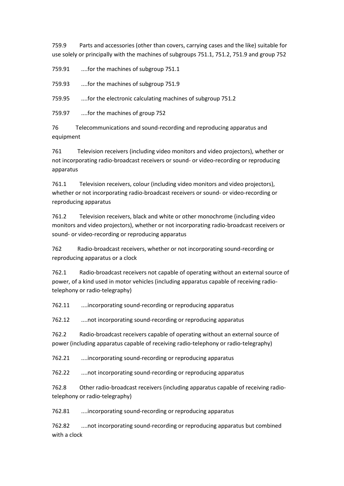759.9 Parts and accessories (other than covers, carrying cases and the like) suitable for use solely or principally with the machines of subgroups 751.1, 751.2, 751.9 and group 752

759.91 ....for the machines of subgroup 751.1

759.93 ....for the machines of subgroup 751.9

759.95 ....for the electronic calculating machines of subgroup 751.2

759.97 ....for the machines of group 752

76 Telecommunications and sound-recording and reproducing apparatus and equipment

761 Television receivers (including video monitors and video projectors), whether or not incorporating radio-broadcast receivers or sound- or video-recording or reproducing apparatus

761.1 Television receivers, colour (including video monitors and video projectors), whether or not incorporating radio-broadcast receivers or sound- or video-recording or reproducing apparatus

761.2 Television receivers, black and white or other monochrome (including video monitors and video projectors), whether or not incorporating radio-broadcast receivers or sound- or video-recording or reproducing apparatus

762 Radio-broadcast receivers, whether or not incorporating sound-recording or reproducing apparatus or a clock

762.1 Radio-broadcast receivers not capable of operating without an external source of power, of a kind used in motor vehicles (including apparatus capable of receiving radiotelephony or radio-telegraphy)

762.11 ....incorporating sound-recording or reproducing apparatus

762.12 ....not incorporating sound-recording or reproducing apparatus

762.2 Radio-broadcast receivers capable of operating without an external source of power (including apparatus capable of receiving radio-telephony or radio-telegraphy)

762.21 ....incorporating sound-recording or reproducing apparatus

762.22 ....not incorporating sound-recording or reproducing apparatus

762.8 Other radio-broadcast receivers (including apparatus capable of receiving radiotelephony or radio-telegraphy)

762.81 ....incorporating sound-recording or reproducing apparatus

762.82 ....not incorporating sound-recording or reproducing apparatus but combined with a clock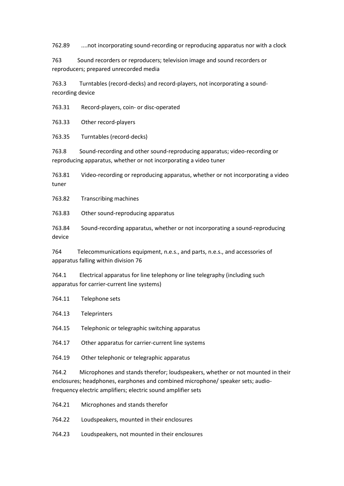762.89 ....not incorporating sound-recording or reproducing apparatus nor with a clock

763 Sound recorders or reproducers; television image and sound recorders or reproducers; prepared unrecorded media

763.3 Turntables (record-decks) and record-players, not incorporating a soundrecording device

763.31 Record-players, coin- or disc-operated

763.33 Other record-players

763.35 Turntables (record-decks)

763.8 Sound-recording and other sound-reproducing apparatus; video-recording or reproducing apparatus, whether or not incorporating a video tuner

763.81 Video-recording or reproducing apparatus, whether or not incorporating a video tuner

763.82 Transcribing machines

763.83 Other sound-reproducing apparatus

763.84 Sound-recording apparatus, whether or not incorporating a sound-reproducing device

764 Telecommunications equipment, n.e.s., and parts, n.e.s., and accessories of apparatus falling within division 76

764.1 Electrical apparatus for line telephony or line telegraphy (including such apparatus for carrier-current line systems)

764.11 Telephone sets

764.13 Teleprinters

764.15 Telephonic or telegraphic switching apparatus

764.17 Other apparatus for carrier-current line systems

764.19 Other telephonic or telegraphic apparatus

764.2 Microphones and stands therefor; loudspeakers, whether or not mounted in their enclosures; headphones, earphones and combined microphone/ speaker sets; audiofrequency electric amplifiers; electric sound amplifier sets

- 764.21 Microphones and stands therefor
- 764.22 Loudspeakers, mounted in their enclosures
- 764.23 Loudspeakers, not mounted in their enclosures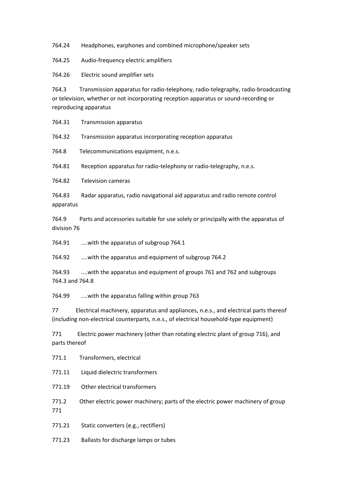764.24 Headphones, earphones and combined microphone/speaker sets

764.25 Audio-frequency electric amplifiers

764.26 Electric sound amplifier sets

764.3 Transmission apparatus for radio-telephony, radio-telegraphy, radio-broadcasting or television, whether or not incorporating reception apparatus or sound-recording or reproducing apparatus

764.31 Transmission apparatus

764.32 Transmission apparatus incorporating reception apparatus

764.8 Telecommunications equipment, n.e.s.

764.81 Reception apparatus for radio-telephony or radio-telegraphy, n.e.s.

764.82 Television cameras

764.83 Radar apparatus, radio navigational aid apparatus and radio remote control apparatus

764.9 Parts and accessories suitable for use solely or principally with the apparatus of division 76

764.91 ....with the apparatus of subgroup 764.1

764.92 ....with the apparatus and equipment of subgroup 764.2

764.93 ....with the apparatus and equipment of groups 761 and 762 and subgroups 764.3 and 764.8

764.99 ....with the apparatus falling within group 763

77 Electrical machinery, apparatus and appliances, n.e.s., and electrical parts thereof (including non-electrical counterparts, n.e.s., of electrical household-type equipment)

771 Electric power machinery (other than rotating electric plant of group 716), and parts thereof

771.1 Transformers, electrical

771.11 Liquid dielectric transformers

771.19 Other electrical transformers

771.2 Other electric power machinery; parts of the electric power machinery of group 771

771.21 Static converters (e.g., rectifiers)

771.23 Ballasts for discharge lamps or tubes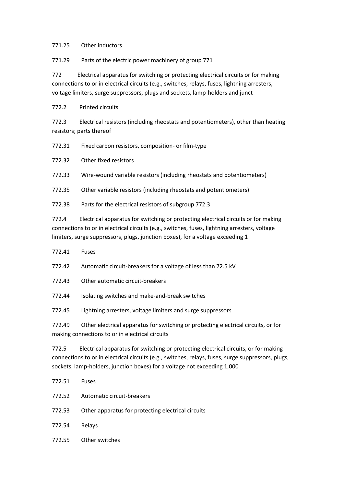## 771.25 Other inductors

771.29 Parts of the electric power machinery of group 771

772 Electrical apparatus for switching or protecting electrical circuits or for making connections to or in electrical circuits (e.g., switches, relays, fuses, lightning arresters, voltage limiters, surge suppressors, plugs and sockets, lamp-holders and junct

772.2 Printed circuits

772.3 Electrical resistors (including rheostats and potentiometers), other than heating resistors; parts thereof

772.31 Fixed carbon resistors, composition- or film-type

772.32 Other fixed resistors

772.33 Wire-wound variable resistors (including rheostats and potentiometers)

772.35 Other variable resistors (including rheostats and potentiometers)

772.38 Parts for the electrical resistors of subgroup 772.3

772.4 Electrical apparatus for switching or protecting electrical circuits or for making connections to or in electrical circuits (e.g., switches, fuses, lightning arresters, voltage limiters, surge suppressors, plugs, junction boxes), for a voltage exceeding 1

- 772.41 Fuses
- 772.42 Automatic circuit-breakers for a voltage of less than 72.5 kV
- 772.43 Other automatic circuit-breakers
- 772.44 Isolating switches and make-and-break switches
- 772.45 Lightning arresters, voltage limiters and surge suppressors

772.49 Other electrical apparatus for switching or protecting electrical circuits, or for making connections to or in electrical circuits

772.5 Electrical apparatus for switching or protecting electrical circuits, or for making connections to or in electrical circuits (e.g., switches, relays, fuses, surge suppressors, plugs, sockets, lamp-holders, junction boxes) for a voltage not exceeding 1,000

- 772.51 Fuses
- 772.52 Automatic circuit-breakers
- 772.53 Other apparatus for protecting electrical circuits
- 772.54 Relays
- 772.55 Other switches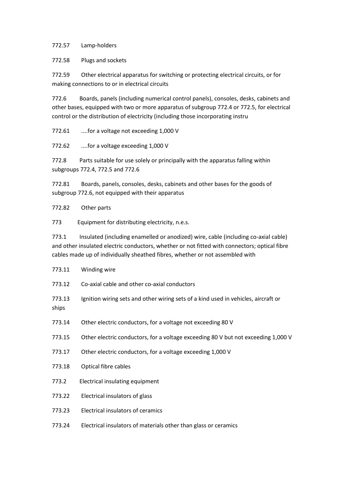772.57 Lamp-holders

772.58 Plugs and sockets

772.59 Other electrical apparatus for switching or protecting electrical circuits, or for making connections to or in electrical circuits

772.6 Boards, panels (including numerical control panels), consoles, desks, cabinets and other bases, equipped with two or more apparatus of subgroup 772.4 or 772.5, for electrical control or the distribution of electricity (including those incorporating instru

772.61 ....for a voltage not exceeding 1,000 V

772.62 ....for a voltage exceeding 1,000 V

772.8 Parts suitable for use solely or principally with the apparatus falling within subgroups 772.4, 772.5 and 772.6

772.81 Boards, panels, consoles, desks, cabinets and other bases for the goods of subgroup 772.6, not equipped with their apparatus

772.82 Other parts

773 Equipment for distributing electricity, n.e.s.

773.1 Insulated (including enamelled or anodized) wire, cable (including co-axial cable) and other insulated electric conductors, whether or not fitted with connectors; optical fibre cables made up of individually sheathed fibres, whether or not assembled with

|        | 773.11 Winding wire                                                                |
|--------|------------------------------------------------------------------------------------|
| 773.12 | Co-axial cable and other co-axial conductors                                       |
| 773.13 | Ignition wiring sets and other wiring sets of a kind used in vehicles, aircraft or |

ships

- 773.14 Other electric conductors, for a voltage not exceeding 80 V
- 773.15 Other electric conductors, for a voltage exceeding 80 V but not exceeding 1,000 V
- 773.17 Other electric conductors, for a voltage exceeding 1,000 V
- 773.18 Optical fibre cables
- 773.2 Electrical insulating equipment
- 773.22 Electrical insulators of glass
- 773.23 Electrical insulators of ceramics
- 773.24 Electrical insulators of materials other than glass or ceramics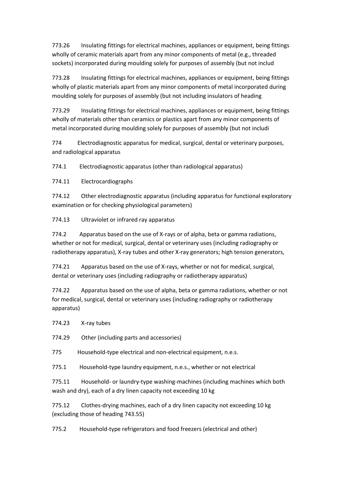773.26 Insulating fittings for electrical machines, appliances or equipment, being fittings wholly of ceramic materials apart from any minor components of metal (e.g., threaded sockets) incorporated during moulding solely for purposes of assembly (but not includ

773.28 Insulating fittings for electrical machines, appliances or equipment, being fittings wholly of plastic materials apart from any minor components of metal incorporated during moulding solely for purposes of assembly (but not including insulators of heading

773.29 Insulating fittings for electrical machines, appliances or equipment, being fittings wholly of materials other than ceramics or plastics apart from any minor components of metal incorporated during moulding solely for purposes of assembly (but not includi

774 Electrodiagnostic apparatus for medical, surgical, dental or veterinary purposes, and radiological apparatus

774.1 Electrodiagnostic apparatus (other than radiological apparatus)

774.11 Electrocardiographs

774.12 Other electrodiagnostic apparatus (including apparatus for functional exploratory examination or for checking physiological parameters)

774.13 Ultraviolet or infrared ray apparatus

774.2 Apparatus based on the use of X-rays or of alpha, beta or gamma radiations, whether or not for medical, surgical, dental or veterinary uses (including radiography or radiotherapy apparatus), X-ray tubes and other X-ray generators; high tension generators,

774.21 Apparatus based on the use of X-rays, whether or not for medical, surgical, dental or veterinary uses (including radiography or radiotherapy apparatus)

774.22 Apparatus based on the use of alpha, beta or gamma radiations, whether or not for medical, surgical, dental or veterinary uses (including radiography or radiotherapy apparatus)

774.23 X-ray tubes

774.29 Other (including parts and accessories)

775 Household-type electrical and non-electrical equipment, n.e.s.

775.1 Household-type laundry equipment, n.e.s., whether or not electrical

775.11 Household- or laundry-type washing-machines (including machines which both wash and dry), each of a dry linen capacity not exceeding 10 kg

775.12 Clothes-drying machines, each of a dry linen capacity not exceeding 10 kg (excluding those of heading 743.55)

775.2 Household-type refrigerators and food freezers (electrical and other)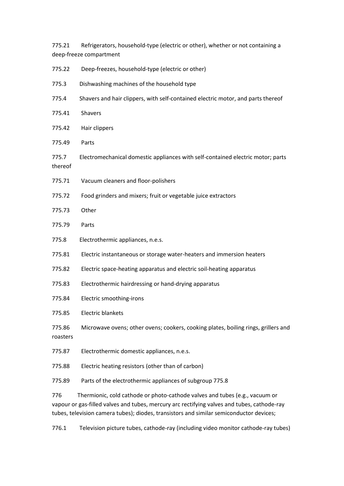775.21 Refrigerators, household-type (electric or other), whether or not containing a deep-freeze compartment

| 775.22                                                                                                                                                                                                                                                                       | Deep-freezes, household-type (electric or other)                                   |  |
|------------------------------------------------------------------------------------------------------------------------------------------------------------------------------------------------------------------------------------------------------------------------------|------------------------------------------------------------------------------------|--|
| 775.3                                                                                                                                                                                                                                                                        | Dishwashing machines of the household type                                         |  |
| 775.4                                                                                                                                                                                                                                                                        | Shavers and hair clippers, with self-contained electric motor, and parts thereof   |  |
| 775.41                                                                                                                                                                                                                                                                       | Shavers                                                                            |  |
| 775.42                                                                                                                                                                                                                                                                       | Hair clippers                                                                      |  |
| 775.49                                                                                                                                                                                                                                                                       | Parts                                                                              |  |
| 775.7<br>thereof                                                                                                                                                                                                                                                             | Electromechanical domestic appliances with self-contained electric motor; parts    |  |
| 775.71                                                                                                                                                                                                                                                                       | Vacuum cleaners and floor-polishers                                                |  |
| 775.72                                                                                                                                                                                                                                                                       | Food grinders and mixers; fruit or vegetable juice extractors                      |  |
| 775.73                                                                                                                                                                                                                                                                       | Other                                                                              |  |
| 775.79                                                                                                                                                                                                                                                                       | Parts                                                                              |  |
| 775.8                                                                                                                                                                                                                                                                        | Electrothermic appliances, n.e.s.                                                  |  |
| 775.81                                                                                                                                                                                                                                                                       | Electric instantaneous or storage water-heaters and immersion heaters              |  |
| 775.82                                                                                                                                                                                                                                                                       | Electric space-heating apparatus and electric soil-heating apparatus               |  |
| 775.83                                                                                                                                                                                                                                                                       | Electrothermic hairdressing or hand-drying apparatus                               |  |
| 775.84                                                                                                                                                                                                                                                                       | Electric smoothing-irons                                                           |  |
| 775.85                                                                                                                                                                                                                                                                       | <b>Electric blankets</b>                                                           |  |
| 775.86<br>roasters                                                                                                                                                                                                                                                           | Microwave ovens; other ovens; cookers, cooking plates, boiling rings, grillers and |  |
| 775.87                                                                                                                                                                                                                                                                       | Electrothermic domestic appliances, n.e.s.                                         |  |
| 775.88                                                                                                                                                                                                                                                                       | Electric heating resistors (other than of carbon)                                  |  |
| 775.89                                                                                                                                                                                                                                                                       | Parts of the electrothermic appliances of subgroup 775.8                           |  |
| Thermionic, cold cathode or photo-cathode valves and tubes (e.g., vacuum or<br>776<br>vapour or gas-filled valves and tubes, mercury arc rectifying valves and tubes, cathode-ray<br>tubes, television camera tubes); diodes, transistors and similar semiconductor devices; |                                                                                    |  |

776.1 Television picture tubes, cathode-ray (including video monitor cathode-ray tubes)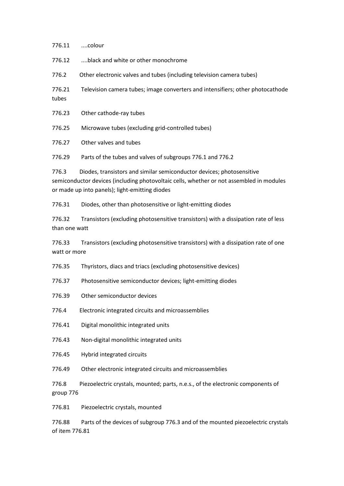| 776.12                                                                                                      | black and white or other monochrome                                                                                                                                                                                 |
|-------------------------------------------------------------------------------------------------------------|---------------------------------------------------------------------------------------------------------------------------------------------------------------------------------------------------------------------|
| 776.2                                                                                                       | Other electronic valves and tubes (including television camera tubes)                                                                                                                                               |
| 776.21<br>tubes                                                                                             | Television camera tubes; image converters and intensifiers; other photocathode                                                                                                                                      |
| 776.23                                                                                                      | Other cathode-ray tubes                                                                                                                                                                                             |
| 776.25                                                                                                      | Microwave tubes (excluding grid-controlled tubes)                                                                                                                                                                   |
| 776.27                                                                                                      | Other valves and tubes                                                                                                                                                                                              |
| 776.29                                                                                                      | Parts of the tubes and valves of subgroups 776.1 and 776.2                                                                                                                                                          |
| 776.3                                                                                                       | Diodes, transistors and similar semiconductor devices; photosensitive<br>semiconductor devices (including photovoltaic cells, whether or not assembled in modules<br>or made up into panels); light-emitting diodes |
| 776.31                                                                                                      | Diodes, other than photosensitive or light-emitting diodes                                                                                                                                                          |
| 776.32<br>than one watt                                                                                     | Transistors (excluding photosensitive transistors) with a dissipation rate of less                                                                                                                                  |
| 776.33<br>Transistors (excluding photosensitive transistors) with a dissipation rate of one<br>watt or more |                                                                                                                                                                                                                     |
| 776.35                                                                                                      | Thyristors, diacs and triacs (excluding photosensitive devices)                                                                                                                                                     |
| 776.37                                                                                                      | Photosensitive semiconductor devices; light-emitting diodes                                                                                                                                                         |
| 776.39                                                                                                      | Other semiconductor devices                                                                                                                                                                                         |
| 776.4                                                                                                       | Electronic integrated circuits and microassemblies                                                                                                                                                                  |
| 776.41                                                                                                      | Digital monolithic integrated units                                                                                                                                                                                 |
| 776.43                                                                                                      | Non-digital monolithic integrated units                                                                                                                                                                             |
| 776.45                                                                                                      | Hybrid integrated circuits                                                                                                                                                                                          |
| 776.49                                                                                                      | Other electronic integrated circuits and microassemblies                                                                                                                                                            |
| 776.8<br>group 776                                                                                          | Piezoelectric crystals, mounted; parts, n.e.s., of the electronic components of                                                                                                                                     |
| 776.81                                                                                                      | Piezoelectric crystals, mounted                                                                                                                                                                                     |
| 776.88<br>of item 776.81                                                                                    | Parts of the devices of subgroup 776.3 and of the mounted piezoelectric crystals                                                                                                                                    |
|                                                                                                             |                                                                                                                                                                                                                     |

776.11 ....colour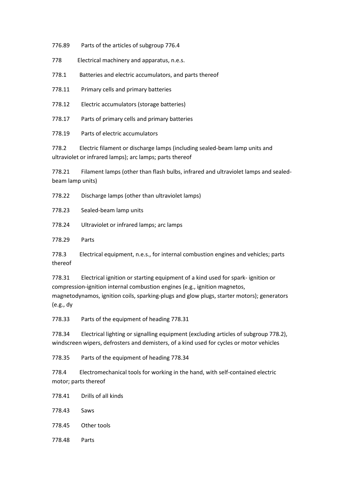776.89 Parts of the articles of subgroup 776.4

778 Electrical machinery and apparatus, n.e.s.

778.1 Batteries and electric accumulators, and parts thereof

778.11 Primary cells and primary batteries

778.12 Electric accumulators (storage batteries)

778.17 Parts of primary cells and primary batteries

778.19 Parts of electric accumulators

778.2 Electric filament or discharge lamps (including sealed-beam lamp units and ultraviolet or infrared lamps); arc lamps; parts thereof

778.21 Filament lamps (other than flash bulbs, infrared and ultraviolet lamps and sealedbeam lamp units)

778.22 Discharge lamps (other than ultraviolet lamps)

778.23 Sealed-beam lamp units

778.24 Ultraviolet or infrared lamps; arc lamps

778.29 Parts

778.3 Electrical equipment, n.e.s., for internal combustion engines and vehicles; parts thereof

778.31 Electrical ignition or starting equipment of a kind used for spark- ignition or compression-ignition internal combustion engines (e.g., ignition magnetos, magnetodynamos, ignition coils, sparking-plugs and glow plugs, starter motors); generators (e.g., dy

778.33 Parts of the equipment of heading 778.31

778.34 Electrical lighting or signalling equipment (excluding articles of subgroup 778.2), windscreen wipers, defrosters and demisters, of a kind used for cycles or motor vehicles

778.35 Parts of the equipment of heading 778.34

778.4 Electromechanical tools for working in the hand, with self-contained electric motor; parts thereof

778.41 Drills of all kinds

778.43 Saws

- 778.45 Other tools
- 778.48 Parts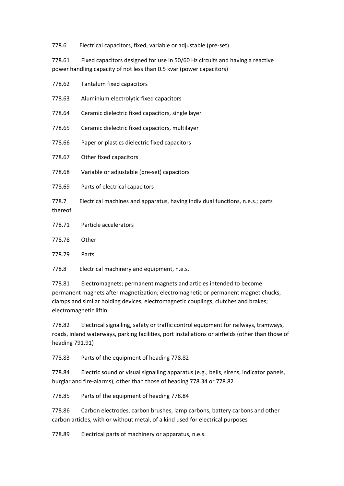778.6 Electrical capacitors, fixed, variable or adjustable (pre-set)

778.61 Fixed capacitors designed for use in 50/60 Hz circuits and having a reactive power handling capacity of not less than 0.5 kvar (power capacitors)

| 778.62           | Tantalum fixed capacitors                                                     |
|------------------|-------------------------------------------------------------------------------|
| 778.63           | Aluminium electrolytic fixed capacitors                                       |
| 778.64           | Ceramic dielectric fixed capacitors, single layer                             |
| 778.65           | Ceramic dielectric fixed capacitors, multilayer                               |
| 778.66           | Paper or plastics dielectric fixed capacitors                                 |
| 778.67           | Other fixed capacitors                                                        |
| 778.68           | Variable or adjustable (pre-set) capacitors                                   |
| 778.69           | Parts of electrical capacitors                                                |
| 778.7<br>thereof | Electrical machines and apparatus, having individual functions, n.e.s.; parts |
| 778.71           | Particle accelerators                                                         |
| 778.78           | Other                                                                         |
| 778.79           | Parts                                                                         |
| 778.8            | Electrical machinery and equipment, n.e.s.                                    |

778.81 Electromagnets; permanent magnets and articles intended to become permanent magnets after magnetization; electromagnetic or permanent magnet chucks, clamps and similar holding devices; electromagnetic couplings, clutches and brakes; electromagnetic liftin

778.82 Electrical signalling, safety or traffic control equipment for railways, tramways, roads, inland waterways, parking facilities, port installations or airfields (other than those of heading 791.91)

778.83 Parts of the equipment of heading 778.82

778.84 Electric sound or visual signalling apparatus (e.g., bells, sirens, indicator panels, burglar and fire-alarms), other than those of heading 778.34 or 778.82

778.85 Parts of the equipment of heading 778.84

778.86 Carbon electrodes, carbon brushes, lamp carbons, battery carbons and other carbon articles, with or without metal, of a kind used for electrical purposes

778.89 Electrical parts of machinery or apparatus, n.e.s.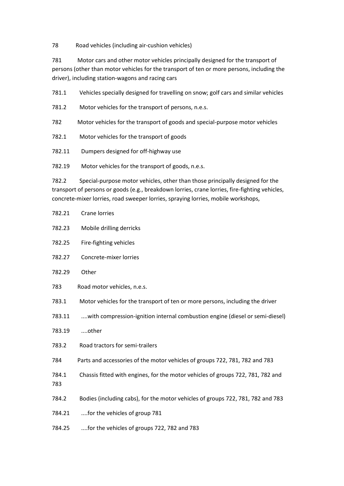78 Road vehicles (including air-cushion vehicles)

781 Motor cars and other motor vehicles principally designed for the transport of persons (other than motor vehicles for the transport of ten or more persons, including the driver), including station-wagons and racing cars

781.1 Vehicles specially designed for travelling on snow; golf cars and similar vehicles

781.2 Motor vehicles for the transport of persons, n.e.s.

782 Motor vehicles for the transport of goods and special-purpose motor vehicles

782.1 Motor vehicles for the transport of goods

782.11 Dumpers designed for off-highway use

782.19 Motor vehicles for the transport of goods, n.e.s.

782.2 Special-purpose motor vehicles, other than those principally designed for the transport of persons or goods (e.g., breakdown lorries, crane lorries, fire-fighting vehicles, concrete-mixer lorries, road sweeper lorries, spraying lorries, mobile workshops,

| 782.21       | Crane lorries                                                                   |
|--------------|---------------------------------------------------------------------------------|
| 782.23       | Mobile drilling derricks                                                        |
| 782.25       | Fire-fighting vehicles                                                          |
| 782.27       | Concrete-mixer lorries                                                          |
| 782.29       | Other                                                                           |
| 783          | Road motor vehicles, n.e.s.                                                     |
| 783.1        | Motor vehicles for the transport of ten or more persons, including the driver   |
| 783.11       | with compression-ignition internal combustion engine (diesel or semi-diesel)    |
| 783.19       | other                                                                           |
| 783.2        | Road tractors for semi-trailers                                                 |
| 784          | Parts and accessories of the motor vehicles of groups 722, 781, 782 and 783     |
| 784.1<br>783 | Chassis fitted with engines, for the motor vehicles of groups 722, 781, 782 and |
| 784.2        | Bodies (including cabs), for the motor vehicles of groups 722, 781, 782 and 783 |
| 784.21       | for the vehicles of group 781                                                   |
| 784.25       | for the vehicles of groups 722, 782 and 783                                     |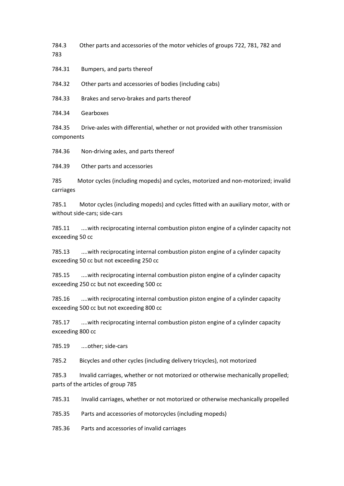784.3 Other parts and accessories of the motor vehicles of groups 722, 781, 782 and 783

784.31 Bumpers, and parts thereof

784.32 Other parts and accessories of bodies (including cabs)

784.33 Brakes and servo-brakes and parts thereof

784.34 Gearboxes

784.35 Drive-axles with differential, whether or not provided with other transmission components

784.36 Non-driving axles, and parts thereof

784.39 Other parts and accessories

785 Motor cycles (including mopeds) and cycles, motorized and non-motorized; invalid carriages

785.1 Motor cycles (including mopeds) and cycles fitted with an auxiliary motor, with or without side-cars; side-cars

785.11 ....with reciprocating internal combustion piston engine of a cylinder capacity not exceeding 50 cc

785.13 ....with reciprocating internal combustion piston engine of a cylinder capacity exceeding 50 cc but not exceeding 250 cc

785.15 ....with reciprocating internal combustion piston engine of a cylinder capacity exceeding 250 cc but not exceeding 500 cc

785.16 ....with reciprocating internal combustion piston engine of a cylinder capacity exceeding 500 cc but not exceeding 800 cc

785.17 ....with reciprocating internal combustion piston engine of a cylinder capacity exceeding 800 cc

785.19 ....other; side-cars

785.2 Bicycles and other cycles (including delivery tricycles), not motorized

785.3 Invalid carriages, whether or not motorized or otherwise mechanically propelled; parts of the articles of group 785

785.31 Invalid carriages, whether or not motorized or otherwise mechanically propelled

785.35 Parts and accessories of motorcycles (including mopeds)

785.36 Parts and accessories of invalid carriages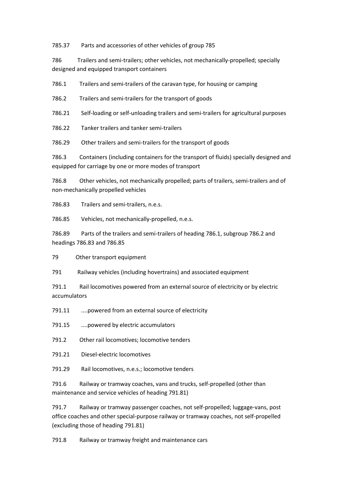785.37 Parts and accessories of other vehicles of group 785

786 Trailers and semi-trailers; other vehicles, not mechanically-propelled; specially designed and equipped transport containers

786.1 Trailers and semi-trailers of the caravan type, for housing or camping

786.2 Trailers and semi-trailers for the transport of goods

786.21 Self-loading or self-unloading trailers and semi-trailers for agricultural purposes

786.22 Tanker trailers and tanker semi-trailers

786.29 Other trailers and semi-trailers for the transport of goods

786.3 Containers (including containers for the transport of fluids) specially designed and equipped for carriage by one or more modes of transport

786.8 Other vehicles, not mechanically propelled; parts of trailers, semi-trailers and of non-mechanically propelled vehicles

786.83 Trailers and semi-trailers, n.e.s.

786.85 Vehicles, not mechanically-propelled, n.e.s.

786.89 Parts of the trailers and semi-trailers of heading 786.1, subgroup 786.2 and headings 786.83 and 786.85

79 Other transport equipment

791 Railway vehicles (including hovertrains) and associated equipment

791.1 Rail locomotives powered from an external source of electricity or by electric accumulators

791.11 ....powered from an external source of electricity

791.15 ....powered by electric accumulators

791.2 Other rail locomotives; locomotive tenders

791.21 Diesel-electric locomotives

791.29 Rail locomotives, n.e.s.; locomotive tenders

791.6 Railway or tramway coaches, vans and trucks, self-propelled (other than maintenance and service vehicles of heading 791.81)

791.7 Railway or tramway passenger coaches, not self-propelled; luggage-vans, post office coaches and other special-purpose railway or tramway coaches, not self-propelled (excluding those of heading 791.81)

791.8 Railway or tramway freight and maintenance cars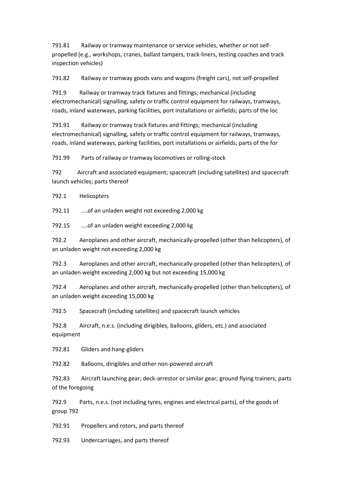791.81 Railway or tramway maintenance or service vehicles, whether or not selfpropelled (e.g., workshops, cranes, ballast tampers, track-liners, testing coaches and track inspection vehicles)

791.82 Railway or tramway goods vans and wagons (freight cars), not self-propelled

791.9 Railway or tramway track fixtures and fittings; mechanical (including electromechanical) signalling, safety or traffic control equipment for railways, tramways, roads, inland waterways, parking facilities, port installations or airfields; parts of the loc

791.91 Railway or tramway track fixtures and fittings; mechanical (including electromechanical) signalling, safety or traffic control equipment for railways, tramways, roads, inland waterways, parking facilities, port installations or airfields; parts of the for

791.99 Parts of railway or tramway locomotives or rolling-stock

792 Aircraft and associated equipment; spacecraft (including satellites) and spacecraft launch vehicles; parts thereof

792.1 Helicopters

792.11 ....of an unladen weight not exceeding 2,000 kg

792.15 ....of an unladen weight exceeding 2,000 kg

792.2 Aeroplanes and other aircraft, mechanically-propelled (other than helicopters), of an unladen weight not exceeding 2,000 kg

792.3 Aeroplanes and other aircraft, mechanically-propelled (other than helicopters), of an unladen weight exceeding 2,000 kg but not exceeding 15,000 kg

792.4 Aeroplanes and other aircraft, mechanically-propelled (other than helicopters), of an unladen weight exceeding 15,000 kg

792.5 Spacecraft (including satellites) and spacecraft launch vehicles

792.8 Aircraft, n.e.s. (including dirigibles, balloons, gliders, etc.) and associated equipment

792.81 Gliders and hang-gliders

792.82 Balloons, dirigibles and other non-powered aircraft

792.83 Aircraft launching gear; deck-arrestor or similar gear; ground flying trainers; parts of the foregoing

792.9 Parts, n.e.s. (not including tyres, engines and electrical parts), of the goods of group 792

792.91 Propellers and rotors, and parts thereof

792.93 Undercarriages, and parts thereof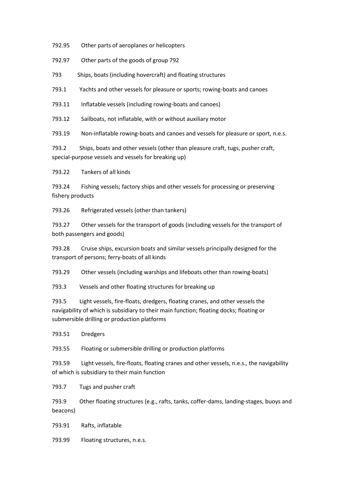792.95 Other parts of aeroplanes or helicopters

792.97 Other parts of the goods of group 792

793 Ships, boats (including hovercraft) and floating structures

793.1 Yachts and other vessels for pleasure or sports; rowing-boats and canoes

793.11 Inflatable vessels (including rowing-boats and canoes)

793.12 Sailboats, not inflatable, with or without auxiliary motor

793.19 Non-inflatable rowing-boats and canoes and vessels for pleasure or sport, n.e.s.

793.2 Ships, boats and other vessels (other than pleasure craft, tugs, pusher craft, special-purpose vessels and vessels for breaking up)

793.22 Tankers of all kinds

793.24 Fishing vessels; factory ships and other vessels for processing or preserving fishery products

793.26 Refrigerated vessels (other than tankers)

793.27 Other vessels for the transport of goods (including vessels for the transport of both passengers and goods)

793.28 Cruise ships, excursion boats and similar vessels principally designed for the transport of persons; ferry-boats of all kinds

793.29 Other vessels (including warships and lifeboats other than rowing-boats)

793.3 Vessels and other floating structures for breaking up

793.5 Light vessels, fire-floats, dredgers, floating cranes, and other vessels the navigability of which is subsidiary to their main function; floating docks; floating or submersible drilling or production platforms

793.51 Dredgers

793.55 Floating or submersible drilling or production platforms

793.59 Light vessels, fire-floats, floating cranes and other vessels, n.e.s., the navigability of which is subsidiary to their main function

793.7 Tugs and pusher craft

793.9 Other floating structures (e.g., rafts, tanks, coffer-dams, landing-stages, buoys and beacons)

793.91 Rafts, inflatable

793.99 Floating structures, n.e.s.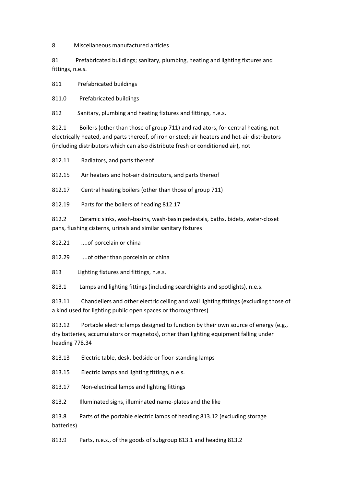8 Miscellaneous manufactured articles

81 Prefabricated buildings; sanitary, plumbing, heating and lighting fixtures and fittings, n.e.s.

811 Prefabricated buildings

811.0 Prefabricated buildings

812 Sanitary, plumbing and heating fixtures and fittings, n.e.s.

812.1 Boilers (other than those of group 711) and radiators, for central heating, not electrically heated, and parts thereof, of iron or steel; air heaters and hot-air distributors (including distributors which can also distribute fresh or conditioned air), not

812.11 Radiators, and parts thereof

812.15 Air heaters and hot-air distributors, and parts thereof

812.17 Central heating boilers (other than those of group 711)

812.19 Parts for the boilers of heading 812.17

812.2 Ceramic sinks, wash-basins, wash-basin pedestals, baths, bidets, water-closet pans, flushing cisterns, urinals and similar sanitary fixtures

812.21 ....of porcelain or china

812.29 ....of other than porcelain or china

813 Lighting fixtures and fittings, n.e.s.

813.1 Lamps and lighting fittings (including searchlights and spotlights), n.e.s.

813.11 Chandeliers and other electric ceiling and wall lighting fittings (excluding those of a kind used for lighting public open spaces or thoroughfares)

813.12 Portable electric lamps designed to function by their own source of energy (e.g., dry batteries, accumulators or magnetos), other than lighting equipment falling under heading 778.34

813.13 Electric table, desk, bedside or floor-standing lamps

813.15 Electric lamps and lighting fittings, n.e.s.

813.17 Non-electrical lamps and lighting fittings

813.2 Illuminated signs, illuminated name-plates and the like

813.8 Parts of the portable electric lamps of heading 813.12 (excluding storage batteries)

813.9 Parts, n.e.s., of the goods of subgroup 813.1 and heading 813.2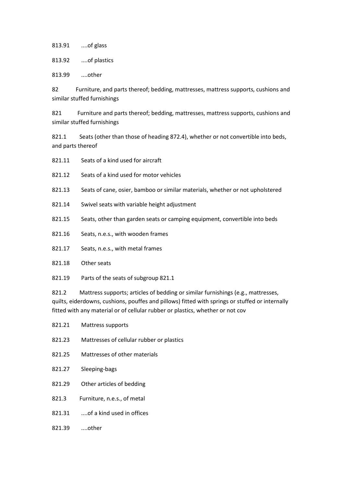813.91 ....of glass

813.92 ....of plastics

813.99 ....other

82 Furniture, and parts thereof; bedding, mattresses, mattress supports, cushions and similar stuffed furnishings

821 Furniture and parts thereof; bedding, mattresses, mattress supports, cushions and similar stuffed furnishings

821.1 Seats (other than those of heading 872.4), whether or not convertible into beds, and parts thereof

- 821.11 Seats of a kind used for aircraft
- 821.12 Seats of a kind used for motor vehicles
- 821.13 Seats of cane, osier, bamboo or similar materials, whether or not upholstered
- 821.14 Swivel seats with variable height adjustment
- 821.15 Seats, other than garden seats or camping equipment, convertible into beds
- 821.16 Seats, n.e.s., with wooden frames
- 821.17 Seats, n.e.s., with metal frames
- 821.18 Other seats
- 821.19 Parts of the seats of subgroup 821.1

821.2 Mattress supports; articles of bedding or similar furnishings (e.g., mattresses, quilts, eiderdowns, cushions, pouffes and pillows) fitted with springs or stuffed or internally fitted with any material or of cellular rubber or plastics, whether or not cov

- 821.21 Mattress supports
- 821.23 Mattresses of cellular rubber or plastics
- 821.25 Mattresses of other materials
- 821.27 Sleeping-bags
- 821.29 Other articles of bedding
- 821.3 Furniture, n.e.s., of metal
- 821.31 ...of a kind used in offices
- 821.39 ....other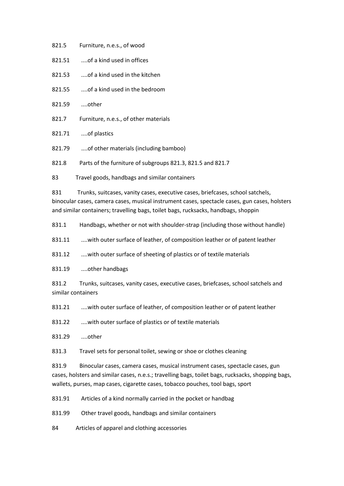- 821.5 Furniture, n.e.s., of wood
- 821.51 ...of a kind used in offices
- 821.53 ....of a kind used in the kitchen
- 821.55 ....of a kind used in the bedroom
- 821.59 ....other
- 821.7 Furniture, n.e.s., of other materials
- 821.71 ....of plastics
- 821.79 ....of other materials (including bamboo)

821.8 Parts of the furniture of subgroups 821.3, 821.5 and 821.7

83 Travel goods, handbags and similar containers

831 Trunks, suitcases, vanity cases, executive cases, briefcases, school satchels, binocular cases, camera cases, musical instrument cases, spectacle cases, gun cases, holsters and similar containers; travelling bags, toilet bags, rucksacks, handbags, shoppin

831.1 Handbags, whether or not with shoulder-strap (including those without handle)

831.11 ....with outer surface of leather, of composition leather or of patent leather

831.12 ....with outer surface of sheeting of plastics or of textile materials

831.19 ....other handbags

831.2 Trunks, suitcases, vanity cases, executive cases, briefcases, school satchels and similar containers

831.21 ....with outer surface of leather, of composition leather or of patent leather

831.22 ....with outer surface of plastics or of textile materials

831.29 ....other

831.3 Travel sets for personal toilet, sewing or shoe or clothes cleaning

831.9 Binocular cases, camera cases, musical instrument cases, spectacle cases, gun cases, holsters and similar cases, n.e.s.; travelling bags, toilet bags, rucksacks, shopping bags, wallets, purses, map cases, cigarette cases, tobacco pouches, tool bags, sport

831.91 Articles of a kind normally carried in the pocket or handbag

831.99 Other travel goods, handbags and similar containers

84 Articles of apparel and clothing accessories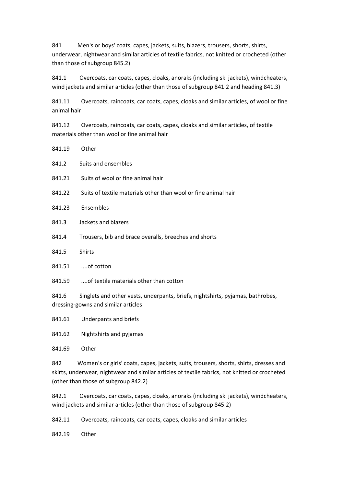841 Men's or boys' coats, capes, jackets, suits, blazers, trousers, shorts, shirts, underwear, nightwear and similar articles of textile fabrics, not knitted or crocheted (other than those of subgroup 845.2)

841.1 Overcoats, car coats, capes, cloaks, anoraks (including ski jackets), windcheaters, wind jackets and similar articles (other than those of subgroup 841.2 and heading 841.3)

841.11 Overcoats, raincoats, car coats, capes, cloaks and similar articles, of wool or fine animal hair

841.12 Overcoats, raincoats, car coats, capes, cloaks and similar articles, of textile materials other than wool or fine animal hair

| 841.19 | Other                                                                          |
|--------|--------------------------------------------------------------------------------|
| 841.2  | Suits and ensembles                                                            |
| 841.21 | Suits of wool or fine animal hair                                              |
| 841.22 | Suits of textile materials other than wool or fine animal hair                 |
| 841.23 | Ensembles                                                                      |
| 841.3  | Jackets and blazers                                                            |
| 841.4  | Trousers, bib and brace overalls, breeches and shorts                          |
| 841.5  | <b>Shirts</b>                                                                  |
| 841.51 | of cotton                                                                      |
| 841.59 | of textile materials other than cotton                                         |
| 841.6  | Singlets and other vests, underpants, briefs, nightshirts, pyjamas, bathrobes, |

dressing-gowns and similar articles

841.61 Underpants and briefs

841.62 Nightshirts and pyjamas

841.69 Other

842 Women's or girls' coats, capes, jackets, suits, trousers, shorts, shirts, dresses and skirts, underwear, nightwear and similar articles of textile fabrics, not knitted or crocheted (other than those of subgroup 842.2)

842.1 Overcoats, car coats, capes, cloaks, anoraks (including ski jackets), windcheaters, wind jackets and similar articles (other than those of subgroup 845.2)

842.11 Overcoats, raincoats, car coats, capes, cloaks and similar articles

842.19 Other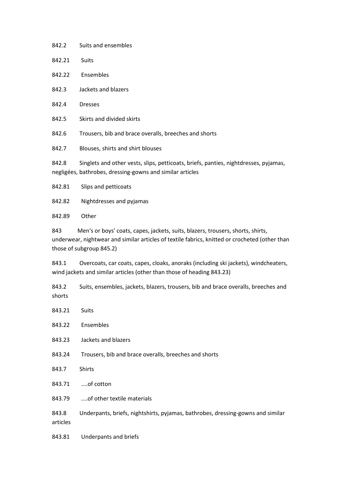| 842.2  | Suits and ensembles                                                                                                                               |
|--------|---------------------------------------------------------------------------------------------------------------------------------------------------|
| 842.21 | <b>Suits</b>                                                                                                                                      |
| 842.22 | Ensembles                                                                                                                                         |
| 842.3  | Jackets and blazers                                                                                                                               |
| 842.4  | <b>Dresses</b>                                                                                                                                    |
| 842.5  | Skirts and divided skirts                                                                                                                         |
| 842.6  | Trousers, bib and brace overalls, breeches and shorts                                                                                             |
| 842.7  | Blouses, shirts and shirt blouses                                                                                                                 |
| 842.8  | Singlets and other vests, slips, petticoats, briefs, panties, nightdresses, pyjamas,<br>negligées, bathrobes, dressing-gowns and similar articles |
| 842.81 | Slips and petticoats                                                                                                                              |

842.82 Nightdresses and pyjamas

842.89 Other

843 Men's or boys' coats, capes, jackets, suits, blazers, trousers, shorts, shirts, underwear, nightwear and similar articles of textile fabrics, knitted or crocheted (other than those of subgroup 845.2)

843.1 Overcoats, car coats, capes, cloaks, anoraks (including ski jackets), windcheaters, wind jackets and similar articles (other than those of heading 843.23)

843.2 Suits, ensembles, jackets, blazers, trousers, bib and brace overalls, breeches and shorts

- 843.21 Suits
- 843.22 Ensembles
- 843.23 Jackets and blazers
- 843.24 Trousers, bib and brace overalls, breeches and shorts
- 843.7 Shirts
- 843.71 ....of cotton
- 843.79 ....of other textile materials

843.8 Underpants, briefs, nightshirts, pyjamas, bathrobes, dressing-gowns and similar articles

843.81 Underpants and briefs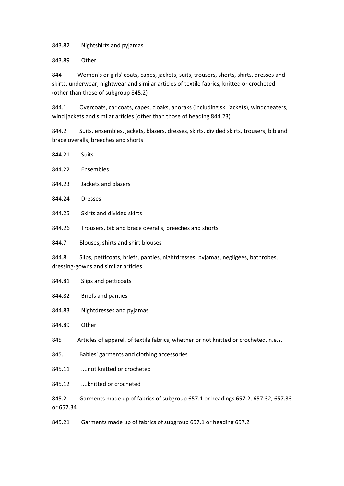843.82 Nightshirts and pyjamas

843.89 Other

844 Women's or girls' coats, capes, jackets, suits, trousers, shorts, shirts, dresses and skirts, underwear, nightwear and similar articles of textile fabrics, knitted or crocheted (other than those of subgroup 845.2)

844.1 Overcoats, car coats, capes, cloaks, anoraks (including ski jackets), windcheaters, wind jackets and similar articles (other than those of heading 844.23)

844.2 Suits, ensembles, jackets, blazers, dresses, skirts, divided skirts, trousers, bib and brace overalls, breeches and shorts

- 844.21 Suits
- 844.22 Ensembles
- 844.23 Jackets and blazers
- 844.24 Dresses
- 844.25 Skirts and divided skirts
- 844.26 Trousers, bib and brace overalls, breeches and shorts
- 844.7 Blouses, shirts and shirt blouses

844.8 Slips, petticoats, briefs, panties, nightdresses, pyjamas, negligées, bathrobes, dressing-gowns and similar articles

- 844.81 Slips and petticoats
- 844.82 Briefs and panties
- 844.83 Nightdresses and pyjamas
- 844.89 Other

845 Articles of apparel, of textile fabrics, whether or not knitted or crocheted, n.e.s.

- 845.1 Babies' garments and clothing accessories
- 845.11 ....not knitted or crocheted
- 845.12 ....knitted or crocheted
- 845.2 Garments made up of fabrics of subgroup 657.1 or headings 657.2, 657.32, 657.33 or 657.34
- 845.21 Garments made up of fabrics of subgroup 657.1 or heading 657.2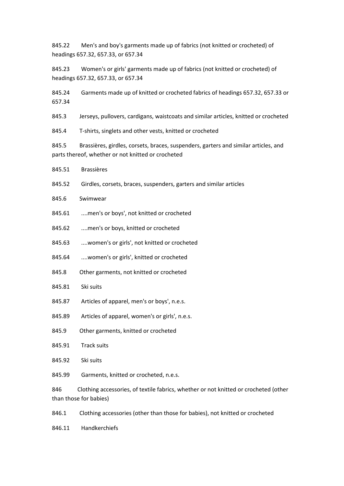845.22 Men's and boy's garments made up of fabrics (not knitted or crocheted) of headings 657.32, 657.33, or 657.34

845.23 Women's or girls' garments made up of fabrics (not knitted or crocheted) of headings 657.32, 657.33, or 657.34

845.24 Garments made up of knitted or crocheted fabrics of headings 657.32, 657.33 or 657.34

845.3 Jerseys, pullovers, cardigans, waistcoats and similar articles, knitted or crocheted

845.4 T-shirts, singlets and other vests, knitted or crocheted

845.5 Brassières, girdles, corsets, braces, suspenders, garters and similar articles, and parts thereof, whether or not knitted or crocheted

- 845.51 Brassières
- 845.52 Girdles, corsets, braces, suspenders, garters and similar articles
- 845.6 Swimwear
- 845.61 ....men's or boys', not knitted or crocheted
- 845.62 ....men's or boys, knitted or crocheted
- 845.63 ....women's or girls', not knitted or crocheted
- 845.64 ....women's or girls', knitted or crocheted
- 845.8 Other garments, not knitted or crocheted
- 845.81 Ski suits
- 845.87 Articles of apparel, men's or boys', n.e.s.
- 845.89 Articles of apparel, women's or girls', n.e.s.
- 845.9 Other garments, knitted or crocheted
- 845.91 Track suits
- 845.92 Ski suits
- 845.99 Garments, knitted or crocheted, n.e.s.

846 Clothing accessories, of textile fabrics, whether or not knitted or crocheted (other than those for babies)

846.1 Clothing accessories (other than those for babies), not knitted or crocheted

846.11 Handkerchiefs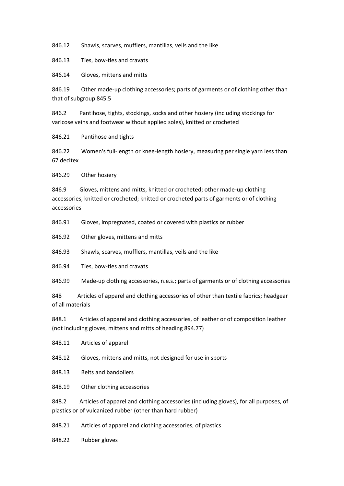846.12 Shawls, scarves, mufflers, mantillas, veils and the like

846.13 Ties, bow-ties and cravats

846.14 Gloves, mittens and mitts

846.19 Other made-up clothing accessories; parts of garments or of clothing other than that of subgroup 845.5

846.2 Pantihose, tights, stockings, socks and other hosiery (including stockings for varicose veins and footwear without applied soles), knitted or crocheted

846.21 Pantihose and tights

846.22 Women's full-length or knee-length hosiery, measuring per single yarn less than 67 decitex

846.29 Other hosiery

846.9 Gloves, mittens and mitts, knitted or crocheted; other made-up clothing accessories, knitted or crocheted; knitted or crocheted parts of garments or of clothing accessories

846.91 Gloves, impregnated, coated or covered with plastics or rubber

846.92 Other gloves, mittens and mitts

846.93 Shawls, scarves, mufflers, mantillas, veils and the like

846.94 Ties, bow-ties and cravats

846.99 Made-up clothing accessories, n.e.s.; parts of garments or of clothing accessories

848 Articles of apparel and clothing accessories of other than textile fabrics; headgear of all materials

848.1 Articles of apparel and clothing accessories, of leather or of composition leather (not including gloves, mittens and mitts of heading 894.77)

848.11 Articles of apparel

848.12 Gloves, mittens and mitts, not designed for use in sports

848.13 Belts and bandoliers

848.19 Other clothing accessories

848.2 Articles of apparel and clothing accessories (including gloves), for all purposes, of plastics or of vulcanized rubber (other than hard rubber)

848.21 Articles of apparel and clothing accessories, of plastics

848.22 Rubber gloves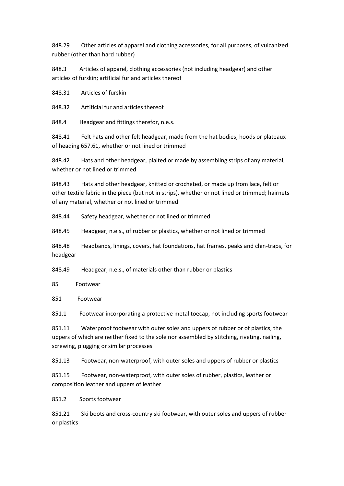848.29 Other articles of apparel and clothing accessories, for all purposes, of vulcanized rubber (other than hard rubber)

848.3 Articles of apparel, clothing accessories (not including headgear) and other articles of furskin; artificial fur and articles thereof

848.31 Articles of furskin

848.32 Artificial fur and articles thereof

848.4 Headgear and fittings therefor, n.e.s.

848.41 Felt hats and other felt headgear, made from the hat bodies, hoods or plateaux of heading 657.61, whether or not lined or trimmed

848.42 Hats and other headgear, plaited or made by assembling strips of any material, whether or not lined or trimmed

848.43 Hats and other headgear, knitted or crocheted, or made up from lace, felt or other textile fabric in the piece (but not in strips), whether or not lined or trimmed; hairnets of any material, whether or not lined or trimmed

848.44 Safety headgear, whether or not lined or trimmed

848.45 Headgear, n.e.s., of rubber or plastics, whether or not lined or trimmed

848.48 Headbands, linings, covers, hat foundations, hat frames, peaks and chin-traps, for headgear

848.49 Headgear, n.e.s., of materials other than rubber or plastics

85 Footwear

851 Footwear

851.1 Footwear incorporating a protective metal toecap, not including sports footwear

851.11 Waterproof footwear with outer soles and uppers of rubber or of plastics, the uppers of which are neither fixed to the sole nor assembled by stitching, riveting, nailing, screwing, plugging or similar processes

851.13 Footwear, non-waterproof, with outer soles and uppers of rubber or plastics

851.15 Footwear, non-waterproof, with outer soles of rubber, plastics, leather or composition leather and uppers of leather

851.2 Sports footwear

851.21 Ski boots and cross-country ski footwear, with outer soles and uppers of rubber or plastics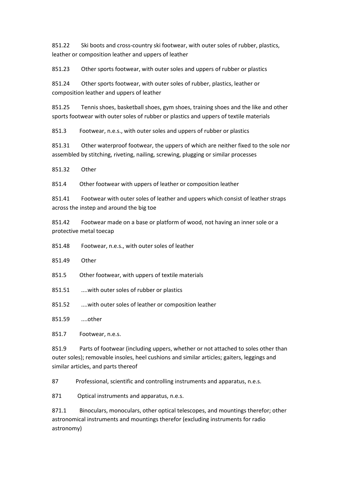851.22 Ski boots and cross-country ski footwear, with outer soles of rubber, plastics, leather or composition leather and uppers of leather

851.23 Other sports footwear, with outer soles and uppers of rubber or plastics

851.24 Other sports footwear, with outer soles of rubber, plastics, leather or composition leather and uppers of leather

851.25 Tennis shoes, basketball shoes, gym shoes, training shoes and the like and other sports footwear with outer soles of rubber or plastics and uppers of textile materials

851.3 Footwear, n.e.s., with outer soles and uppers of rubber or plastics

851.31 Other waterproof footwear, the uppers of which are neither fixed to the sole nor assembled by stitching, riveting, nailing, screwing, plugging or similar processes

851.32 Other

851.4 Other footwear with uppers of leather or composition leather

851.41 Footwear with outer soles of leather and uppers which consist of leather straps across the instep and around the big toe

851.42 Footwear made on a base or platform of wood, not having an inner sole or a protective metal toecap

851.48 Footwear, n.e.s., with outer soles of leather

851.49 Other

851.5 Other footwear, with uppers of textile materials

851.51 ....with outer soles of rubber or plastics

851.52 ....with outer soles of leather or composition leather

851.59 ....other

851.7 Footwear, n.e.s.

851.9 Parts of footwear (including uppers, whether or not attached to soles other than outer soles); removable insoles, heel cushions and similar articles; gaiters, leggings and similar articles, and parts thereof

87 Professional, scientific and controlling instruments and apparatus, n.e.s.

871 Optical instruments and apparatus, n.e.s.

871.1 Binoculars, monoculars, other optical telescopes, and mountings therefor; other astronomical instruments and mountings therefor (excluding instruments for radio astronomy)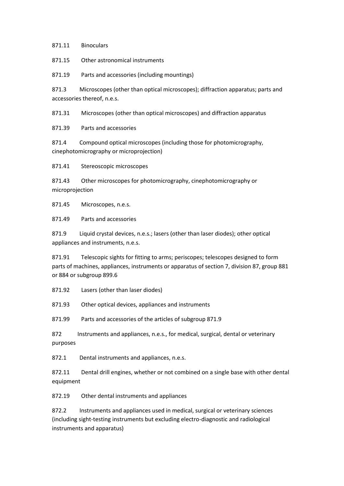871.11 Binoculars

871.15 Other astronomical instruments

871.19 Parts and accessories (including mountings)

871.3 Microscopes (other than optical microscopes); diffraction apparatus; parts and accessories thereof, n.e.s.

871.31 Microscopes (other than optical microscopes) and diffraction apparatus

871.39 Parts and accessories

871.4 Compound optical microscopes (including those for photomicrography, cinephotomicrography or microprojection)

871.41 Stereoscopic microscopes

871.43 Other microscopes for photomicrography, cinephotomicrography or microprojection

871.45 Microscopes, n.e.s.

871.49 Parts and accessories

871.9 Liquid crystal devices, n.e.s.; lasers (other than laser diodes); other optical appliances and instruments, n.e.s.

871.91 Telescopic sights for fitting to arms; periscopes; telescopes designed to form parts of machines, appliances, instruments or apparatus of section 7, division 87, group 881 or 884 or subgroup 899.6

871.92 Lasers (other than laser diodes)

871.93 Other optical devices, appliances and instruments

871.99 Parts and accessories of the articles of subgroup 871.9

872 Instruments and appliances, n.e.s., for medical, surgical, dental or veterinary purposes

872.1 Dental instruments and appliances, n.e.s.

872.11 Dental drill engines, whether or not combined on a single base with other dental equipment

872.19 Other dental instruments and appliances

872.2 Instruments and appliances used in medical, surgical or veterinary sciences (including sight-testing instruments but excluding electro-diagnostic and radiological instruments and apparatus)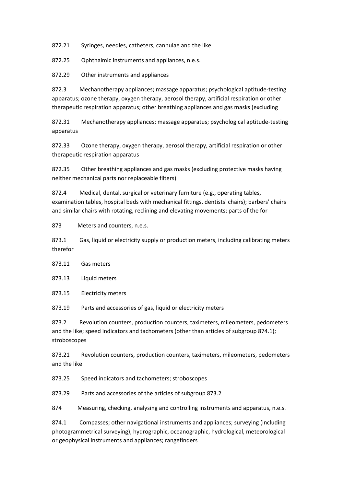872.21 Syringes, needles, catheters, cannulae and the like

872.25 Ophthalmic instruments and appliances, n.e.s.

872.29 Other instruments and appliances

872.3 Mechanotherapy appliances; massage apparatus; psychological aptitude-testing apparatus; ozone therapy, oxygen therapy, aerosol therapy, artificial respiration or other therapeutic respiration apparatus; other breathing appliances and gas masks (excluding

872.31 Mechanotherapy appliances; massage apparatus; psychological aptitude-testing apparatus

872.33 Ozone therapy, oxygen therapy, aerosol therapy, artificial respiration or other therapeutic respiration apparatus

872.35 Other breathing appliances and gas masks (excluding protective masks having neither mechanical parts nor replaceable filters)

872.4 Medical, dental, surgical or veterinary furniture (e.g., operating tables, examination tables, hospital beds with mechanical fittings, dentists' chairs); barbers' chairs and similar chairs with rotating, reclining and elevating movements; parts of the for

873 Meters and counters, n.e.s.

873.1 Gas, liquid or electricity supply or production meters, including calibrating meters therefor

873.11 Gas meters

873.13 Liquid meters

873.15 Electricity meters

873.19 Parts and accessories of gas, liquid or electricity meters

873.2 Revolution counters, production counters, taximeters, mileometers, pedometers and the like; speed indicators and tachometers (other than articles of subgroup 874.1); stroboscopes

873.21 Revolution counters, production counters, taximeters, mileometers, pedometers and the like

873.25 Speed indicators and tachometers; stroboscopes

873.29 Parts and accessories of the articles of subgroup 873.2

874 Measuring, checking, analysing and controlling instruments and apparatus, n.e.s.

874.1 Compasses; other navigational instruments and appliances; surveying (including photogrammetrical surveying), hydrographic, oceanographic, hydrological, meteorological or geophysical instruments and appliances; rangefinders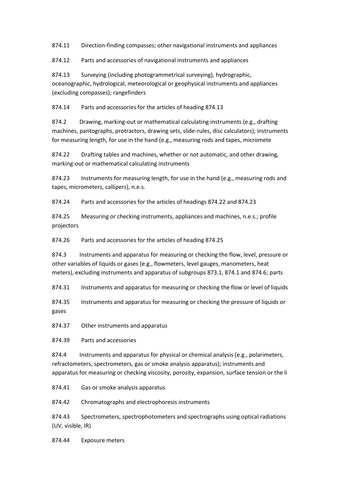874.11 Direction-finding compasses; other navigational instruments and appliances

874.12 Parts and accessories of navigational instruments and appliances

874.13 Surveying (including photogrammetrical surveying), hydrographic, oceanographic, hydrological, meteorological or geophysical instruments and appliances (excluding compasses); rangefinders

874.14 Parts and accessories for the articles of heading 874.13

874.2 Drawing, marking-out or mathematical calculating instruments (e.g., drafting machines, pantographs, protractors, drawing sets, slide-rules, disc calculators); instruments for measuring length, for use in the hand (e.g., measuring rods and tapes, micromete

874.22 Drafting tables and machines, whether or not automatic, and other drawing, marking-out or mathematical calculating instruments

874.23 Instruments for measuring length, for use in the hand (e.g., measuring rods and tapes, micrometers, callipers), n.e.s.

874.24 Parts and accessories for the articles of headings 874.22 and 874.23

874.25 Measuring or checking instruments, appliances and machines, n.e.s.; profile projectors

874.26 Parts and accessories for the articles of heading 874.25

874.3 Instruments and apparatus for measuring or checking the flow, level, pressure or other variables of liquids or gases (e.g., flowmeters, level gauges, manometers, heat meters), excluding instruments and apparatus of subgroups 873.1, 874.1 and 874.6; parts

874.31 Instruments and apparatus for measuring or checking the flow or level of liquids

874.35 Instruments and apparatus for measuring or checking the pressure of liquids or gases

874.37 Other instruments and apparatus

874.39 Parts and accessories

874.4 Instruments and apparatus for physical or chemical analysis (e.g., polarimeters, refractometers, spectrometers, gas or smoke analysis apparatus); instruments and apparatus for measuring or checking viscosity, porosity, expansion, surface tension or the li

874.41 Gas or smoke analysis apparatus

874.42 Chromatographs and electrophoresis instruments

874.43 Spectrometers, spectrophotometers and spectrographs using optical radiations (UV, visible, IR)

874.44 Exposure meters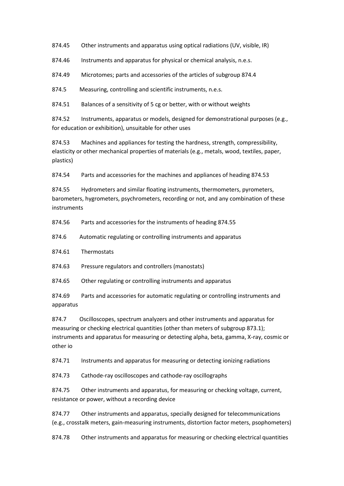874.45 Other instruments and apparatus using optical radiations (UV, visible, IR)

874.46 Instruments and apparatus for physical or chemical analysis, n.e.s.

874.49 Microtomes; parts and accessories of the articles of subgroup 874.4

874.5 Measuring, controlling and scientific instruments, n.e.s.

874.51 Balances of a sensitivity of 5 cg or better, with or without weights

874.52 Instruments, apparatus or models, designed for demonstrational purposes (e.g., for education or exhibition), unsuitable for other uses

874.53 Machines and appliances for testing the hardness, strength, compressibility, elasticity or other mechanical properties of materials (e.g., metals, wood, textiles, paper, plastics)

874.54 Parts and accessories for the machines and appliances of heading 874.53

874.55 Hydrometers and similar floating instruments, thermometers, pyrometers, barometers, hygrometers, psychrometers, recording or not, and any combination of these instruments

874.56 Parts and accessories for the instruments of heading 874.55

874.6 Automatic regulating or controlling instruments and apparatus

874.61 Thermostats

874.63 Pressure regulators and controllers (manostats)

874.65 Other regulating or controlling instruments and apparatus

874.69 Parts and accessories for automatic regulating or controlling instruments and apparatus

874.7 Oscilloscopes, spectrum analyzers and other instruments and apparatus for measuring or checking electrical quantities (other than meters of subgroup 873.1); instruments and apparatus for measuring or detecting alpha, beta, gamma, X-ray, cosmic or other io

874.71 Instruments and apparatus for measuring or detecting ionizing radiations

874.73 Cathode-ray oscilloscopes and cathode-ray oscillographs

874.75 Other instruments and apparatus, for measuring or checking voltage, current, resistance or power, without a recording device

874.77 Other instruments and apparatus, specially designed for telecommunications (e.g., crosstalk meters, gain-measuring instruments, distortion factor meters, psophometers)

874.78 Other instruments and apparatus for measuring or checking electrical quantities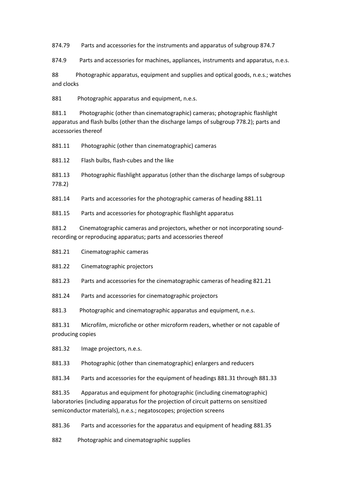874.79 Parts and accessories for the instruments and apparatus of subgroup 874.7

874.9 Parts and accessories for machines, appliances, instruments and apparatus, n.e.s.

88 Photographic apparatus, equipment and supplies and optical goods, n.e.s.; watches and clocks

881 Photographic apparatus and equipment, n.e.s.

881.1 Photographic (other than cinematographic) cameras; photographic flashlight apparatus and flash bulbs (other than the discharge lamps of subgroup 778.2); parts and accessories thereof

881.11 Photographic (other than cinematographic) cameras

881.12 Flash bulbs, flash-cubes and the like

881.13 Photographic flashlight apparatus (other than the discharge lamps of subgroup 778.2)

881.14 Parts and accessories for the photographic cameras of heading 881.11

881.15 Parts and accessories for photographic flashlight apparatus

881.2 Cinematographic cameras and projectors, whether or not incorporating soundrecording or reproducing apparatus; parts and accessories thereof

881.21 Cinematographic cameras

881.22 Cinematographic projectors

881.23 Parts and accessories for the cinematographic cameras of heading 821.21

881.24 Parts and accessories for cinematographic projectors

881.3 Photographic and cinematographic apparatus and equipment, n.e.s.

881.31 Microfilm, microfiche or other microform readers, whether or not capable of producing copies

881.32 Image projectors, n.e.s.

881.33 Photographic (other than cinematographic) enlargers and reducers

881.34 Parts and accessories for the equipment of headings 881.31 through 881.33

881.35 Apparatus and equipment for photographic (including cinematographic) laboratories (including apparatus for the projection of circuit patterns on sensitized semiconductor materials), n.e.s.; negatoscopes; projection screens

881.36 Parts and accessories for the apparatus and equipment of heading 881.35

882 Photographic and cinematographic supplies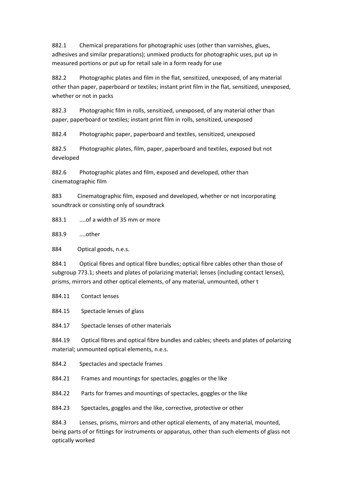882.1 Chemical preparations for photographic uses (other than varnishes, glues, adhesives and similar preparations); unmixed products for photographic uses, put up in measured portions or put up for retail sale in a form ready for use

882.2 Photographic plates and film in the flat, sensitized, unexposed, of any material other than paper, paperboard or textiles; instant print film in the flat, sensitized, unexposed, whether or not in packs

882.3 Photographic film in rolls, sensitized, unexposed, of any material other than paper, paperboard or textiles; instant print film in rolls, sensitized, unexposed

882.4 Photographic paper, paperboard and textiles, sensitized, unexposed

882.5 Photographic plates, film, paper, paperboard and textiles, exposed but not developed

882.6 Photographic plates and film, exposed and developed, other than cinematographic film

883 Cinematographic film, exposed and developed, whether or not incorporating soundtrack or consisting only of soundtrack

883.1 ....of a width of 35 mm or more

883.9 ....other

884 Optical goods, n.e.s.

884.1 Optical fibres and optical fibre bundles; optical fibre cables other than those of subgroup 773.1; sheets and plates of polarizing material; lenses (including contact lenses), prisms, mirrors and other optical elements, of any material, unmounted, other t

884.11 Contact lenses

884.15 Spectacle lenses of glass

884.17 Spectacle lenses of other materials

884.19 Optical fibres and optical fibre bundles and cables; sheets and plates of polarizing material; unmounted optical elements, n.e.s.

884.2 Spectacles and spectacle frames

884.21 Frames and mountings for spectacles, goggles or the like

884.22 Parts for frames and mountings of spectacles, goggles or the like

884.23 Spectacles, goggles and the like, corrective, protective or other

884.3 Lenses, prisms, mirrors and other optical elements, of any material, mounted, being parts of or fittings for instruments or apparatus, other than such elements of glass not optically worked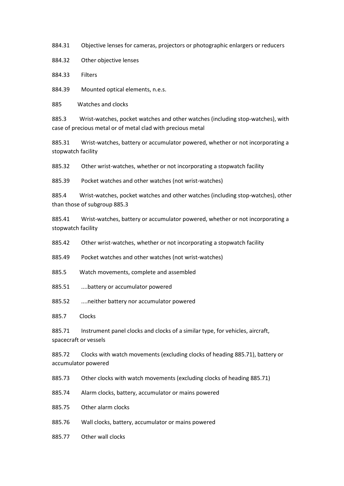884.31 Objective lenses for cameras, projectors or photographic enlargers or reducers

884.32 Other objective lenses

884.33 Filters

884.39 Mounted optical elements, n.e.s.

885 Watches and clocks

885.3 Wrist-watches, pocket watches and other watches (including stop-watches), with case of precious metal or of metal clad with precious metal

885.31 Wrist-watches, battery or accumulator powered, whether or not incorporating a stopwatch facility

885.32 Other wrist-watches, whether or not incorporating a stopwatch facility

885.39 Pocket watches and other watches (not wrist-watches)

885.4 Wrist-watches, pocket watches and other watches (including stop-watches), other than those of subgroup 885.3

885.41 Wrist-watches, battery or accumulator powered, whether or not incorporating a stopwatch facility

885.42 Other wrist-watches, whether or not incorporating a stopwatch facility

885.49 Pocket watches and other watches (not wrist-watches)

885.5 Watch movements, complete and assembled

885.51 ....battery or accumulator powered

885.52 ....neither battery nor accumulator powered

885.7 Clocks

885.71 Instrument panel clocks and clocks of a similar type, for vehicles, aircraft, spacecraft or vessels

885.72 Clocks with watch movements (excluding clocks of heading 885.71), battery or accumulator powered

885.73 Other clocks with watch movements (excluding clocks of heading 885.71)

885.74 Alarm clocks, battery, accumulator or mains powered

885.75 Other alarm clocks

- 885.76 Wall clocks, battery, accumulator or mains powered
- 885.77 Other wall clocks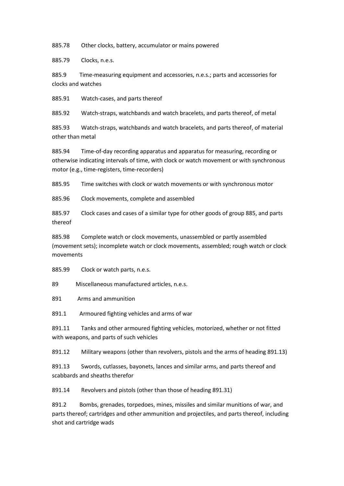885.78 Other clocks, battery, accumulator or mains powered

885.79 Clocks, n.e.s.

885.9 Time-measuring equipment and accessories, n.e.s.; parts and accessories for clocks and watches

885.91 Watch-cases, and parts thereof

885.92 Watch-straps, watchbands and watch bracelets, and parts thereof, of metal

885.93 Watch-straps, watchbands and watch bracelets, and parts thereof, of material other than metal

885.94 Time-of-day recording apparatus and apparatus for measuring, recording or otherwise indicating intervals of time, with clock or watch movement or with synchronous motor (e.g., time-registers, time-recorders)

885.95 Time switches with clock or watch movements or with synchronous motor

885.96 Clock movements, complete and assembled

885.97 Clock cases and cases of a similar type for other goods of group 885, and parts thereof

885.98 Complete watch or clock movements, unassembled or partly assembled (movement sets); incomplete watch or clock movements, assembled; rough watch or clock movements

885.99 Clock or watch parts, n.e.s.

89 Miscellaneous manufactured articles, n.e.s.

891 Arms and ammunition

891.1 Armoured fighting vehicles and arms of war

891.11 Tanks and other armoured fighting vehicles, motorized, whether or not fitted with weapons, and parts of such vehicles

891.12 Military weapons (other than revolvers, pistols and the arms of heading 891.13)

891.13 Swords, cutlasses, bayonets, lances and similar arms, and parts thereof and scabbards and sheaths therefor

891.14 Revolvers and pistols (other than those of heading 891.31)

891.2 Bombs, grenades, torpedoes, mines, missiles and similar munitions of war, and parts thereof; cartridges and other ammunition and projectiles, and parts thereof, including shot and cartridge wads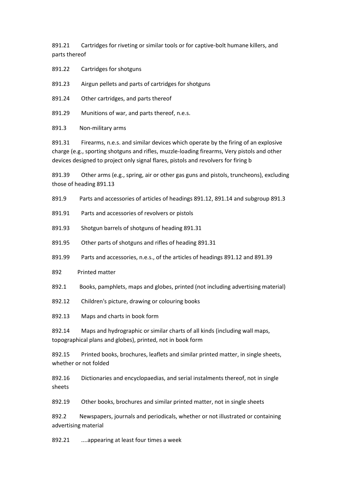891.21 Cartridges for riveting or similar tools or for captive-bolt humane killers, and parts thereof

891.22 Cartridges for shotguns

891.23 Airgun pellets and parts of cartridges for shotguns

891.24 Other cartridges, and parts thereof

891.29 Munitions of war, and parts thereof, n.e.s.

891.3 Non-military arms

891.31 Firearms, n.e.s. and similar devices which operate by the firing of an explosive charge (e.g., sporting shotguns and rifles, muzzle-loading firearms, Very pistols and other devices designed to project only signal flares, pistols and revolvers for firing b

891.39 Other arms (e.g., spring, air or other gas guns and pistols, truncheons), excluding those of heading 891.13

891.9 Parts and accessories of articles of headings 891.12, 891.14 and subgroup 891.3

891.91 Parts and accessories of revolvers or pistols

891.93 Shotgun barrels of shotguns of heading 891.31

891.95 Other parts of shotguns and rifles of heading 891.31

891.99 Parts and accessories, n.e.s., of the articles of headings 891.12 and 891.39

892 Printed matter

892.1 Books, pamphlets, maps and globes, printed (not including advertising material)

892.12 Children's picture, drawing or colouring books

892.13 Maps and charts in book form

892.14 Maps and hydrographic or similar charts of all kinds (including wall maps, topographical plans and globes), printed, not in book form

892.15 Printed books, brochures, leaflets and similar printed matter, in single sheets, whether or not folded

892.16 Dictionaries and encyclopaedias, and serial instalments thereof, not in single sheets

892.19 Other books, brochures and similar printed matter, not in single sheets

892.2 Newspapers, journals and periodicals, whether or not illustrated or containing advertising material

892.21 ....appearing at least four times a week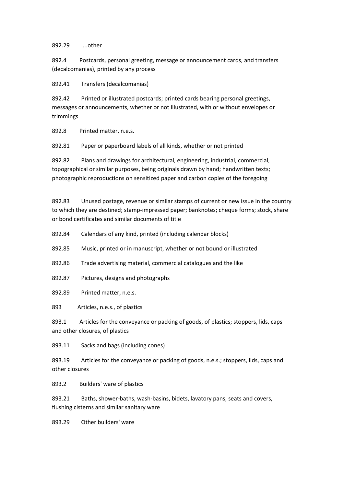892.29 ....other

892.4 Postcards, personal greeting, message or announcement cards, and transfers (decalcomanias), printed by any process

892.41 Transfers (decalcomanias)

892.42 Printed or illustrated postcards; printed cards bearing personal greetings, messages or announcements, whether or not illustrated, with or without envelopes or trimmings

892.8 Printed matter, n.e.s.

892.81 Paper or paperboard labels of all kinds, whether or not printed

892.82 Plans and drawings for architectural, engineering, industrial, commercial, topographical or similar purposes, being originals drawn by hand; handwritten texts; photographic reproductions on sensitized paper and carbon copies of the foregoing

892.83 Unused postage, revenue or similar stamps of current or new issue in the country to which they are destined; stamp-impressed paper; banknotes; cheque forms; stock, share or bond certificates and similar documents of title

892.84 Calendars of any kind, printed (including calendar blocks)

892.85 Music, printed or in manuscript, whether or not bound or illustrated

892.86 Trade advertising material, commercial catalogues and the like

- 892.87 Pictures, designs and photographs
- 892.89 Printed matter, n.e.s.

893 Articles, n.e.s., of plastics

893.1 Articles for the conveyance or packing of goods, of plastics; stoppers, lids, caps and other closures, of plastics

893.11 Sacks and bags (including cones)

893.19 Articles for the conveyance or packing of goods, n.e.s.; stoppers, lids, caps and other closures

893.2 Builders' ware of plastics

893.21 Baths, shower-baths, wash-basins, bidets, lavatory pans, seats and covers, flushing cisterns and similar sanitary ware

893.29 Other builders' ware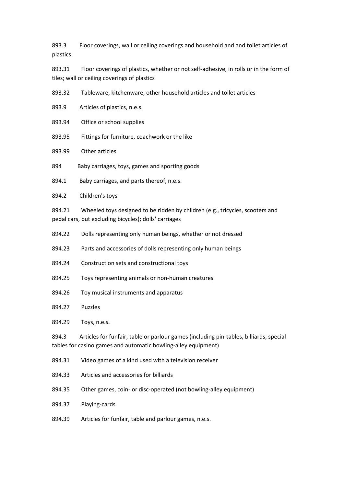893.3 Floor coverings, wall or ceiling coverings and household and and toilet articles of plastics

893.31 Floor coverings of plastics, whether or not self-adhesive, in rolls or in the form of tiles; wall or ceiling coverings of plastics

893.32 Tableware, kitchenware, other household articles and toilet articles

893.9 Articles of plastics, n.e.s.

893.94 Office or school supplies

893.95 Fittings for furniture, coachwork or the like

893.99 Other articles

894 Baby carriages, toys, games and sporting goods

894.1 Baby carriages, and parts thereof, n.e.s.

894.2 Children's toys

894.21 Wheeled toys designed to be ridden by children (e.g., tricycles, scooters and pedal cars, but excluding bicycles); dolls' carriages

- 894.22 Dolls representing only human beings, whether or not dressed
- 894.23 Parts and accessories of dolls representing only human beings
- 894.24 Construction sets and constructional toys
- 894.25 Toys representing animals or non-human creatures
- 894.26 Toy musical instruments and apparatus
- 894.27 Puzzles

894.29 Toys, n.e.s.

894.3 Articles for funfair, table or parlour games (including pin-tables, billiards, special tables for casino games and automatic bowling-alley equipment)

- 894.31 Video games of a kind used with a television receiver
- 894.33 Articles and accessories for billiards
- 894.35 Other games, coin- or disc-operated (not bowling-alley equipment)
- 894.37 Playing-cards

894.39 Articles for funfair, table and parlour games, n.e.s.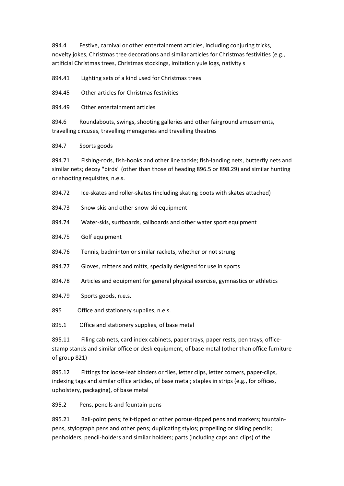894.4 Festive, carnival or other entertainment articles, including conjuring tricks, novelty jokes, Christmas tree decorations and similar articles for Christmas festivities (e.g., artificial Christmas trees, Christmas stockings, imitation yule logs, nativity s

894.41 Lighting sets of a kind used for Christmas trees

894.45 Other articles for Christmas festivities

894.49 Other entertainment articles

894.6 Roundabouts, swings, shooting galleries and other fairground amusements, travelling circuses, travelling menageries and travelling theatres

894.7 Sports goods

894.71 Fishing-rods, fish-hooks and other line tackle; fish-landing nets, butterfly nets and similar nets; decoy "birds" (other than those of heading 896.5 or 898.29) and similar hunting or shooting requisites, n.e.s.

894.72 Ice-skates and roller-skates (including skating boots with skates attached)

- 894.73 Snow-skis and other snow-ski equipment
- 894.74 Water-skis, surfboards, sailboards and other water sport equipment
- 894.75 Golf equipment
- 894.76 Tennis, badminton or similar rackets, whether or not strung
- 894.77 Gloves, mittens and mitts, specially designed for use in sports
- 894.78 Articles and equipment for general physical exercise, gymnastics or athletics
- 894.79 Sports goods, n.e.s.
- 895 Office and stationery supplies, n.e.s.

895.1 Office and stationery supplies, of base metal

895.11 Filing cabinets, card index cabinets, paper trays, paper rests, pen trays, officestamp stands and similar office or desk equipment, of base metal (other than office furniture of group 821)

895.12 Fittings for loose-leaf binders or files, letter clips, letter corners, paper-clips, indexing tags and similar office articles, of base metal; staples in strips (e.g., for offices, upholstery, packaging), of base metal

895.2 Pens, pencils and fountain-pens

895.21 Ball-point pens; felt-tipped or other porous-tipped pens and markers; fountainpens, stylograph pens and other pens; duplicating stylos; propelling or sliding pencils; penholders, pencil-holders and similar holders; parts (including caps and clips) of the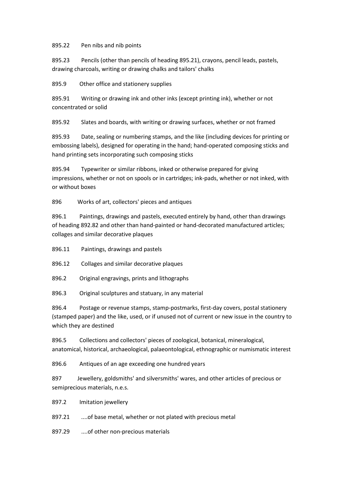## 895.22 Pen nibs and nib points

895.23 Pencils (other than pencils of heading 895.21), crayons, pencil leads, pastels, drawing charcoals, writing or drawing chalks and tailors' chalks

895.9 Other office and stationery supplies

895.91 Writing or drawing ink and other inks (except printing ink), whether or not concentrated or solid

895.92 Slates and boards, with writing or drawing surfaces, whether or not framed

895.93 Date, sealing or numbering stamps, and the like (including devices for printing or embossing labels), designed for operating in the hand; hand-operated composing sticks and hand printing sets incorporating such composing sticks

895.94 Typewriter or similar ribbons, inked or otherwise prepared for giving impressions, whether or not on spools or in cartridges; ink-pads, whether or not inked, with or without boxes

896 Works of art, collectors' pieces and antiques

896.1 Paintings, drawings and pastels, executed entirely by hand, other than drawings of heading 892.82 and other than hand-painted or hand-decorated manufactured articles; collages and similar decorative plaques

896.11 Paintings, drawings and pastels

896.12 Collages and similar decorative plaques

896.2 Original engravings, prints and lithographs

896.3 Original sculptures and statuary, in any material

896.4 Postage or revenue stamps, stamp-postmarks, first-day covers, postal stationery (stamped paper) and the like, used, or if unused not of current or new issue in the country to which they are destined

896.5 Collections and collectors' pieces of zoological, botanical, mineralogical, anatomical, historical, archaeological, palaeontological, ethnographic or numismatic interest

896.6 Antiques of an age exceeding one hundred years

897 Jewellery, goldsmiths' and silversmiths' wares, and other articles of precious or semiprecious materials, n.e.s.

897.2 Imitation jewellery

897.21 ....of base metal, whether or not plated with precious metal

897.29 ....of other non-precious materials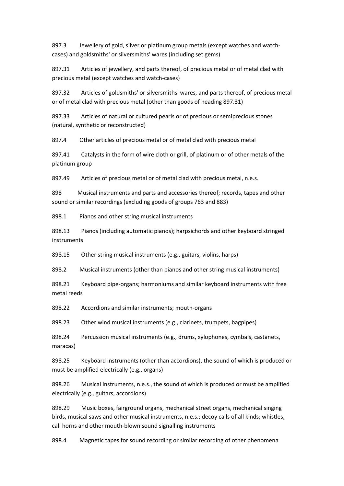897.3 Jewellery of gold, silver or platinum group metals (except watches and watchcases) and goldsmiths' or silversmiths' wares (including set gems)

897.31 Articles of jewellery, and parts thereof, of precious metal or of metal clad with precious metal (except watches and watch-cases)

897.32 Articles of goldsmiths' or silversmiths' wares, and parts thereof, of precious metal or of metal clad with precious metal (other than goods of heading 897.31)

897.33 Articles of natural or cultured pearls or of precious or semiprecious stones (natural, synthetic or reconstructed)

897.4 Other articles of precious metal or of metal clad with precious metal

897.41 Catalysts in the form of wire cloth or grill, of platinum or of other metals of the platinum group

897.49 Articles of precious metal or of metal clad with precious metal, n.e.s.

898 Musical instruments and parts and accessories thereof; records, tapes and other sound or similar recordings (excluding goods of groups 763 and 883)

898.1 Pianos and other string musical instruments

898.13 Pianos (including automatic pianos); harpsichords and other keyboard stringed instruments

898.15 Other string musical instruments (e.g., guitars, violins, harps)

898.2 Musical instruments (other than pianos and other string musical instruments)

898.21 Keyboard pipe-organs; harmoniums and similar keyboard instruments with free metal reeds

898.22 Accordions and similar instruments; mouth-organs

898.23 Other wind musical instruments (e.g., clarinets, trumpets, bagpipes)

898.24 Percussion musical instruments (e.g., drums, xylophones, cymbals, castanets, maracas)

898.25 Keyboard instruments (other than accordions), the sound of which is produced or must be amplified electrically (e.g., organs)

898.26 Musical instruments, n.e.s., the sound of which is produced or must be amplified electrically (e.g., guitars, accordions)

898.29 Music boxes, fairground organs, mechanical street organs, mechanical singing birds, musical saws and other musical instruments, n.e.s.; decoy calls of all kinds; whistles, call horns and other mouth-blown sound signalling instruments

898.4 Magnetic tapes for sound recording or similar recording of other phenomena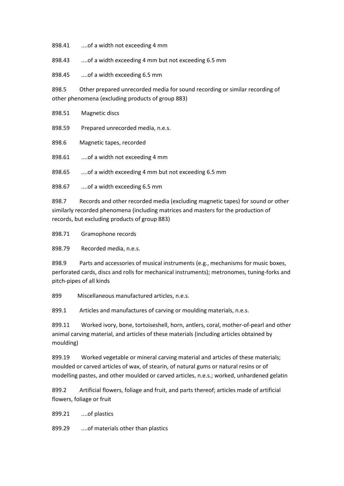898.41 ....of a width not exceeding 4 mm

898.43 ...of a width exceeding 4 mm but not exceeding 6.5 mm

898.45 ....of a width exceeding 6.5 mm

898.5 Other prepared unrecorded media for sound recording or similar recording of other phenomena (excluding products of group 883)

898.51 Magnetic discs 898.59 Prepared unrecorded media, n.e.s. 898.6 Magnetic tapes, recorded 898.61 ....of a width not exceeding 4 mm 898.65 ....of a width exceeding 4 mm but not exceeding 6.5 mm 898.67 ....of a width exceeding 6.5 mm

898.7 Records and other recorded media (excluding magnetic tapes) for sound or other similarly recorded phenomena (including matrices and masters for the production of records, but excluding products of group 883)

898.71 Gramophone records

898.79 Recorded media, n.e.s.

898.9 Parts and accessories of musical instruments (e.g., mechanisms for music boxes, perforated cards, discs and rolls for mechanical instruments); metronomes, tuning-forks and pitch-pipes of all kinds

899 Miscellaneous manufactured articles, n.e.s.

899.1 Articles and manufactures of carving or moulding materials, n.e.s.

899.11 Worked ivory, bone, tortoiseshell, horn, antlers, coral, mother-of-pearl and other animal carving material, and articles of these materials (including articles obtained by moulding)

899.19 Worked vegetable or mineral carving material and articles of these materials; moulded or carved articles of wax, of stearin, of natural gums or natural resins or of modelling pastes, and other moulded or carved articles, n.e.s.; worked, unhardened gelatin

899.2 Artificial flowers, foliage and fruit, and parts thereof; articles made of artificial flowers, foliage or fruit

899.21 ....of plastics

899.29 ....of materials other than plastics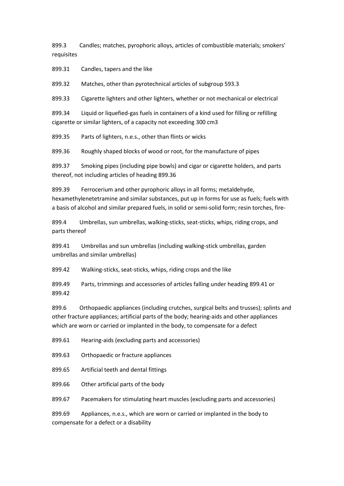899.3 Candles; matches, pyrophoric alloys, articles of combustible materials; smokers' requisites

899.31 Candles, tapers and the like

899.32 Matches, other than pyrotechnical articles of subgroup 593.3

899.33 Cigarette lighters and other lighters, whether or not mechanical or electrical

899.34 Liquid or liquefied-gas fuels in containers of a kind used for filling or refilling cigarette or similar lighters, of a capacity not exceeding 300 cm3

899.35 Parts of lighters, n.e.s., other than flints or wicks

899.36 Roughly shaped blocks of wood or root, for the manufacture of pipes

899.37 Smoking pipes (including pipe bowls) and cigar or cigarette holders, and parts thereof, not including articles of heading 899.36

899.39 Ferrocerium and other pyrophoric alloys in all forms; metaldehyde, hexamethylenetetramine and similar substances, put up in forms for use as fuels; fuels with a basis of alcohol and similar prepared fuels, in solid or semi-solid form; resin torches, fire-

899.4 Umbrellas, sun umbrellas, walking-sticks, seat-sticks, whips, riding crops, and parts thereof

899.41 Umbrellas and sun umbrellas (including walking-stick umbrellas, garden umbrellas and similar umbrellas)

899.42 Walking-sticks, seat-sticks, whips, riding crops and the like

899.49 Parts, trimmings and accessories of articles falling under heading 899.41 or 899.42

899.6 Orthopaedic appliances (including crutches, surgical belts and trusses); splints and other fracture appliances; artificial parts of the body; hearing-aids and other appliances which are worn or carried or implanted in the body, to compensate for a defect

899.61 Hearing-aids (excluding parts and accessories)

899.63 Orthopaedic or fracture appliances

899.65 Artificial teeth and dental fittings

899.66 Other artificial parts of the body

899.67 Pacemakers for stimulating heart muscles (excluding parts and accessories)

899.69 Appliances, n.e.s., which are worn or carried or implanted in the body to compensate for a defect or a disability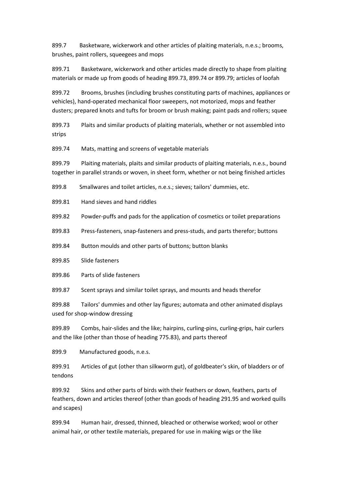899.7 Basketware, wickerwork and other articles of plaiting materials, n.e.s.; brooms, brushes, paint rollers, squeegees and mops

899.71 Basketware, wickerwork and other articles made directly to shape from plaiting materials or made up from goods of heading 899.73, 899.74 or 899.79; articles of loofah

899.72 Brooms, brushes (including brushes constituting parts of machines, appliances or vehicles), hand-operated mechanical floor sweepers, not motorized, mops and feather dusters; prepared knots and tufts for broom or brush making; paint pads and rollers; squee

899.73 Plaits and similar products of plaiting materials, whether or not assembled into strips

899.74 Mats, matting and screens of vegetable materials

899.79 Plaiting materials, plaits and similar products of plaiting materials, n.e.s., bound together in parallel strands or woven, in sheet form, whether or not being finished articles

899.8 Smallwares and toilet articles, n.e.s.; sieves; tailors' dummies, etc.

899.81 Hand sieves and hand riddles

899.82 Powder-puffs and pads for the application of cosmetics or toilet preparations

899.83 Press-fasteners, snap-fasteners and press-studs, and parts therefor; buttons

899.84 Button moulds and other parts of buttons; button blanks

899.85 Slide fasteners

899.86 Parts of slide fasteners

899.87 Scent sprays and similar toilet sprays, and mounts and heads therefor

899.88 Tailors' dummies and other lay figures; automata and other animated displays used for shop-window dressing

899.89 Combs, hair-slides and the like; hairpins, curling-pins, curling-grips, hair curlers and the like (other than those of heading 775.83), and parts thereof

899.9 Manufactured goods, n.e.s.

899.91 Articles of gut (other than silkworm gut), of goldbeater's skin, of bladders or of tendons

899.92 Skins and other parts of birds with their feathers or down, feathers, parts of feathers, down and articles thereof (other than goods of heading 291.95 and worked quills and scapes)

899.94 Human hair, dressed, thinned, bleached or otherwise worked; wool or other animal hair, or other textile materials, prepared for use in making wigs or the like